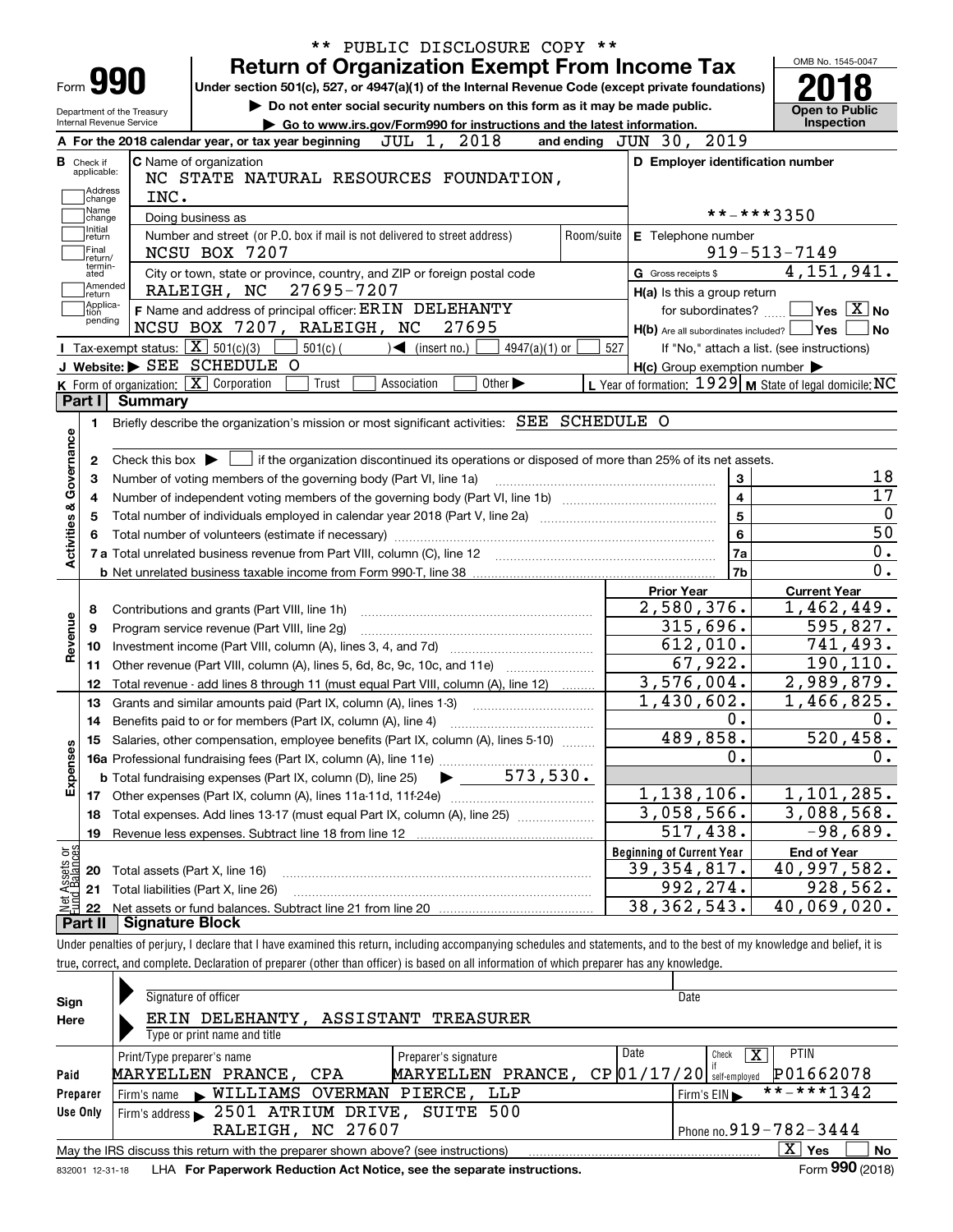|                                                        | ** PUBLIC DISCLOSURE COPY **                                                                                                                                               |                                                           | OMB No. 1545-0047                                    |
|--------------------------------------------------------|----------------------------------------------------------------------------------------------------------------------------------------------------------------------------|-----------------------------------------------------------|------------------------------------------------------|
| Form 990                                               | <b>Return of Organization Exempt From Income Tax</b><br>Under section 501(c), 527, or 4947(a)(1) of the Internal Revenue Code (except private foundations)                 |                                                           |                                                      |
|                                                        | Do not enter social security numbers on this form as it may be made public.                                                                                                |                                                           | <b>Open to Public</b>                                |
| Department of the Treasury<br>Internal Revenue Service | Go to www.irs.gov/Form990 for instructions and the latest information.                                                                                                     |                                                           | Inspection                                           |
|                                                        | JUL 1, 2018<br>A For the 2018 calendar year, or tax year beginning                                                                                                         | and ending JUN 30, 2019                                   |                                                      |
| <b>B</b> Check if                                      | C Name of organization                                                                                                                                                     | D Employer identification number                          |                                                      |
| applicable:                                            | NC STATE NATURAL RESOURCES FOUNDATION,                                                                                                                                     |                                                           |                                                      |
| Address<br>change                                      | INC.                                                                                                                                                                       |                                                           |                                                      |
| Name<br>change                                         | Doing business as                                                                                                                                                          | **-***3350                                                |                                                      |
| Initial<br>return                                      | Number and street (or P.O. box if mail is not delivered to street address)<br>Room/suite                                                                                   | E Telephone number                                        |                                                      |
| Final<br>return/<br>termin-                            | NCSU BOX 7207                                                                                                                                                              |                                                           | $919 - 513 - 7149$                                   |
| ated<br> Amended                                       | City or town, state or province, country, and ZIP or foreign postal code                                                                                                   | G Gross receipts \$                                       | 4, 151, 941.                                         |
| return<br>Applica-                                     | 27695-7207<br>RALEIGH, NC                                                                                                                                                  | H(a) Is this a group return                               |                                                      |
| tion<br>pending                                        | F Name and address of principal officer: ERIN DELEHANTY                                                                                                                    | for subordinates?                                         | $\overline{\mathsf{Yes}}$ $\overline{\mathsf{X}}$ No |
|                                                        | NCSU BOX 7207, RALEIGH, NC<br>27695                                                                                                                                        | $H(b)$ Are all subordinates included? $\Box$ Yes          | ∣No                                                  |
|                                                        | <b>I</b> Tax-exempt status: $\boxed{\mathbf{X}}$ 501(c)(3)<br>$\blacktriangleleft$ (insert no.)<br>$501(c)$ (<br>4947(a)(1) or                                             | 527<br>If "No," attach a list. (see instructions)         |                                                      |
|                                                        | J Website: > SEE SCHEDULE O                                                                                                                                                | $H(c)$ Group exemption number $\blacktriangleright$       |                                                      |
| Part I<br><b>Summary</b>                               | $K$ Form of organization: $X$ Corporation<br>Trust<br>Association<br>Other $\blacktriangleright$                                                                           | L Year of formation: $1929$ M State of legal domicile: NC |                                                      |
|                                                        |                                                                                                                                                                            |                                                           |                                                      |
| 1.                                                     | Briefly describe the organization's mission or most significant activities: SEE SCHEDULE O                                                                                 |                                                           |                                                      |
| Activities & Governance                                |                                                                                                                                                                            |                                                           |                                                      |
| 2                                                      | Check this box $\blacktriangleright$ $\Box$ if the organization discontinued its operations or disposed of more than 25% of its net assets.                                | $\mathbf{3}$                                              | 18                                                   |
| з<br>4                                                 | Number of voting members of the governing body (Part VI, line 1a)                                                                                                          | $\overline{\mathbf{4}}$                                   | 17                                                   |
|                                                        |                                                                                                                                                                            | $\overline{5}$                                            |                                                      |
|                                                        |                                                                                                                                                                            | $6\phantom{a}$                                            | $\overline{0}$<br>$\overline{50}$                    |
|                                                        |                                                                                                                                                                            | 7a                                                        | $\overline{0}$ .                                     |
|                                                        |                                                                                                                                                                            | 7b                                                        | $\overline{0}$ .                                     |
|                                                        |                                                                                                                                                                            | <b>Prior Year</b>                                         | <b>Current Year</b>                                  |
| 8                                                      |                                                                                                                                                                            | 2,580,376.                                                | 1,462,449.                                           |
| 9                                                      | Program service revenue (Part VIII, line 2g)                                                                                                                               | 315,696.                                                  | 595,827.                                             |
| Revenue<br>10                                          |                                                                                                                                                                            | 612,010.                                                  | $\overline{741, 493.}$                               |
| 11                                                     | Other revenue (Part VIII, column (A), lines 5, 6d, 8c, 9c, 10c, and 11e) <i>mummumm</i>                                                                                    | 67,922.                                                   | 190,110.                                             |
| 12                                                     | Total revenue - add lines 8 through 11 (must equal Part VIII, column (A), line 12)                                                                                         | 3,576,004.                                                | 2,989,879.                                           |
| 13                                                     | Grants and similar amounts paid (Part IX, column (A), lines 1-3)                                                                                                           | 1,430,602.                                                | 1,466,825.                                           |
| 14                                                     | Benefits paid to or for members (Part IX, column (A), line 4)                                                                                                              | 0.                                                        | 0.                                                   |
|                                                        | 15 Salaries, other compensation, employee benefits (Part IX, column (A), lines 5-10)                                                                                       | 489,858.                                                  | 520, 458.                                            |
|                                                        |                                                                                                                                                                            | Ο.                                                        | 0.                                                   |
| Expenses                                               |                                                                                                                                                                            |                                                           |                                                      |
|                                                        |                                                                                                                                                                            | 1,138,106.                                                | 1,101,285.                                           |
| 18                                                     | Total expenses. Add lines 13-17 (must equal Part IX, column (A), line 25)                                                                                                  | 3,058,566.                                                | 3,088,568.                                           |
| 19                                                     | Revenue less expenses. Subtract line 18 from line 12                                                                                                                       | 517,438.                                                  | $-98,689.$                                           |
|                                                        |                                                                                                                                                                            | <b>Beginning of Current Year</b>                          | <b>End of Year</b>                                   |
| 20                                                     | Total assets (Part X, line 16)                                                                                                                                             | 39, 354, 817.                                             | 40,997,582.                                          |
| Net Assets or<br>Fund Balances<br>21                   | Total liabilities (Part X, line 26)                                                                                                                                        | 992,274.                                                  | 928,562.                                             |
| 22                                                     |                                                                                                                                                                            | 38, 362, 543.                                             | 40,069,020.                                          |
| Part II                                                | <b>Signature Block</b>                                                                                                                                                     |                                                           |                                                      |
|                                                        | Under penalties of perjury, I declare that I have examined this return, including accompanying schedules and statements, and to the best of my knowledge and belief, it is |                                                           |                                                      |
|                                                        | true, correct, and complete. Declaration of preparer (other than officer) is based on all information of which preparer has any knowledge.                                 |                                                           |                                                      |
|                                                        | Signature of officer                                                                                                                                                       |                                                           |                                                      |
| Sign                                                   |                                                                                                                                                                            | Date                                                      |                                                      |
| Here                                                   | ERIN DELEHANTY, ASSISTANT TREASURER<br>Type or print name and title                                                                                                        |                                                           |                                                      |

| Here     | ERIN DELEHANTY, ASSISTANT TREASURER                                                                                   |
|----------|-----------------------------------------------------------------------------------------------------------------------|
|          | Type or print name and title                                                                                          |
|          | Date<br>PTIN<br>х<br>Check<br>Preparer's signature<br>Print/Type preparer's name                                      |
| Paid     | $CP$  01/17/20  self-employed $P$ 01662078<br>MARYELLEN PRANCE,<br>MARYELLEN PRANCE, CPA                              |
| Preparer | **-***1342<br>Firm's name WILLIAMS OVERMAN PIERCE, LLP<br>Firm's $EIN$                                                |
| Use Only | Firm's address > 2501 ATRIUM DRIVE, SUITE 500                                                                         |
|          | Phone no. $919 - 782 - 3444$<br>RALEIGH, NC 27607                                                                     |
|          | $\mathbf{X}$<br><b>No</b><br>Yes<br>May the IRS discuss this return with the preparer shown above? (see instructions) |
|          | $000 \div 100$<br>$\sim$                                                                                              |

832001\_12-31-18 LHA **For Paperwork Reduction Act Notice, see the separate instructions.** Form 990 (2018)

**990**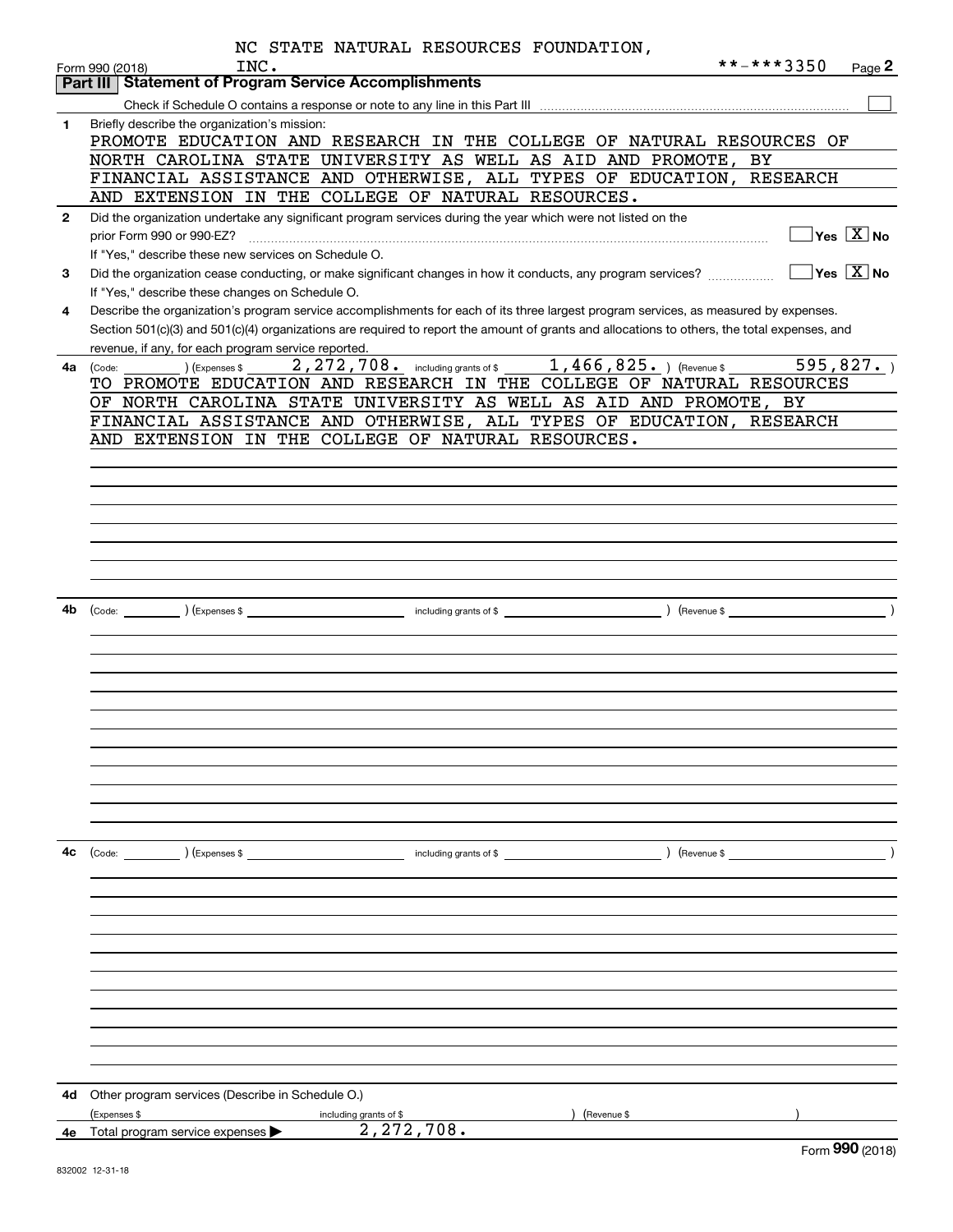|              | NC STATE NATURAL RESOURCES FOUNDATION,                                                                                                       |
|--------------|----------------------------------------------------------------------------------------------------------------------------------------------|
|              | **-***3350<br>INC.<br>Page 2<br>Form 990 (2018)                                                                                              |
|              | Part III   Statement of Program Service Accomplishments                                                                                      |
|              |                                                                                                                                              |
| 1            | Briefly describe the organization's mission:                                                                                                 |
|              | PROMOTE EDUCATION AND RESEARCH IN THE COLLEGE OF NATURAL RESOURCES OF                                                                        |
|              | NORTH CAROLINA STATE UNIVERSITY AS WELL AS AID AND PROMOTE, BY                                                                               |
|              | FINANCIAL ASSISTANCE AND OTHERWISE, ALL TYPES OF EDUCATION, RESEARCH                                                                         |
|              | AND EXTENSION IN THE COLLEGE OF NATURAL RESOURCES.                                                                                           |
| $\mathbf{2}$ | Did the organization undertake any significant program services during the year which were not listed on the                                 |
|              | $\boxed{\phantom{1}}$ Yes $\boxed{\text{X}}$ No<br>prior Form 990 or 990-EZ?                                                                 |
|              | If "Yes," describe these new services on Schedule O.                                                                                         |
| 3            | $\Box$ Yes $\Box$ No<br>Did the organization cease conducting, or make significant changes in how it conducts, any program services?         |
|              | If "Yes," describe these changes on Schedule O.                                                                                              |
|              |                                                                                                                                              |
| 4            | Describe the organization's program service accomplishments for each of its three largest program services, as measured by expenses.         |
|              | Section 501(c)(3) and 501(c)(4) organizations are required to report the amount of grants and allocations to others, the total expenses, and |
|              | revenue, if any, for each program service reported.                                                                                          |
| 4a           | $2$ , 272, 708. including grants of $$1,466,825.$ ) (Revenue $$595,827.$ )<br>) (Expenses \$<br>(Code:                                       |
|              | TO PROMOTE EDUCATION AND RESEARCH IN THE COLLEGE OF NATURAL RESOURCES                                                                        |
|              | OF NORTH CAROLINA STATE UNIVERSITY AS WELL AS AID AND PROMOTE, BY                                                                            |
|              | FINANCIAL ASSISTANCE AND OTHERWISE, ALL TYPES OF EDUCATION, RESEARCH                                                                         |
|              | AND EXTENSION IN THE COLLEGE OF NATURAL RESOURCES.                                                                                           |
|              |                                                                                                                                              |
|              |                                                                                                                                              |
|              |                                                                                                                                              |
|              |                                                                                                                                              |
|              |                                                                                                                                              |
|              |                                                                                                                                              |
|              |                                                                                                                                              |
|              |                                                                                                                                              |
| 4b           |                                                                                                                                              |
|              |                                                                                                                                              |
|              |                                                                                                                                              |
|              |                                                                                                                                              |
|              |                                                                                                                                              |
|              |                                                                                                                                              |
|              |                                                                                                                                              |
|              |                                                                                                                                              |
|              |                                                                                                                                              |
|              |                                                                                                                                              |
|              |                                                                                                                                              |
|              |                                                                                                                                              |
|              |                                                                                                                                              |
|              |                                                                                                                                              |
| 4с           | (Code: ) (Expenses \$<br>) (Revenue \$<br>including grants of \$                                                                             |
|              |                                                                                                                                              |
|              |                                                                                                                                              |
|              |                                                                                                                                              |
|              |                                                                                                                                              |
|              |                                                                                                                                              |
|              |                                                                                                                                              |
|              |                                                                                                                                              |
|              |                                                                                                                                              |
|              |                                                                                                                                              |
|              |                                                                                                                                              |
|              |                                                                                                                                              |
|              |                                                                                                                                              |
|              |                                                                                                                                              |
| 4d           | Other program services (Describe in Schedule O.)                                                                                             |
|              | (Revenue \$<br>(Expenses \$<br>including grants of \$                                                                                        |
| 4е           | 2, 272, 708.<br>Total program service expenses                                                                                               |
|              | $\sim$                                                                                                                                       |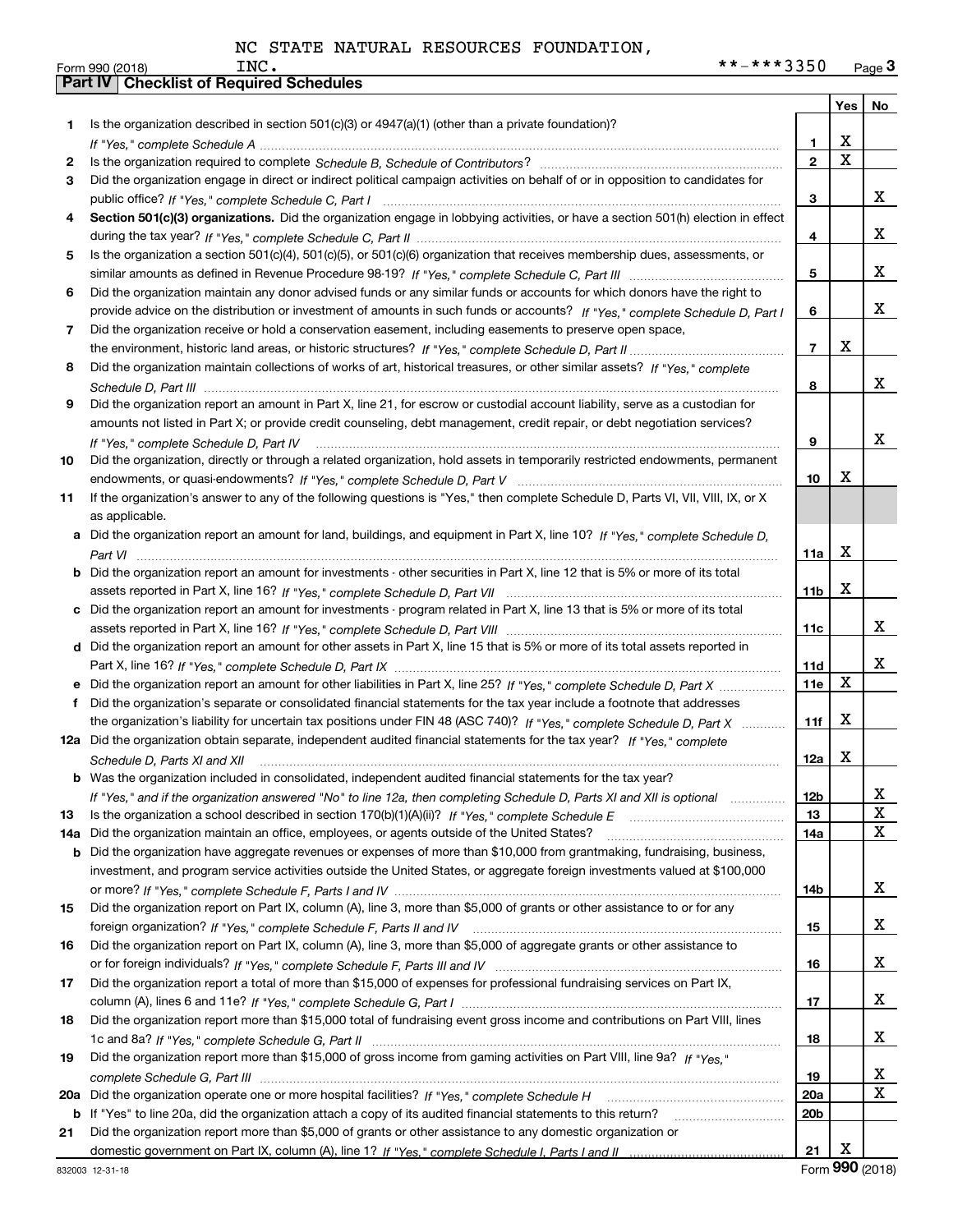|     |                                                                                                                                                                                                                                                       |                 | Yes                     | No               |
|-----|-------------------------------------------------------------------------------------------------------------------------------------------------------------------------------------------------------------------------------------------------------|-----------------|-------------------------|------------------|
| 1   | Is the organization described in section $501(c)(3)$ or $4947(a)(1)$ (other than a private foundation)?                                                                                                                                               |                 |                         |                  |
|     |                                                                                                                                                                                                                                                       | 1               | X                       |                  |
| 2   |                                                                                                                                                                                                                                                       | $\overline{2}$  | $\overline{\mathbf{x}}$ |                  |
| 3   | Did the organization engage in direct or indirect political campaign activities on behalf of or in opposition to candidates for                                                                                                                       |                 |                         |                  |
|     |                                                                                                                                                                                                                                                       | 3               |                         | x                |
| 4   | Section 501(c)(3) organizations. Did the organization engage in lobbying activities, or have a section 501(h) election in effect                                                                                                                      |                 |                         |                  |
|     |                                                                                                                                                                                                                                                       | 4               |                         | x                |
| 5   | Is the organization a section 501(c)(4), 501(c)(5), or 501(c)(6) organization that receives membership dues, assessments, or                                                                                                                          |                 |                         |                  |
|     |                                                                                                                                                                                                                                                       | 5               |                         | x                |
| 6   | Did the organization maintain any donor advised funds or any similar funds or accounts for which donors have the right to                                                                                                                             |                 |                         |                  |
|     | provide advice on the distribution or investment of amounts in such funds or accounts? If "Yes," complete Schedule D, Part I                                                                                                                          | 6               |                         | x                |
| 7   | Did the organization receive or hold a conservation easement, including easements to preserve open space,                                                                                                                                             |                 |                         |                  |
|     |                                                                                                                                                                                                                                                       | $\overline{7}$  | X                       |                  |
| 8   | Did the organization maintain collections of works of art, historical treasures, or other similar assets? If "Yes," complete                                                                                                                          |                 |                         | x                |
|     |                                                                                                                                                                                                                                                       | 8               |                         |                  |
| 9   | Did the organization report an amount in Part X, line 21, for escrow or custodial account liability, serve as a custodian for                                                                                                                         |                 |                         |                  |
|     | amounts not listed in Part X; or provide credit counseling, debt management, credit repair, or debt negotiation services?                                                                                                                             | 9               |                         | x                |
|     | If "Yes," complete Schedule D, Part IV                                                                                                                                                                                                                |                 |                         |                  |
| 10  | Did the organization, directly or through a related organization, hold assets in temporarily restricted endowments, permanent                                                                                                                         | 10              | X                       |                  |
| 11  | If the organization's answer to any of the following questions is "Yes," then complete Schedule D, Parts VI, VII, VIII, IX, or X                                                                                                                      |                 |                         |                  |
|     | as applicable.                                                                                                                                                                                                                                        |                 |                         |                  |
|     | a Did the organization report an amount for land, buildings, and equipment in Part X, line 10? If "Yes," complete Schedule D,                                                                                                                         |                 |                         |                  |
|     |                                                                                                                                                                                                                                                       | 11a             | X                       |                  |
|     | <b>b</b> Did the organization report an amount for investments - other securities in Part X, line 12 that is 5% or more of its total                                                                                                                  |                 |                         |                  |
|     |                                                                                                                                                                                                                                                       | 11 <sub>b</sub> | X                       |                  |
|     | c Did the organization report an amount for investments - program related in Part X, line 13 that is 5% or more of its total                                                                                                                          |                 |                         |                  |
|     |                                                                                                                                                                                                                                                       | 11c             |                         | x                |
|     | d Did the organization report an amount for other assets in Part X, line 15 that is 5% or more of its total assets reported in                                                                                                                        |                 |                         |                  |
|     |                                                                                                                                                                                                                                                       | 11d             |                         | x                |
|     |                                                                                                                                                                                                                                                       | 11e             | X                       |                  |
| f   | Did the organization's separate or consolidated financial statements for the tax year include a footnote that addresses                                                                                                                               |                 |                         |                  |
|     | the organization's liability for uncertain tax positions under FIN 48 (ASC 740)? If "Yes," complete Schedule D, Part X                                                                                                                                | 11f             | X                       |                  |
|     | 12a Did the organization obtain separate, independent audited financial statements for the tax year? If "Yes," complete                                                                                                                               |                 |                         |                  |
|     | Schedule D, Parts XI and XII                                                                                                                                                                                                                          | 12a             | X                       |                  |
|     | <b>b</b> Was the organization included in consolidated, independent audited financial statements for the tax year?                                                                                                                                    |                 |                         |                  |
|     | If "Yes," and if the organization answered "No" to line 12a, then completing Schedule D, Parts XI and XII is optional manum                                                                                                                           | 12b             |                         | x                |
| 13  |                                                                                                                                                                                                                                                       | 13              |                         | X<br>$\mathbf X$ |
| 14a | Did the organization maintain an office, employees, or agents outside of the United States?                                                                                                                                                           | 14a             |                         |                  |
| b   | Did the organization have aggregate revenues or expenses of more than \$10,000 from grantmaking, fundraising, business,<br>investment, and program service activities outside the United States, or aggregate foreign investments valued at \$100,000 |                 |                         |                  |
|     |                                                                                                                                                                                                                                                       | 14b             |                         | X                |
| 15  | Did the organization report on Part IX, column (A), line 3, more than \$5,000 of grants or other assistance to or for any                                                                                                                             |                 |                         |                  |
|     |                                                                                                                                                                                                                                                       | 15              |                         | х                |
| 16  | Did the organization report on Part IX, column (A), line 3, more than \$5,000 of aggregate grants or other assistance to                                                                                                                              |                 |                         |                  |
|     |                                                                                                                                                                                                                                                       | 16              |                         | X                |
| 17  | Did the organization report a total of more than \$15,000 of expenses for professional fundraising services on Part IX,                                                                                                                               |                 |                         |                  |
|     |                                                                                                                                                                                                                                                       | 17              |                         | X                |
| 18  | Did the organization report more than \$15,000 total of fundraising event gross income and contributions on Part VIII, lines                                                                                                                          |                 |                         |                  |
|     |                                                                                                                                                                                                                                                       | 18              |                         | х                |
| 19  | Did the organization report more than \$15,000 of gross income from gaming activities on Part VIII, line 9a? If "Yes."                                                                                                                                |                 |                         |                  |
|     |                                                                                                                                                                                                                                                       | 19              |                         | x                |
| 20a |                                                                                                                                                                                                                                                       | 20a             |                         | X                |
| b   | If "Yes" to line 20a, did the organization attach a copy of its audited financial statements to this return?                                                                                                                                          | 20b             |                         |                  |
| 21  | Did the organization report more than \$5,000 of grants or other assistance to any domestic organization or                                                                                                                                           |                 |                         |                  |
|     |                                                                                                                                                                                                                                                       | 21              | X                       |                  |

Form (2018) **990**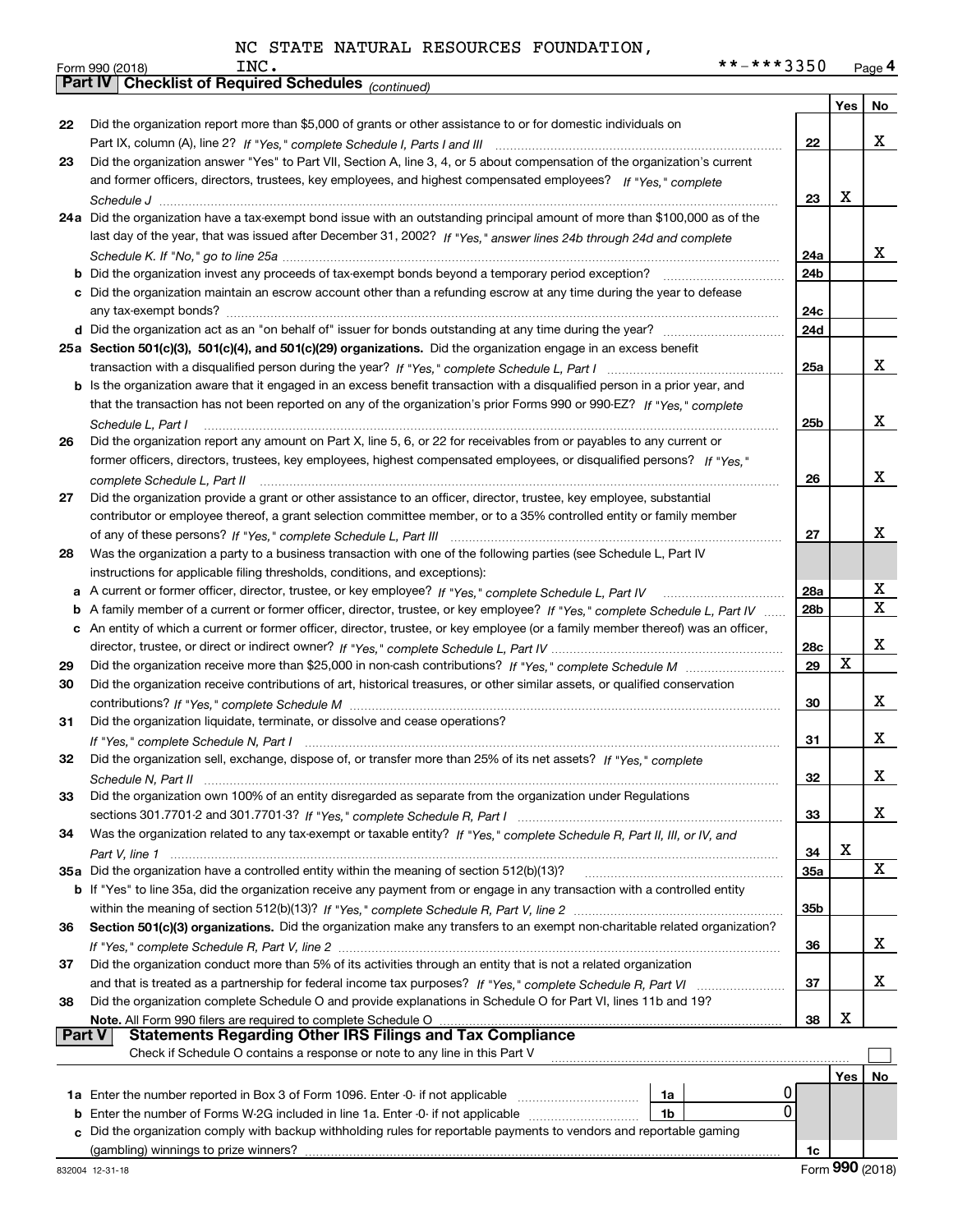|               | **-***3350<br>INC.<br>Form 990 (2018)                                                                                             |                 |     | Page 4      |
|---------------|-----------------------------------------------------------------------------------------------------------------------------------|-----------------|-----|-------------|
|               | <b>Checklist of Required Schedules (continued)</b><br>  Part IV                                                                   |                 |     |             |
|               |                                                                                                                                   |                 | Yes | No          |
| 22            | Did the organization report more than \$5,000 of grants or other assistance to or for domestic individuals on                     |                 |     |             |
|               |                                                                                                                                   | 22              |     | x           |
| 23            | Did the organization answer "Yes" to Part VII, Section A, line 3, 4, or 5 about compensation of the organization's current        |                 |     |             |
|               | and former officers, directors, trustees, key employees, and highest compensated employees? If "Yes," complete                    |                 |     |             |
|               |                                                                                                                                   | 23              | X   |             |
|               |                                                                                                                                   |                 |     |             |
|               | 24a Did the organization have a tax-exempt bond issue with an outstanding principal amount of more than \$100,000 as of the       |                 |     |             |
|               | last day of the year, that was issued after December 31, 2002? If "Yes," answer lines 24b through 24d and complete                |                 |     |             |
|               |                                                                                                                                   | 24a             |     | X.          |
|               |                                                                                                                                   | 24b             |     |             |
|               | c Did the organization maintain an escrow account other than a refunding escrow at any time during the year to defease            |                 |     |             |
|               |                                                                                                                                   | 24c             |     |             |
|               |                                                                                                                                   | 24d             |     |             |
|               | 25a Section 501(c)(3), 501(c)(4), and 501(c)(29) organizations. Did the organization engage in an excess benefit                  |                 |     |             |
|               |                                                                                                                                   | 25a             |     | x           |
|               | b Is the organization aware that it engaged in an excess benefit transaction with a disqualified person in a prior year, and      |                 |     |             |
|               | that the transaction has not been reported on any of the organization's prior Forms 990 or 990-EZ? If "Yes," complete             |                 |     |             |
|               | Schedule L, Part I                                                                                                                | 25b             |     | x           |
| 26            | Did the organization report any amount on Part X, line 5, 6, or 22 for receivables from or payables to any current or             |                 |     |             |
|               |                                                                                                                                   |                 |     |             |
|               | former officers, directors, trustees, key employees, highest compensated employees, or disqualified persons? If "Yes."            |                 |     | x           |
|               | complete Schedule L, Part II                                                                                                      | 26              |     |             |
| 27            | Did the organization provide a grant or other assistance to an officer, director, trustee, key employee, substantial              |                 |     |             |
|               | contributor or employee thereof, a grant selection committee member, or to a 35% controlled entity or family member               |                 |     |             |
|               |                                                                                                                                   | 27              |     | x           |
| 28            | Was the organization a party to a business transaction with one of the following parties (see Schedule L, Part IV                 |                 |     |             |
|               | instructions for applicable filing thresholds, conditions, and exceptions):                                                       |                 |     |             |
| а             | A current or former officer, director, trustee, or key employee? If "Yes," complete Schedule L, Part IV                           | 28a             |     | х           |
| b             | A family member of a current or former officer, director, trustee, or key employee? If "Yes," complete Schedule L, Part IV        | 28 <sub>b</sub> |     | $\mathbf X$ |
|               | c An entity of which a current or former officer, director, trustee, or key employee (or a family member thereof) was an officer, |                 |     |             |
|               |                                                                                                                                   | <b>28c</b>      |     | x           |
| 29            |                                                                                                                                   | 29              | X   |             |
| 30            | Did the organization receive contributions of art, historical treasures, or other similar assets, or qualified conservation       |                 |     |             |
|               |                                                                                                                                   | 30              |     | x           |
|               |                                                                                                                                   |                 |     |             |
| 31            | Did the organization liquidate, terminate, or dissolve and cease operations?                                                      |                 |     |             |
|               |                                                                                                                                   | 31              |     | X.          |
| 32            | Did the organization sell, exchange, dispose of, or transfer more than 25% of its net assets? If "Yes," complete                  |                 |     |             |
|               |                                                                                                                                   | 32              |     | x           |
| 33            | Did the organization own 100% of an entity disregarded as separate from the organization under Regulations                        |                 |     |             |
|               |                                                                                                                                   | 33              |     | x           |
| 34            | Was the organization related to any tax-exempt or taxable entity? If "Yes," complete Schedule R, Part II, III, or IV, and         |                 |     |             |
|               |                                                                                                                                   | 34              | X   |             |
|               | 35a Did the organization have a controlled entity within the meaning of section 512(b)(13)?                                       | <b>35a</b>      |     | X           |
|               | b If "Yes" to line 35a, did the organization receive any payment from or engage in any transaction with a controlled entity       |                 |     |             |
|               |                                                                                                                                   | 35b             |     |             |
| 36            | Section 501(c)(3) organizations. Did the organization make any transfers to an exempt non-charitable related organization?        |                 |     |             |
|               |                                                                                                                                   | 36              |     | x           |
| 37            | Did the organization conduct more than 5% of its activities through an entity that is not a related organization                  |                 |     |             |
|               |                                                                                                                                   |                 |     | x           |
|               |                                                                                                                                   | 37              |     |             |
| 38            | Did the organization complete Schedule O and provide explanations in Schedule O for Part VI, lines 11b and 19?                    |                 |     |             |
| <b>Part V</b> | Note. All Form 990 filers are required to complete Schedule O<br><b>Statements Regarding Other IRS Filings and Tax Compliance</b> | 38              | х   |             |
|               |                                                                                                                                   |                 |     |             |
|               | Check if Schedule O contains a response or note to any line in this Part V                                                        |                 |     |             |
|               |                                                                                                                                   |                 | Yes | No          |
|               | 0<br>1a Enter the number reported in Box 3 of Form 1096. Enter -0- if not applicable<br>1a                                        |                 |     |             |
| b             | 0<br>Enter the number of Forms W-2G included in line 1a. Enter -0- if not applicable<br>1b                                        |                 |     |             |
| c             | Did the organization comply with backup withholding rules for reportable payments to vendors and reportable gaming                |                 |     |             |
|               |                                                                                                                                   | 1c              |     |             |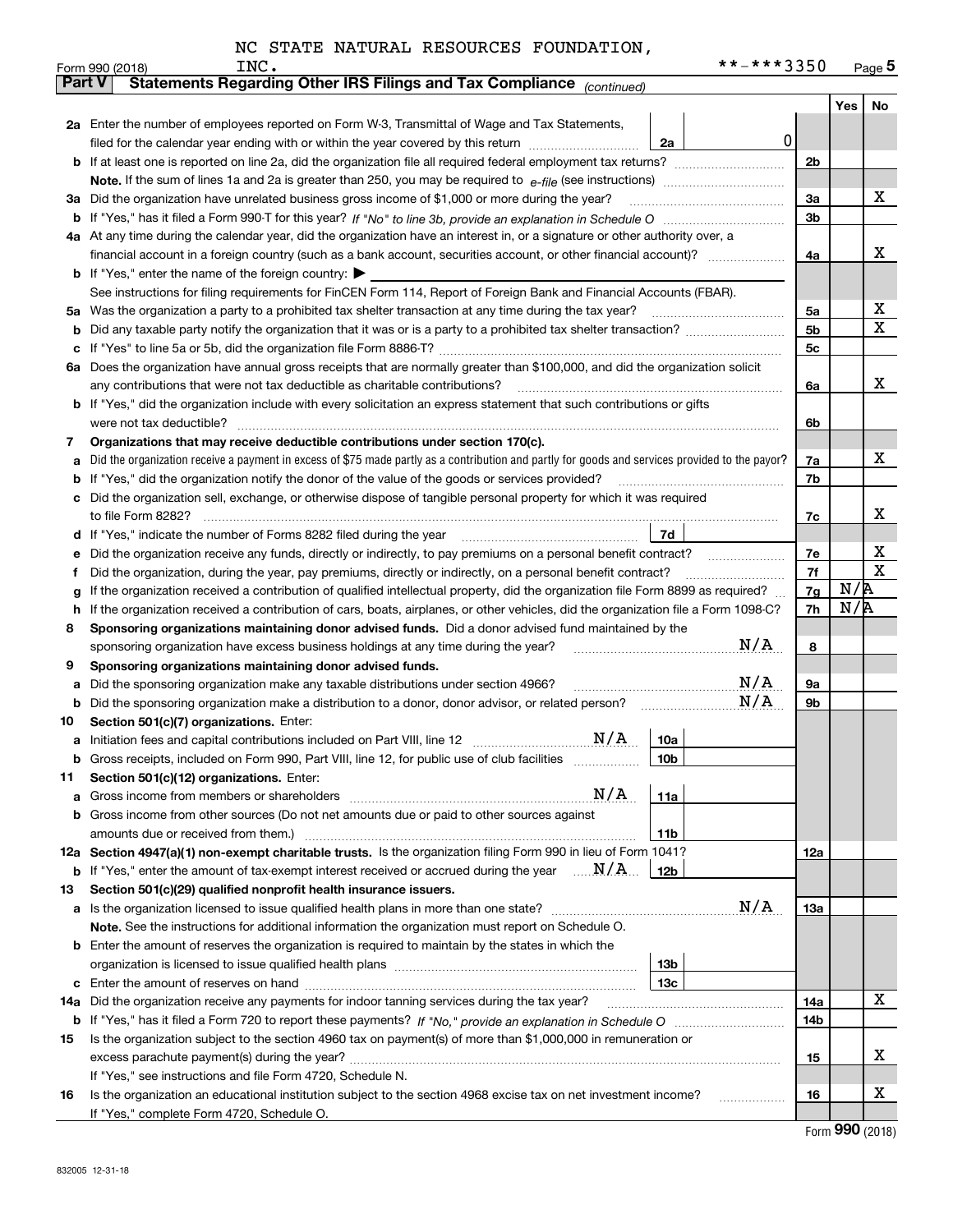|  |  |  |  |  | NC STATE NATURAL RESOURCES FOUNDATION, |
|--|--|--|--|--|----------------------------------------|
|--|--|--|--|--|----------------------------------------|

|               | Form 990 (2018)                                                                                                                                                                                                                                  | INC.                                                                                                                                                                                 |                 | **-***3350  |                |            | $_{\text{Page}}$ 5 |  |  |  |  |  |
|---------------|--------------------------------------------------------------------------------------------------------------------------------------------------------------------------------------------------------------------------------------------------|--------------------------------------------------------------------------------------------------------------------------------------------------------------------------------------|-----------------|-------------|----------------|------------|--------------------|--|--|--|--|--|
| <b>Part V</b> |                                                                                                                                                                                                                                                  | Statements Regarding Other IRS Filings and Tax Compliance (continued)                                                                                                                |                 |             |                |            |                    |  |  |  |  |  |
|               |                                                                                                                                                                                                                                                  |                                                                                                                                                                                      |                 |             |                | <b>Yes</b> | No                 |  |  |  |  |  |
|               |                                                                                                                                                                                                                                                  | 2a Enter the number of employees reported on Form W-3, Transmittal of Wage and Tax Statements,                                                                                       |                 |             |                |            |                    |  |  |  |  |  |
|               |                                                                                                                                                                                                                                                  | filed for the calendar year ending with or within the year covered by this return                                                                                                    | 2a              | $\mathbf 0$ |                |            |                    |  |  |  |  |  |
|               |                                                                                                                                                                                                                                                  |                                                                                                                                                                                      |                 |             | 2 <sub>b</sub> |            |                    |  |  |  |  |  |
|               |                                                                                                                                                                                                                                                  |                                                                                                                                                                                      |                 |             |                |            |                    |  |  |  |  |  |
| за            | Did the organization have unrelated business gross income of \$1,000 or more during the year?                                                                                                                                                    |                                                                                                                                                                                      |                 |             |                |            |                    |  |  |  |  |  |
| b             |                                                                                                                                                                                                                                                  |                                                                                                                                                                                      |                 |             | 3 <sub>b</sub> |            |                    |  |  |  |  |  |
|               | 4a At any time during the calendar year, did the organization have an interest in, or a signature or other authority over, a<br>financial account in a foreign country (such as a bank account, securities account, or other financial account)? |                                                                                                                                                                                      |                 |             |                |            |                    |  |  |  |  |  |
|               |                                                                                                                                                                                                                                                  |                                                                                                                                                                                      |                 |             | 4a             |            | х                  |  |  |  |  |  |
|               |                                                                                                                                                                                                                                                  | <b>b</b> If "Yes," enter the name of the foreign country: $\blacktriangleright$                                                                                                      |                 |             |                |            |                    |  |  |  |  |  |
|               |                                                                                                                                                                                                                                                  | See instructions for filing requirements for FinCEN Form 114, Report of Foreign Bank and Financial Accounts (FBAR).                                                                  |                 |             |                |            |                    |  |  |  |  |  |
| 5a            |                                                                                                                                                                                                                                                  | Was the organization a party to a prohibited tax shelter transaction at any time during the tax year?                                                                                |                 |             | 5a             |            | х<br>X             |  |  |  |  |  |
| b             |                                                                                                                                                                                                                                                  |                                                                                                                                                                                      |                 |             | 5b             |            |                    |  |  |  |  |  |
| с             |                                                                                                                                                                                                                                                  |                                                                                                                                                                                      |                 |             | 5c             |            |                    |  |  |  |  |  |
| 6а            |                                                                                                                                                                                                                                                  | Does the organization have annual gross receipts that are normally greater than \$100,000, and did the organization solicit                                                          |                 |             |                |            |                    |  |  |  |  |  |
|               |                                                                                                                                                                                                                                                  | any contributions that were not tax deductible as charitable contributions?                                                                                                          |                 |             | 6a             |            | x                  |  |  |  |  |  |
|               |                                                                                                                                                                                                                                                  | If "Yes," did the organization include with every solicitation an express statement that such contributions or gifts                                                                 |                 |             |                |            |                    |  |  |  |  |  |
|               |                                                                                                                                                                                                                                                  | were not tax deductible?                                                                                                                                                             |                 |             | 6b             |            |                    |  |  |  |  |  |
| 7             |                                                                                                                                                                                                                                                  | Organizations that may receive deductible contributions under section 170(c).                                                                                                        |                 |             |                |            | x                  |  |  |  |  |  |
| a             |                                                                                                                                                                                                                                                  | Did the organization receive a payment in excess of \$75 made partly as a contribution and partly for goods and services provided to the payor?                                      |                 |             | 7a             |            |                    |  |  |  |  |  |
| b             |                                                                                                                                                                                                                                                  | If "Yes," did the organization notify the donor of the value of the goods or services provided?                                                                                      |                 |             | 7b             |            |                    |  |  |  |  |  |
|               |                                                                                                                                                                                                                                                  | Did the organization sell, exchange, or otherwise dispose of tangible personal property for which it was required                                                                    |                 |             |                |            | x                  |  |  |  |  |  |
|               |                                                                                                                                                                                                                                                  | to file Form 8282?                                                                                                                                                                   | 7d              |             | 7c             |            |                    |  |  |  |  |  |
| d             |                                                                                                                                                                                                                                                  | If "Yes," indicate the number of Forms 8282 filed during the year<br>Did the organization receive any funds, directly or indirectly, to pay premiums on a personal benefit contract? |                 |             | 7e             |            | х                  |  |  |  |  |  |
| е<br>f        |                                                                                                                                                                                                                                                  | Did the organization, during the year, pay premiums, directly or indirectly, on a personal benefit contract?                                                                         |                 |             | 7f             |            | $\mathbf X$        |  |  |  |  |  |
| g             |                                                                                                                                                                                                                                                  | If the organization received a contribution of qualified intellectual property, did the organization file Form 8899 as required?                                                     |                 |             | 7g             | N/R        |                    |  |  |  |  |  |
| h             |                                                                                                                                                                                                                                                  | If the organization received a contribution of cars, boats, airplanes, or other vehicles, did the organization file a Form 1098-C?                                                   |                 |             | 7h             | N/R        |                    |  |  |  |  |  |
| 8             |                                                                                                                                                                                                                                                  | Sponsoring organizations maintaining donor advised funds. Did a donor advised fund maintained by the                                                                                 |                 |             |                |            |                    |  |  |  |  |  |
|               |                                                                                                                                                                                                                                                  | sponsoring organization have excess business holdings at any time during the year?                                                                                                   |                 | N/A         | 8              |            |                    |  |  |  |  |  |
| 9             |                                                                                                                                                                                                                                                  | Sponsoring organizations maintaining donor advised funds.                                                                                                                            |                 |             |                |            |                    |  |  |  |  |  |
| a             |                                                                                                                                                                                                                                                  | Did the sponsoring organization make any taxable distributions under section 4966?                                                                                                   |                 | N/A         | 9а             |            |                    |  |  |  |  |  |
| b             |                                                                                                                                                                                                                                                  | Did the sponsoring organization make a distribution to a donor, donor advisor, or related person?                                                                                    |                 | N/A         | 9b             |            |                    |  |  |  |  |  |
| 10            |                                                                                                                                                                                                                                                  | Section 501(c)(7) organizations. Enter:                                                                                                                                              |                 |             |                |            |                    |  |  |  |  |  |
| а             |                                                                                                                                                                                                                                                  |                                                                                                                                                                                      | 10a             |             |                |            |                    |  |  |  |  |  |
|               |                                                                                                                                                                                                                                                  | Gross receipts, included on Form 990, Part VIII, line 12, for public use of club facilities                                                                                          | 10 <sub>b</sub> |             |                |            |                    |  |  |  |  |  |
| 11            |                                                                                                                                                                                                                                                  | Section 501(c)(12) organizations. Enter:                                                                                                                                             |                 |             |                |            |                    |  |  |  |  |  |
| a             |                                                                                                                                                                                                                                                  | N/A<br>Gross income from members or shareholders                                                                                                                                     | 11a             |             |                |            |                    |  |  |  |  |  |
| b             |                                                                                                                                                                                                                                                  | Gross income from other sources (Do not net amounts due or paid to other sources against                                                                                             |                 |             |                |            |                    |  |  |  |  |  |
|               |                                                                                                                                                                                                                                                  |                                                                                                                                                                                      | 11 <sub>b</sub> |             |                |            |                    |  |  |  |  |  |
|               |                                                                                                                                                                                                                                                  | 12a Section 4947(a)(1) non-exempt charitable trusts. Is the organization filing Form 990 in lieu of Form 1041?                                                                       |                 |             | <b>12a</b>     |            |                    |  |  |  |  |  |
|               |                                                                                                                                                                                                                                                  | <b>b</b> If "Yes," enter the amount of tax-exempt interest received or accrued during the year $\ldots$ $\mathbf{N}/\mathbf{A}$                                                      | 12b             |             |                |            |                    |  |  |  |  |  |
| 13            |                                                                                                                                                                                                                                                  | Section 501(c)(29) qualified nonprofit health insurance issuers.                                                                                                                     |                 |             |                |            |                    |  |  |  |  |  |
| a             |                                                                                                                                                                                                                                                  |                                                                                                                                                                                      |                 | N/A         | <b>13a</b>     |            |                    |  |  |  |  |  |
|               |                                                                                                                                                                                                                                                  | Note. See the instructions for additional information the organization must report on Schedule O.                                                                                    |                 |             |                |            |                    |  |  |  |  |  |
| b             |                                                                                                                                                                                                                                                  | Enter the amount of reserves the organization is required to maintain by the states in which the                                                                                     |                 |             |                |            |                    |  |  |  |  |  |
|               |                                                                                                                                                                                                                                                  |                                                                                                                                                                                      | 13 <sub>b</sub> |             |                |            |                    |  |  |  |  |  |
| с             |                                                                                                                                                                                                                                                  |                                                                                                                                                                                      | 13 <sub>c</sub> |             |                |            |                    |  |  |  |  |  |
| 14a           |                                                                                                                                                                                                                                                  | Did the organization receive any payments for indoor tanning services during the tax year?                                                                                           |                 |             | 14a            |            | x                  |  |  |  |  |  |
|               |                                                                                                                                                                                                                                                  |                                                                                                                                                                                      |                 |             | 14b            |            |                    |  |  |  |  |  |
| 15            |                                                                                                                                                                                                                                                  | Is the organization subject to the section 4960 tax on payment(s) of more than \$1,000,000 in remuneration or                                                                        |                 |             |                |            |                    |  |  |  |  |  |
|               |                                                                                                                                                                                                                                                  |                                                                                                                                                                                      |                 |             | 15             |            | x                  |  |  |  |  |  |
|               |                                                                                                                                                                                                                                                  | If "Yes," see instructions and file Form 4720, Schedule N.                                                                                                                           |                 |             |                |            |                    |  |  |  |  |  |
| 16            |                                                                                                                                                                                                                                                  | Is the organization an educational institution subject to the section 4968 excise tax on net investment income?                                                                      |                 |             | 16             |            | х                  |  |  |  |  |  |
|               |                                                                                                                                                                                                                                                  | If "Yes," complete Form 4720, Schedule O.                                                                                                                                            |                 |             |                |            |                    |  |  |  |  |  |

Form (2018) **990**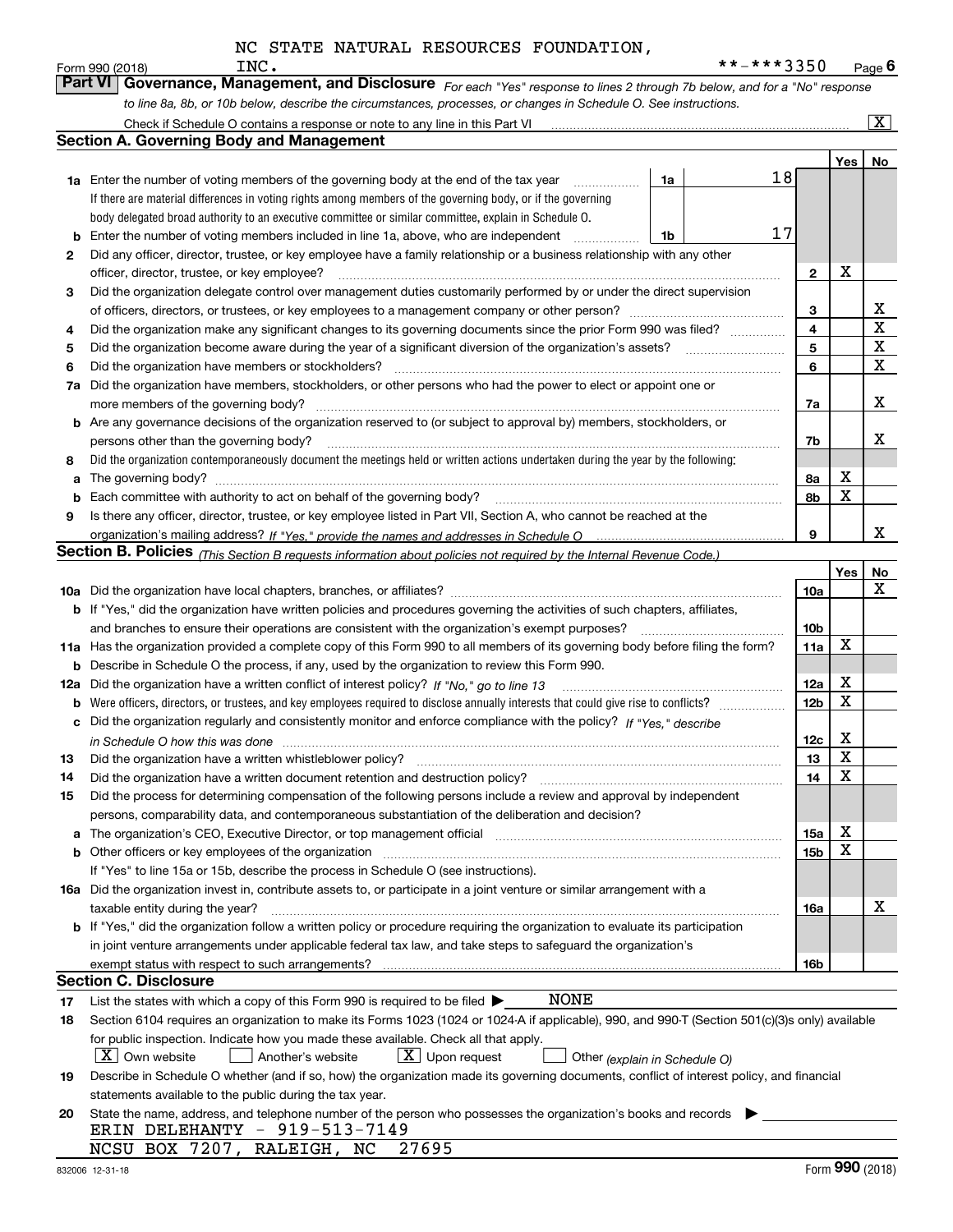### INC. \*\*-\*\*\*3350 NC STATE NATURAL RESOURCES FOUNDATION,

|     | INC.<br>Form 990 (2018)                                                                                                                                               |    | **-***3350 |                 |                  | Page $6$           |
|-----|-----------------------------------------------------------------------------------------------------------------------------------------------------------------------|----|------------|-----------------|------------------|--------------------|
|     | <b>Part VI</b><br>Governance, Management, and Disclosure For each "Yes" response to lines 2 through 7b below, and for a "No" response                                 |    |            |                 |                  |                    |
|     | to line 8a, 8b, or 10b below, describe the circumstances, processes, or changes in Schedule O. See instructions.                                                      |    |            |                 |                  |                    |
|     | Check if Schedule O contains a response or note to any line in this Part VI                                                                                           |    |            |                 |                  | $\boxed{\text{X}}$ |
|     | Section A. Governing Body and Management                                                                                                                              |    |            |                 |                  |                    |
|     |                                                                                                                                                                       |    |            |                 | Yes <sub>1</sub> | No                 |
|     | 1a Enter the number of voting members of the governing body at the end of the tax year<br>.                                                                           | 1a | 18         |                 |                  |                    |
|     | If there are material differences in voting rights among members of the governing body, or if the governing                                                           |    |            |                 |                  |                    |
|     | body delegated broad authority to an executive committee or similar committee, explain in Schedule O.                                                                 |    |            |                 |                  |                    |
| b   | Enter the number of voting members included in line 1a, above, who are independent                                                                                    | 1b | 17         |                 |                  |                    |
| 2   | Did any officer, director, trustee, or key employee have a family relationship or a business relationship with any other                                              |    |            |                 |                  |                    |
|     | officer, director, trustee, or key employee?                                                                                                                          |    |            | 2               | х                |                    |
| 3   | Did the organization delegate control over management duties customarily performed by or under the direct supervision                                                 |    |            |                 |                  |                    |
|     |                                                                                                                                                                       |    |            | з               |                  | x                  |
| 4   | Did the organization make any significant changes to its governing documents since the prior Form 990 was filed?                                                      |    |            | 4               |                  | $\mathbf x$        |
| 5   | Did the organization become aware during the year of a significant diversion of the organization's assets?                                                            |    |            | 5               |                  | х                  |
| 6   | Did the organization have members or stockholders?                                                                                                                    |    |            | 6               |                  | X                  |
| 7a  | Did the organization have members, stockholders, or other persons who had the power to elect or appoint one or                                                        |    |            |                 |                  |                    |
|     | more members of the governing body?                                                                                                                                   |    |            | 7a              |                  | x                  |
| b   | Are any governance decisions of the organization reserved to (or subject to approval by) members, stockholders, or                                                    |    |            |                 |                  |                    |
|     | persons other than the governing body?                                                                                                                                |    |            | 7b              |                  | x                  |
| 8   | Did the organization contemporaneously document the meetings held or written actions undertaken during the year by the following:                                     |    |            |                 |                  |                    |
| a   |                                                                                                                                                                       |    |            | 8а              | X                |                    |
| b   | Each committee with authority to act on behalf of the governing body?                                                                                                 |    |            | 8b              | X                |                    |
| 9   | Is there any officer, director, trustee, or key employee listed in Part VII, Section A, who cannot be reached at the                                                  |    |            |                 |                  |                    |
|     |                                                                                                                                                                       |    |            | 9               |                  | x                  |
|     | Section B. Policies <sub>(This Section B requests information about policies not required by the Internal Revenue Code.)</sub>                                        |    |            |                 |                  |                    |
|     |                                                                                                                                                                       |    |            |                 | Yes              | No                 |
|     |                                                                                                                                                                       |    |            | 10a             |                  | x                  |
|     | b If "Yes," did the organization have written policies and procedures governing the activities of such chapters, affiliates,                                          |    |            |                 |                  |                    |
|     | and branches to ensure their operations are consistent with the organization's exempt purposes?                                                                       |    |            | 10 <sub>b</sub> |                  |                    |
| 11a | Has the organization provided a complete copy of this Form 990 to all members of its governing body before filing the form?                                           |    |            | 11a             | х                |                    |
| b   | Describe in Schedule O the process, if any, used by the organization to review this Form 990.                                                                         |    |            |                 |                  |                    |
| 12a | Did the organization have a written conflict of interest policy? If "No," go to line 13                                                                               |    |            | 12a             | x                |                    |
| b   |                                                                                                                                                                       |    |            | 12b             | х                |                    |
|     | Did the organization regularly and consistently monitor and enforce compliance with the policy? If "Yes," describe                                                    |    |            |                 |                  |                    |
|     | in Schedule O how this was done measured and contain an according of the state of the state of the state of th                                                        |    |            | 12c             | x                |                    |
|     |                                                                                                                                                                       |    |            | 13              | $\mathbf X$      |                    |
| 14  | Did the organization have a written document retention and destruction policy?                                                                                        |    |            | 14              | X                |                    |
| 15  | Did the process for determining compensation of the following persons include a review and approval by independent                                                    |    |            |                 |                  |                    |
|     | persons, comparability data, and contemporaneous substantiation of the deliberation and decision?                                                                     |    |            |                 |                  |                    |
|     | The organization's CEO, Executive Director, or top management official manufactured content of the organization's CEO, Executive Director, or top management official |    |            | 15a             | x                |                    |
| b   |                                                                                                                                                                       |    |            | 15 <sub>b</sub> | х                |                    |
|     | If "Yes" to line 15a or 15b, describe the process in Schedule O (see instructions).                                                                                   |    |            |                 |                  |                    |
|     | 16a Did the organization invest in, contribute assets to, or participate in a joint venture or similar arrangement with a                                             |    |            |                 |                  |                    |
|     | taxable entity during the year?                                                                                                                                       |    |            | 16a             |                  | x                  |
|     | b If "Yes," did the organization follow a written policy or procedure requiring the organization to evaluate its participation                                        |    |            |                 |                  |                    |
|     | in joint venture arrangements under applicable federal tax law, and take steps to safeguard the organization's                                                        |    |            |                 |                  |                    |
|     | exempt status with respect to such arrangements?                                                                                                                      |    |            | 16b             |                  |                    |
|     | Section C. Disclosure                                                                                                                                                 |    |            |                 |                  |                    |
| 17  | NONE<br>List the states with which a copy of this Form 990 is required to be filed $\blacktriangleright$                                                              |    |            |                 |                  |                    |
| 18  | Section 6104 requires an organization to make its Forms 1023 (1024 or 1024-A if applicable), 990, and 990-T (Section 501(c)(3)s only) available                       |    |            |                 |                  |                    |
|     | for public inspection. Indicate how you made these available. Check all that apply.                                                                                   |    |            |                 |                  |                    |
|     | $X$ Own website<br>$\lfloor X \rfloor$ Upon request<br>Another's website<br>Other (explain in Schedule O)                                                             |    |            |                 |                  |                    |
| 19  | Describe in Schedule O whether (and if so, how) the organization made its governing documents, conflict of interest policy, and financial                             |    |            |                 |                  |                    |
|     | statements available to the public during the tax year.                                                                                                               |    |            |                 |                  |                    |
| 20  | State the name, address, and telephone number of the person who possesses the organization's books and records                                                        |    |            |                 |                  |                    |
|     | ERIN DELEHANTY - 919-513-7149                                                                                                                                         |    |            |                 |                  |                    |
|     | NCSU BOX 7207, RALEIGH, NC 27695                                                                                                                                      |    |            |                 |                  |                    |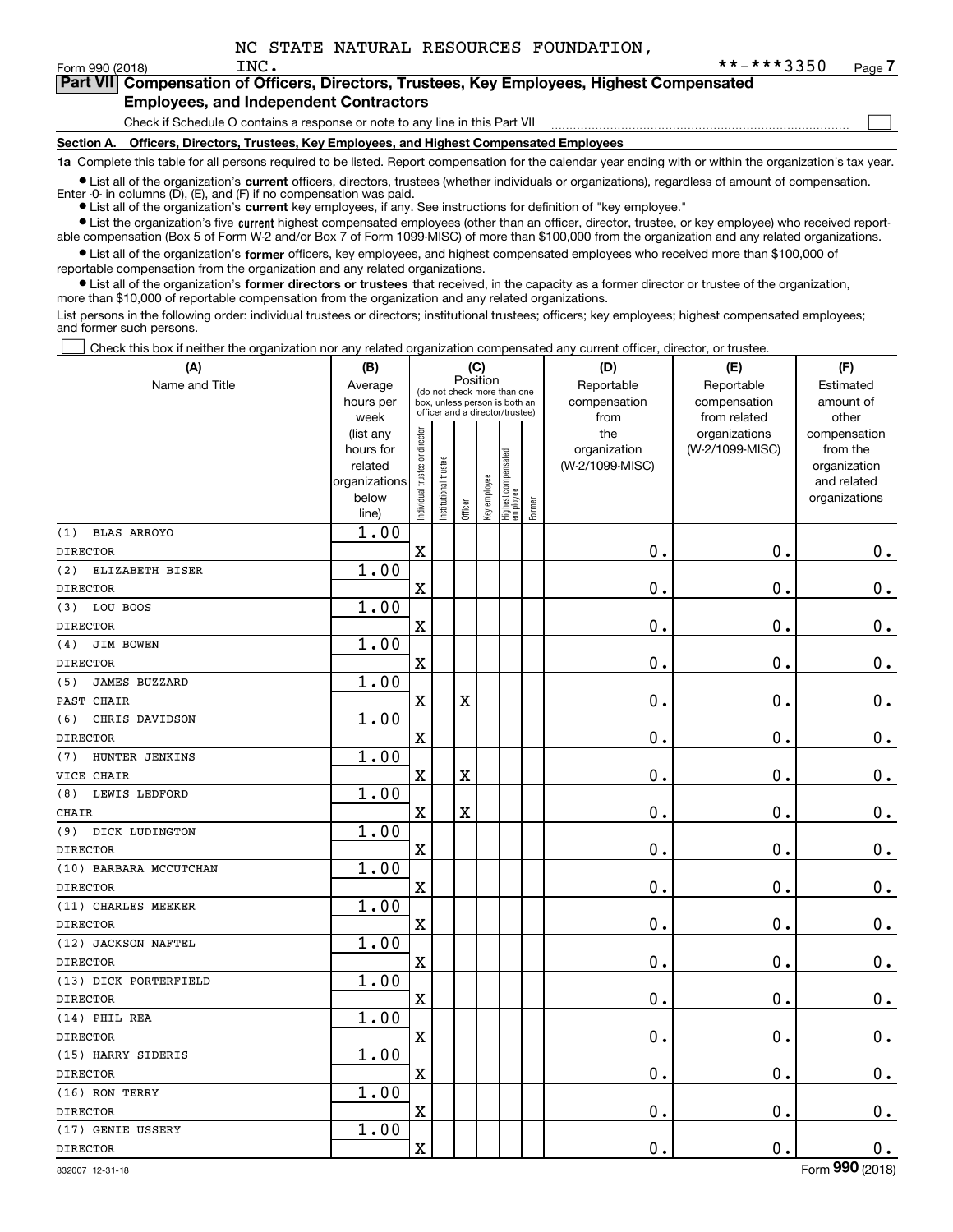$\mathcal{L}^{\text{max}}$ 

| orm 990 (2018) <sup>-</sup> | INC.                                          | **-***3350                                                                                 | Page <i>I</i> |
|-----------------------------|-----------------------------------------------|--------------------------------------------------------------------------------------------|---------------|
|                             |                                               | Part VII Compensation of Officers, Directors, Trustees, Key Employees, Highest Compensated |               |
|                             | <b>Employees, and Independent Contractors</b> |                                                                                            |               |

# Check if Schedule O contains a response or note to any line in this Part VII

**Section A. Officers, Directors, Trustees, Key Employees, and Highest Compensated Employees**

**1a**  Complete this table for all persons required to be listed. Report compensation for the calendar year ending with or within the organization's tax year.

**•** List all of the organization's current officers, directors, trustees (whether individuals or organizations), regardless of amount of compensation. Enter -0- in columns  $(D)$ ,  $(E)$ , and  $(F)$  if no compensation was paid.

● List all of the organization's **current** key employees, if any. See instructions for definition of "key employee."

**•** List the organization's five current highest compensated employees (other than an officer, director, trustee, or key employee) who received reportable compensation (Box 5 of Form W-2 and/or Box 7 of Form 1099-MISC) of more than \$100,000 from the organization and any related organizations.

 $\bullet$  List all of the organization's **former** officers, key employees, and highest compensated employees who received more than \$100,000 of reportable compensation from the organization and any related organizations.

**•** List all of the organization's former directors or trustees that received, in the capacity as a former director or trustee of the organization, more than \$10,000 of reportable compensation from the organization and any related organizations.

List persons in the following order: individual trustees or directors; institutional trustees; officers; key employees; highest compensated employees; and former such persons.

Check this box if neither the organization nor any related organization compensated any current officer, director, or trustee.  $\mathcal{L}^{\text{max}}$ 

| (A)                         | (B)                                                                  |                               |                                                                                                             | (C)                     |              |                                 |        | (D)                                    | (E)                                        | (F)                                                                      |
|-----------------------------|----------------------------------------------------------------------|-------------------------------|-------------------------------------------------------------------------------------------------------------|-------------------------|--------------|---------------------------------|--------|----------------------------------------|--------------------------------------------|--------------------------------------------------------------------------|
| Name and Title              | Average<br>hours per<br>week                                         |                               | Position<br>(do not check more than one<br>box, unless person is both an<br>officer and a director/trustee) |                         |              |                                 |        | Reportable<br>compensation<br>from     | Reportable<br>compensation<br>from related | Estimated<br>amount of<br>other                                          |
|                             | (list any<br>hours for<br>related<br>organizations<br>below<br>line) | ndividual trustee or director | nstitutional trustee                                                                                        | Officer                 | Key employee | Highest compensated<br>employee | Former | the<br>organization<br>(W-2/1099-MISC) | organizations<br>(W-2/1099-MISC)           | compensation<br>from the<br>organization<br>and related<br>organizations |
| <b>BLAS ARROYO</b><br>(1)   | 1.00                                                                 |                               |                                                                                                             |                         |              |                                 |        |                                        |                                            |                                                                          |
| <b>DIRECTOR</b>             |                                                                      | $\overline{\textbf{X}}$       |                                                                                                             |                         |              |                                 |        | 0.                                     | 0.                                         | $0_{.}$                                                                  |
| (2)<br>ELIZABETH BISER      | 1.00                                                                 |                               |                                                                                                             |                         |              |                                 |        |                                        |                                            |                                                                          |
| <b>DIRECTOR</b>             |                                                                      | $\overline{\textbf{X}}$       |                                                                                                             |                         |              |                                 |        | $\mathbf 0$ .                          | $\mathbf 0$ .                              | $\mathbf 0$ .                                                            |
| LOU BOOS<br>(3)             | 1.00                                                                 |                               |                                                                                                             |                         |              |                                 |        |                                        |                                            |                                                                          |
| <b>DIRECTOR</b>             |                                                                      | $\overline{\textbf{X}}$       |                                                                                                             |                         |              |                                 |        | $\mathbf 0$ .                          | $\mathbf 0$ .                              | $\mathbf 0$ .                                                            |
| <b>JIM BOWEN</b><br>(4)     | 1.00                                                                 |                               |                                                                                                             |                         |              |                                 |        |                                        |                                            |                                                                          |
| <b>DIRECTOR</b>             |                                                                      | $\overline{\textbf{X}}$       |                                                                                                             |                         |              |                                 |        | $\mathbf 0$ .                          | $\mathbf 0$ .                              | $\mathbf 0$ .                                                            |
| (5)<br><b>JAMES BUZZARD</b> | 1.00                                                                 |                               |                                                                                                             |                         |              |                                 |        |                                        |                                            |                                                                          |
| PAST CHAIR                  |                                                                      | $\mathbf x$                   |                                                                                                             | $\overline{\textbf{X}}$ |              |                                 |        | $\mathbf 0$ .                          | $\mathbf 0$ .                              | $\mathbf 0$ .                                                            |
| (6)<br>CHRIS DAVIDSON       | 1.00                                                                 |                               |                                                                                                             |                         |              |                                 |        |                                        |                                            |                                                                          |
| <b>DIRECTOR</b>             |                                                                      | $\overline{\textbf{X}}$       |                                                                                                             |                         |              |                                 |        | $\mathbf 0$ .                          | $\mathbf 0$ .                              | $\mathbf 0$ .                                                            |
| HUNTER JENKINS<br>(7)       | 1.00                                                                 |                               |                                                                                                             |                         |              |                                 |        |                                        |                                            |                                                                          |
| VICE CHAIR                  |                                                                      | $\mathbf x$                   |                                                                                                             | $\overline{\textbf{X}}$ |              |                                 |        | $\mathbf 0$ .                          | $\mathbf 0$ .                              | $\mathbf 0$ .                                                            |
| LEWIS LEDFORD<br>(8)        | 1.00                                                                 |                               |                                                                                                             |                         |              |                                 |        |                                        |                                            |                                                                          |
| <b>CHAIR</b>                |                                                                      | $\overline{\textbf{X}}$       |                                                                                                             | X                       |              |                                 |        | $\mathbf 0$ .                          | 0.                                         | $\mathbf 0$ .                                                            |
| DICK LUDINGTON<br>(9)       | 1.00                                                                 |                               |                                                                                                             |                         |              |                                 |        |                                        |                                            |                                                                          |
| <b>DIRECTOR</b>             |                                                                      | $\overline{\textbf{X}}$       |                                                                                                             |                         |              |                                 |        | $\mathbf 0$ .                          | 0.                                         | $\mathbf 0$ .                                                            |
| (10) BARBARA MCCUTCHAN      | 1.00                                                                 |                               |                                                                                                             |                         |              |                                 |        |                                        |                                            |                                                                          |
| <b>DIRECTOR</b>             |                                                                      | $\overline{\textbf{X}}$       |                                                                                                             |                         |              |                                 |        | $\mathbf 0$ .                          | $\mathbf 0$ .                              | $\mathbf 0$ .                                                            |
| (11) CHARLES MEEKER         | 1.00                                                                 |                               |                                                                                                             |                         |              |                                 |        |                                        |                                            |                                                                          |
| <b>DIRECTOR</b>             |                                                                      | $\overline{\textbf{X}}$       |                                                                                                             |                         |              |                                 |        | $\mathbf 0$ .                          | 0.                                         | $\mathbf 0$ .                                                            |
| (12) JACKSON NAFTEL         | 1.00                                                                 |                               |                                                                                                             |                         |              |                                 |        |                                        |                                            |                                                                          |
| <b>DIRECTOR</b>             |                                                                      | $\overline{\textbf{X}}$       |                                                                                                             |                         |              |                                 |        | $\mathbf 0$ .                          | 0.                                         | $\mathbf 0$ .                                                            |
| (13) DICK PORTERFIELD       | 1.00                                                                 |                               |                                                                                                             |                         |              |                                 |        |                                        |                                            |                                                                          |
| <b>DIRECTOR</b>             |                                                                      | $\overline{\textbf{X}}$       |                                                                                                             |                         |              |                                 |        | $\mathbf 0$ .                          | 0.                                         | $\mathbf 0$ .                                                            |
| (14) PHIL REA               | 1.00                                                                 |                               |                                                                                                             |                         |              |                                 |        |                                        |                                            |                                                                          |
| <b>DIRECTOR</b>             |                                                                      | $\overline{\textbf{X}}$       |                                                                                                             |                         |              |                                 |        | $\mathbf 0$ .                          | $\mathbf 0$ .                              | $\mathbf 0$ .                                                            |
| (15) HARRY SIDERIS          | 1.00                                                                 |                               |                                                                                                             |                         |              |                                 |        |                                        |                                            |                                                                          |
| <b>DIRECTOR</b>             |                                                                      | $\overline{\textbf{X}}$       |                                                                                                             |                         |              |                                 |        | $\mathbf 0$ .                          | $\mathbf 0$ .                              | $0_{.}$                                                                  |
| (16) RON TERRY              | 1.00                                                                 |                               |                                                                                                             |                         |              |                                 |        |                                        |                                            |                                                                          |
| <b>DIRECTOR</b>             |                                                                      | $\overline{\textbf{X}}$       |                                                                                                             |                         |              |                                 |        | $\mathbf 0$ .                          | $\mathbf 0$ .                              | $\mathbf 0$ .                                                            |
| (17) GENIE USSERY           | 1.00                                                                 |                               |                                                                                                             |                         |              |                                 |        |                                        |                                            |                                                                          |
| <b>DIRECTOR</b>             |                                                                      | $\overline{\textbf{X}}$       |                                                                                                             |                         |              |                                 |        | $\mathbf 0$ .                          | $\mathbf 0$ .                              | $\mathbf 0$ .                                                            |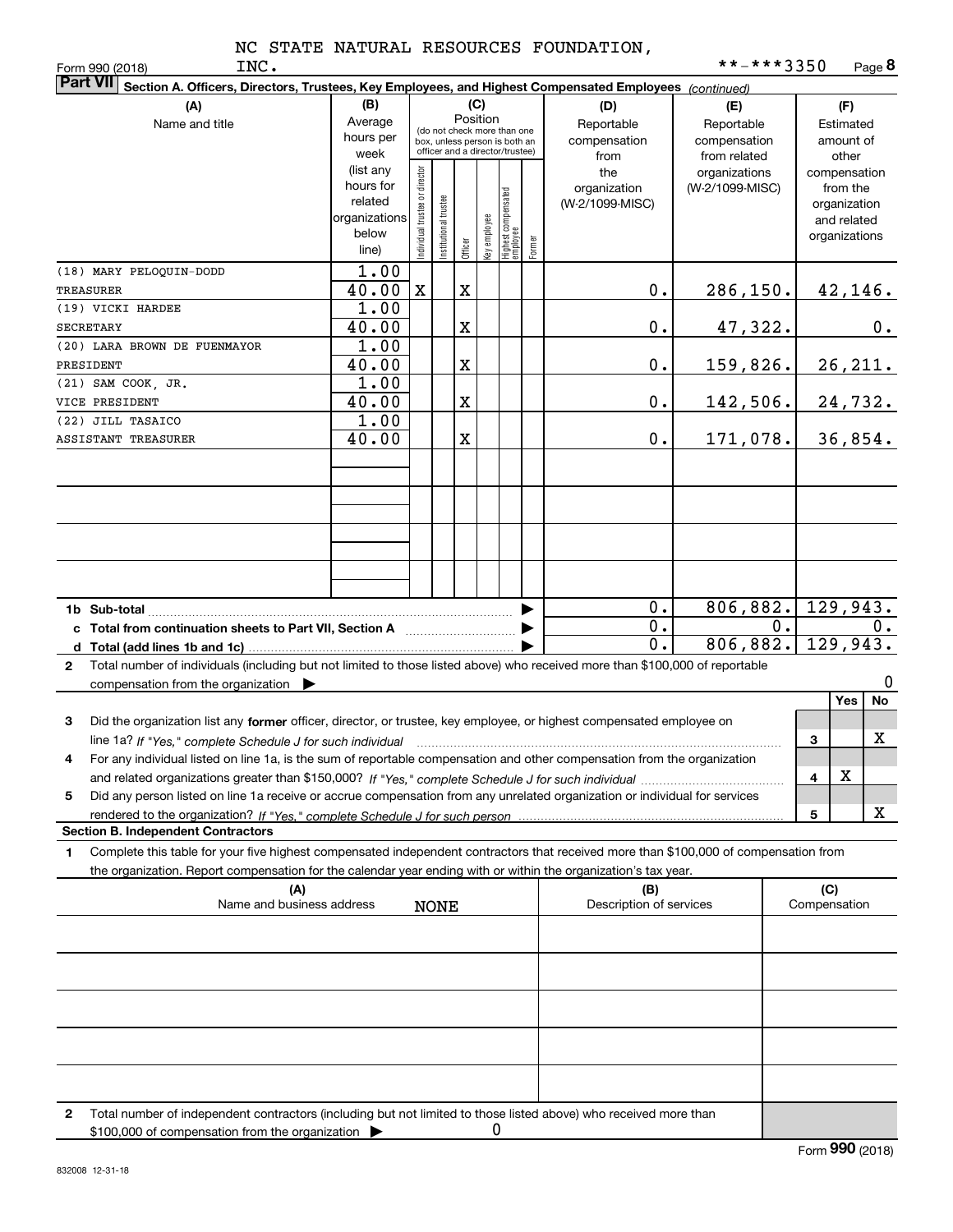|  |  | NC STATE NATURAL RESOURCES FOUNDATION, |
|--|--|----------------------------------------|
|  |  |                                        |

INC.

|              | <b>Part VII</b><br>Section A. Officers, Directors, Trustees, Key Employees, and Highest Compensated Employees (continued) |                                                                                                                                                                                                                                            |                                                    |                               |                       |             |              |                                 |        |                         |                 |                   |                    |                             |          |  |  |
|--------------|---------------------------------------------------------------------------------------------------------------------------|--------------------------------------------------------------------------------------------------------------------------------------------------------------------------------------------------------------------------------------------|----------------------------------------------------|-------------------------------|-----------------------|-------------|--------------|---------------------------------|--------|-------------------------|-----------------|-------------------|--------------------|-----------------------------|----------|--|--|
|              |                                                                                                                           | (A)                                                                                                                                                                                                                                        | (B)                                                |                               |                       |             | (C)          |                                 |        | (D)                     | (E)             |                   | (F)                |                             |          |  |  |
|              |                                                                                                                           | Name and title                                                                                                                                                                                                                             | Position<br>Average<br>(do not check more than one |                               |                       |             |              |                                 |        | Reportable              | Reportable      |                   | Estimated          |                             |          |  |  |
|              |                                                                                                                           |                                                                                                                                                                                                                                            | hours per                                          |                               |                       |             |              | box, unless person is both an   |        | compensation            | compensation    |                   | amount of          |                             |          |  |  |
|              |                                                                                                                           |                                                                                                                                                                                                                                            | week                                               |                               |                       |             |              | officer and a director/trustee) |        | from                    | from related    |                   |                    | other                       |          |  |  |
|              |                                                                                                                           |                                                                                                                                                                                                                                            | (list any                                          |                               |                       |             |              |                                 |        | the                     | organizations   |                   | compensation       |                             |          |  |  |
|              |                                                                                                                           |                                                                                                                                                                                                                                            | hours for<br>related                               |                               |                       |             |              |                                 |        | organization            | (W-2/1099-MISC) |                   |                    | from the                    |          |  |  |
|              |                                                                                                                           |                                                                                                                                                                                                                                            | organizations                                      |                               |                       |             |              |                                 |        | (W-2/1099-MISC)         |                 |                   |                    | organization<br>and related |          |  |  |
|              |                                                                                                                           |                                                                                                                                                                                                                                            | below                                              |                               |                       |             |              |                                 |        |                         |                 |                   | organizations      |                             |          |  |  |
|              |                                                                                                                           |                                                                                                                                                                                                                                            | line)                                              | ndividual trustee or director | Institutional trustee | Officer     | key employee | Highest compensated<br>employee | Former |                         |                 |                   |                    |                             |          |  |  |
|              | (18) MARY PELOQUIN-DODD                                                                                                   |                                                                                                                                                                                                                                            | 1.00                                               |                               |                       |             |              |                                 |        |                         |                 |                   |                    |                             |          |  |  |
|              | <b>TREASURER</b>                                                                                                          |                                                                                                                                                                                                                                            | 40.00                                              | $\mathbf X$                   |                       | $\mathbf X$ |              |                                 |        | 0.                      |                 | 286, 150.         |                    |                             | 42,146.  |  |  |
|              | (19) VICKI HARDEE                                                                                                         |                                                                                                                                                                                                                                            | 1.00                                               |                               |                       |             |              |                                 |        |                         |                 |                   |                    |                             |          |  |  |
|              | SECRETARY                                                                                                                 |                                                                                                                                                                                                                                            | 40.00                                              |                               |                       | X           |              |                                 |        | 0.                      |                 | 47,322.           |                    |                             | 0.       |  |  |
|              |                                                                                                                           | (20) LARA BROWN DE FUENMAYOR                                                                                                                                                                                                               | 1.00                                               |                               |                       |             |              |                                 |        |                         |                 |                   |                    |                             |          |  |  |
|              | PRESIDENT                                                                                                                 |                                                                                                                                                                                                                                            | 40.00                                              |                               |                       | X           |              |                                 |        | 0.                      |                 | 159,826.          |                    |                             | 26, 211. |  |  |
|              | (21) SAM COOK, JR.                                                                                                        |                                                                                                                                                                                                                                            | 1.00                                               |                               |                       |             |              |                                 |        |                         |                 |                   |                    |                             |          |  |  |
|              | VICE PRESIDENT                                                                                                            |                                                                                                                                                                                                                                            | 40.00                                              |                               |                       | X           |              |                                 |        | 0.                      |                 | 142,506.          |                    |                             | 24,732.  |  |  |
|              | (22) JILL TASAICO                                                                                                         |                                                                                                                                                                                                                                            | 1.00                                               |                               |                       |             |              |                                 |        |                         |                 |                   |                    |                             |          |  |  |
|              | ASSISTANT TREASURER                                                                                                       |                                                                                                                                                                                                                                            | 40.00                                              |                               |                       | $\mathbf X$ |              |                                 |        | 0.                      |                 | 171,078.          |                    |                             | 36,854.  |  |  |
|              |                                                                                                                           |                                                                                                                                                                                                                                            |                                                    |                               |                       |             |              |                                 |        |                         |                 |                   |                    |                             |          |  |  |
|              |                                                                                                                           |                                                                                                                                                                                                                                            |                                                    |                               |                       |             |              |                                 |        |                         |                 |                   |                    |                             |          |  |  |
|              |                                                                                                                           |                                                                                                                                                                                                                                            |                                                    |                               |                       |             |              |                                 |        |                         |                 |                   |                    |                             |          |  |  |
|              |                                                                                                                           |                                                                                                                                                                                                                                            |                                                    |                               |                       |             |              |                                 |        |                         |                 |                   |                    |                             |          |  |  |
|              |                                                                                                                           |                                                                                                                                                                                                                                            |                                                    |                               |                       |             |              |                                 |        |                         |                 |                   |                    |                             |          |  |  |
|              |                                                                                                                           |                                                                                                                                                                                                                                            |                                                    |                               |                       |             |              |                                 |        |                         |                 |                   |                    |                             |          |  |  |
|              |                                                                                                                           |                                                                                                                                                                                                                                            |                                                    |                               |                       |             |              |                                 |        |                         |                 |                   |                    |                             |          |  |  |
|              |                                                                                                                           |                                                                                                                                                                                                                                            |                                                    |                               |                       |             |              |                                 |        |                         |                 |                   |                    |                             |          |  |  |
|              | 1b Sub-total                                                                                                              |                                                                                                                                                                                                                                            |                                                    |                               |                       |             |              |                                 |        | 0.<br>$\overline{0}$ .  |                 | 806,882.<br>$0$ . | $\sqrt{129,943}$ . |                             | 0.       |  |  |
|              |                                                                                                                           | c Total from continuation sheets to Part VII, Section A <b>with the Continuum</b>                                                                                                                                                          |                                                    |                               |                       |             |              |                                 |        | $\overline{0}$ .        |                 | 806,882.          |                    |                             | 129,943. |  |  |
|              |                                                                                                                           | Total number of individuals (including but not limited to those listed above) who received more than \$100,000 of reportable                                                                                                               |                                                    |                               |                       |             |              |                                 |        |                         |                 |                   |                    |                             |          |  |  |
| $\mathbf{2}$ |                                                                                                                           | compensation from the organization $\blacktriangleright$                                                                                                                                                                                   |                                                    |                               |                       |             |              |                                 |        |                         |                 |                   |                    |                             | 0        |  |  |
|              |                                                                                                                           |                                                                                                                                                                                                                                            |                                                    |                               |                       |             |              |                                 |        |                         |                 |                   |                    | Yes                         | No       |  |  |
| 3            |                                                                                                                           | Did the organization list any former officer, director, or trustee, key employee, or highest compensated employee on                                                                                                                       |                                                    |                               |                       |             |              |                                 |        |                         |                 |                   |                    |                             |          |  |  |
|              |                                                                                                                           |                                                                                                                                                                                                                                            |                                                    |                               |                       |             |              |                                 |        |                         |                 |                   | 3                  |                             | x        |  |  |
| 4            |                                                                                                                           | line 1a? If "Yes," complete Schedule J for such individual manumental contents and the new manumental complete<br>For any individual listed on line 1a, is the sum of reportable compensation and other compensation from the organization |                                                    |                               |                       |             |              |                                 |        |                         |                 |                   |                    |                             |          |  |  |
|              |                                                                                                                           |                                                                                                                                                                                                                                            |                                                    |                               |                       |             |              |                                 |        |                         |                 |                   | 4                  | X                           |          |  |  |
| 5            |                                                                                                                           | Did any person listed on line 1a receive or accrue compensation from any unrelated organization or individual for services                                                                                                                 |                                                    |                               |                       |             |              |                                 |        |                         |                 |                   |                    |                             |          |  |  |
|              |                                                                                                                           |                                                                                                                                                                                                                                            |                                                    |                               |                       |             |              |                                 |        |                         |                 |                   | 5                  |                             | x        |  |  |
|              |                                                                                                                           | <b>Section B. Independent Contractors</b>                                                                                                                                                                                                  |                                                    |                               |                       |             |              |                                 |        |                         |                 |                   |                    |                             |          |  |  |
| 1            |                                                                                                                           | Complete this table for your five highest compensated independent contractors that received more than \$100,000 of compensation from                                                                                                       |                                                    |                               |                       |             |              |                                 |        |                         |                 |                   |                    |                             |          |  |  |
|              |                                                                                                                           | the organization. Report compensation for the calendar year ending with or within the organization's tax year.                                                                                                                             |                                                    |                               |                       |             |              |                                 |        |                         |                 |                   |                    |                             |          |  |  |
|              |                                                                                                                           | (A)                                                                                                                                                                                                                                        |                                                    |                               |                       |             |              |                                 |        | (B)                     |                 |                   | (C)                |                             |          |  |  |
|              |                                                                                                                           | Name and business address                                                                                                                                                                                                                  |                                                    |                               | <b>NONE</b>           |             |              |                                 |        | Description of services |                 |                   | Compensation       |                             |          |  |  |
|              |                                                                                                                           |                                                                                                                                                                                                                                            |                                                    |                               |                       |             |              |                                 |        |                         |                 |                   |                    |                             |          |  |  |
|              |                                                                                                                           |                                                                                                                                                                                                                                            |                                                    |                               |                       |             |              |                                 |        |                         |                 |                   |                    |                             |          |  |  |
|              |                                                                                                                           |                                                                                                                                                                                                                                            |                                                    |                               |                       |             |              |                                 |        |                         |                 |                   |                    |                             |          |  |  |
|              |                                                                                                                           |                                                                                                                                                                                                                                            |                                                    |                               |                       |             |              |                                 |        |                         |                 |                   |                    |                             |          |  |  |
|              |                                                                                                                           |                                                                                                                                                                                                                                            |                                                    |                               |                       |             |              |                                 |        |                         |                 |                   |                    |                             |          |  |  |
|              |                                                                                                                           |                                                                                                                                                                                                                                            |                                                    |                               |                       |             |              |                                 |        |                         |                 |                   |                    |                             |          |  |  |
|              |                                                                                                                           |                                                                                                                                                                                                                                            |                                                    |                               |                       |             |              |                                 |        |                         |                 |                   |                    |                             |          |  |  |
|              |                                                                                                                           |                                                                                                                                                                                                                                            |                                                    |                               |                       |             |              |                                 |        |                         |                 |                   |                    |                             |          |  |  |
| 2            |                                                                                                                           | Total number of independent contractors (including but not limited to those listed above) who received more than                                                                                                                           |                                                    |                               |                       |             |              |                                 |        |                         |                 |                   |                    |                             |          |  |  |
|              |                                                                                                                           | \$100,000 of compensation from the organization                                                                                                                                                                                            |                                                    |                               |                       |             | 0            |                                 |        |                         |                 |                   |                    |                             |          |  |  |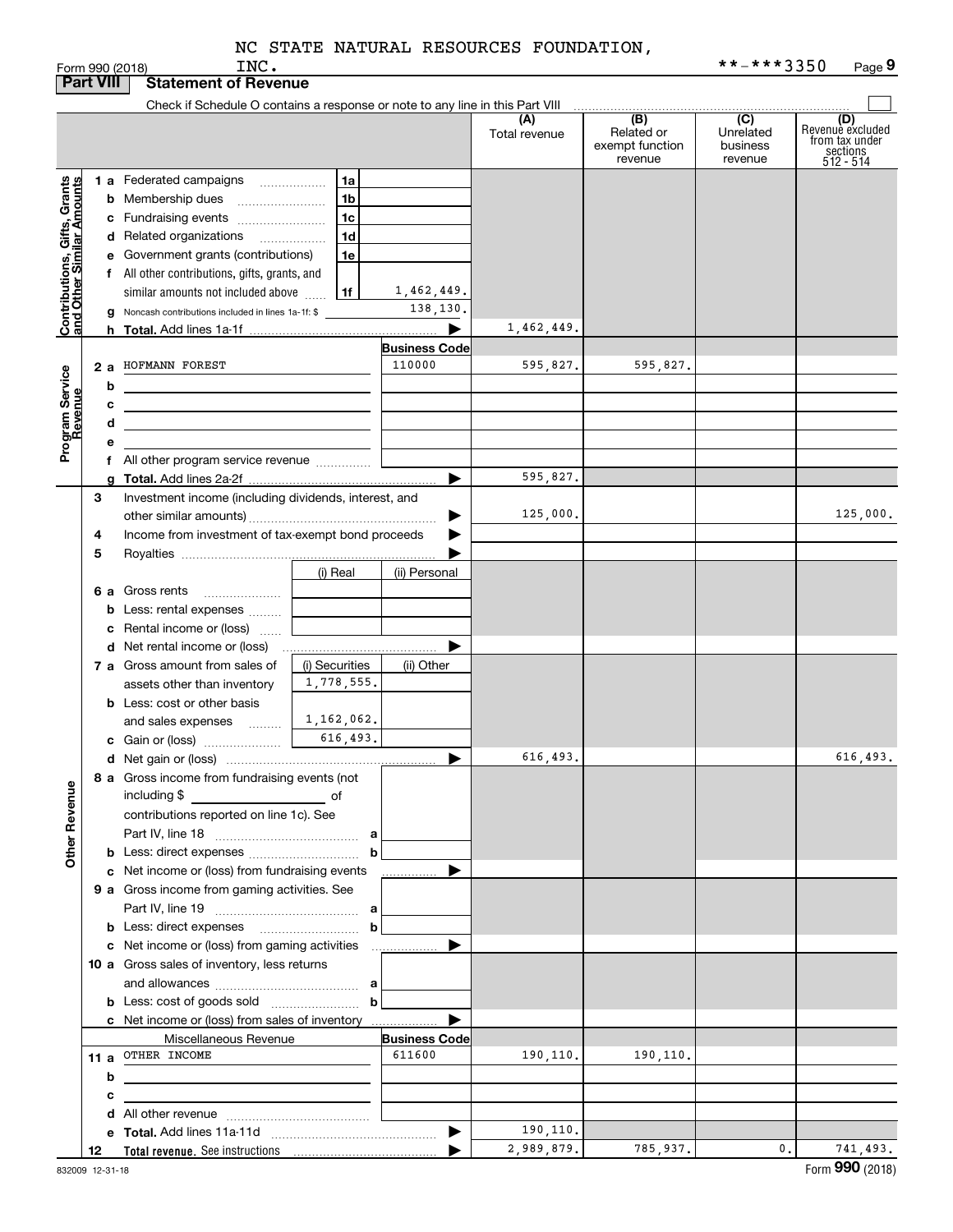|                                                           | <b>Part VIII</b> | <b>Statement of Revenue</b>                                                                                           |                                |                       |                      |                                      |                              |                                           |
|-----------------------------------------------------------|------------------|-----------------------------------------------------------------------------------------------------------------------|--------------------------------|-----------------------|----------------------|--------------------------------------|------------------------------|-------------------------------------------|
|                                                           |                  | Check if Schedule O contains a response or note to any line in this Part VIII                                         |                                |                       |                      |                                      |                              |                                           |
|                                                           |                  |                                                                                                                       |                                |                       | (A)<br>Total revenue | (B)<br>Related or<br>exempt function | (C)<br>Unrelated<br>business | (D)<br>Revenuè excluded<br>from tax under |
|                                                           |                  |                                                                                                                       |                                |                       |                      | revenue                              | revenue                      | sections<br>512 - 514                     |
|                                                           |                  | 1 a Federated campaigns                                                                                               | 1a                             |                       |                      |                                      |                              |                                           |
|                                                           |                  | <b>b</b> Membership dues                                                                                              | 1b                             |                       |                      |                                      |                              |                                           |
|                                                           |                  | c Fundraising events                                                                                                  | 1c                             |                       |                      |                                      |                              |                                           |
| Contributions, Gifts, Grants<br>and Other Similar Amounts |                  | d Related organizations                                                                                               | 1d<br>$\overline{\phantom{a}}$ |                       |                      |                                      |                              |                                           |
|                                                           |                  | e Government grants (contributions)                                                                                   | 1e                             |                       |                      |                                      |                              |                                           |
|                                                           |                  | f All other contributions, gifts, grants, and                                                                         |                                |                       |                      |                                      |                              |                                           |
|                                                           |                  | similar amounts not included above                                                                                    | 1f                             | 1,462,449.            |                      |                                      |                              |                                           |
|                                                           |                  | <b>g</b> Noncash contributions included in lines 1a-1f: \$                                                            |                                | 138,130.              |                      |                                      |                              |                                           |
|                                                           |                  |                                                                                                                       |                                |                       | 1,462,449.           |                                      |                              |                                           |
|                                                           |                  |                                                                                                                       |                                | <b>Business Code</b>  |                      |                                      |                              |                                           |
|                                                           | 2a               | HOFMANN FOREST                                                                                                        |                                | 110000                | 595,827.             | 595,827.                             |                              |                                           |
|                                                           | b                | the control of the control of the control of the control of the control of                                            |                                |                       |                      |                                      |                              |                                           |
| Program Service<br>Revenue                                | с                | <u> 1989 - Johann Stein, marwolaethau a bhann an t-Amhair an t-Amhair an t-Amhair an t-Amhair an t-Amhair an t-A</u>  |                                |                       |                      |                                      |                              |                                           |
|                                                           | d                | <u> 1989 - Johann Stein, marwolaethau a bhann an t-Amhainn an t-Amhainn an t-Amhainn an t-Amhainn an t-Amhainn an</u> |                                |                       |                      |                                      |                              |                                           |
|                                                           |                  |                                                                                                                       |                                |                       |                      |                                      |                              |                                           |
|                                                           |                  | f All other program service revenue                                                                                   |                                |                       |                      |                                      |                              |                                           |
|                                                           |                  |                                                                                                                       |                                | ▶                     | 595,827.             |                                      |                              |                                           |
|                                                           | 3                | Investment income (including dividends, interest, and                                                                 |                                |                       |                      |                                      |                              |                                           |
|                                                           |                  |                                                                                                                       |                                |                       | 125,000.             |                                      |                              | 125,000.                                  |
|                                                           | 4                | Income from investment of tax-exempt bond proceeds                                                                    |                                |                       |                      |                                      |                              |                                           |
|                                                           | 5                |                                                                                                                       |                                |                       |                      |                                      |                              |                                           |
|                                                           |                  |                                                                                                                       | (i) Real                       | (ii) Personal         |                      |                                      |                              |                                           |
|                                                           |                  | 6 a Gross rents                                                                                                       |                                |                       |                      |                                      |                              |                                           |
|                                                           |                  | <b>b</b> Less: rental expenses                                                                                        |                                |                       |                      |                                      |                              |                                           |
|                                                           |                  | Rental income or (loss)                                                                                               |                                |                       |                      |                                      |                              |                                           |
|                                                           |                  |                                                                                                                       |                                |                       |                      |                                      |                              |                                           |
|                                                           |                  | 7 a Gross amount from sales of                                                                                        | (i) Securities                 | (ii) Other            |                      |                                      |                              |                                           |
|                                                           |                  | assets other than inventory                                                                                           | 1,778,555.                     |                       |                      |                                      |                              |                                           |
|                                                           |                  | <b>b</b> Less: cost or other basis                                                                                    |                                |                       |                      |                                      |                              |                                           |
|                                                           |                  | and sales expenses                                                                                                    | 1,162,062.                     |                       |                      |                                      |                              |                                           |
|                                                           |                  |                                                                                                                       | 616,493.                       |                       |                      |                                      |                              |                                           |
|                                                           |                  |                                                                                                                       |                                | ▶                     | 616,493.             |                                      |                              | 616,493.                                  |
|                                                           |                  | 8 a Gross income from fundraising events (not                                                                         |                                |                       |                      |                                      |                              |                                           |
|                                                           |                  | including \$                                                                                                          |                                |                       |                      |                                      |                              |                                           |
|                                                           |                  | contributions reported on line 1c). See                                                                               |                                |                       |                      |                                      |                              |                                           |
|                                                           |                  |                                                                                                                       |                                |                       |                      |                                      |                              |                                           |
| <b>Other Revenue</b>                                      |                  |                                                                                                                       | b                              |                       |                      |                                      |                              |                                           |
|                                                           |                  | c Net income or (loss) from fundraising events                                                                        |                                | .                     |                      |                                      |                              |                                           |
|                                                           |                  | 9 a Gross income from gaming activities. See                                                                          |                                |                       |                      |                                      |                              |                                           |
|                                                           |                  |                                                                                                                       |                                |                       |                      |                                      |                              |                                           |
|                                                           |                  | <b>b</b> Less: direct expenses <b>contained b</b> Less: direct expenses                                               | b                              |                       |                      |                                      |                              |                                           |
|                                                           |                  | c Net income or (loss) from gaming activities                                                                         |                                | . <u>.</u> .          |                      |                                      |                              |                                           |
|                                                           |                  | 10 a Gross sales of inventory, less returns                                                                           |                                |                       |                      |                                      |                              |                                           |
|                                                           |                  |                                                                                                                       |                                |                       |                      |                                      |                              |                                           |
|                                                           |                  |                                                                                                                       | b                              |                       |                      |                                      |                              |                                           |
|                                                           |                  | c Net income or (loss) from sales of inventory                                                                        |                                |                       |                      |                                      |                              |                                           |
|                                                           |                  | Miscellaneous Revenue                                                                                                 |                                | <b>Business Code</b>  |                      |                                      |                              |                                           |
|                                                           |                  | 11 a OTHER INCOME                                                                                                     |                                | 611600                | 190,110.             | 190,110.                             |                              |                                           |
|                                                           | b                | the control of the control of the control of the control of the control of                                            |                                |                       |                      |                                      |                              |                                           |
|                                                           | с                |                                                                                                                       |                                |                       |                      |                                      |                              |                                           |
|                                                           |                  |                                                                                                                       |                                |                       |                      |                                      |                              |                                           |
|                                                           |                  |                                                                                                                       |                                | $\blacktriangleright$ | 190,110.             |                                      |                              |                                           |
|                                                           | 12               |                                                                                                                       |                                |                       | 2,989,879.           | 785,937.                             | $\mathbf{0}$ .               | 741,493.                                  |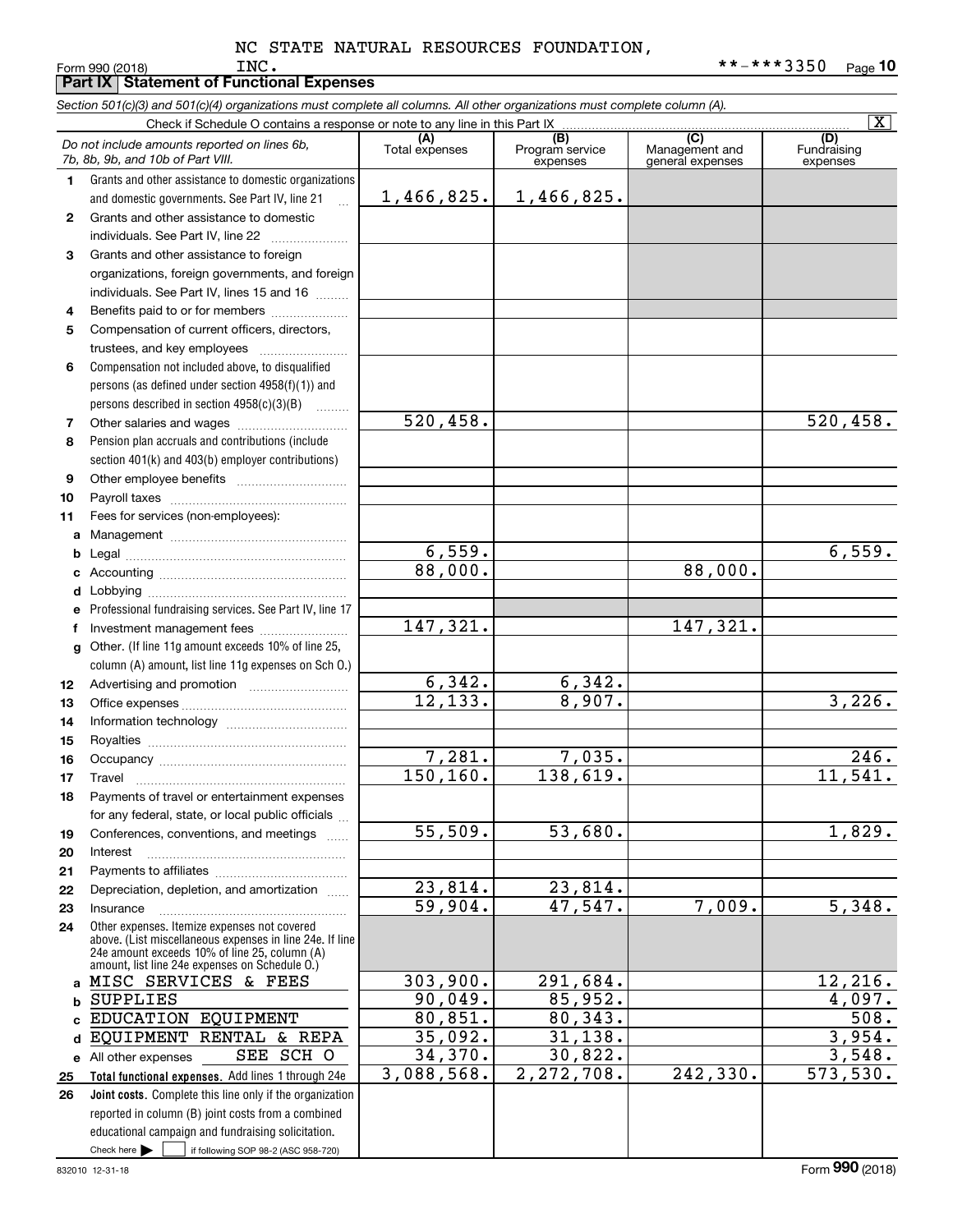| Section 501(c)(3) and 501(c)(4) organizations must complete all columns. All other organizations must complete column (A).<br>$\overline{(C)}$<br>(B)<br>(A)<br>(D)<br>Do not include amounts reported on lines 6b,<br>Fundraising<br>Total expenses<br>Program service<br>Management and<br>7b, 8b, 9b, and 10b of Part VIII.<br>expenses<br>general expenses<br>expenses<br>Grants and other assistance to domestic organizations<br>1.<br>1,466,825.<br>1,466,825.<br>and domestic governments. See Part IV, line 21<br>Grants and other assistance to domestic<br>$\mathbf{2}$<br>individuals. See Part IV, line 22<br>Grants and other assistance to foreign<br>3<br>organizations, foreign governments, and foreign<br>individuals. See Part IV, lines 15 and 16<br>Benefits paid to or for members<br>4<br>Compensation of current officers, directors,<br>5<br>trustees, and key employees<br>Compensation not included above, to disqualified<br>6<br>persons (as defined under section 4958(f)(1)) and<br>persons described in section 4958(c)(3)(B)<br>$\overline{520, 458}$ .<br>520,458.<br>7<br>Pension plan accruals and contributions (include<br>8<br>section 401(k) and 403(b) employer contributions)<br>9<br>10<br>11<br>Fees for services (non-employees):<br>a<br>6,559.<br>b<br>88,000.<br>88,000.<br>c<br>d<br>Professional fundraising services. See Part IV, line 17<br>е<br>147,321.<br>147,321.<br>Investment management fees<br>f<br>g Other. (If line 11g amount exceeds 10% of line 25,<br>column (A) amount, list line 11g expenses on Sch O.)<br>6,342.<br>6,342.<br>12<br>12, 133.<br>8,907.<br>13<br>14<br>15<br>7,281.<br>7,035.<br>150, 160.<br>138,619.<br>Travel<br>17<br>Payments of travel or entertainment expenses<br>18<br>for any federal, state, or local public officials<br>55,509.<br>53,680.<br>Conferences, conventions, and meetings<br>19<br>Interest<br>20<br>21<br>23,814.<br>23,814.<br>Depreciation, depletion, and amortization<br>22<br>59,904.<br>47,547.<br>7,009.<br>5,348.<br>23<br>Insurance<br>Other expenses. Itemize expenses not covered<br>24<br>above. (List miscellaneous expenses in line 24e. If line<br>24e amount exceeds 10% of line 25, column (A)<br>amount, list line 24e expenses on Schedule 0.)<br>303,900.<br>291,684.<br>a MISC SERVICES & FEES<br>85,952.<br>90,049.<br><b>SUPPLIES</b><br>b<br>80,851.<br>80, 343.<br>EDUCATION EQUIPMENT<br>c.<br>3,954.<br>35,092.<br>31, 138.<br>EQUIPMENT RENTAL & REPA<br>d<br>34,370.<br>3,548.<br>30,822.<br>SEE SCH O<br>e All other expenses<br>2,272,708.<br>242,330.<br>573,530.<br>3,088,568.<br>Total functional expenses. Add lines 1 through 24e<br>25<br>Joint costs. Complete this line only if the organization<br>26<br>reported in column (B) joint costs from a combined | INC.<br>Form 990 (2018)<br><b>Part IX   Statement of Functional Expenses</b> |  | **-***3350 | <u>Page</u> 10          |
|---------------------------------------------------------------------------------------------------------------------------------------------------------------------------------------------------------------------------------------------------------------------------------------------------------------------------------------------------------------------------------------------------------------------------------------------------------------------------------------------------------------------------------------------------------------------------------------------------------------------------------------------------------------------------------------------------------------------------------------------------------------------------------------------------------------------------------------------------------------------------------------------------------------------------------------------------------------------------------------------------------------------------------------------------------------------------------------------------------------------------------------------------------------------------------------------------------------------------------------------------------------------------------------------------------------------------------------------------------------------------------------------------------------------------------------------------------------------------------------------------------------------------------------------------------------------------------------------------------------------------------------------------------------------------------------------------------------------------------------------------------------------------------------------------------------------------------------------------------------------------------------------------------------------------------------------------------------------------------------------------------------------------------------------------------------------------------------------------------------------------------------------------------------------------------------------------------------------------------------------------------------------------------------------------------------------------------------------------------------------------------------------------------------------------------------------------------------------------------------------------------------------------------------------------------------------------------------------------------------------------------------------------------------------------------------------------------------------------------------------------------------------------------------------------------------------|------------------------------------------------------------------------------|--|------------|-------------------------|
|                                                                                                                                                                                                                                                                                                                                                                                                                                                                                                                                                                                                                                                                                                                                                                                                                                                                                                                                                                                                                                                                                                                                                                                                                                                                                                                                                                                                                                                                                                                                                                                                                                                                                                                                                                                                                                                                                                                                                                                                                                                                                                                                                                                                                                                                                                                                                                                                                                                                                                                                                                                                                                                                                                                                                                                                                     |                                                                              |  |            |                         |
|                                                                                                                                                                                                                                                                                                                                                                                                                                                                                                                                                                                                                                                                                                                                                                                                                                                                                                                                                                                                                                                                                                                                                                                                                                                                                                                                                                                                                                                                                                                                                                                                                                                                                                                                                                                                                                                                                                                                                                                                                                                                                                                                                                                                                                                                                                                                                                                                                                                                                                                                                                                                                                                                                                                                                                                                                     |                                                                              |  |            | $\overline{\mathbf{X}}$ |
|                                                                                                                                                                                                                                                                                                                                                                                                                                                                                                                                                                                                                                                                                                                                                                                                                                                                                                                                                                                                                                                                                                                                                                                                                                                                                                                                                                                                                                                                                                                                                                                                                                                                                                                                                                                                                                                                                                                                                                                                                                                                                                                                                                                                                                                                                                                                                                                                                                                                                                                                                                                                                                                                                                                                                                                                                     |                                                                              |  |            |                         |
|                                                                                                                                                                                                                                                                                                                                                                                                                                                                                                                                                                                                                                                                                                                                                                                                                                                                                                                                                                                                                                                                                                                                                                                                                                                                                                                                                                                                                                                                                                                                                                                                                                                                                                                                                                                                                                                                                                                                                                                                                                                                                                                                                                                                                                                                                                                                                                                                                                                                                                                                                                                                                                                                                                                                                                                                                     |                                                                              |  |            |                         |
|                                                                                                                                                                                                                                                                                                                                                                                                                                                                                                                                                                                                                                                                                                                                                                                                                                                                                                                                                                                                                                                                                                                                                                                                                                                                                                                                                                                                                                                                                                                                                                                                                                                                                                                                                                                                                                                                                                                                                                                                                                                                                                                                                                                                                                                                                                                                                                                                                                                                                                                                                                                                                                                                                                                                                                                                                     |                                                                              |  |            |                         |
|                                                                                                                                                                                                                                                                                                                                                                                                                                                                                                                                                                                                                                                                                                                                                                                                                                                                                                                                                                                                                                                                                                                                                                                                                                                                                                                                                                                                                                                                                                                                                                                                                                                                                                                                                                                                                                                                                                                                                                                                                                                                                                                                                                                                                                                                                                                                                                                                                                                                                                                                                                                                                                                                                                                                                                                                                     |                                                                              |  |            |                         |
|                                                                                                                                                                                                                                                                                                                                                                                                                                                                                                                                                                                                                                                                                                                                                                                                                                                                                                                                                                                                                                                                                                                                                                                                                                                                                                                                                                                                                                                                                                                                                                                                                                                                                                                                                                                                                                                                                                                                                                                                                                                                                                                                                                                                                                                                                                                                                                                                                                                                                                                                                                                                                                                                                                                                                                                                                     |                                                                              |  |            |                         |
|                                                                                                                                                                                                                                                                                                                                                                                                                                                                                                                                                                                                                                                                                                                                                                                                                                                                                                                                                                                                                                                                                                                                                                                                                                                                                                                                                                                                                                                                                                                                                                                                                                                                                                                                                                                                                                                                                                                                                                                                                                                                                                                                                                                                                                                                                                                                                                                                                                                                                                                                                                                                                                                                                                                                                                                                                     |                                                                              |  |            |                         |
|                                                                                                                                                                                                                                                                                                                                                                                                                                                                                                                                                                                                                                                                                                                                                                                                                                                                                                                                                                                                                                                                                                                                                                                                                                                                                                                                                                                                                                                                                                                                                                                                                                                                                                                                                                                                                                                                                                                                                                                                                                                                                                                                                                                                                                                                                                                                                                                                                                                                                                                                                                                                                                                                                                                                                                                                                     |                                                                              |  |            |                         |
|                                                                                                                                                                                                                                                                                                                                                                                                                                                                                                                                                                                                                                                                                                                                                                                                                                                                                                                                                                                                                                                                                                                                                                                                                                                                                                                                                                                                                                                                                                                                                                                                                                                                                                                                                                                                                                                                                                                                                                                                                                                                                                                                                                                                                                                                                                                                                                                                                                                                                                                                                                                                                                                                                                                                                                                                                     |                                                                              |  |            |                         |
|                                                                                                                                                                                                                                                                                                                                                                                                                                                                                                                                                                                                                                                                                                                                                                                                                                                                                                                                                                                                                                                                                                                                                                                                                                                                                                                                                                                                                                                                                                                                                                                                                                                                                                                                                                                                                                                                                                                                                                                                                                                                                                                                                                                                                                                                                                                                                                                                                                                                                                                                                                                                                                                                                                                                                                                                                     |                                                                              |  |            |                         |
|                                                                                                                                                                                                                                                                                                                                                                                                                                                                                                                                                                                                                                                                                                                                                                                                                                                                                                                                                                                                                                                                                                                                                                                                                                                                                                                                                                                                                                                                                                                                                                                                                                                                                                                                                                                                                                                                                                                                                                                                                                                                                                                                                                                                                                                                                                                                                                                                                                                                                                                                                                                                                                                                                                                                                                                                                     |                                                                              |  |            |                         |
|                                                                                                                                                                                                                                                                                                                                                                                                                                                                                                                                                                                                                                                                                                                                                                                                                                                                                                                                                                                                                                                                                                                                                                                                                                                                                                                                                                                                                                                                                                                                                                                                                                                                                                                                                                                                                                                                                                                                                                                                                                                                                                                                                                                                                                                                                                                                                                                                                                                                                                                                                                                                                                                                                                                                                                                                                     |                                                                              |  |            |                         |
|                                                                                                                                                                                                                                                                                                                                                                                                                                                                                                                                                                                                                                                                                                                                                                                                                                                                                                                                                                                                                                                                                                                                                                                                                                                                                                                                                                                                                                                                                                                                                                                                                                                                                                                                                                                                                                                                                                                                                                                                                                                                                                                                                                                                                                                                                                                                                                                                                                                                                                                                                                                                                                                                                                                                                                                                                     |                                                                              |  |            |                         |
|                                                                                                                                                                                                                                                                                                                                                                                                                                                                                                                                                                                                                                                                                                                                                                                                                                                                                                                                                                                                                                                                                                                                                                                                                                                                                                                                                                                                                                                                                                                                                                                                                                                                                                                                                                                                                                                                                                                                                                                                                                                                                                                                                                                                                                                                                                                                                                                                                                                                                                                                                                                                                                                                                                                                                                                                                     |                                                                              |  |            |                         |
|                                                                                                                                                                                                                                                                                                                                                                                                                                                                                                                                                                                                                                                                                                                                                                                                                                                                                                                                                                                                                                                                                                                                                                                                                                                                                                                                                                                                                                                                                                                                                                                                                                                                                                                                                                                                                                                                                                                                                                                                                                                                                                                                                                                                                                                                                                                                                                                                                                                                                                                                                                                                                                                                                                                                                                                                                     |                                                                              |  |            |                         |
|                                                                                                                                                                                                                                                                                                                                                                                                                                                                                                                                                                                                                                                                                                                                                                                                                                                                                                                                                                                                                                                                                                                                                                                                                                                                                                                                                                                                                                                                                                                                                                                                                                                                                                                                                                                                                                                                                                                                                                                                                                                                                                                                                                                                                                                                                                                                                                                                                                                                                                                                                                                                                                                                                                                                                                                                                     |                                                                              |  |            |                         |
|                                                                                                                                                                                                                                                                                                                                                                                                                                                                                                                                                                                                                                                                                                                                                                                                                                                                                                                                                                                                                                                                                                                                                                                                                                                                                                                                                                                                                                                                                                                                                                                                                                                                                                                                                                                                                                                                                                                                                                                                                                                                                                                                                                                                                                                                                                                                                                                                                                                                                                                                                                                                                                                                                                                                                                                                                     |                                                                              |  |            |                         |
|                                                                                                                                                                                                                                                                                                                                                                                                                                                                                                                                                                                                                                                                                                                                                                                                                                                                                                                                                                                                                                                                                                                                                                                                                                                                                                                                                                                                                                                                                                                                                                                                                                                                                                                                                                                                                                                                                                                                                                                                                                                                                                                                                                                                                                                                                                                                                                                                                                                                                                                                                                                                                                                                                                                                                                                                                     |                                                                              |  |            |                         |
|                                                                                                                                                                                                                                                                                                                                                                                                                                                                                                                                                                                                                                                                                                                                                                                                                                                                                                                                                                                                                                                                                                                                                                                                                                                                                                                                                                                                                                                                                                                                                                                                                                                                                                                                                                                                                                                                                                                                                                                                                                                                                                                                                                                                                                                                                                                                                                                                                                                                                                                                                                                                                                                                                                                                                                                                                     |                                                                              |  |            |                         |
|                                                                                                                                                                                                                                                                                                                                                                                                                                                                                                                                                                                                                                                                                                                                                                                                                                                                                                                                                                                                                                                                                                                                                                                                                                                                                                                                                                                                                                                                                                                                                                                                                                                                                                                                                                                                                                                                                                                                                                                                                                                                                                                                                                                                                                                                                                                                                                                                                                                                                                                                                                                                                                                                                                                                                                                                                     |                                                                              |  |            |                         |
|                                                                                                                                                                                                                                                                                                                                                                                                                                                                                                                                                                                                                                                                                                                                                                                                                                                                                                                                                                                                                                                                                                                                                                                                                                                                                                                                                                                                                                                                                                                                                                                                                                                                                                                                                                                                                                                                                                                                                                                                                                                                                                                                                                                                                                                                                                                                                                                                                                                                                                                                                                                                                                                                                                                                                                                                                     |                                                                              |  |            |                         |
|                                                                                                                                                                                                                                                                                                                                                                                                                                                                                                                                                                                                                                                                                                                                                                                                                                                                                                                                                                                                                                                                                                                                                                                                                                                                                                                                                                                                                                                                                                                                                                                                                                                                                                                                                                                                                                                                                                                                                                                                                                                                                                                                                                                                                                                                                                                                                                                                                                                                                                                                                                                                                                                                                                                                                                                                                     |                                                                              |  |            |                         |
|                                                                                                                                                                                                                                                                                                                                                                                                                                                                                                                                                                                                                                                                                                                                                                                                                                                                                                                                                                                                                                                                                                                                                                                                                                                                                                                                                                                                                                                                                                                                                                                                                                                                                                                                                                                                                                                                                                                                                                                                                                                                                                                                                                                                                                                                                                                                                                                                                                                                                                                                                                                                                                                                                                                                                                                                                     |                                                                              |  |            | 6,559.                  |
|                                                                                                                                                                                                                                                                                                                                                                                                                                                                                                                                                                                                                                                                                                                                                                                                                                                                                                                                                                                                                                                                                                                                                                                                                                                                                                                                                                                                                                                                                                                                                                                                                                                                                                                                                                                                                                                                                                                                                                                                                                                                                                                                                                                                                                                                                                                                                                                                                                                                                                                                                                                                                                                                                                                                                                                                                     |                                                                              |  |            |                         |
|                                                                                                                                                                                                                                                                                                                                                                                                                                                                                                                                                                                                                                                                                                                                                                                                                                                                                                                                                                                                                                                                                                                                                                                                                                                                                                                                                                                                                                                                                                                                                                                                                                                                                                                                                                                                                                                                                                                                                                                                                                                                                                                                                                                                                                                                                                                                                                                                                                                                                                                                                                                                                                                                                                                                                                                                                     |                                                                              |  |            |                         |
|                                                                                                                                                                                                                                                                                                                                                                                                                                                                                                                                                                                                                                                                                                                                                                                                                                                                                                                                                                                                                                                                                                                                                                                                                                                                                                                                                                                                                                                                                                                                                                                                                                                                                                                                                                                                                                                                                                                                                                                                                                                                                                                                                                                                                                                                                                                                                                                                                                                                                                                                                                                                                                                                                                                                                                                                                     |                                                                              |  |            |                         |
|                                                                                                                                                                                                                                                                                                                                                                                                                                                                                                                                                                                                                                                                                                                                                                                                                                                                                                                                                                                                                                                                                                                                                                                                                                                                                                                                                                                                                                                                                                                                                                                                                                                                                                                                                                                                                                                                                                                                                                                                                                                                                                                                                                                                                                                                                                                                                                                                                                                                                                                                                                                                                                                                                                                                                                                                                     |                                                                              |  |            |                         |
|                                                                                                                                                                                                                                                                                                                                                                                                                                                                                                                                                                                                                                                                                                                                                                                                                                                                                                                                                                                                                                                                                                                                                                                                                                                                                                                                                                                                                                                                                                                                                                                                                                                                                                                                                                                                                                                                                                                                                                                                                                                                                                                                                                                                                                                                                                                                                                                                                                                                                                                                                                                                                                                                                                                                                                                                                     |                                                                              |  |            |                         |
|                                                                                                                                                                                                                                                                                                                                                                                                                                                                                                                                                                                                                                                                                                                                                                                                                                                                                                                                                                                                                                                                                                                                                                                                                                                                                                                                                                                                                                                                                                                                                                                                                                                                                                                                                                                                                                                                                                                                                                                                                                                                                                                                                                                                                                                                                                                                                                                                                                                                                                                                                                                                                                                                                                                                                                                                                     |                                                                              |  |            |                         |
|                                                                                                                                                                                                                                                                                                                                                                                                                                                                                                                                                                                                                                                                                                                                                                                                                                                                                                                                                                                                                                                                                                                                                                                                                                                                                                                                                                                                                                                                                                                                                                                                                                                                                                                                                                                                                                                                                                                                                                                                                                                                                                                                                                                                                                                                                                                                                                                                                                                                                                                                                                                                                                                                                                                                                                                                                     |                                                                              |  |            |                         |
|                                                                                                                                                                                                                                                                                                                                                                                                                                                                                                                                                                                                                                                                                                                                                                                                                                                                                                                                                                                                                                                                                                                                                                                                                                                                                                                                                                                                                                                                                                                                                                                                                                                                                                                                                                                                                                                                                                                                                                                                                                                                                                                                                                                                                                                                                                                                                                                                                                                                                                                                                                                                                                                                                                                                                                                                                     |                                                                              |  |            | 3,226.                  |
|                                                                                                                                                                                                                                                                                                                                                                                                                                                                                                                                                                                                                                                                                                                                                                                                                                                                                                                                                                                                                                                                                                                                                                                                                                                                                                                                                                                                                                                                                                                                                                                                                                                                                                                                                                                                                                                                                                                                                                                                                                                                                                                                                                                                                                                                                                                                                                                                                                                                                                                                                                                                                                                                                                                                                                                                                     |                                                                              |  |            |                         |
|                                                                                                                                                                                                                                                                                                                                                                                                                                                                                                                                                                                                                                                                                                                                                                                                                                                                                                                                                                                                                                                                                                                                                                                                                                                                                                                                                                                                                                                                                                                                                                                                                                                                                                                                                                                                                                                                                                                                                                                                                                                                                                                                                                                                                                                                                                                                                                                                                                                                                                                                                                                                                                                                                                                                                                                                                     |                                                                              |  |            |                         |
|                                                                                                                                                                                                                                                                                                                                                                                                                                                                                                                                                                                                                                                                                                                                                                                                                                                                                                                                                                                                                                                                                                                                                                                                                                                                                                                                                                                                                                                                                                                                                                                                                                                                                                                                                                                                                                                                                                                                                                                                                                                                                                                                                                                                                                                                                                                                                                                                                                                                                                                                                                                                                                                                                                                                                                                                                     |                                                                              |  |            | 246.                    |
|                                                                                                                                                                                                                                                                                                                                                                                                                                                                                                                                                                                                                                                                                                                                                                                                                                                                                                                                                                                                                                                                                                                                                                                                                                                                                                                                                                                                                                                                                                                                                                                                                                                                                                                                                                                                                                                                                                                                                                                                                                                                                                                                                                                                                                                                                                                                                                                                                                                                                                                                                                                                                                                                                                                                                                                                                     |                                                                              |  |            | 11,541.                 |
|                                                                                                                                                                                                                                                                                                                                                                                                                                                                                                                                                                                                                                                                                                                                                                                                                                                                                                                                                                                                                                                                                                                                                                                                                                                                                                                                                                                                                                                                                                                                                                                                                                                                                                                                                                                                                                                                                                                                                                                                                                                                                                                                                                                                                                                                                                                                                                                                                                                                                                                                                                                                                                                                                                                                                                                                                     |                                                                              |  |            |                         |
|                                                                                                                                                                                                                                                                                                                                                                                                                                                                                                                                                                                                                                                                                                                                                                                                                                                                                                                                                                                                                                                                                                                                                                                                                                                                                                                                                                                                                                                                                                                                                                                                                                                                                                                                                                                                                                                                                                                                                                                                                                                                                                                                                                                                                                                                                                                                                                                                                                                                                                                                                                                                                                                                                                                                                                                                                     |                                                                              |  |            |                         |
|                                                                                                                                                                                                                                                                                                                                                                                                                                                                                                                                                                                                                                                                                                                                                                                                                                                                                                                                                                                                                                                                                                                                                                                                                                                                                                                                                                                                                                                                                                                                                                                                                                                                                                                                                                                                                                                                                                                                                                                                                                                                                                                                                                                                                                                                                                                                                                                                                                                                                                                                                                                                                                                                                                                                                                                                                     |                                                                              |  |            | 1,829.                  |
|                                                                                                                                                                                                                                                                                                                                                                                                                                                                                                                                                                                                                                                                                                                                                                                                                                                                                                                                                                                                                                                                                                                                                                                                                                                                                                                                                                                                                                                                                                                                                                                                                                                                                                                                                                                                                                                                                                                                                                                                                                                                                                                                                                                                                                                                                                                                                                                                                                                                                                                                                                                                                                                                                                                                                                                                                     |                                                                              |  |            |                         |
|                                                                                                                                                                                                                                                                                                                                                                                                                                                                                                                                                                                                                                                                                                                                                                                                                                                                                                                                                                                                                                                                                                                                                                                                                                                                                                                                                                                                                                                                                                                                                                                                                                                                                                                                                                                                                                                                                                                                                                                                                                                                                                                                                                                                                                                                                                                                                                                                                                                                                                                                                                                                                                                                                                                                                                                                                     |                                                                              |  |            |                         |
|                                                                                                                                                                                                                                                                                                                                                                                                                                                                                                                                                                                                                                                                                                                                                                                                                                                                                                                                                                                                                                                                                                                                                                                                                                                                                                                                                                                                                                                                                                                                                                                                                                                                                                                                                                                                                                                                                                                                                                                                                                                                                                                                                                                                                                                                                                                                                                                                                                                                                                                                                                                                                                                                                                                                                                                                                     |                                                                              |  |            |                         |
|                                                                                                                                                                                                                                                                                                                                                                                                                                                                                                                                                                                                                                                                                                                                                                                                                                                                                                                                                                                                                                                                                                                                                                                                                                                                                                                                                                                                                                                                                                                                                                                                                                                                                                                                                                                                                                                                                                                                                                                                                                                                                                                                                                                                                                                                                                                                                                                                                                                                                                                                                                                                                                                                                                                                                                                                                     |                                                                              |  |            |                         |
|                                                                                                                                                                                                                                                                                                                                                                                                                                                                                                                                                                                                                                                                                                                                                                                                                                                                                                                                                                                                                                                                                                                                                                                                                                                                                                                                                                                                                                                                                                                                                                                                                                                                                                                                                                                                                                                                                                                                                                                                                                                                                                                                                                                                                                                                                                                                                                                                                                                                                                                                                                                                                                                                                                                                                                                                                     |                                                                              |  |            |                         |
|                                                                                                                                                                                                                                                                                                                                                                                                                                                                                                                                                                                                                                                                                                                                                                                                                                                                                                                                                                                                                                                                                                                                                                                                                                                                                                                                                                                                                                                                                                                                                                                                                                                                                                                                                                                                                                                                                                                                                                                                                                                                                                                                                                                                                                                                                                                                                                                                                                                                                                                                                                                                                                                                                                                                                                                                                     |                                                                              |  |            |                         |
|                                                                                                                                                                                                                                                                                                                                                                                                                                                                                                                                                                                                                                                                                                                                                                                                                                                                                                                                                                                                                                                                                                                                                                                                                                                                                                                                                                                                                                                                                                                                                                                                                                                                                                                                                                                                                                                                                                                                                                                                                                                                                                                                                                                                                                                                                                                                                                                                                                                                                                                                                                                                                                                                                                                                                                                                                     |                                                                              |  |            | 12,216.                 |
|                                                                                                                                                                                                                                                                                                                                                                                                                                                                                                                                                                                                                                                                                                                                                                                                                                                                                                                                                                                                                                                                                                                                                                                                                                                                                                                                                                                                                                                                                                                                                                                                                                                                                                                                                                                                                                                                                                                                                                                                                                                                                                                                                                                                                                                                                                                                                                                                                                                                                                                                                                                                                                                                                                                                                                                                                     |                                                                              |  |            | $\overline{4,097}$ .    |
|                                                                                                                                                                                                                                                                                                                                                                                                                                                                                                                                                                                                                                                                                                                                                                                                                                                                                                                                                                                                                                                                                                                                                                                                                                                                                                                                                                                                                                                                                                                                                                                                                                                                                                                                                                                                                                                                                                                                                                                                                                                                                                                                                                                                                                                                                                                                                                                                                                                                                                                                                                                                                                                                                                                                                                                                                     |                                                                              |  |            | 508.                    |
|                                                                                                                                                                                                                                                                                                                                                                                                                                                                                                                                                                                                                                                                                                                                                                                                                                                                                                                                                                                                                                                                                                                                                                                                                                                                                                                                                                                                                                                                                                                                                                                                                                                                                                                                                                                                                                                                                                                                                                                                                                                                                                                                                                                                                                                                                                                                                                                                                                                                                                                                                                                                                                                                                                                                                                                                                     |                                                                              |  |            |                         |
|                                                                                                                                                                                                                                                                                                                                                                                                                                                                                                                                                                                                                                                                                                                                                                                                                                                                                                                                                                                                                                                                                                                                                                                                                                                                                                                                                                                                                                                                                                                                                                                                                                                                                                                                                                                                                                                                                                                                                                                                                                                                                                                                                                                                                                                                                                                                                                                                                                                                                                                                                                                                                                                                                                                                                                                                                     |                                                                              |  |            |                         |
|                                                                                                                                                                                                                                                                                                                                                                                                                                                                                                                                                                                                                                                                                                                                                                                                                                                                                                                                                                                                                                                                                                                                                                                                                                                                                                                                                                                                                                                                                                                                                                                                                                                                                                                                                                                                                                                                                                                                                                                                                                                                                                                                                                                                                                                                                                                                                                                                                                                                                                                                                                                                                                                                                                                                                                                                                     |                                                                              |  |            |                         |
|                                                                                                                                                                                                                                                                                                                                                                                                                                                                                                                                                                                                                                                                                                                                                                                                                                                                                                                                                                                                                                                                                                                                                                                                                                                                                                                                                                                                                                                                                                                                                                                                                                                                                                                                                                                                                                                                                                                                                                                                                                                                                                                                                                                                                                                                                                                                                                                                                                                                                                                                                                                                                                                                                                                                                                                                                     |                                                                              |  |            |                         |
| educational campaign and fundraising solicitation.                                                                                                                                                                                                                                                                                                                                                                                                                                                                                                                                                                                                                                                                                                                                                                                                                                                                                                                                                                                                                                                                                                                                                                                                                                                                                                                                                                                                                                                                                                                                                                                                                                                                                                                                                                                                                                                                                                                                                                                                                                                                                                                                                                                                                                                                                                                                                                                                                                                                                                                                                                                                                                                                                                                                                                  |                                                                              |  |            |                         |

Check here  $\blacktriangleright$ 

Check here  $\bullet$  if following SOP 98-2 (ASC 958-720)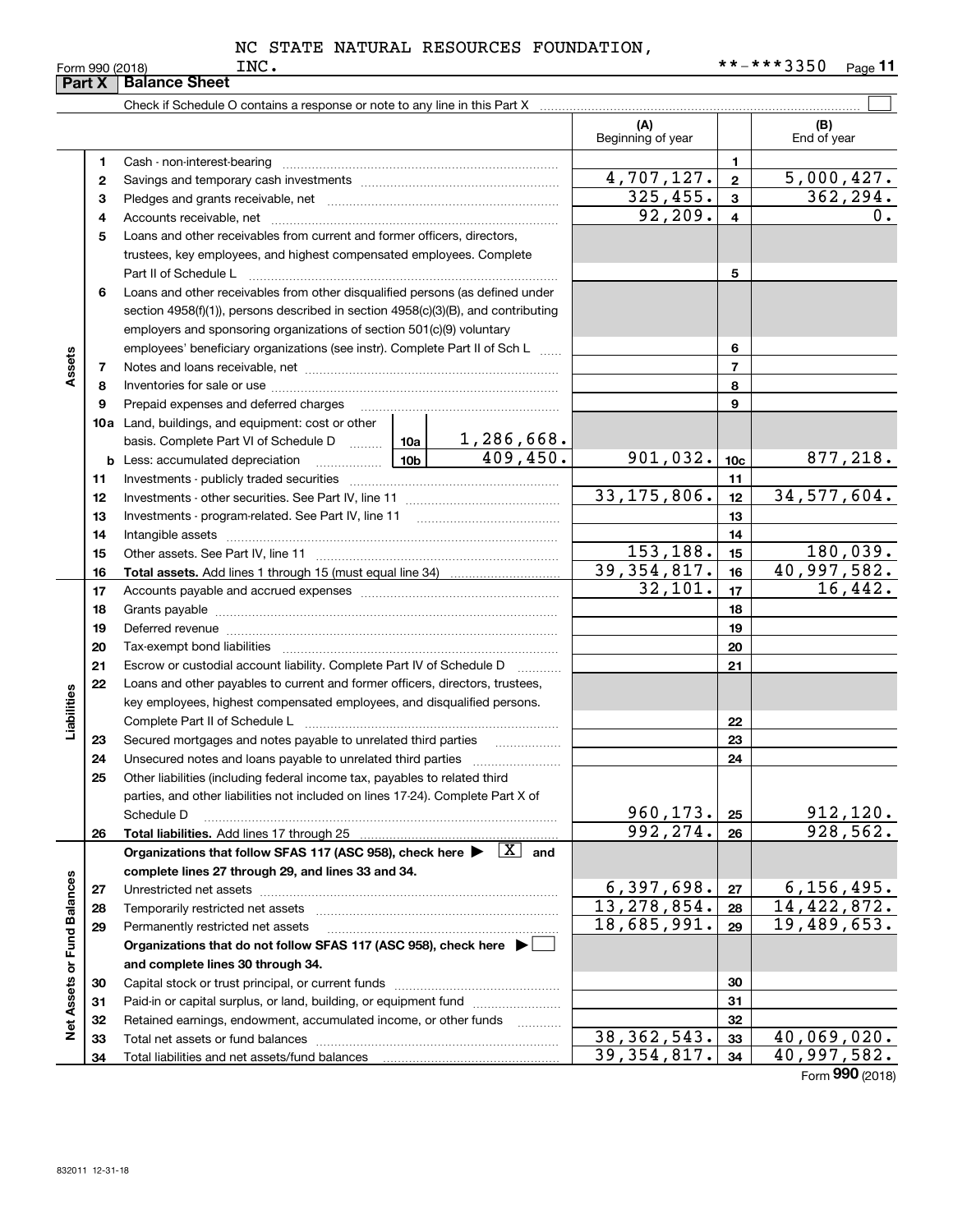|                             | Part X   | <b>Balance Sheet</b>                                                                                                                                                                                                           |          |                 |                             |                         |                               |
|-----------------------------|----------|--------------------------------------------------------------------------------------------------------------------------------------------------------------------------------------------------------------------------------|----------|-----------------|-----------------------------|-------------------------|-------------------------------|
|                             |          |                                                                                                                                                                                                                                |          |                 |                             |                         |                               |
|                             |          |                                                                                                                                                                                                                                |          |                 | (A)<br>Beginning of year    |                         | (B)<br>End of year            |
|                             | 1        |                                                                                                                                                                                                                                |          |                 |                             | 1                       |                               |
|                             | 2        |                                                                                                                                                                                                                                |          |                 | 4,707,127.                  | $\overline{\mathbf{2}}$ | 5,000,427.                    |
|                             | з        |                                                                                                                                                                                                                                |          |                 | 325, 455.                   | $\mathbf{3}$            | 362, 294.                     |
|                             | 4        |                                                                                                                                                                                                                                |          |                 | 92, 209.                    | $\overline{4}$          | 0.                            |
|                             | 5        | Loans and other receivables from current and former officers, directors,                                                                                                                                                       |          |                 |                             |                         |                               |
|                             |          | trustees, key employees, and highest compensated employees. Complete                                                                                                                                                           |          |                 |                             |                         |                               |
|                             |          |                                                                                                                                                                                                                                |          |                 |                             | 5                       |                               |
|                             | 6        | Loans and other receivables from other disqualified persons (as defined under                                                                                                                                                  |          |                 |                             |                         |                               |
|                             |          | section 4958(f)(1)), persons described in section 4958(c)(3)(B), and contributing                                                                                                                                              |          |                 |                             |                         |                               |
|                             |          | employers and sponsoring organizations of section 501(c)(9) voluntary                                                                                                                                                          |          |                 |                             |                         |                               |
|                             |          | employees' beneficiary organizations (see instr). Complete Part II of Sch L                                                                                                                                                    |          |                 |                             | 6                       |                               |
| Assets                      | 7        |                                                                                                                                                                                                                                |          |                 |                             | $\overline{7}$          |                               |
|                             | 8        |                                                                                                                                                                                                                                |          |                 |                             | 8                       |                               |
|                             | 9        | Prepaid expenses and deferred charges                                                                                                                                                                                          |          |                 |                             | 9                       |                               |
|                             |          | <b>10a</b> Land, buildings, and equipment: cost or other                                                                                                                                                                       |          |                 |                             |                         |                               |
|                             |          |                                                                                                                                                                                                                                |          |                 |                             |                         |                               |
|                             | b        | Less: accumulated depreciation<br>. 1                                                                                                                                                                                          | 901,032. | 10 <sub>c</sub> | 877,218.                    |                         |                               |
|                             | 11       |                                                                                                                                                                                                                                |          |                 |                             | 11                      |                               |
|                             | 12       |                                                                                                                                                                                                                                |          |                 | 33, 175, 806.               | 12                      | 34, 577, 604.                 |
|                             | 13       |                                                                                                                                                                                                                                |          | 13              |                             |                         |                               |
|                             | 14       |                                                                                                                                                                                                                                |          |                 |                             | 14                      |                               |
|                             | 15       |                                                                                                                                                                                                                                | 153,188. | 15              | 180,039.                    |                         |                               |
|                             | 16       |                                                                                                                                                                                                                                |          |                 | 39, 354, 817.               | 16                      | 40,997,582.                   |
|                             | 17       |                                                                                                                                                                                                                                | 32,101.  | 17              | 16,442.                     |                         |                               |
|                             | 18       |                                                                                                                                                                                                                                |          |                 |                             | 18                      |                               |
|                             | 19       | Deferred revenue manual contracts and contracts are contracted and contract and contract are contracted and contract are contracted and contract are contracted and contract are contracted and contract are contracted and co |          |                 |                             | 19                      |                               |
|                             | 20       |                                                                                                                                                                                                                                |          |                 |                             | 20                      |                               |
|                             | 21       | Escrow or custodial account liability. Complete Part IV of Schedule D                                                                                                                                                          |          | $\cdots$        |                             | 21                      |                               |
|                             | 22       | Loans and other payables to current and former officers, directors, trustees,                                                                                                                                                  |          |                 |                             |                         |                               |
|                             |          | key employees, highest compensated employees, and disqualified persons.                                                                                                                                                        |          |                 |                             |                         |                               |
| Liabilities                 |          |                                                                                                                                                                                                                                |          |                 |                             | 22                      |                               |
|                             | 23       | Secured mortgages and notes payable to unrelated third parties                                                                                                                                                                 |          | .               |                             | 23                      |                               |
|                             | 24       |                                                                                                                                                                                                                                |          |                 |                             | 24                      |                               |
|                             | 25       | Other liabilities (including federal income tax, payables to related third                                                                                                                                                     |          |                 |                             |                         |                               |
|                             |          | parties, and other liabilities not included on lines 17-24). Complete Part X of                                                                                                                                                |          |                 |                             |                         |                               |
|                             |          | Schedule D                                                                                                                                                                                                                     |          |                 | 960, 173.                   | 25                      | 912, 120.<br>928, 562.        |
|                             | 26       | Total liabilities. Add lines 17 through 25                                                                                                                                                                                     |          |                 | 992, 274.                   | 26                      |                               |
|                             |          | Organizations that follow SFAS 117 (ASC 958), check here $\blacktriangleright \begin{array}{ c } \hline X & \text{and} \end{array}$                                                                                            |          |                 |                             |                         |                               |
|                             |          | complete lines 27 through 29, and lines 33 and 34.                                                                                                                                                                             |          |                 |                             |                         |                               |
|                             | 27       |                                                                                                                                                                                                                                |          |                 | 6,397,698.<br>13, 278, 854. | 27                      | 6, 156, 495.<br>14, 422, 872. |
|                             | 28       | Temporarily restricted net assets                                                                                                                                                                                              |          |                 | 18,685,991.                 | 28                      | 19,489,653.                   |
|                             | 29       | Permanently restricted net assets                                                                                                                                                                                              |          |                 |                             | 29                      |                               |
|                             |          | Organizations that do not follow SFAS 117 (ASC 958), check here $\blacktriangleright$                                                                                                                                          |          |                 |                             |                         |                               |
| Net Assets or Fund Balances |          | and complete lines 30 through 34.                                                                                                                                                                                              |          |                 |                             |                         |                               |
|                             | 30       | Paid-in or capital surplus, or land, building, or equipment fund                                                                                                                                                               |          |                 |                             | 30                      |                               |
|                             | 31<br>32 |                                                                                                                                                                                                                                |          |                 |                             | 31<br>32                |                               |
|                             | 33       | Retained earnings, endowment, accumulated income, or other funds<br>Total net assets or fund balances                                                                                                                          |          | .               | 38, 362, 543.               | 33                      | 40,069,020.                   |
|                             | 34       |                                                                                                                                                                                                                                |          |                 | 39, 354, 817.               | 34                      | 40,997,582.                   |
|                             |          |                                                                                                                                                                                                                                |          |                 |                             |                         |                               |

Form (2018) **990**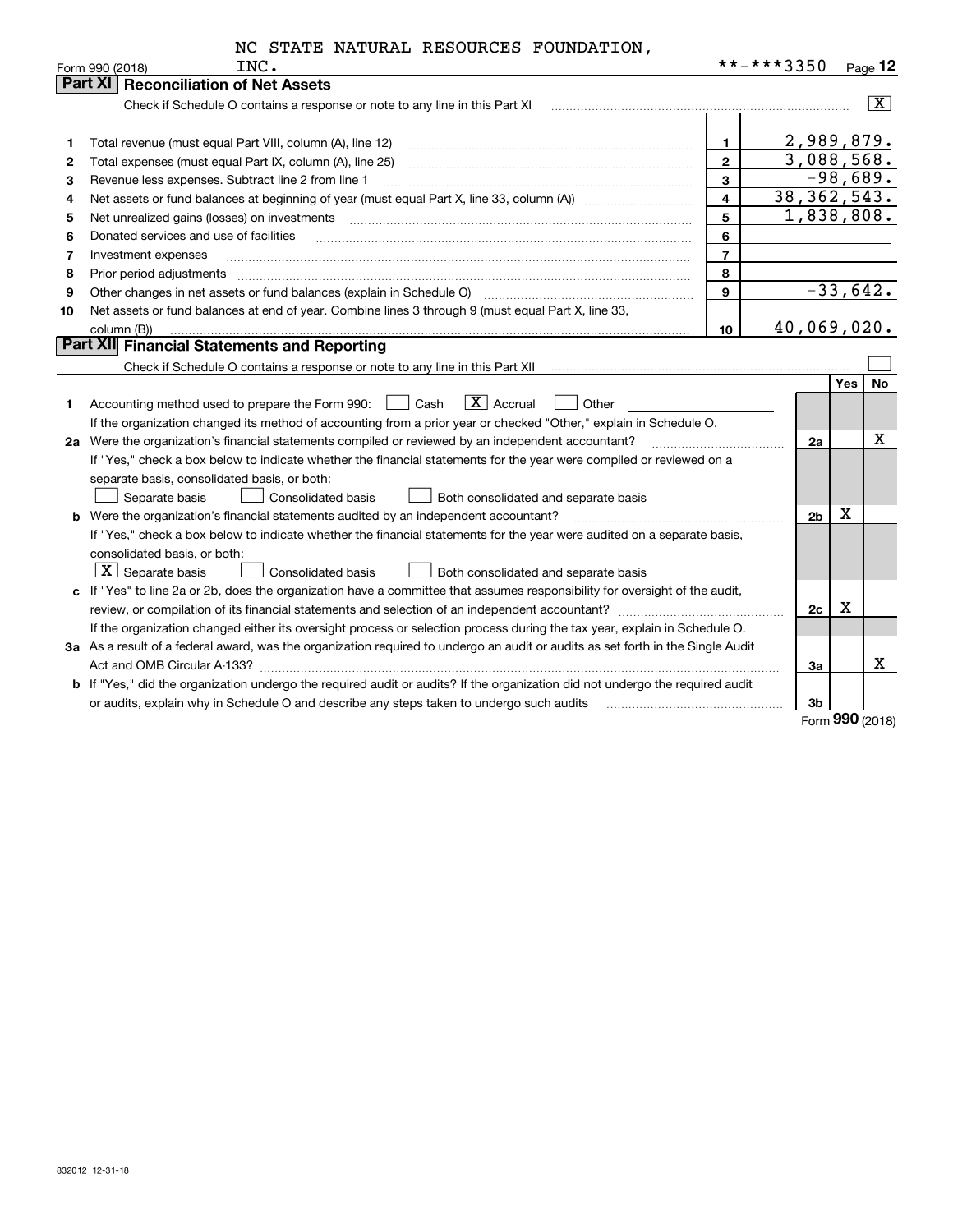|  |  | NC STATE NATURAL RESOURCES FOUNDATION, |
|--|--|----------------------------------------|
|  |  |                                        |

|    | INC.<br>Form 990 (2018)                                                                                                                                                                 |                         | **-***3350     | Page $12$               |
|----|-----------------------------------------------------------------------------------------------------------------------------------------------------------------------------------------|-------------------------|----------------|-------------------------|
|    | <b>Part XI   Reconciliation of Net Assets</b>                                                                                                                                           |                         |                |                         |
|    | Check if Schedule O contains a response or note to any line in this Part XI [11] [12] Check if Schedule O contains a response or note to any line in this Part XI                       |                         |                | $\overline{\mathbf{x}}$ |
|    |                                                                                                                                                                                         |                         |                |                         |
| 1  |                                                                                                                                                                                         | $\mathbf 1$             |                | 2,989,879.              |
| 2  | Total expenses (must equal Part IX, column (A), line 25)                                                                                                                                | $\overline{2}$          |                | 3,088,568.              |
| з  | Revenue less expenses. Subtract line 2 from line 1                                                                                                                                      | 3                       |                | $-98,689.$              |
| 4  | Net assets or fund balances at beginning of year (must equal Part X, line 33, column (A)) <i>massets</i> or fund balances at beginning of year (must equal Part X, line 33, column (A)) | $\overline{\mathbf{4}}$ | 38, 362, 543.  |                         |
| 5  | Net unrealized gains (losses) on investments                                                                                                                                            | 5                       |                | 1,838,808.              |
| 6  | Donated services and use of facilities                                                                                                                                                  | 6                       |                |                         |
| 7  | Investment expenses                                                                                                                                                                     | $\overline{7}$          |                |                         |
| 8  | Prior period adjustments                                                                                                                                                                | 8                       |                |                         |
| 9  | Other changes in net assets or fund balances (explain in Schedule O)                                                                                                                    | 9                       |                | $-33,642.$              |
| 10 | Net assets or fund balances at end of year. Combine lines 3 through 9 (must equal Part X, line 33,                                                                                      |                         |                |                         |
|    | column (B))                                                                                                                                                                             | 10                      | 40,069,020.    |                         |
|    | Part XII Financial Statements and Reporting                                                                                                                                             |                         |                |                         |
|    |                                                                                                                                                                                         |                         |                |                         |
|    |                                                                                                                                                                                         |                         |                | <b>No</b><br><b>Yes</b> |
| 1  | $\boxed{\mathbf{X}}$ Accrual<br>Accounting method used to prepare the Form 990: <u>[</u> Cash<br>Other                                                                                  |                         |                |                         |
|    | If the organization changed its method of accounting from a prior year or checked "Other," explain in Schedule O.                                                                       |                         |                |                         |
|    | 2a Were the organization's financial statements compiled or reviewed by an independent accountant?                                                                                      |                         | 2a             | x                       |
|    | If "Yes," check a box below to indicate whether the financial statements for the year were compiled or reviewed on a                                                                    |                         |                |                         |
|    | separate basis, consolidated basis, or both:                                                                                                                                            |                         |                |                         |
|    | Separate basis<br><b>Consolidated basis</b><br>Both consolidated and separate basis                                                                                                     |                         |                |                         |
|    | <b>b</b> Were the organization's financial statements audited by an independent accountant?                                                                                             |                         | 2 <sub>b</sub> | X                       |
|    | If "Yes," check a box below to indicate whether the financial statements for the year were audited on a separate basis,                                                                 |                         |                |                         |
|    | consolidated basis, or both:                                                                                                                                                            |                         |                |                         |
|    | $\lfloor x \rfloor$ Separate basis<br><b>Consolidated basis</b><br>Both consolidated and separate basis                                                                                 |                         |                |                         |
|    | c If "Yes" to line 2a or 2b, does the organization have a committee that assumes responsibility for oversight of the audit,                                                             |                         |                |                         |
|    |                                                                                                                                                                                         |                         | 2c             | Χ                       |
|    | If the organization changed either its oversight process or selection process during the tax year, explain in Schedule O.                                                               |                         |                |                         |
|    | 3a As a result of a federal award, was the organization required to undergo an audit or audits as set forth in the Single Audit                                                         |                         |                |                         |
|    |                                                                                                                                                                                         |                         | За             | x                       |
|    | b If "Yes," did the organization undergo the required audit or audits? If the organization did not undergo the required audit                                                           |                         |                |                         |
|    | or audits, explain why in Schedule O and describe any steps taken to undergo such audits                                                                                                |                         | 3b             |                         |

Form (2018) **990**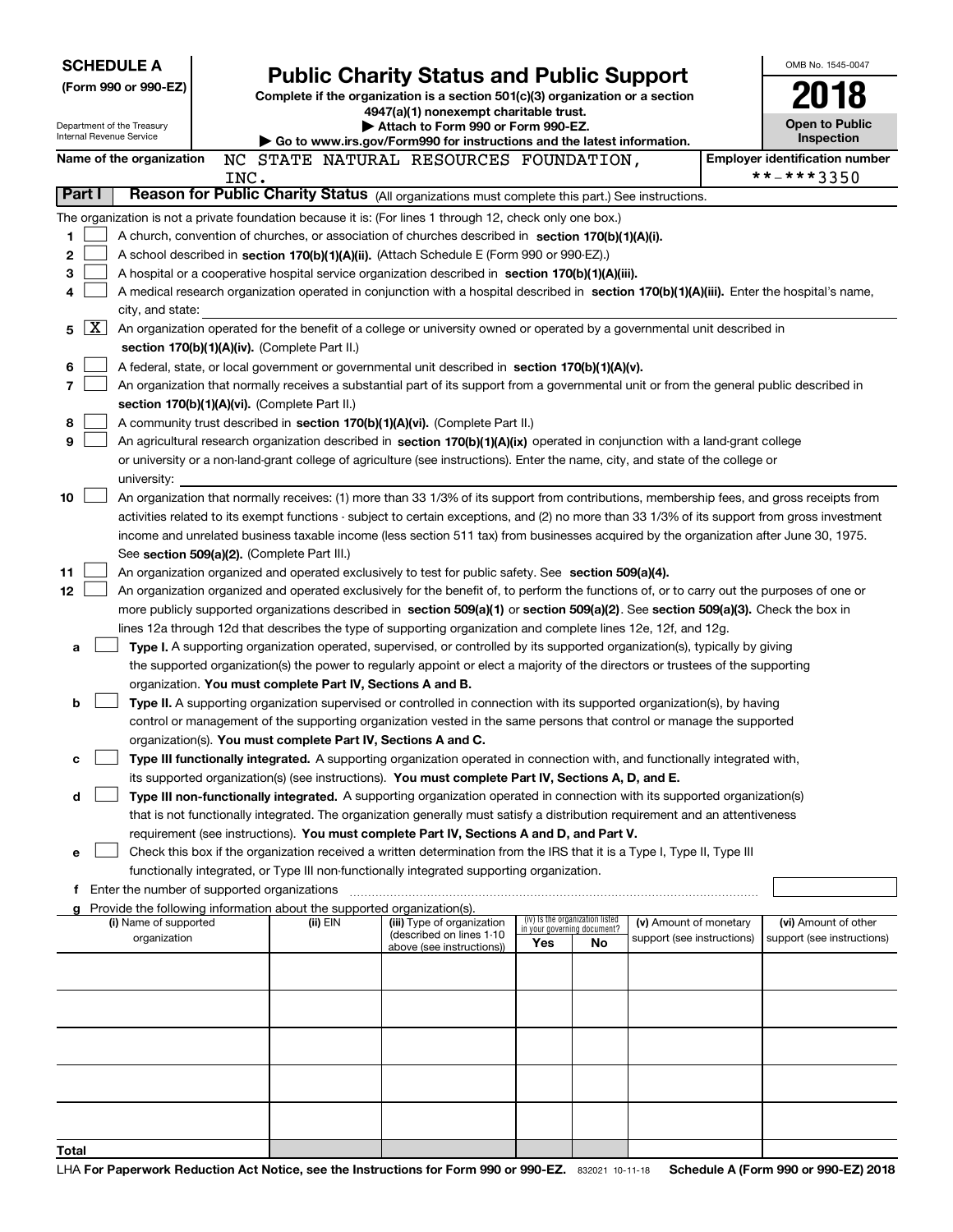| <b>SCHEDULE A</b><br>(Form 990 or 990-EZ)<br>Department of the Treasury<br>Internal Revenue Service |                                                                          | <b>Public Charity Status and Public Support</b><br>Complete if the organization is a section $501(c)(3)$ organization or a section<br>4947(a)(1) nonexempt charitable trust.<br>Attach to Form 990 or Form 990-EZ.<br>▶ Go to www.irs.gov/Form990 for instructions and the latest information. |                                                                                                                                                                                                                                                                                                                                                                                                                                                                                                                                                                                                                                                     |                                                                       |    |                                                      |  | OMB No. 1545-0047<br>Open to Public<br>Inspection  |
|-----------------------------------------------------------------------------------------------------|--------------------------------------------------------------------------|------------------------------------------------------------------------------------------------------------------------------------------------------------------------------------------------------------------------------------------------------------------------------------------------|-----------------------------------------------------------------------------------------------------------------------------------------------------------------------------------------------------------------------------------------------------------------------------------------------------------------------------------------------------------------------------------------------------------------------------------------------------------------------------------------------------------------------------------------------------------------------------------------------------------------------------------------------------|-----------------------------------------------------------------------|----|------------------------------------------------------|--|----------------------------------------------------|
|                                                                                                     | Name of the organization                                                 |                                                                                                                                                                                                                                                                                                | NC STATE NATURAL RESOURCES FOUNDATION,                                                                                                                                                                                                                                                                                                                                                                                                                                                                                                                                                                                                              |                                                                       |    |                                                      |  | <b>Employer identification number</b>              |
| Part I                                                                                              | INC.                                                                     |                                                                                                                                                                                                                                                                                                | Reason for Public Charity Status (All organizations must complete this part.) See instructions.                                                                                                                                                                                                                                                                                                                                                                                                                                                                                                                                                     |                                                                       |    |                                                      |  | **-***3350                                         |
|                                                                                                     |                                                                          |                                                                                                                                                                                                                                                                                                |                                                                                                                                                                                                                                                                                                                                                                                                                                                                                                                                                                                                                                                     |                                                                       |    |                                                      |  |                                                    |
| 1<br>2<br>3<br>4                                                                                    |                                                                          |                                                                                                                                                                                                                                                                                                | The organization is not a private foundation because it is: (For lines 1 through 12, check only one box.)<br>A church, convention of churches, or association of churches described in section 170(b)(1)(A)(i).<br>A school described in section 170(b)(1)(A)(ii). (Attach Schedule E (Form 990 or 990-EZ).)<br>A hospital or a cooperative hospital service organization described in section 170(b)(1)(A)(iii).<br>A medical research organization operated in conjunction with a hospital described in section 170(b)(1)(A)(iii). Enter the hospital's name,                                                                                     |                                                                       |    |                                                      |  |                                                    |
| $X \mid$<br>5<br>6                                                                                  | city, and state:<br>section 170(b)(1)(A)(iv). (Complete Part II.)        |                                                                                                                                                                                                                                                                                                | An organization operated for the benefit of a college or university owned or operated by a governmental unit described in<br>A federal, state, or local government or governmental unit described in section 170(b)(1)(A)(v).                                                                                                                                                                                                                                                                                                                                                                                                                       |                                                                       |    |                                                      |  |                                                    |
| 7<br>8<br>9                                                                                         | section 170(b)(1)(A)(vi). (Complete Part II.)                            |                                                                                                                                                                                                                                                                                                | An organization that normally receives a substantial part of its support from a governmental unit or from the general public described in<br>A community trust described in section 170(b)(1)(A)(vi). (Complete Part II.)<br>An agricultural research organization described in section 170(b)(1)(A)(ix) operated in conjunction with a land-grant college<br>or university or a non-land-grant college of agriculture (see instructions). Enter the name, city, and state of the college or                                                                                                                                                        |                                                                       |    |                                                      |  |                                                    |
| 10                                                                                                  | university:                                                              |                                                                                                                                                                                                                                                                                                | An organization that normally receives: (1) more than 33 1/3% of its support from contributions, membership fees, and gross receipts from<br>activities related to its exempt functions - subject to certain exceptions, and (2) no more than 33 1/3% of its support from gross investment                                                                                                                                                                                                                                                                                                                                                          |                                                                       |    |                                                      |  |                                                    |
| 11<br>12                                                                                            | See section 509(a)(2). (Complete Part III.)                              |                                                                                                                                                                                                                                                                                                | income and unrelated business taxable income (less section 511 tax) from businesses acquired by the organization after June 30, 1975.<br>An organization organized and operated exclusively to test for public safety. See section 509(a)(4).<br>An organization organized and operated exclusively for the benefit of, to perform the functions of, or to carry out the purposes of one or<br>more publicly supported organizations described in section 509(a)(1) or section 509(a)(2). See section 509(a)(3). Check the box in<br>lines 12a through 12d that describes the type of supporting organization and complete lines 12e, 12f, and 12g. |                                                                       |    |                                                      |  |                                                    |
| a<br>b                                                                                              | organization. You must complete Part IV, Sections A and B.               |                                                                                                                                                                                                                                                                                                | Type I. A supporting organization operated, supervised, or controlled by its supported organization(s), typically by giving<br>the supported organization(s) the power to regularly appoint or elect a majority of the directors or trustees of the supporting<br>Type II. A supporting organization supervised or controlled in connection with its supported organization(s), by having<br>control or management of the supporting organization vested in the same persons that control or manage the supported                                                                                                                                   |                                                                       |    |                                                      |  |                                                    |
| c                                                                                                   | organization(s). You must complete Part IV, Sections A and C.            |                                                                                                                                                                                                                                                                                                | Type III functionally integrated. A supporting organization operated in connection with, and functionally integrated with,<br>its supported organization(s) (see instructions). You must complete Part IV, Sections A, D, and E.                                                                                                                                                                                                                                                                                                                                                                                                                    |                                                                       |    |                                                      |  |                                                    |
| d                                                                                                   |                                                                          |                                                                                                                                                                                                                                                                                                | Type III non-functionally integrated. A supporting organization operated in connection with its supported organization(s)<br>that is not functionally integrated. The organization generally must satisfy a distribution requirement and an attentiveness<br>requirement (see instructions). You must complete Part IV, Sections A and D, and Part V.                                                                                                                                                                                                                                                                                               |                                                                       |    |                                                      |  |                                                    |
| е                                                                                                   | Enter the number of supported organizations                              |                                                                                                                                                                                                                                                                                                | Check this box if the organization received a written determination from the IRS that it is a Type I, Type II, Type III<br>functionally integrated, or Type III non-functionally integrated supporting organization.                                                                                                                                                                                                                                                                                                                                                                                                                                |                                                                       |    |                                                      |  |                                                    |
|                                                                                                     | g Provide the following information about the supported organization(s). |                                                                                                                                                                                                                                                                                                |                                                                                                                                                                                                                                                                                                                                                                                                                                                                                                                                                                                                                                                     |                                                                       |    |                                                      |  |                                                    |
|                                                                                                     | (i) Name of supported<br>organization                                    | (ii) EIN                                                                                                                                                                                                                                                                                       | (iii) Type of organization<br>(described on lines 1-10                                                                                                                                                                                                                                                                                                                                                                                                                                                                                                                                                                                              | (iv) Is the organization listed<br>in your governing document?<br>Yes | No | (v) Amount of monetary<br>support (see instructions) |  | (vi) Amount of other<br>support (see instructions) |
|                                                                                                     |                                                                          |                                                                                                                                                                                                                                                                                                | above (see instructions))                                                                                                                                                                                                                                                                                                                                                                                                                                                                                                                                                                                                                           |                                                                       |    |                                                      |  |                                                    |
|                                                                                                     |                                                                          |                                                                                                                                                                                                                                                                                                |                                                                                                                                                                                                                                                                                                                                                                                                                                                                                                                                                                                                                                                     |                                                                       |    |                                                      |  |                                                    |
|                                                                                                     |                                                                          |                                                                                                                                                                                                                                                                                                |                                                                                                                                                                                                                                                                                                                                                                                                                                                                                                                                                                                                                                                     |                                                                       |    |                                                      |  |                                                    |
|                                                                                                     |                                                                          |                                                                                                                                                                                                                                                                                                |                                                                                                                                                                                                                                                                                                                                                                                                                                                                                                                                                                                                                                                     |                                                                       |    |                                                      |  |                                                    |
| Total                                                                                               |                                                                          |                                                                                                                                                                                                                                                                                                |                                                                                                                                                                                                                                                                                                                                                                                                                                                                                                                                                                                                                                                     |                                                                       |    |                                                      |  |                                                    |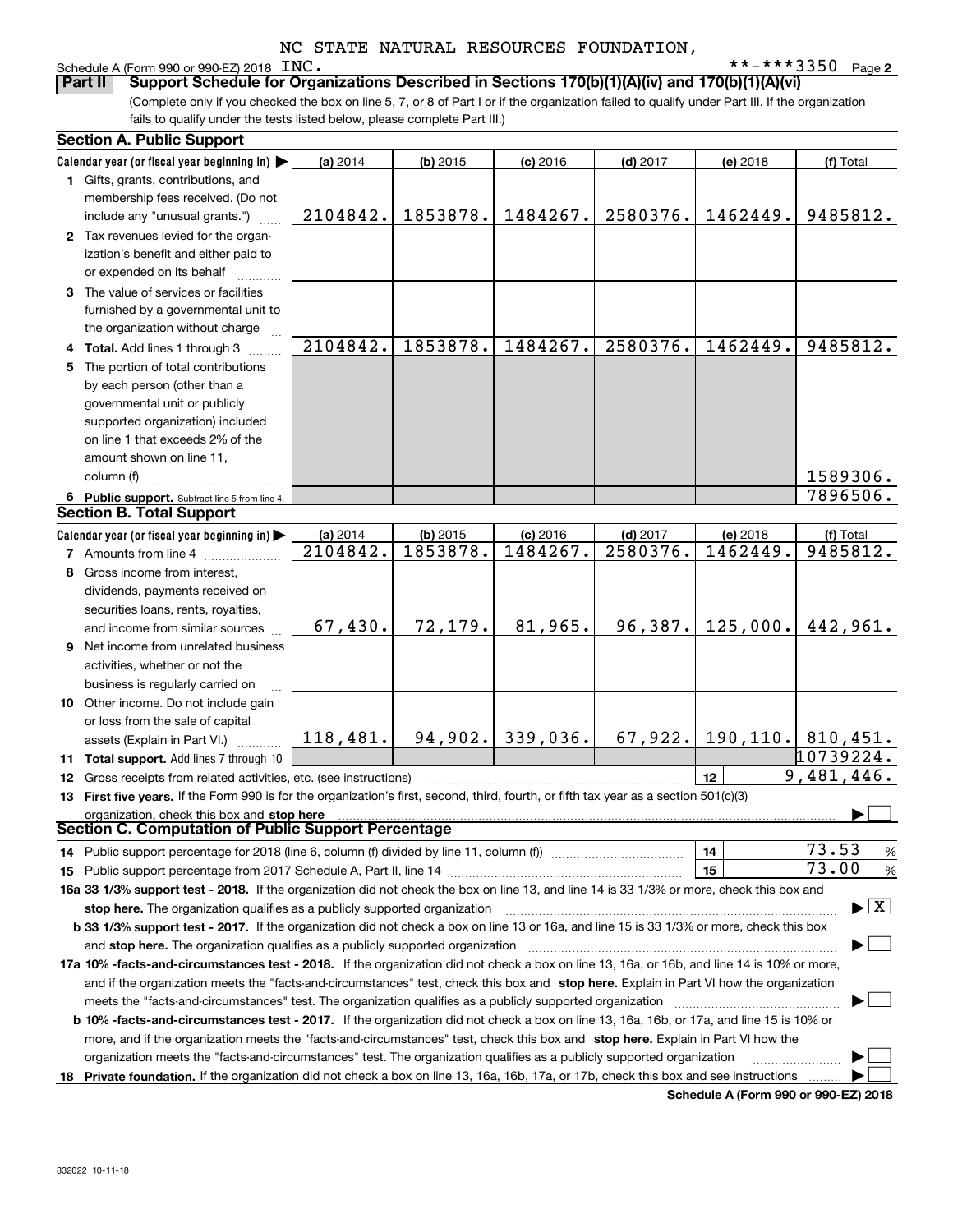### Schedule A (Form 990 or 990-EZ) 2018 INC.

**2** INC. \*\*-\*\*\*3350

(Complete only if you checked the box on line 5, 7, or 8 of Part I or if the organization failed to qualify under Part III. If the organization fails to qualify under the tests listed below, please complete Part III.) **Part II Support Schedule for Organizations Described in Sections 170(b)(1)(A)(iv) and 170(b)(1)(A)(vi)**

| <b>Section A. Public Support</b>                                                                                                               |          |            |                    |            |          |                                          |
|------------------------------------------------------------------------------------------------------------------------------------------------|----------|------------|--------------------|------------|----------|------------------------------------------|
| Calendar year (or fiscal year beginning in)                                                                                                    | (a) 2014 | $(b)$ 2015 | $(c)$ 2016         | $(d)$ 2017 | (e) 2018 | (f) Total                                |
| 1 Gifts, grants, contributions, and                                                                                                            |          |            |                    |            |          |                                          |
| membership fees received. (Do not                                                                                                              |          |            |                    |            |          |                                          |
| include any "unusual grants.")                                                                                                                 | 2104842. | 1853878.   | 1484267.           | 2580376.   | 1462449. | 9485812.                                 |
| 2 Tax revenues levied for the organ-                                                                                                           |          |            |                    |            |          |                                          |
| ization's benefit and either paid to                                                                                                           |          |            |                    |            |          |                                          |
| or expended on its behalf                                                                                                                      |          |            |                    |            |          |                                          |
| 3 The value of services or facilities                                                                                                          |          |            |                    |            |          |                                          |
| furnished by a governmental unit to                                                                                                            |          |            |                    |            |          |                                          |
| the organization without charge                                                                                                                |          |            |                    |            |          |                                          |
| 4 Total. Add lines 1 through 3                                                                                                                 | 2104842. | 1853878.   | 1484267.           | 2580376.   | 1462449. | 9485812.                                 |
| 5 The portion of total contributions                                                                                                           |          |            |                    |            |          |                                          |
| by each person (other than a                                                                                                                   |          |            |                    |            |          |                                          |
| governmental unit or publicly                                                                                                                  |          |            |                    |            |          |                                          |
| supported organization) included                                                                                                               |          |            |                    |            |          |                                          |
| on line 1 that exceeds 2% of the                                                                                                               |          |            |                    |            |          |                                          |
| amount shown on line 11,                                                                                                                       |          |            |                    |            |          |                                          |
| column (f)                                                                                                                                     |          |            |                    |            |          | 1589306.                                 |
| 6 Public support. Subtract line 5 from line 4.                                                                                                 |          |            |                    |            |          | 7896506.                                 |
| <b>Section B. Total Support</b>                                                                                                                |          |            |                    |            |          |                                          |
| Calendar year (or fiscal year beginning in)                                                                                                    | (a) 2014 | $(b)$ 2015 | $(c)$ 2016         | $(d)$ 2017 | (e) 2018 | (f) Total                                |
| <b>7</b> Amounts from line 4                                                                                                                   | 2104842. | 1853878.   | 1484267.           | 2580376.   | 1462449. | 9485812.                                 |
| 8 Gross income from interest,                                                                                                                  |          |            |                    |            |          |                                          |
| dividends, payments received on                                                                                                                |          |            |                    |            |          |                                          |
| securities loans, rents, royalties,                                                                                                            |          |            |                    |            |          |                                          |
| and income from similar sources                                                                                                                | 67,430.  | 72, 179.   | 81,965.            | 96,387.    | 125,000. | 442,961.                                 |
| 9 Net income from unrelated business                                                                                                           |          |            |                    |            |          |                                          |
| activities, whether or not the                                                                                                                 |          |            |                    |            |          |                                          |
| business is regularly carried on                                                                                                               |          |            |                    |            |          |                                          |
| 10 Other income. Do not include gain                                                                                                           |          |            |                    |            |          |                                          |
| or loss from the sale of capital                                                                                                               |          |            |                    |            |          |                                          |
|                                                                                                                                                | 118,481. |            | $94,902.$ 339,036. | 67,922.    |          | $190, 110.$ 810, 451.                    |
| assets (Explain in Part VI.)<br>11 Total support. Add lines 7 through 10                                                                       |          |            |                    |            |          | 10739224.                                |
| 12 Gross receipts from related activities, etc. (see instructions)                                                                             |          |            |                    |            | 12       | 9,481,446.                               |
| 13 First five years. If the Form 990 is for the organization's first, second, third, fourth, or fifth tax year as a section 501(c)(3)          |          |            |                    |            |          |                                          |
|                                                                                                                                                |          |            |                    |            |          |                                          |
| organization, check this box and stop here<br>Section C. Computation of Public Support Percentage                                              |          |            |                    |            |          |                                          |
| 14 Public support percentage for 2018 (line 6, column (f) divided by line 11, column (f) <i>manumumumumum</i>                                  |          |            |                    |            | 14       | 73.53<br>%                               |
|                                                                                                                                                |          |            |                    |            | 15       | 73.00<br>%                               |
| 16a 33 1/3% support test - 2018. If the organization did not check the box on line 13, and line 14 is 33 1/3% or more, check this box and      |          |            |                    |            |          |                                          |
|                                                                                                                                                |          |            |                    |            |          | $\blacktriangleright$ $\boxed{\text{X}}$ |
| stop here. The organization qualifies as a publicly supported organization                                                                     |          |            |                    |            |          |                                          |
| b 33 1/3% support test - 2017. If the organization did not check a box on line 13 or 16a, and line 15 is 33 1/3% or more, check this box       |          |            |                    |            |          |                                          |
| and stop here. The organization qualifies as a publicly supported organization                                                                 |          |            |                    |            |          |                                          |
| 17a 10% -facts-and-circumstances test - 2018. If the organization did not check a box on line 13, 16a, or 16b, and line 14 is 10% or more,     |          |            |                    |            |          |                                          |
| and if the organization meets the "facts-and-circumstances" test, check this box and stop here. Explain in Part VI how the organization        |          |            |                    |            |          |                                          |
| meets the "facts-and-circumstances" test. The organization qualifies as a publicly supported organization                                      |          |            |                    |            |          |                                          |
| <b>b 10% -facts-and-circumstances test - 2017.</b> If the organization did not check a box on line 13, 16a, 16b, or 17a, and line 15 is 10% or |          |            |                    |            |          |                                          |
| more, and if the organization meets the "facts-and-circumstances" test, check this box and stop here. Explain in Part VI how the               |          |            |                    |            |          |                                          |
| organization meets the "facts-and-circumstances" test. The organization qualifies as a publicly supported organization                         |          |            |                    |            |          |                                          |
| 18 Private foundation. If the organization did not check a box on line 13, 16a, 16b, 17a, or 17b, check this box and see instructions          |          |            |                    |            |          |                                          |

**Schedule A (Form 990 or 990-EZ) 2018**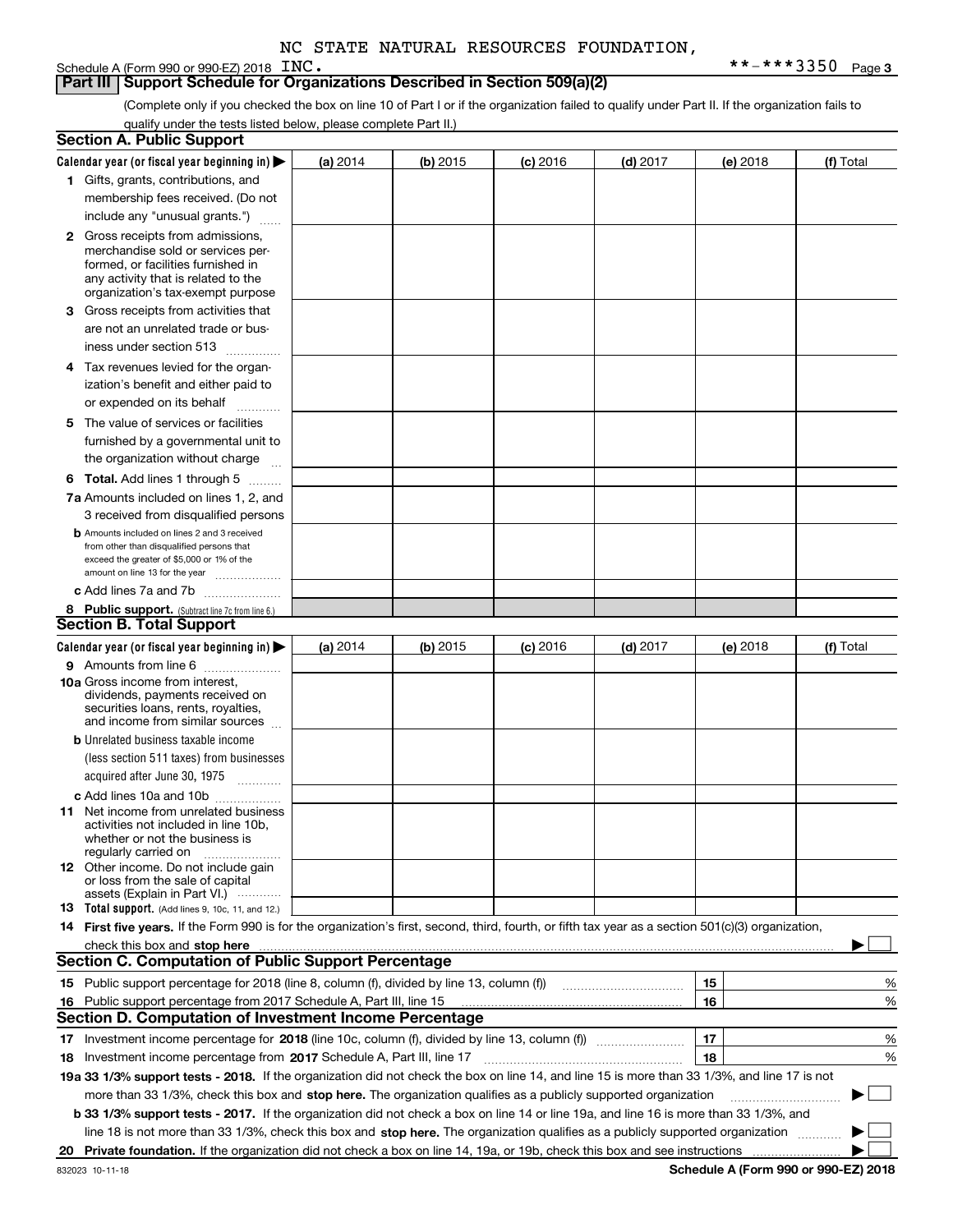Schedule A (Form 990 or 990-EZ) 2018 INC.

|  | Part III   Support Schedule for Organizations Described in Section 509(a)(2) |  |
|--|------------------------------------------------------------------------------|--|
|  |                                                                              |  |

(Complete only if you checked the box on line 10 of Part I or if the organization failed to qualify under Part II. If the organization fails to qualify under the tests listed below, please complete Part II.)

|    | <b>Section A. Public Support</b>                                                                                                                                                                                               |          |          |            |            |          |           |
|----|--------------------------------------------------------------------------------------------------------------------------------------------------------------------------------------------------------------------------------|----------|----------|------------|------------|----------|-----------|
|    | Calendar year (or fiscal year beginning in) $\blacktriangleright$                                                                                                                                                              | (a) 2014 | (b) 2015 | $(c)$ 2016 | $(d)$ 2017 | (e) 2018 | (f) Total |
|    | 1 Gifts, grants, contributions, and                                                                                                                                                                                            |          |          |            |            |          |           |
|    | membership fees received. (Do not                                                                                                                                                                                              |          |          |            |            |          |           |
|    | include any "unusual grants.")                                                                                                                                                                                                 |          |          |            |            |          |           |
|    | <b>2</b> Gross receipts from admissions,                                                                                                                                                                                       |          |          |            |            |          |           |
|    | merchandise sold or services per-                                                                                                                                                                                              |          |          |            |            |          |           |
|    | formed, or facilities furnished in                                                                                                                                                                                             |          |          |            |            |          |           |
|    | any activity that is related to the<br>organization's tax-exempt purpose                                                                                                                                                       |          |          |            |            |          |           |
|    | 3 Gross receipts from activities that                                                                                                                                                                                          |          |          |            |            |          |           |
|    | are not an unrelated trade or bus-                                                                                                                                                                                             |          |          |            |            |          |           |
|    |                                                                                                                                                                                                                                |          |          |            |            |          |           |
|    | iness under section 513                                                                                                                                                                                                        |          |          |            |            |          |           |
|    | 4 Tax revenues levied for the organ-                                                                                                                                                                                           |          |          |            |            |          |           |
|    | ization's benefit and either paid to                                                                                                                                                                                           |          |          |            |            |          |           |
|    | or expended on its behalf<br>.                                                                                                                                                                                                 |          |          |            |            |          |           |
|    | 5 The value of services or facilities                                                                                                                                                                                          |          |          |            |            |          |           |
|    | furnished by a governmental unit to                                                                                                                                                                                            |          |          |            |            |          |           |
|    | the organization without charge                                                                                                                                                                                                |          |          |            |            |          |           |
|    | <b>6 Total.</b> Add lines 1 through 5                                                                                                                                                                                          |          |          |            |            |          |           |
|    | 7a Amounts included on lines 1, 2, and                                                                                                                                                                                         |          |          |            |            |          |           |
|    | 3 received from disqualified persons                                                                                                                                                                                           |          |          |            |            |          |           |
|    | <b>b</b> Amounts included on lines 2 and 3 received                                                                                                                                                                            |          |          |            |            |          |           |
|    | from other than disqualified persons that                                                                                                                                                                                      |          |          |            |            |          |           |
|    | exceed the greater of \$5,000 or 1% of the<br>amount on line 13 for the year                                                                                                                                                   |          |          |            |            |          |           |
|    | c Add lines 7a and 7b                                                                                                                                                                                                          |          |          |            |            |          |           |
|    | 8 Public support. (Subtract line 7c from line 6.)                                                                                                                                                                              |          |          |            |            |          |           |
|    | <b>Section B. Total Support</b>                                                                                                                                                                                                |          |          |            |            |          |           |
|    | Calendar year (or fiscal year beginning in)                                                                                                                                                                                    | (a) 2014 | (b) 2015 | $(c)$ 2016 | $(d)$ 2017 | (e) 2018 | (f) Total |
|    | 9 Amounts from line 6                                                                                                                                                                                                          |          |          |            |            |          |           |
|    | 10a Gross income from interest,                                                                                                                                                                                                |          |          |            |            |          |           |
|    | dividends, payments received on                                                                                                                                                                                                |          |          |            |            |          |           |
|    | securities loans, rents, royalties,<br>and income from similar sources                                                                                                                                                         |          |          |            |            |          |           |
|    |                                                                                                                                                                                                                                |          |          |            |            |          |           |
|    | <b>b</b> Unrelated business taxable income<br>(less section 511 taxes) from businesses                                                                                                                                         |          |          |            |            |          |           |
|    |                                                                                                                                                                                                                                |          |          |            |            |          |           |
|    | acquired after June 30, 1975                                                                                                                                                                                                   |          |          |            |            |          |           |
|    | c Add lines 10a and 10b                                                                                                                                                                                                        |          |          |            |            |          |           |
|    | 11 Net income from unrelated business<br>activities not included in line 10b,                                                                                                                                                  |          |          |            |            |          |           |
|    | whether or not the business is                                                                                                                                                                                                 |          |          |            |            |          |           |
|    | regularly carried on                                                                                                                                                                                                           |          |          |            |            |          |           |
|    | <b>12</b> Other income. Do not include gain<br>or loss from the sale of capital                                                                                                                                                |          |          |            |            |          |           |
|    | assets (Explain in Part VI.)                                                                                                                                                                                                   |          |          |            |            |          |           |
|    | 13 Total support. (Add lines 9, 10c, 11, and 12.)                                                                                                                                                                              |          |          |            |            |          |           |
|    | 14 First five years. If the Form 990 is for the organization's first, second, third, fourth, or fifth tax year as a section 501(c)(3) organization,                                                                            |          |          |            |            |          |           |
|    | check this box and stop here measurements and contain the state of the state of the state of the state of the state of the state of the state of the state of the state of the state of the state of the state of the state of |          |          |            |            |          |           |
|    | <b>Section C. Computation of Public Support Percentage</b>                                                                                                                                                                     |          |          |            |            |          |           |
|    | 15 Public support percentage for 2018 (line 8, column (f), divided by line 13, column (f))                                                                                                                                     |          |          |            |            | 15       | %         |
|    | 16 Public support percentage from 2017 Schedule A, Part III, line 15                                                                                                                                                           |          |          |            |            | 16       | %         |
|    | <b>Section D. Computation of Investment Income Percentage</b>                                                                                                                                                                  |          |          |            |            |          |           |
|    | 17 Investment income percentage for 2018 (line 10c, column (f), divided by line 13, column (f))                                                                                                                                |          |          |            |            | 17       | %         |
|    | 18 Investment income percentage from 2017 Schedule A, Part III, line 17                                                                                                                                                        |          |          |            |            | 18       | %         |
|    | 19a 33 1/3% support tests - 2018. If the organization did not check the box on line 14, and line 15 is more than 33 1/3%, and line 17 is not                                                                                   |          |          |            |            |          |           |
|    | more than 33 1/3%, check this box and stop here. The organization qualifies as a publicly supported organization                                                                                                               |          |          |            |            |          |           |
|    | b 33 1/3% support tests - 2017. If the organization did not check a box on line 14 or line 19a, and line 16 is more than 33 1/3%, and                                                                                          |          |          |            |            |          |           |
|    | line 18 is not more than 33 1/3%, check this box and stop here. The organization qualifies as a publicly supported organization                                                                                                |          |          |            |            |          |           |
|    |                                                                                                                                                                                                                                |          |          |            |            |          |           |
| 20 |                                                                                                                                                                                                                                |          |          |            |            |          |           |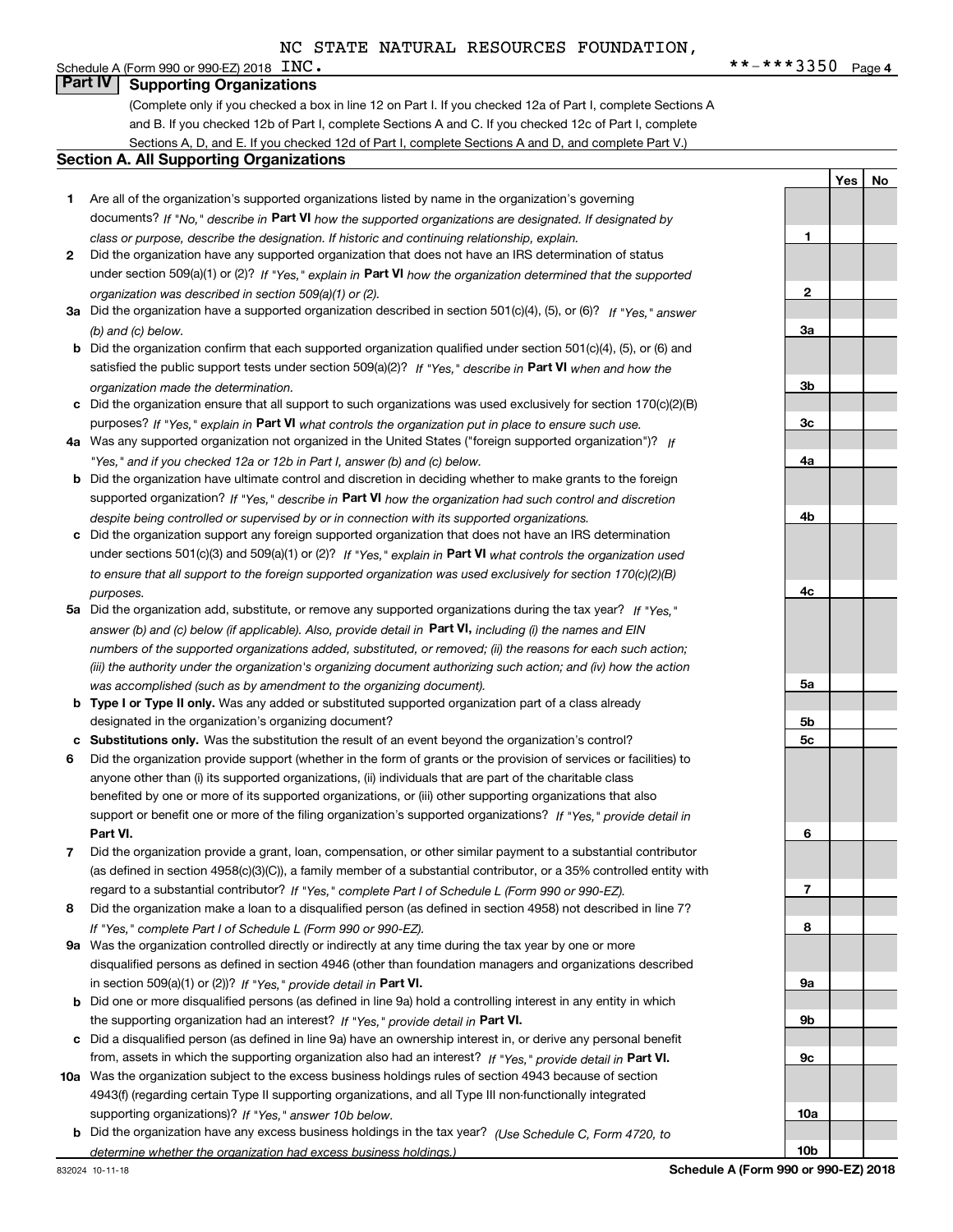### **4**INC. \*\*-\*\*\*3350

**1**

**2**

**3a**

**3b**

**3c**

**4a**

**4b**

**4c**

**5a**

**5b5c**

**6**

**7**

**8**

**9a**

**9b**

**9c**

**10a**

**10b**

**YesNo**

### Schedule A (Form 990 or 990-EZ) 2018  $\text{INC.}$ **Part IV Supporting Organizations**

(Complete only if you checked a box in line 12 on Part I. If you checked 12a of Part I, complete Sections A and B. If you checked 12b of Part I, complete Sections A and C. If you checked 12c of Part I, complete Sections A, D, and E. If you checked 12d of Part I, complete Sections A and D, and complete Part V.)

### **Section A. All Supporting Organizations**

- **1** Are all of the organization's supported organizations listed by name in the organization's governing documents? If "No," describe in **Part VI** how the supported organizations are designated. If designated by *class or purpose, describe the designation. If historic and continuing relationship, explain.*
- **2** Did the organization have any supported organization that does not have an IRS determination of status under section 509(a)(1) or (2)? If "Yes," explain in Part VI how the organization determined that the supported *organization was described in section 509(a)(1) or (2).*
- **3a** Did the organization have a supported organization described in section 501(c)(4), (5), or (6)? If "Yes," answer *(b) and (c) below.*
- **b** Did the organization confirm that each supported organization qualified under section 501(c)(4), (5), or (6) and satisfied the public support tests under section 509(a)(2)? If "Yes," describe in **Part VI** when and how the *organization made the determination.*
- **c**Did the organization ensure that all support to such organizations was used exclusively for section 170(c)(2)(B) purposes? If "Yes," explain in **Part VI** what controls the organization put in place to ensure such use.
- **4a***If* Was any supported organization not organized in the United States ("foreign supported organization")? *"Yes," and if you checked 12a or 12b in Part I, answer (b) and (c) below.*
- **b** Did the organization have ultimate control and discretion in deciding whether to make grants to the foreign supported organization? If "Yes," describe in **Part VI** how the organization had such control and discretion *despite being controlled or supervised by or in connection with its supported organizations.*
- **c** Did the organization support any foreign supported organization that does not have an IRS determination under sections 501(c)(3) and 509(a)(1) or (2)? If "Yes," explain in **Part VI** what controls the organization used *to ensure that all support to the foreign supported organization was used exclusively for section 170(c)(2)(B) purposes.*
- **5a***If "Yes,"* Did the organization add, substitute, or remove any supported organizations during the tax year? answer (b) and (c) below (if applicable). Also, provide detail in **Part VI,** including (i) the names and EIN *numbers of the supported organizations added, substituted, or removed; (ii) the reasons for each such action; (iii) the authority under the organization's organizing document authorizing such action; and (iv) how the action was accomplished (such as by amendment to the organizing document).*
- **b** Type I or Type II only. Was any added or substituted supported organization part of a class already designated in the organization's organizing document?
- **cSubstitutions only.**  Was the substitution the result of an event beyond the organization's control?
- **6** Did the organization provide support (whether in the form of grants or the provision of services or facilities) to **Part VI.** *If "Yes," provide detail in* support or benefit one or more of the filing organization's supported organizations? anyone other than (i) its supported organizations, (ii) individuals that are part of the charitable class benefited by one or more of its supported organizations, or (iii) other supporting organizations that also
- **7**Did the organization provide a grant, loan, compensation, or other similar payment to a substantial contributor *If "Yes," complete Part I of Schedule L (Form 990 or 990-EZ).* regard to a substantial contributor? (as defined in section 4958(c)(3)(C)), a family member of a substantial contributor, or a 35% controlled entity with
- **8** Did the organization make a loan to a disqualified person (as defined in section 4958) not described in line 7? *If "Yes," complete Part I of Schedule L (Form 990 or 990-EZ).*
- **9a** Was the organization controlled directly or indirectly at any time during the tax year by one or more in section 509(a)(1) or (2))? If "Yes," *provide detail in* <code>Part VI.</code> disqualified persons as defined in section 4946 (other than foundation managers and organizations described
- **b** Did one or more disqualified persons (as defined in line 9a) hold a controlling interest in any entity in which the supporting organization had an interest? If "Yes," provide detail in P**art VI**.
- **c**Did a disqualified person (as defined in line 9a) have an ownership interest in, or derive any personal benefit from, assets in which the supporting organization also had an interest? If "Yes," provide detail in P**art VI.**
- **10a** Was the organization subject to the excess business holdings rules of section 4943 because of section supporting organizations)? If "Yes," answer 10b below. 4943(f) (regarding certain Type II supporting organizations, and all Type III non-functionally integrated
- **b** Did the organization have any excess business holdings in the tax year? (Use Schedule C, Form 4720, to *determine whether the organization had excess business holdings.)*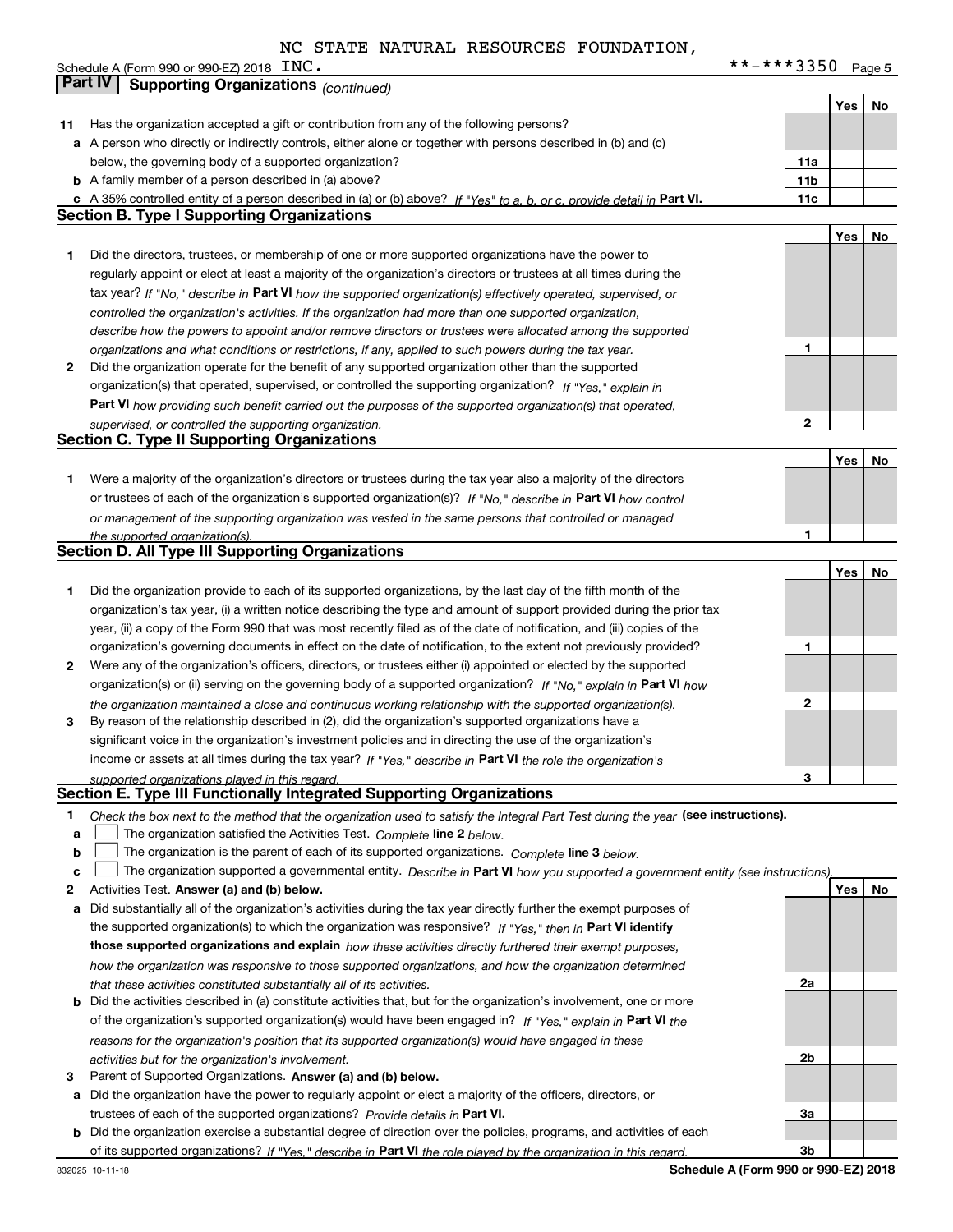|    | Schedule A (Form 990 or 990-EZ) 2018 INC.                                                                                         | **-***3350      |     | Page 5 |
|----|-----------------------------------------------------------------------------------------------------------------------------------|-----------------|-----|--------|
|    | Part IV<br><b>Supporting Organizations (continued)</b>                                                                            |                 |     |        |
|    |                                                                                                                                   |                 | Yes | No     |
| 11 | Has the organization accepted a gift or contribution from any of the following persons?                                           |                 |     |        |
|    | a A person who directly or indirectly controls, either alone or together with persons described in (b) and (c)                    |                 |     |        |
|    | below, the governing body of a supported organization?                                                                            | 11a             |     |        |
|    | <b>b</b> A family member of a person described in (a) above?                                                                      | 11 <sub>b</sub> |     |        |
|    | c A 35% controlled entity of a person described in (a) or (b) above? If "Yes" to a, b, or c, provide detail in Part VI.           | 11c             |     |        |
|    | <b>Section B. Type I Supporting Organizations</b>                                                                                 |                 |     |        |
|    |                                                                                                                                   |                 | Yes | No     |
| 1. | Did the directors, trustees, or membership of one or more supported organizations have the power to                               |                 |     |        |
|    | regularly appoint or elect at least a majority of the organization's directors or trustees at all times during the                |                 |     |        |
|    | tax year? If "No," describe in Part VI how the supported organization(s) effectively operated, supervised, or                     |                 |     |        |
|    | controlled the organization's activities. If the organization had more than one supported organization,                           |                 |     |        |
|    | describe how the powers to appoint and/or remove directors or trustees were allocated among the supported                         |                 |     |        |
|    | organizations and what conditions or restrictions, if any, applied to such powers during the tax year.                            | 1               |     |        |
| 2  | Did the organization operate for the benefit of any supported organization other than the supported                               |                 |     |        |
|    | organization(s) that operated, supervised, or controlled the supporting organization? If "Yes," explain in                        |                 |     |        |
|    | Part VI how providing such benefit carried out the purposes of the supported organization(s) that operated,                       |                 |     |        |
|    | supervised, or controlled the supporting organization.                                                                            | $\mathbf{2}$    |     |        |
|    | <b>Section C. Type II Supporting Organizations</b>                                                                                |                 |     |        |
|    |                                                                                                                                   |                 | Yes | No     |
| 1. | Were a majority of the organization's directors or trustees during the tax year also a majority of the directors                  |                 |     |        |
|    | or trustees of each of the organization's supported organization(s)? If "No," describe in Part VI how control                     |                 |     |        |
|    | or management of the supporting organization was vested in the same persons that controlled or managed                            |                 |     |        |
|    | the supported organization(s).                                                                                                    | 1               |     |        |
|    | <b>Section D. All Type III Supporting Organizations</b>                                                                           |                 |     |        |
|    |                                                                                                                                   |                 | Yes | No     |
| 1  | Did the organization provide to each of its supported organizations, by the last day of the fifth month of the                    |                 |     |        |
|    | organization's tax year, (i) a written notice describing the type and amount of support provided during the prior tax             |                 |     |        |
|    | year, (ii) a copy of the Form 990 that was most recently filed as of the date of notification, and (iii) copies of the            |                 |     |        |
|    | organization's governing documents in effect on the date of notification, to the extent not previously provided?                  | 1               |     |        |
| 2  | Were any of the organization's officers, directors, or trustees either (i) appointed or elected by the supported                  |                 |     |        |
|    | organization(s) or (ii) serving on the governing body of a supported organization? If "No," explain in Part VI how                |                 |     |        |
|    | the organization maintained a close and continuous working relationship with the supported organization(s).                       | 2               |     |        |
| 3  | By reason of the relationship described in (2), did the organization's supported organizations have a                             |                 |     |        |
|    | significant voice in the organization's investment policies and in directing the use of the organization's                        |                 |     |        |
|    | income or assets at all times during the tax year? If "Yes," describe in Part VI the role the organization's                      |                 |     |        |
|    | supported organizations played in this regard.                                                                                    | З               |     |        |
|    | Section E. Type III Functionally Integrated Supporting Organizations                                                              |                 |     |        |
| 1. | Check the box next to the method that the organization used to satisfy the Integral Part Test during the year (see instructions). |                 |     |        |
| a  | The organization satisfied the Activities Test. Complete line 2 below.                                                            |                 |     |        |
| b  | The organization is the parent of each of its supported organizations. Complete line 3 below.                                     |                 |     |        |
| c  | The organization supported a governmental entity. Describe in Part VI how you supported a government entity (see instructions),   |                 |     |        |
| 2  | Activities Test. Answer (a) and (b) below.                                                                                        |                 | Yes | No     |
| a  | Did substantially all of the organization's activities during the tax year directly further the exempt purposes of                |                 |     |        |
|    | the supported organization(s) to which the organization was responsive? If "Yes," then in Part VI identify                        |                 |     |        |
|    | those supported organizations and explain how these activities directly furthered their exempt purposes,                          |                 |     |        |
|    | how the organization was responsive to those supported organizations, and how the organization determined                         |                 |     |        |
|    | that these activities constituted substantially all of its activities.                                                            | 2a              |     |        |
| b  | Did the activities described in (a) constitute activities that, but for the organization's involvement, one or more               |                 |     |        |
|    | of the organization's supported organization(s) would have been engaged in? If "Yes," explain in Part VI the                      |                 |     |        |
|    | reasons for the organization's position that its supported organization(s) would have engaged in these                            |                 |     |        |
|    | activities but for the organization's involvement.                                                                                | 2b              |     |        |
| З  | Parent of Supported Organizations. Answer (a) and (b) below.                                                                      |                 |     |        |
|    | a Did the organization have the power to regularly appoint or elect a majority of the officers, directors, or                     |                 |     |        |
|    | trustees of each of the supported organizations? Provide details in Part VI.                                                      | За              |     |        |
| b  | Did the organization exercise a substantial degree of direction over the policies, programs, and activities of each               | 3b              |     |        |
|    | of its supported organizations? If "Yes," describe in Part VI the role played by the organization in this regard.                 |                 |     |        |

**Schedule A (Form 990 or 990-EZ) 2018**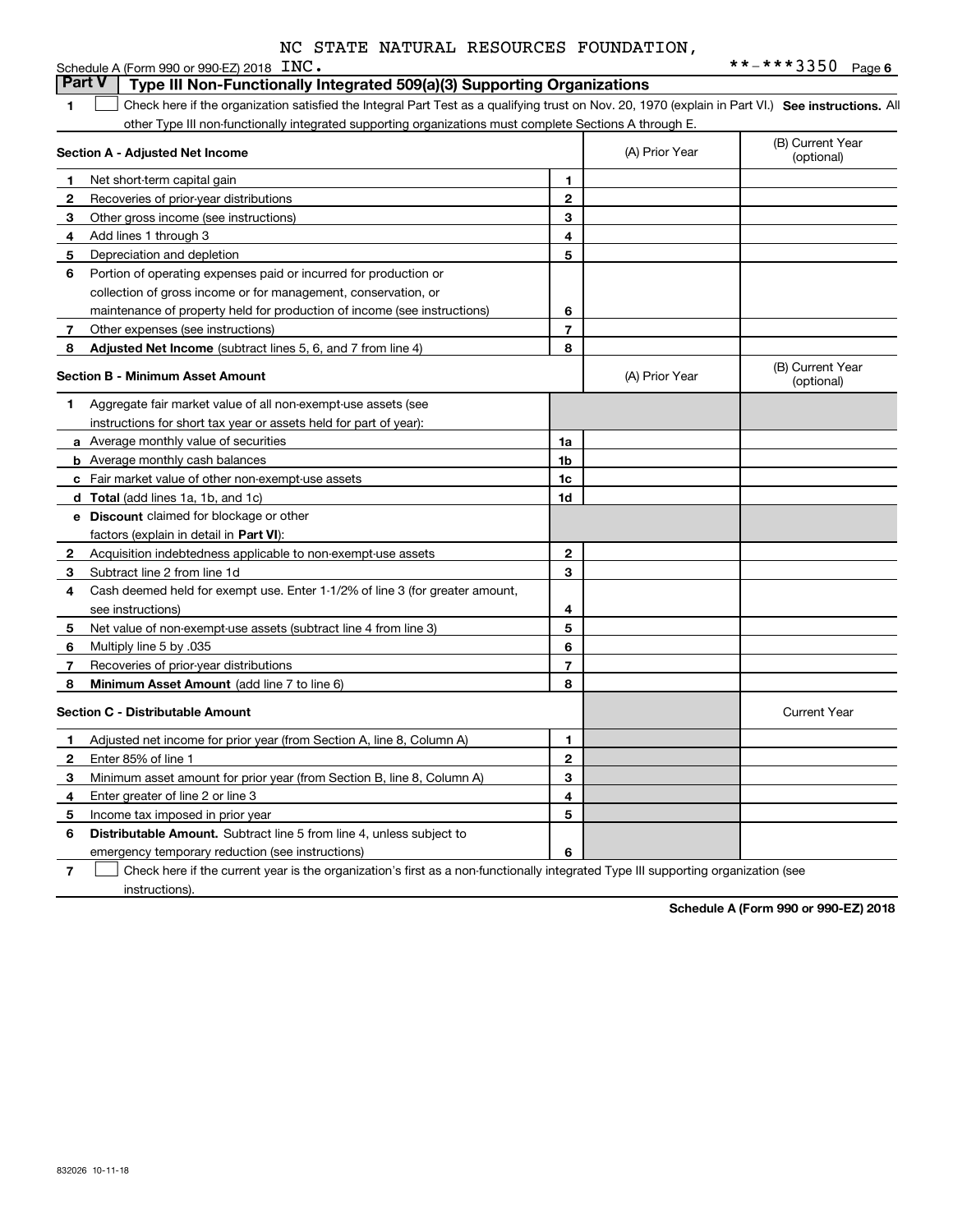|                   |  |  | NC STATE NATURAL RESOURCES FOUNDATION, |              |  |
|-------------------|--|--|----------------------------------------|--------------|--|
| $0.000520040$ TNM |  |  |                                        | **_***??50 p |  |

|              | Schedule A (Form 990 or 990-EZ) 2018 LNC.                                                                                                         |                |                | * * - * * * 3350<br>Page 6     |
|--------------|---------------------------------------------------------------------------------------------------------------------------------------------------|----------------|----------------|--------------------------------|
|              | <b>Part V</b><br>Type III Non-Functionally Integrated 509(a)(3) Supporting Organizations                                                          |                |                |                                |
| 1            | Check here if the organization satisfied the Integral Part Test as a qualifying trust on Nov. 20, 1970 (explain in Part VI.) See instructions. Al |                |                |                                |
|              | other Type III non-functionally integrated supporting organizations must complete Sections A through E.                                           |                |                |                                |
|              | Section A - Adjusted Net Income                                                                                                                   |                | (A) Prior Year | (B) Current Year<br>(optional) |
| 1            | Net short-term capital gain                                                                                                                       | 1              |                |                                |
| 2            | Recoveries of prior-year distributions                                                                                                            | $\mathbf{2}$   |                |                                |
| 3            | Other gross income (see instructions)                                                                                                             | 3              |                |                                |
| 4            | Add lines 1 through 3                                                                                                                             | 4              |                |                                |
| 5            | Depreciation and depletion                                                                                                                        | 5              |                |                                |
| 6            | Portion of operating expenses paid or incurred for production or                                                                                  |                |                |                                |
|              | collection of gross income or for management, conservation, or                                                                                    |                |                |                                |
|              | maintenance of property held for production of income (see instructions)                                                                          | 6              |                |                                |
| 7            | Other expenses (see instructions)                                                                                                                 | $\overline{7}$ |                |                                |
| 8            | Adjusted Net Income (subtract lines 5, 6, and 7 from line 4)                                                                                      | 8              |                |                                |
|              | Section B - Minimum Asset Amount                                                                                                                  |                | (A) Prior Year | (B) Current Year<br>(optional) |
| 1            | Aggregate fair market value of all non-exempt-use assets (see                                                                                     |                |                |                                |
|              | instructions for short tax year or assets held for part of year):                                                                                 |                |                |                                |
|              | <b>a</b> Average monthly value of securities                                                                                                      | 1a             |                |                                |
|              | <b>b</b> Average monthly cash balances                                                                                                            | 1 <sub>b</sub> |                |                                |
|              | <b>c</b> Fair market value of other non-exempt-use assets                                                                                         | 1c             |                |                                |
|              | d Total (add lines 1a, 1b, and 1c)                                                                                                                | 1d             |                |                                |
|              | <b>e</b> Discount claimed for blockage or other                                                                                                   |                |                |                                |
|              | factors (explain in detail in Part VI):                                                                                                           |                |                |                                |
| 2            | Acquisition indebtedness applicable to non-exempt-use assets                                                                                      | $\mathbf{2}$   |                |                                |
| З            | Subtract line 2 from line 1d                                                                                                                      | 3              |                |                                |
| 4            | Cash deemed held for exempt use. Enter 1-1/2% of line 3 (for greater amount,                                                                      |                |                |                                |
|              | see instructions)                                                                                                                                 | 4              |                |                                |
| 5            | Net value of non-exempt-use assets (subtract line 4 from line 3)                                                                                  | 5              |                |                                |
| 6            | Multiply line 5 by .035                                                                                                                           | 6              |                |                                |
| 7            | Recoveries of prior-year distributions                                                                                                            | $\overline{7}$ |                |                                |
| 8            | <b>Minimum Asset Amount</b> (add line 7 to line 6)                                                                                                | 8              |                |                                |
|              | <b>Section C - Distributable Amount</b>                                                                                                           |                |                | <b>Current Year</b>            |
| 1            | Adjusted net income for prior year (from Section A, line 8, Column A)                                                                             | 1              |                |                                |
| $\mathbf{2}$ | Enter 85% of line 1                                                                                                                               | $\mathbf{2}$   |                |                                |
| 3            | Minimum asset amount for prior year (from Section B, line 8, Column A)                                                                            | 3              |                |                                |
| 4            | Enter greater of line 2 or line 3                                                                                                                 | 4              |                |                                |
| 5            | Income tax imposed in prior year                                                                                                                  | 5              |                |                                |
| 6            | <b>Distributable Amount.</b> Subtract line 5 from line 4, unless subject to                                                                       |                |                |                                |
|              | emergency temporary reduction (see instructions)                                                                                                  | 6              |                |                                |

**7** Check here if the current year is the organization's first as a non-functionally integrated Type III supporting organization (see instructions).

**Schedule A (Form 990 or 990-EZ) 2018**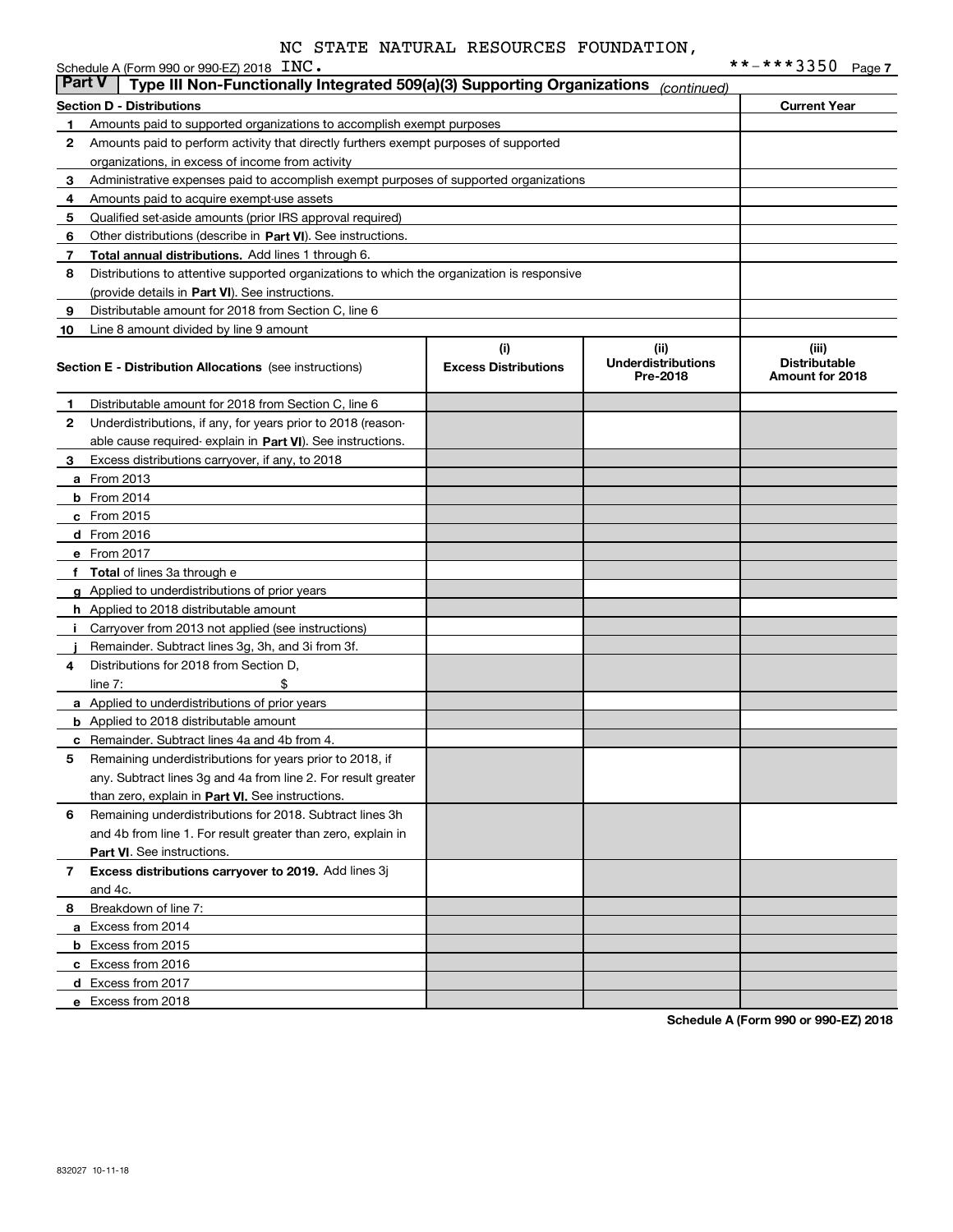|               | Schedule A (Form 990 or 990-EZ) 2018 INC.                                                  |                                    |                                               | **-***3350                                       | Page 7 |
|---------------|--------------------------------------------------------------------------------------------|------------------------------------|-----------------------------------------------|--------------------------------------------------|--------|
| <b>Part V</b> | Type III Non-Functionally Integrated 509(a)(3) Supporting Organizations                    |                                    | (continued)                                   |                                                  |        |
|               | <b>Section D - Distributions</b>                                                           |                                    |                                               | <b>Current Year</b>                              |        |
| 1             | Amounts paid to supported organizations to accomplish exempt purposes                      |                                    |                                               |                                                  |        |
| 2             | Amounts paid to perform activity that directly furthers exempt purposes of supported       |                                    |                                               |                                                  |        |
|               | organizations, in excess of income from activity                                           |                                    |                                               |                                                  |        |
| 3             | Administrative expenses paid to accomplish exempt purposes of supported organizations      |                                    |                                               |                                                  |        |
| 4             | Amounts paid to acquire exempt-use assets                                                  |                                    |                                               |                                                  |        |
| 5             | Qualified set-aside amounts (prior IRS approval required)                                  |                                    |                                               |                                                  |        |
| 6             | Other distributions (describe in Part VI). See instructions.                               |                                    |                                               |                                                  |        |
| 7             | Total annual distributions. Add lines 1 through 6.                                         |                                    |                                               |                                                  |        |
| 8             | Distributions to attentive supported organizations to which the organization is responsive |                                    |                                               |                                                  |        |
|               | (provide details in Part VI). See instructions.                                            |                                    |                                               |                                                  |        |
| 9             | Distributable amount for 2018 from Section C, line 6                                       |                                    |                                               |                                                  |        |
| 10            | Line 8 amount divided by line 9 amount                                                     |                                    |                                               |                                                  |        |
|               | <b>Section E - Distribution Allocations</b> (see instructions)                             | (i)<br><b>Excess Distributions</b> | (ii)<br><b>Underdistributions</b><br>Pre-2018 | (iii)<br><b>Distributable</b><br>Amount for 2018 |        |
| 1             | Distributable amount for 2018 from Section C, line 6                                       |                                    |                                               |                                                  |        |
| 2             | Underdistributions, if any, for years prior to 2018 (reason-                               |                                    |                                               |                                                  |        |
|               | able cause required- explain in Part VI). See instructions.                                |                                    |                                               |                                                  |        |
| 3             | Excess distributions carryover, if any, to 2018                                            |                                    |                                               |                                                  |        |
|               | <b>a</b> From 2013                                                                         |                                    |                                               |                                                  |        |
|               | <b>b</b> From 2014                                                                         |                                    |                                               |                                                  |        |
|               | c From 2015                                                                                |                                    |                                               |                                                  |        |
|               | d From 2016                                                                                |                                    |                                               |                                                  |        |
|               | e From 2017                                                                                |                                    |                                               |                                                  |        |
| f             | <b>Total</b> of lines 3a through e                                                         |                                    |                                               |                                                  |        |
|               | g Applied to underdistributions of prior years                                             |                                    |                                               |                                                  |        |
|               | <b>h</b> Applied to 2018 distributable amount                                              |                                    |                                               |                                                  |        |
|               | Carryover from 2013 not applied (see instructions)                                         |                                    |                                               |                                                  |        |
|               | Remainder. Subtract lines 3g, 3h, and 3i from 3f.                                          |                                    |                                               |                                                  |        |
| 4             | Distributions for 2018 from Section D.                                                     |                                    |                                               |                                                  |        |
|               | line $7:$                                                                                  |                                    |                                               |                                                  |        |
|               | a Applied to underdistributions of prior years                                             |                                    |                                               |                                                  |        |
|               | <b>b</b> Applied to 2018 distributable amount                                              |                                    |                                               |                                                  |        |
|               | <b>c</b> Remainder. Subtract lines 4a and 4b from 4.                                       |                                    |                                               |                                                  |        |
|               | Remaining underdistributions for years prior to 2018, if                                   |                                    |                                               |                                                  |        |
|               | any. Subtract lines 3g and 4a from line 2. For result greater                              |                                    |                                               |                                                  |        |
|               | than zero, explain in Part VI. See instructions.                                           |                                    |                                               |                                                  |        |
| 6             | Remaining underdistributions for 2018. Subtract lines 3h                                   |                                    |                                               |                                                  |        |
|               | and 4b from line 1. For result greater than zero, explain in                               |                                    |                                               |                                                  |        |
|               | Part VI. See instructions.                                                                 |                                    |                                               |                                                  |        |
| 7             | Excess distributions carryover to 2019. Add lines 3j                                       |                                    |                                               |                                                  |        |
|               | and 4c.                                                                                    |                                    |                                               |                                                  |        |
| 8             | Breakdown of line 7:                                                                       |                                    |                                               |                                                  |        |
|               | a Excess from 2014                                                                         |                                    |                                               |                                                  |        |
|               | <b>b</b> Excess from 2015                                                                  |                                    |                                               |                                                  |        |
|               | c Excess from 2016                                                                         |                                    |                                               |                                                  |        |
|               | d Excess from 2017                                                                         |                                    |                                               |                                                  |        |
|               | e Excess from 2018                                                                         |                                    |                                               |                                                  |        |
|               |                                                                                            |                                    |                                               |                                                  |        |

**Schedule A (Form 990 or 990-EZ) 2018**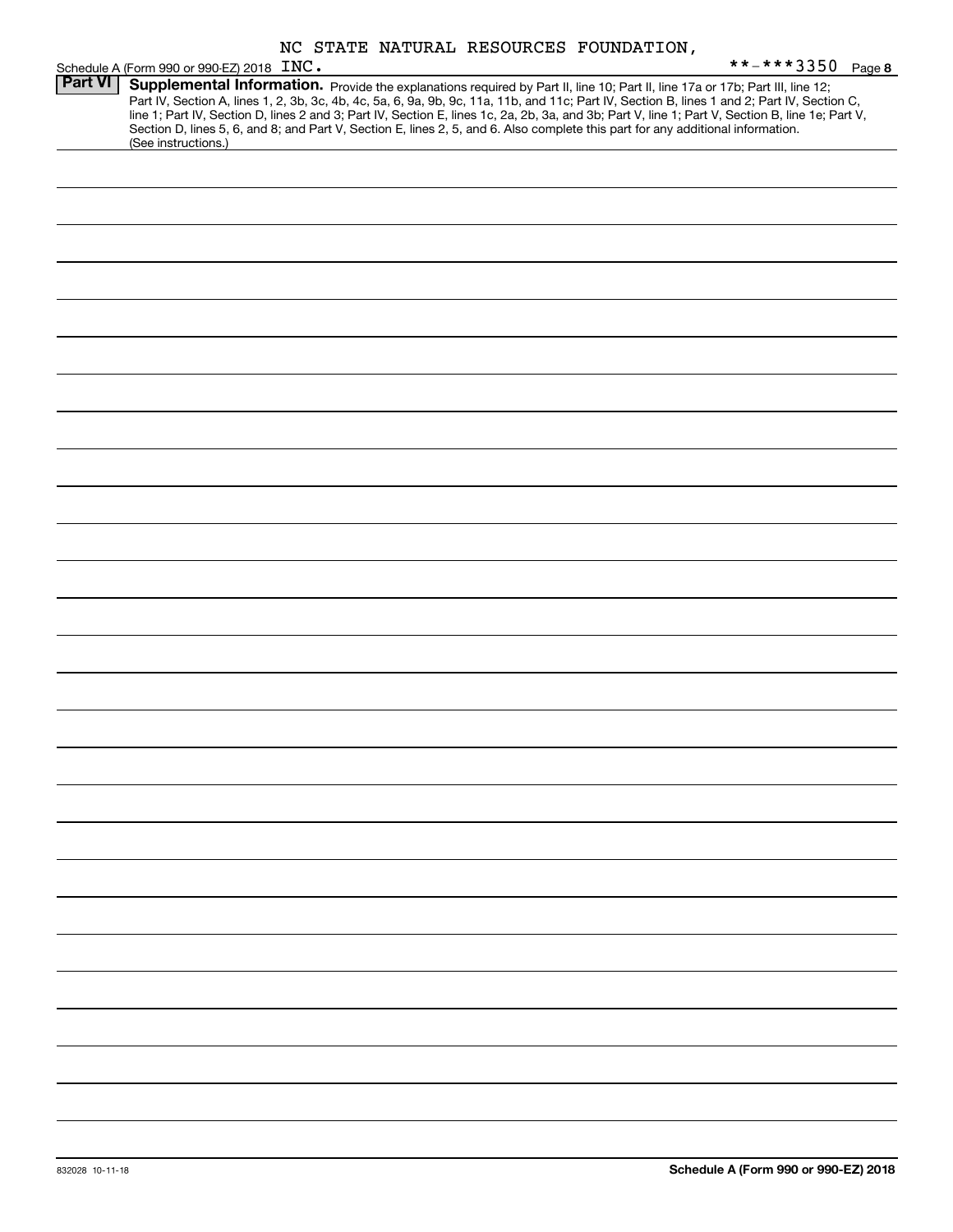|  |  |  |  | NC STATE NATURAL RESOURCES FOUNDATION, |
|--|--|--|--|----------------------------------------|
|--|--|--|--|----------------------------------------|

|                | Schedule A (Form 990 or 990-EZ) 2018 INC.                                                                                                                                                                                                                                                                                                                                                                                                                                                                                                                                                   | **-***3350 Page 8 |
|----------------|---------------------------------------------------------------------------------------------------------------------------------------------------------------------------------------------------------------------------------------------------------------------------------------------------------------------------------------------------------------------------------------------------------------------------------------------------------------------------------------------------------------------------------------------------------------------------------------------|-------------------|
| <b>Part VI</b> | Supplemental Information. Provide the explanations required by Part II, line 10; Part II, line 17a or 17b; Part III, line 12;<br>Part IV, Section A, lines 1, 2, 3b, 3c, 4b, 4c, 5a, 6, 9a, 9b, 9c, 11a, 11b, and 11c; Part IV, Section B, lines 1 and 2; Part IV, Section C,<br>line 1; Part IV, Section D, lines 2 and 3; Part IV, Section E, lines 1c, 2a, 2b, 3a, and 3b; Part V, line 1; Part V, Section B, line 1e; Part V,<br>Section D, lines 5, 6, and 8; and Part V, Section E, lines 2, 5, and 6. Also complete this part for any additional information.<br>(See instructions.) |                   |
|                |                                                                                                                                                                                                                                                                                                                                                                                                                                                                                                                                                                                             |                   |
|                |                                                                                                                                                                                                                                                                                                                                                                                                                                                                                                                                                                                             |                   |
|                |                                                                                                                                                                                                                                                                                                                                                                                                                                                                                                                                                                                             |                   |
|                |                                                                                                                                                                                                                                                                                                                                                                                                                                                                                                                                                                                             |                   |
|                |                                                                                                                                                                                                                                                                                                                                                                                                                                                                                                                                                                                             |                   |
|                |                                                                                                                                                                                                                                                                                                                                                                                                                                                                                                                                                                                             |                   |
|                |                                                                                                                                                                                                                                                                                                                                                                                                                                                                                                                                                                                             |                   |
|                |                                                                                                                                                                                                                                                                                                                                                                                                                                                                                                                                                                                             |                   |
|                |                                                                                                                                                                                                                                                                                                                                                                                                                                                                                                                                                                                             |                   |
|                |                                                                                                                                                                                                                                                                                                                                                                                                                                                                                                                                                                                             |                   |
|                |                                                                                                                                                                                                                                                                                                                                                                                                                                                                                                                                                                                             |                   |
|                |                                                                                                                                                                                                                                                                                                                                                                                                                                                                                                                                                                                             |                   |
|                |                                                                                                                                                                                                                                                                                                                                                                                                                                                                                                                                                                                             |                   |
|                |                                                                                                                                                                                                                                                                                                                                                                                                                                                                                                                                                                                             |                   |
|                |                                                                                                                                                                                                                                                                                                                                                                                                                                                                                                                                                                                             |                   |
|                |                                                                                                                                                                                                                                                                                                                                                                                                                                                                                                                                                                                             |                   |
|                |                                                                                                                                                                                                                                                                                                                                                                                                                                                                                                                                                                                             |                   |
|                |                                                                                                                                                                                                                                                                                                                                                                                                                                                                                                                                                                                             |                   |
|                |                                                                                                                                                                                                                                                                                                                                                                                                                                                                                                                                                                                             |                   |
|                |                                                                                                                                                                                                                                                                                                                                                                                                                                                                                                                                                                                             |                   |
|                |                                                                                                                                                                                                                                                                                                                                                                                                                                                                                                                                                                                             |                   |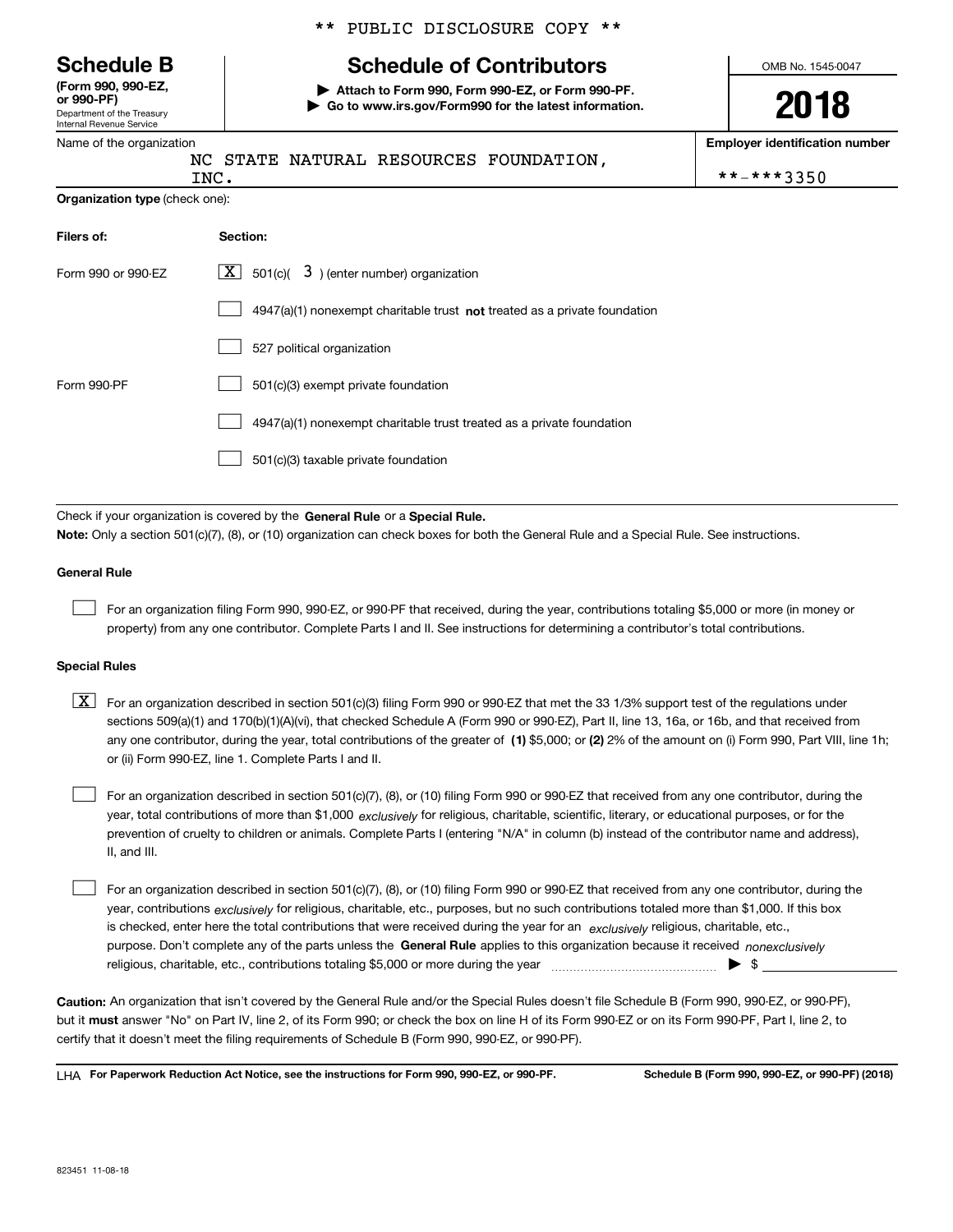Department of the Treasury Internal Revenue Service **(Form 990, 990-EZ, or 990-PF)**

|  | Name of the organization |
|--|--------------------------|

\*\* PUBLIC DISCLOSURE COPY \*\*

# **Schedule B Schedule of Contributors**

**| Attach to Form 990, Form 990-EZ, or Form 990-PF. | Go to www.irs.gov/Form990 for the latest information.** OMB No. 1545-0047

**2018**

**Employer identification number**

|                                                                       | NC STATE NATURAL RESOURCES FOUNDATION,<br>INC.                            | **-***3350 |  |  |  |
|-----------------------------------------------------------------------|---------------------------------------------------------------------------|------------|--|--|--|
| <b>Organization type (check one):</b>                                 |                                                                           |            |  |  |  |
| Filers of:                                                            | Section:                                                                  |            |  |  |  |
| Form 990 or 990-EZ                                                    | $\lfloor x \rfloor$ 501(c)( 3) (enter number) organization                |            |  |  |  |
|                                                                       | 4947(a)(1) nonexempt charitable trust not treated as a private foundation |            |  |  |  |
|                                                                       | 527 political organization                                                |            |  |  |  |
| Form 990-PF                                                           | 501(c)(3) exempt private foundation                                       |            |  |  |  |
| 4947(a)(1) nonexempt charitable trust treated as a private foundation |                                                                           |            |  |  |  |
|                                                                       |                                                                           |            |  |  |  |
|                                                                       |                                                                           |            |  |  |  |

Check if your organization is covered by the **General Rule** or a **Special Rule. Note:**  Only a section 501(c)(7), (8), or (10) organization can check boxes for both the General Rule and a Special Rule. See instructions.

### **General Rule**

 $\mathcal{L}^{\text{max}}$ 

For an organization filing Form 990, 990-EZ, or 990-PF that received, during the year, contributions totaling \$5,000 or more (in money or property) from any one contributor. Complete Parts I and II. See instructions for determining a contributor's total contributions.

### **Special Rules**

any one contributor, during the year, total contributions of the greater of  $\,$  (1) \$5,000; or **(2)** 2% of the amount on (i) Form 990, Part VIII, line 1h;  $\boxed{\textbf{X}}$  For an organization described in section 501(c)(3) filing Form 990 or 990-EZ that met the 33 1/3% support test of the regulations under sections 509(a)(1) and 170(b)(1)(A)(vi), that checked Schedule A (Form 990 or 990-EZ), Part II, line 13, 16a, or 16b, and that received from or (ii) Form 990-EZ, line 1. Complete Parts I and II.

year, total contributions of more than \$1,000 *exclusively* for religious, charitable, scientific, literary, or educational purposes, or for the For an organization described in section 501(c)(7), (8), or (10) filing Form 990 or 990-EZ that received from any one contributor, during the prevention of cruelty to children or animals. Complete Parts I (entering "N/A" in column (b) instead of the contributor name and address), II, and III.  $\mathcal{L}^{\text{max}}$ 

purpose. Don't complete any of the parts unless the **General Rule** applies to this organization because it received *nonexclusively* year, contributions <sub>exclusively</sub> for religious, charitable, etc., purposes, but no such contributions totaled more than \$1,000. If this box is checked, enter here the total contributions that were received during the year for an  $\;$ exclusively religious, charitable, etc., For an organization described in section 501(c)(7), (8), or (10) filing Form 990 or 990-EZ that received from any one contributor, during the religious, charitable, etc., contributions totaling \$5,000 or more during the year  $\Box$ — $\Box$   $\Box$  $\mathcal{L}^{\text{max}}$ 

**Caution:**  An organization that isn't covered by the General Rule and/or the Special Rules doesn't file Schedule B (Form 990, 990-EZ, or 990-PF),  **must** but it answer "No" on Part IV, line 2, of its Form 990; or check the box on line H of its Form 990-EZ or on its Form 990-PF, Part I, line 2, to certify that it doesn't meet the filing requirements of Schedule B (Form 990, 990-EZ, or 990-PF).

**For Paperwork Reduction Act Notice, see the instructions for Form 990, 990-EZ, or 990-PF. Schedule B (Form 990, 990-EZ, or 990-PF) (2018)** LHA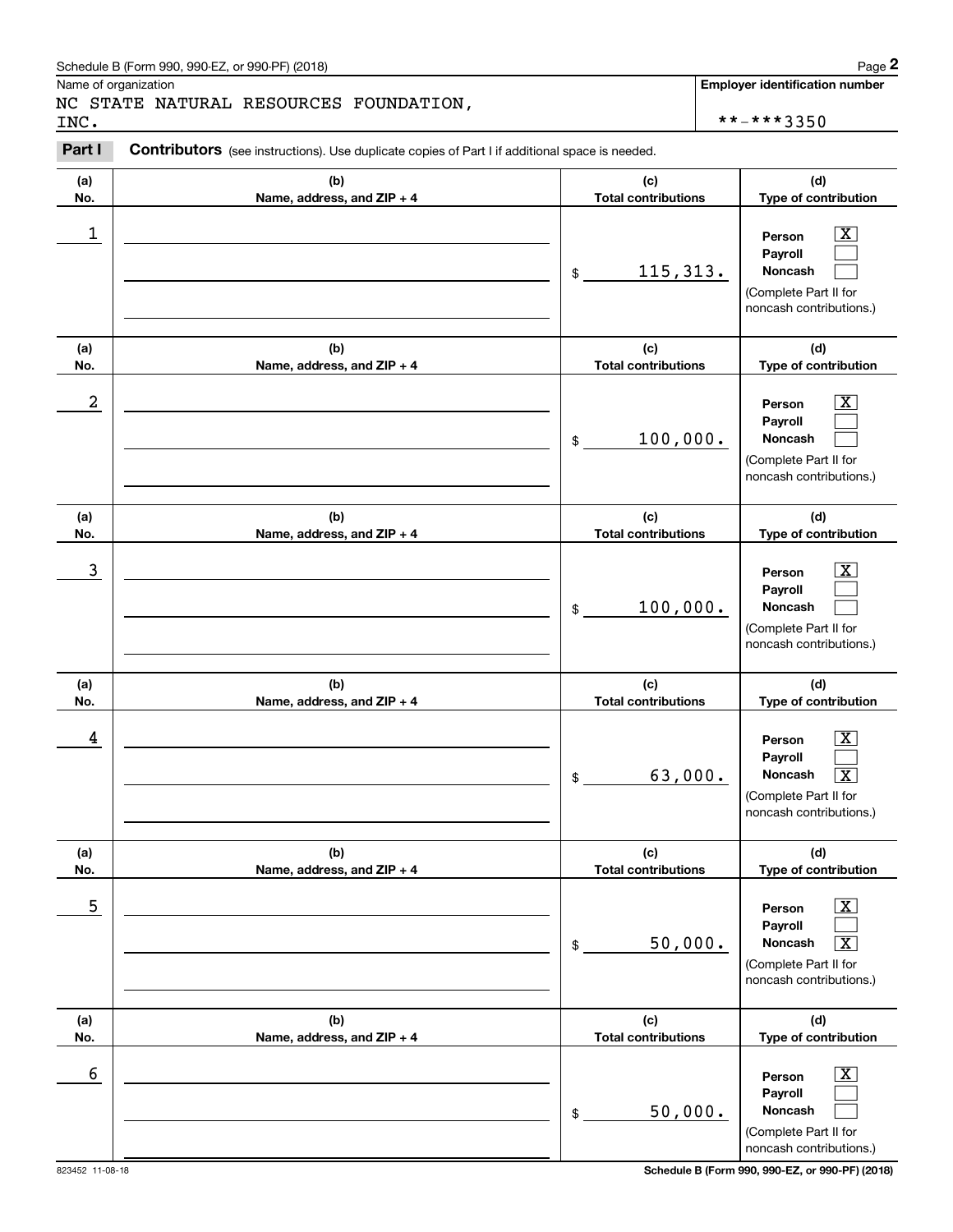# Schedule B (Form 990, 990-EZ, or 990-PF) (2018) Page 2

## NC STATE NATURAL RESOURCES FOUNDATION, INC. \*\*-\*\*\*3350

|            | Schedule B (Form 990, 990-EZ, or 990-PF) (2018)                                                |                                   | Page 2                                                                                                                            |  |  |
|------------|------------------------------------------------------------------------------------------------|-----------------------------------|-----------------------------------------------------------------------------------------------------------------------------------|--|--|
| INC.       | Name of organization<br>NC STATE NATURAL RESOURCES FOUNDATION,                                 |                                   | <b>Employer identification number</b><br>**-***3350                                                                               |  |  |
| Part I     | Contributors (see instructions). Use duplicate copies of Part I if additional space is needed. |                                   |                                                                                                                                   |  |  |
| (a)<br>No. | (b)<br>Name, address, and ZIP + 4                                                              | (c)<br><b>Total contributions</b> | (d)<br>Type of contribution                                                                                                       |  |  |
| 1          |                                                                                                | 115, 313.<br>\$                   | $\overline{\mathbf{X}}$<br>Person<br>Payroll<br>Noncash<br>(Complete Part II for<br>noncash contributions.)                       |  |  |
| (a)<br>No. | (b)<br>Name, address, and ZIP + 4                                                              | (c)<br><b>Total contributions</b> | (d)<br>Type of contribution                                                                                                       |  |  |
| 2          |                                                                                                | 100,000.<br>\$                    | $\overline{\text{X}}$<br>Person<br>Payroll<br>Noncash<br>(Complete Part II for<br>noncash contributions.)                         |  |  |
| (a)<br>No. | (b)<br>Name, address, and ZIP + 4                                                              | (c)<br><b>Total contributions</b> | (d)<br>Type of contribution                                                                                                       |  |  |
| 3          |                                                                                                | 100,000.<br>\$                    | $\overline{\mathbf{X}}$<br>Person<br>Payroll<br>Noncash<br>(Complete Part II for<br>noncash contributions.)                       |  |  |
| (a)<br>No. | (b)<br>Name, address, and ZIP + 4                                                              | (c)<br><b>Total contributions</b> | (d)<br>Type of contribution                                                                                                       |  |  |
| 4          |                                                                                                | 63,000.<br>\$                     | $\mathbf{X}$<br>Person<br>Payroll<br><b>Noncash</b><br>$\boxed{\text{X}}$<br>(Complete Part II for<br>noncash contributions.)     |  |  |
| (a)<br>No. | (b)<br>Name, address, and ZIP + 4                                                              | (c)<br><b>Total contributions</b> | (d)<br>Type of contribution                                                                                                       |  |  |
| 5          |                                                                                                | 50,000.<br>\$                     | $\boxed{\text{X}}$<br>Person<br>Payroll<br>Noncash<br>$\overline{\mathbf{X}}$<br>(Complete Part II for<br>noncash contributions.) |  |  |
| (a)<br>No. | (b)<br>Name, address, and ZIP + 4                                                              | (c)<br><b>Total contributions</b> | (d)<br>Type of contribution                                                                                                       |  |  |
| 6          |                                                                                                | 50,000.<br>\$                     | $\boxed{\text{X}}$<br>Person<br>Payroll<br>Noncash<br>(Complete Part II for<br>noncash contributions.)                            |  |  |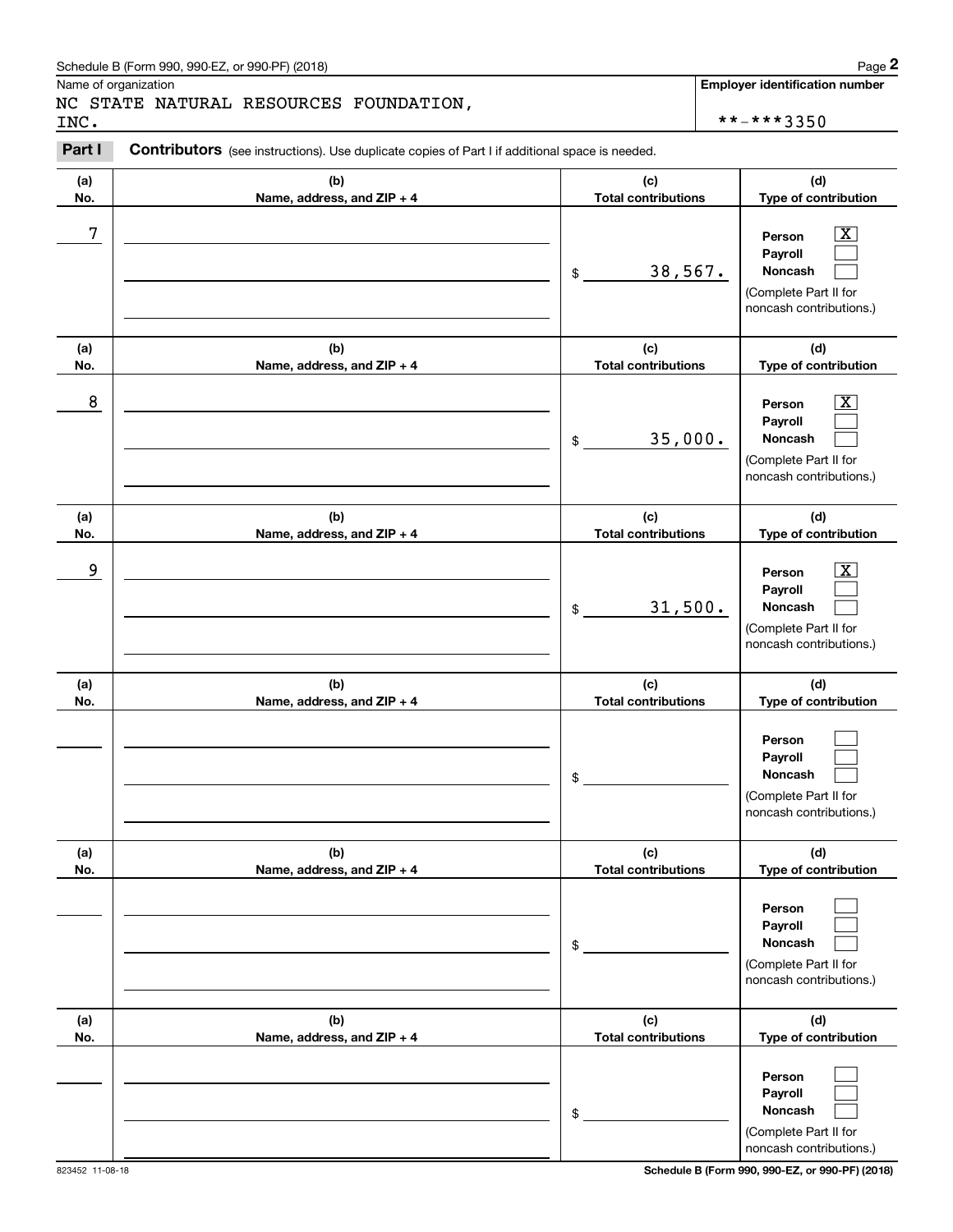### Schedule B (Form 990, 990-EZ, or 990-PF) (2018) **Page 2** Page 1 and the state of the state of the state of the state of the state of the state of the state of the state of the state of the state of the state of the state o

Name of organization

### NC STATE NATURAL RESOURCES FOUNDATION, INC. \*\*-\*\*\*3350

**Employer identification number**

### **(a)No.(b)Name, address, and ZIP + 4 (c)Total contributions (d)Type of contribution PersonPayrollNoncash (a)No.(b)Name, address, and ZIP + 4 (c)Total contributions (d)Type of contribution PersonPayrollNoncash (a)No.(b)Name, address, and ZIP + 4 (c)Total contributions (d)Type of contribution PersonPayrollNoncash (a) No.(b) Name, address, and ZIP + 4 (c) Total contributions (d) Type of contribution PersonPayrollNoncash(a) No.(b) Name, address, and ZIP + 4 (c) Total contributions (d) Type of contribution PersonPayrollNoncash (a) No.(b)Name, address, and ZIP + 4 (c) Total contributions (d) Type of contribution PersonPayrollNoncash Contributors** (see instructions). Use duplicate copies of Part I if additional space is needed. \$(Complete Part II for noncash contributions.) \$(Complete Part II for noncash contributions.) \$(Complete Part II for noncash contributions.) \$(Complete Part II for noncash contributions.) \$(Complete Part II for noncash contributions.) \$(Complete Part II for noncash contributions.) Chedule B (Form 990, 990-EZ, or 990-PF) (2018)<br>Iame of organization<br>**IC STATE NATURAL RESOURCES FOUNDATION**,<br>NC.<br>**Part I** Contributors (see instructions). Use duplicate copies of Part I if additional space is needed.  $\lceil \text{X} \rceil$  $\mathcal{L}^{\text{max}}$  $\mathcal{L}^{\text{max}}$  $\boxed{\text{X}}$  $\mathcal{L}^{\text{max}}$  $\mathcal{L}^{\text{max}}$  $|X|$  $\mathcal{L}^{\text{max}}$  $\mathcal{L}^{\text{max}}$  $\mathcal{L}^{\text{max}}$  $\mathcal{L}^{\text{max}}$  $\mathcal{L}^{\text{max}}$  $\mathcal{L}^{\text{max}}$  $\mathcal{L}^{\text{max}}$  $\mathcal{L}^{\text{max}}$  $\mathcal{L}^{\text{max}}$  $\mathcal{L}^{\text{max}}$  $\mathcal{L}^{\text{max}}$ 7 X 38,567. 8 X 35,000. example and the set of the set of the set of the set of the set of the set of the set of the set of the set of 31,500.

823452 11-08-18 **Schedule B (Form 990, 990-EZ, or 990-PF) (2018)**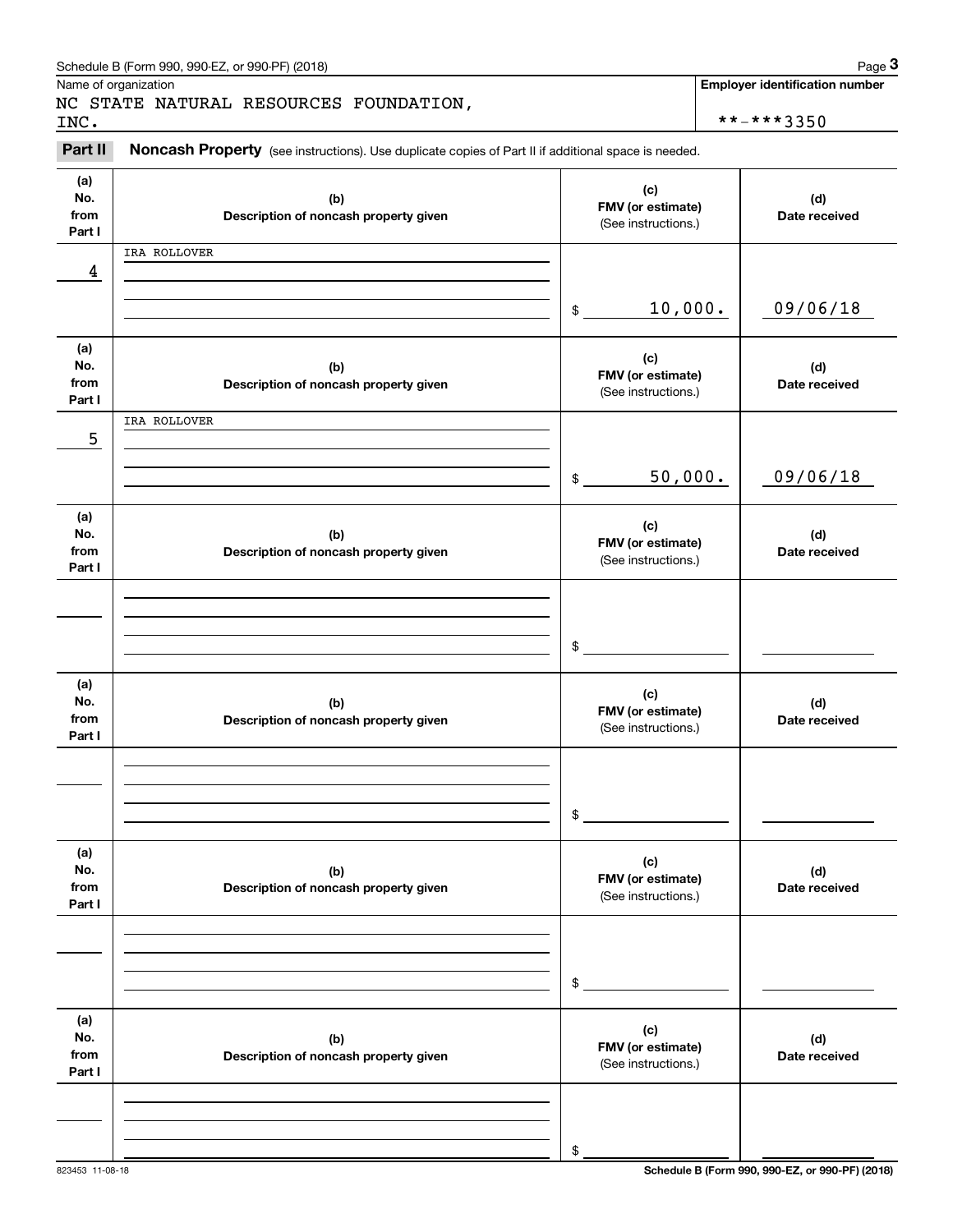|                              | Schedule B (Form 990, 990-EZ, or 990-PF) (2018)                                                     |                                                 |                                          | Page 3                                |                      |  |
|------------------------------|-----------------------------------------------------------------------------------------------------|-------------------------------------------------|------------------------------------------|---------------------------------------|----------------------|--|
|                              | Name of organization<br>NC STATE NATURAL RESOURCES FOUNDATION,                                      |                                                 |                                          | <b>Employer identification number</b> |                      |  |
| INC.                         |                                                                                                     |                                                 |                                          | **-***3350                            |                      |  |
| Part II                      | Noncash Property (see instructions). Use duplicate copies of Part II if additional space is needed. |                                                 |                                          |                                       |                      |  |
| (a)<br>No.<br>from<br>Part I | (b)<br>Description of noncash property given                                                        | (c)<br>FMV (or estimate)<br>(See instructions.) |                                          | (d)<br>Date received                  |                      |  |
| 4                            | IRA ROLLOVER                                                                                        |                                                 |                                          |                                       |                      |  |
|                              |                                                                                                     | 10,000.<br>\$                                   |                                          | 09/06/18                              |                      |  |
| (a)<br>No.<br>from<br>Part I | (b)<br>Description of noncash property given                                                        | (c)                                             | FMV (or estimate)<br>(See instructions.) |                                       | (d)<br>Date received |  |
| 5                            | IRA ROLLOVER                                                                                        |                                                 |                                          |                                       |                      |  |
|                              |                                                                                                     | 50,000.<br>$\frac{1}{2}$                        |                                          | 09/06/18                              |                      |  |
| (a)<br>No.<br>from<br>Part I | (b)<br>Description of noncash property given                                                        | (c)<br>FMV (or estimate)<br>(See instructions.) |                                          | (d)<br>Date received                  |                      |  |
|                              |                                                                                                     | \$                                              |                                          |                                       |                      |  |
| (a)<br>No.<br>from<br>Part I | (b)<br>Description of noncash property given                                                        | (c)<br>FMV (or estimate)<br>(See instructions.) |                                          | (d)<br>Date received                  |                      |  |
|                              |                                                                                                     | \$                                              |                                          |                                       |                      |  |
| (a)<br>No.<br>from<br>Part I | (b)<br>Description of noncash property given                                                        | (c)<br>FMV (or estimate)<br>(See instructions.) |                                          | (d)<br>Date received                  |                      |  |
|                              |                                                                                                     | \$                                              |                                          |                                       |                      |  |
| (a)<br>No.<br>from<br>Part I | (b)<br>Description of noncash property given                                                        | (c)<br>FMV (or estimate)<br>(See instructions.) |                                          | (d)<br>Date received                  |                      |  |
|                              |                                                                                                     | \$                                              |                                          |                                       |                      |  |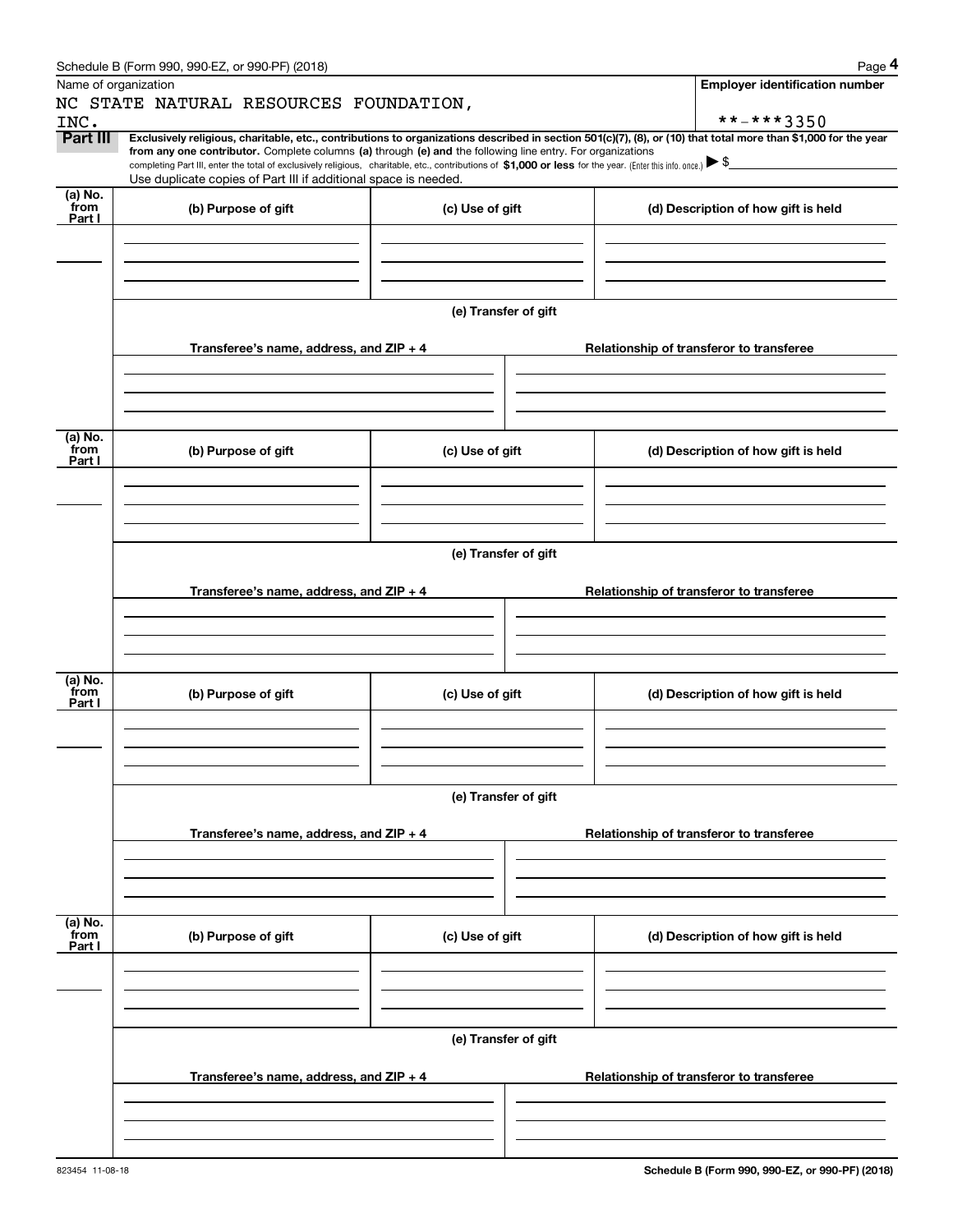|                 | Schedule B (Form 990, 990-EZ, or 990-PF) (2018)                                                                                                                                                                                                                                                                                                                                                                                                                                                                  |                      |  |                                          | Page 4                                   |  |  |
|-----------------|------------------------------------------------------------------------------------------------------------------------------------------------------------------------------------------------------------------------------------------------------------------------------------------------------------------------------------------------------------------------------------------------------------------------------------------------------------------------------------------------------------------|----------------------|--|------------------------------------------|------------------------------------------|--|--|
|                 | Name of organization                                                                                                                                                                                                                                                                                                                                                                                                                                                                                             |                      |  |                                          | <b>Employer identification number</b>    |  |  |
|                 | NC STATE NATURAL RESOURCES FOUNDATION,                                                                                                                                                                                                                                                                                                                                                                                                                                                                           |                      |  |                                          |                                          |  |  |
| INC.            |                                                                                                                                                                                                                                                                                                                                                                                                                                                                                                                  |                      |  |                                          | **-***3350                               |  |  |
| Part III        | Exclusively religious, charitable, etc., contributions to organizations described in section 501(c)(7), (8), or (10) that total more than \$1,000 for the year<br>from any one contributor. Complete columns (a) through (e) and the following line entry. For organizations<br>completing Part III, enter the total of exclusively religious, charitable, etc., contributions of \$1,000 or less for the year. (Enter this info. once.) > \$<br>Use duplicate copies of Part III if additional space is needed. |                      |  |                                          |                                          |  |  |
| (a) No.         |                                                                                                                                                                                                                                                                                                                                                                                                                                                                                                                  |                      |  |                                          |                                          |  |  |
| from<br>Part I  | (b) Purpose of gift                                                                                                                                                                                                                                                                                                                                                                                                                                                                                              | (c) Use of gift      |  |                                          | (d) Description of how gift is held      |  |  |
|                 |                                                                                                                                                                                                                                                                                                                                                                                                                                                                                                                  |                      |  |                                          |                                          |  |  |
|                 |                                                                                                                                                                                                                                                                                                                                                                                                                                                                                                                  |                      |  |                                          |                                          |  |  |
|                 |                                                                                                                                                                                                                                                                                                                                                                                                                                                                                                                  |                      |  |                                          |                                          |  |  |
|                 |                                                                                                                                                                                                                                                                                                                                                                                                                                                                                                                  |                      |  |                                          |                                          |  |  |
|                 |                                                                                                                                                                                                                                                                                                                                                                                                                                                                                                                  | (e) Transfer of gift |  |                                          |                                          |  |  |
|                 |                                                                                                                                                                                                                                                                                                                                                                                                                                                                                                                  |                      |  |                                          |                                          |  |  |
|                 | Transferee's name, address, and $ZIP + 4$                                                                                                                                                                                                                                                                                                                                                                                                                                                                        |                      |  |                                          | Relationship of transferor to transferee |  |  |
|                 |                                                                                                                                                                                                                                                                                                                                                                                                                                                                                                                  |                      |  |                                          |                                          |  |  |
|                 |                                                                                                                                                                                                                                                                                                                                                                                                                                                                                                                  |                      |  |                                          |                                          |  |  |
|                 |                                                                                                                                                                                                                                                                                                                                                                                                                                                                                                                  |                      |  |                                          |                                          |  |  |
| (a) No.         |                                                                                                                                                                                                                                                                                                                                                                                                                                                                                                                  |                      |  |                                          |                                          |  |  |
| from            | (b) Purpose of gift                                                                                                                                                                                                                                                                                                                                                                                                                                                                                              | (c) Use of gift      |  |                                          | (d) Description of how gift is held      |  |  |
| Part I          |                                                                                                                                                                                                                                                                                                                                                                                                                                                                                                                  |                      |  |                                          |                                          |  |  |
|                 |                                                                                                                                                                                                                                                                                                                                                                                                                                                                                                                  |                      |  |                                          |                                          |  |  |
|                 |                                                                                                                                                                                                                                                                                                                                                                                                                                                                                                                  |                      |  |                                          |                                          |  |  |
|                 |                                                                                                                                                                                                                                                                                                                                                                                                                                                                                                                  |                      |  |                                          |                                          |  |  |
|                 | (e) Transfer of gift                                                                                                                                                                                                                                                                                                                                                                                                                                                                                             |                      |  |                                          |                                          |  |  |
|                 |                                                                                                                                                                                                                                                                                                                                                                                                                                                                                                                  |                      |  |                                          |                                          |  |  |
|                 | Transferee's name, address, and ZIP + 4                                                                                                                                                                                                                                                                                                                                                                                                                                                                          |                      |  |                                          | Relationship of transferor to transferee |  |  |
|                 |                                                                                                                                                                                                                                                                                                                                                                                                                                                                                                                  |                      |  |                                          |                                          |  |  |
|                 |                                                                                                                                                                                                                                                                                                                                                                                                                                                                                                                  |                      |  |                                          |                                          |  |  |
|                 |                                                                                                                                                                                                                                                                                                                                                                                                                                                                                                                  |                      |  |                                          |                                          |  |  |
|                 |                                                                                                                                                                                                                                                                                                                                                                                                                                                                                                                  |                      |  |                                          |                                          |  |  |
| (a) No.<br>from | (b) Purpose of gift                                                                                                                                                                                                                                                                                                                                                                                                                                                                                              | (c) Use of gift      |  |                                          | (d) Description of how gift is held      |  |  |
| Part I          |                                                                                                                                                                                                                                                                                                                                                                                                                                                                                                                  |                      |  |                                          |                                          |  |  |
|                 |                                                                                                                                                                                                                                                                                                                                                                                                                                                                                                                  |                      |  |                                          |                                          |  |  |
|                 |                                                                                                                                                                                                                                                                                                                                                                                                                                                                                                                  |                      |  |                                          |                                          |  |  |
|                 |                                                                                                                                                                                                                                                                                                                                                                                                                                                                                                                  |                      |  |                                          |                                          |  |  |
|                 |                                                                                                                                                                                                                                                                                                                                                                                                                                                                                                                  | (e) Transfer of gift |  |                                          |                                          |  |  |
|                 |                                                                                                                                                                                                                                                                                                                                                                                                                                                                                                                  |                      |  |                                          |                                          |  |  |
|                 | Transferee's name, address, and $ZIP + 4$                                                                                                                                                                                                                                                                                                                                                                                                                                                                        |                      |  | Relationship of transferor to transferee |                                          |  |  |
|                 |                                                                                                                                                                                                                                                                                                                                                                                                                                                                                                                  |                      |  |                                          |                                          |  |  |
|                 |                                                                                                                                                                                                                                                                                                                                                                                                                                                                                                                  |                      |  |                                          |                                          |  |  |
|                 |                                                                                                                                                                                                                                                                                                                                                                                                                                                                                                                  |                      |  |                                          |                                          |  |  |
|                 |                                                                                                                                                                                                                                                                                                                                                                                                                                                                                                                  |                      |  |                                          |                                          |  |  |
| (a) No.<br>from | (b) Purpose of gift                                                                                                                                                                                                                                                                                                                                                                                                                                                                                              | (c) Use of gift      |  |                                          | (d) Description of how gift is held      |  |  |
| Part I          |                                                                                                                                                                                                                                                                                                                                                                                                                                                                                                                  |                      |  |                                          |                                          |  |  |
|                 |                                                                                                                                                                                                                                                                                                                                                                                                                                                                                                                  |                      |  |                                          |                                          |  |  |
|                 |                                                                                                                                                                                                                                                                                                                                                                                                                                                                                                                  |                      |  |                                          |                                          |  |  |
|                 |                                                                                                                                                                                                                                                                                                                                                                                                                                                                                                                  |                      |  |                                          |                                          |  |  |
|                 | (e) Transfer of gift                                                                                                                                                                                                                                                                                                                                                                                                                                                                                             |                      |  |                                          |                                          |  |  |
|                 |                                                                                                                                                                                                                                                                                                                                                                                                                                                                                                                  |                      |  |                                          |                                          |  |  |
|                 | Transferee's name, address, and ZIP + 4                                                                                                                                                                                                                                                                                                                                                                                                                                                                          |                      |  |                                          | Relationship of transferor to transferee |  |  |
|                 |                                                                                                                                                                                                                                                                                                                                                                                                                                                                                                                  |                      |  |                                          |                                          |  |  |
|                 |                                                                                                                                                                                                                                                                                                                                                                                                                                                                                                                  |                      |  |                                          |                                          |  |  |
|                 |                                                                                                                                                                                                                                                                                                                                                                                                                                                                                                                  |                      |  |                                          |                                          |  |  |
|                 |                                                                                                                                                                                                                                                                                                                                                                                                                                                                                                                  |                      |  |                                          |                                          |  |  |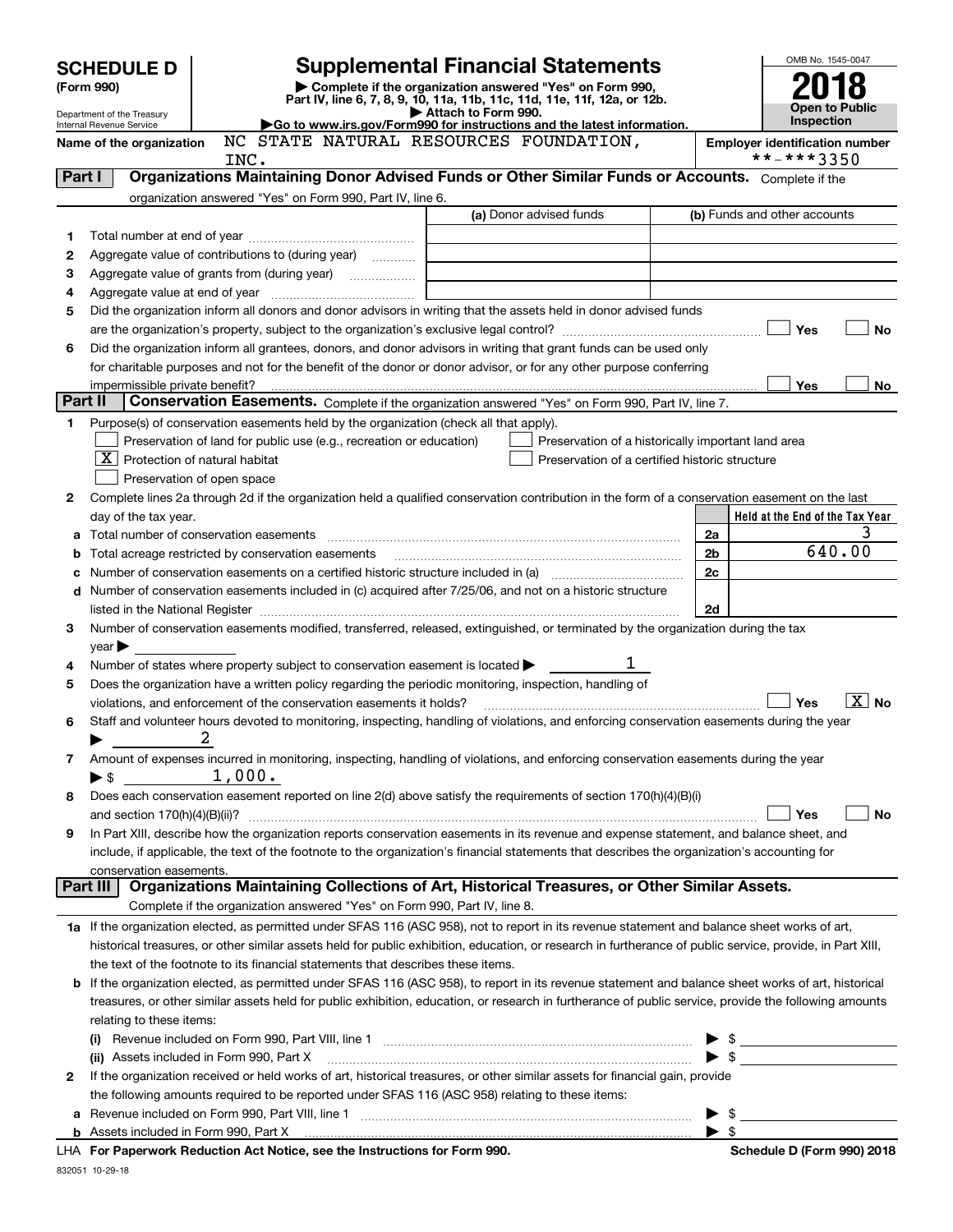| <b>SCHEDULE D</b> |                                                        |                                                                                                                                                                                                                                                                                                            | <b>Supplemental Financial Statements</b>                                                        |  |                | OMB No. 1545-0047                                   |  |
|-------------------|--------------------------------------------------------|------------------------------------------------------------------------------------------------------------------------------------------------------------------------------------------------------------------------------------------------------------------------------------------------------------|-------------------------------------------------------------------------------------------------|--|----------------|-----------------------------------------------------|--|
|                   | (Form 990)                                             |                                                                                                                                                                                                                                                                                                            | Complete if the organization answered "Yes" on Form 990,                                        |  |                |                                                     |  |
|                   |                                                        |                                                                                                                                                                                                                                                                                                            | Part IV, line 6, 7, 8, 9, 10, 11a, 11b, 11c, 11d, 11e, 11f, 12a, or 12b.<br>Attach to Form 990. |  |                | <b>Open to Public</b>                               |  |
|                   | Department of the Treasury<br>Internal Revenue Service |                                                                                                                                                                                                                                                                                                            | Go to www.irs.gov/Form990 for instructions and the latest information.                          |  |                | <b>Inspection</b>                                   |  |
|                   | Name of the organization                               | INC.                                                                                                                                                                                                                                                                                                       | NC STATE NATURAL RESOURCES FOUNDATION,                                                          |  |                | <b>Employer identification number</b><br>**-***3350 |  |
| Part I            |                                                        | Organizations Maintaining Donor Advised Funds or Other Similar Funds or Accounts. Complete if the                                                                                                                                                                                                          |                                                                                                 |  |                |                                                     |  |
|                   |                                                        | organization answered "Yes" on Form 990, Part IV, line 6.                                                                                                                                                                                                                                                  |                                                                                                 |  |                |                                                     |  |
|                   |                                                        |                                                                                                                                                                                                                                                                                                            | (a) Donor advised funds                                                                         |  |                | (b) Funds and other accounts                        |  |
| 1                 |                                                        |                                                                                                                                                                                                                                                                                                            |                                                                                                 |  |                |                                                     |  |
| 2                 | Aggregate value of contributions to (during year)      |                                                                                                                                                                                                                                                                                                            |                                                                                                 |  |                |                                                     |  |
| 4                 | З                                                      |                                                                                                                                                                                                                                                                                                            |                                                                                                 |  |                |                                                     |  |
| 5                 |                                                        | Did the organization inform all donors and donor advisors in writing that the assets held in donor advised funds                                                                                                                                                                                           |                                                                                                 |  |                |                                                     |  |
|                   |                                                        | are the organization's property, subject to the organization's exclusive legal control? <i>manually control</i> and the                                                                                                                                                                                    |                                                                                                 |  |                | Yes<br><b>No</b>                                    |  |
| 6                 |                                                        | Did the organization inform all grantees, donors, and donor advisors in writing that grant funds can be used only                                                                                                                                                                                          |                                                                                                 |  |                |                                                     |  |
|                   |                                                        | for charitable purposes and not for the benefit of the donor or donor advisor, or for any other purpose conferring                                                                                                                                                                                         |                                                                                                 |  |                |                                                     |  |
|                   | impermissible private benefit?                         |                                                                                                                                                                                                                                                                                                            |                                                                                                 |  |                | Yes<br>No                                           |  |
| Part II           |                                                        | Conservation Easements. Complete if the organization answered "Yes" on Form 990, Part IV, line 7.                                                                                                                                                                                                          |                                                                                                 |  |                |                                                     |  |
| 1                 |                                                        | Purpose(s) of conservation easements held by the organization (check all that apply).                                                                                                                                                                                                                      |                                                                                                 |  |                |                                                     |  |
|                   | $X$ Protection of natural habitat                      | Preservation of land for public use (e.g., recreation or education)                                                                                                                                                                                                                                        | Preservation of a historically important land area                                              |  |                |                                                     |  |
|                   |                                                        | Preservation of open space                                                                                                                                                                                                                                                                                 | Preservation of a certified historic structure                                                  |  |                |                                                     |  |
| 2                 |                                                        | Complete lines 2a through 2d if the organization held a qualified conservation contribution in the form of a conservation easement on the last                                                                                                                                                             |                                                                                                 |  |                |                                                     |  |
|                   | day of the tax year.                                   |                                                                                                                                                                                                                                                                                                            |                                                                                                 |  |                | Held at the End of the Tax Year                     |  |
|                   |                                                        |                                                                                                                                                                                                                                                                                                            |                                                                                                 |  | 2a             | 3                                                   |  |
| b                 |                                                        | Total acreage restricted by conservation easements                                                                                                                                                                                                                                                         |                                                                                                 |  | 2 <sub>b</sub> | 640.00                                              |  |
|                   |                                                        |                                                                                                                                                                                                                                                                                                            |                                                                                                 |  | 2 <sub>c</sub> |                                                     |  |
|                   |                                                        | d Number of conservation easements included in (c) acquired after 7/25/06, and not on a historic structure                                                                                                                                                                                                 |                                                                                                 |  |                |                                                     |  |
|                   |                                                        |                                                                                                                                                                                                                                                                                                            |                                                                                                 |  | 2d             |                                                     |  |
| 3                 |                                                        | Number of conservation easements modified, transferred, released, extinguished, or terminated by the organization during the tax                                                                                                                                                                           |                                                                                                 |  |                |                                                     |  |
|                   | $year \blacktriangleright$                             |                                                                                                                                                                                                                                                                                                            |                                                                                                 |  |                |                                                     |  |
| 4<br>5            |                                                        | Number of states where property subject to conservation easement is located $\blacktriangleright$<br>Does the organization have a written policy regarding the periodic monitoring, inspection, handling of                                                                                                |                                                                                                 |  |                |                                                     |  |
|                   |                                                        | violations, and enforcement of the conservation easements it holds?                                                                                                                                                                                                                                        |                                                                                                 |  |                | $ \overline{X} $ No<br>Yes                          |  |
| 6                 |                                                        | Staff and volunteer hours devoted to monitoring, inspecting, handling of violations, and enforcing conservation easements during the year                                                                                                                                                                  |                                                                                                 |  |                |                                                     |  |
|                   |                                                        | 2                                                                                                                                                                                                                                                                                                          |                                                                                                 |  |                |                                                     |  |
| 7                 | $\blacktriangleright$ \$                               | Amount of expenses incurred in monitoring, inspecting, handling of violations, and enforcing conservation easements during the year<br>1,000.                                                                                                                                                              |                                                                                                 |  |                |                                                     |  |
| 8                 |                                                        | Does each conservation easement reported on line 2(d) above satisfy the requirements of section 170(h)(4)(B)(i)                                                                                                                                                                                            |                                                                                                 |  |                |                                                     |  |
|                   | and section $170(h)(4)(B)(ii)?$                        |                                                                                                                                                                                                                                                                                                            |                                                                                                 |  |                | Yes<br>No                                           |  |
| 9                 |                                                        | In Part XIII, describe how the organization reports conservation easements in its revenue and expense statement, and balance sheet, and                                                                                                                                                                    |                                                                                                 |  |                |                                                     |  |
|                   |                                                        | include, if applicable, the text of the footnote to the organization's financial statements that describes the organization's accounting for                                                                                                                                                               |                                                                                                 |  |                |                                                     |  |
|                   | conservation easements.                                |                                                                                                                                                                                                                                                                                                            |                                                                                                 |  |                |                                                     |  |
|                   | Part III                                               | Organizations Maintaining Collections of Art, Historical Treasures, or Other Similar Assets.                                                                                                                                                                                                               |                                                                                                 |  |                |                                                     |  |
|                   |                                                        | Complete if the organization answered "Yes" on Form 990, Part IV, line 8.                                                                                                                                                                                                                                  |                                                                                                 |  |                |                                                     |  |
|                   |                                                        | 1a If the organization elected, as permitted under SFAS 116 (ASC 958), not to report in its revenue statement and balance sheet works of art,<br>historical treasures, or other similar assets held for public exhibition, education, or research in furtherance of public service, provide, in Part XIII, |                                                                                                 |  |                |                                                     |  |
|                   |                                                        | the text of the footnote to its financial statements that describes these items.                                                                                                                                                                                                                           |                                                                                                 |  |                |                                                     |  |
|                   |                                                        | <b>b</b> If the organization elected, as permitted under SFAS 116 (ASC 958), to report in its revenue statement and balance sheet works of art, historical                                                                                                                                                 |                                                                                                 |  |                |                                                     |  |
|                   |                                                        | treasures, or other similar assets held for public exhibition, education, or research in furtherance of public service, provide the following amounts                                                                                                                                                      |                                                                                                 |  |                |                                                     |  |
|                   | relating to these items:                               |                                                                                                                                                                                                                                                                                                            |                                                                                                 |  |                |                                                     |  |
|                   | $\left( 1\right)$                                      | Revenue included on Form 990, Part VIII, line 1 [2000] [2000] [2000] [2000] [2000] [2000] [2000] [2000] [2000                                                                                                                                                                                              |                                                                                                 |  |                | $\triangleright$ \$                                 |  |
|                   |                                                        | (ii) Assets included in Form 990, Part X                                                                                                                                                                                                                                                                   |                                                                                                 |  |                |                                                     |  |
| 2                 |                                                        | If the organization received or held works of art, historical treasures, or other similar assets for financial gain, provide                                                                                                                                                                               |                                                                                                 |  |                |                                                     |  |
|                   |                                                        | the following amounts required to be reported under SFAS 116 (ASC 958) relating to these items:                                                                                                                                                                                                            |                                                                                                 |  |                |                                                     |  |
| а                 |                                                        |                                                                                                                                                                                                                                                                                                            |                                                                                                 |  |                | $\blacktriangleright$ \$                            |  |
|                   |                                                        |                                                                                                                                                                                                                                                                                                            |                                                                                                 |  |                | $\blacktriangleright$ \$                            |  |

832051 10-29-18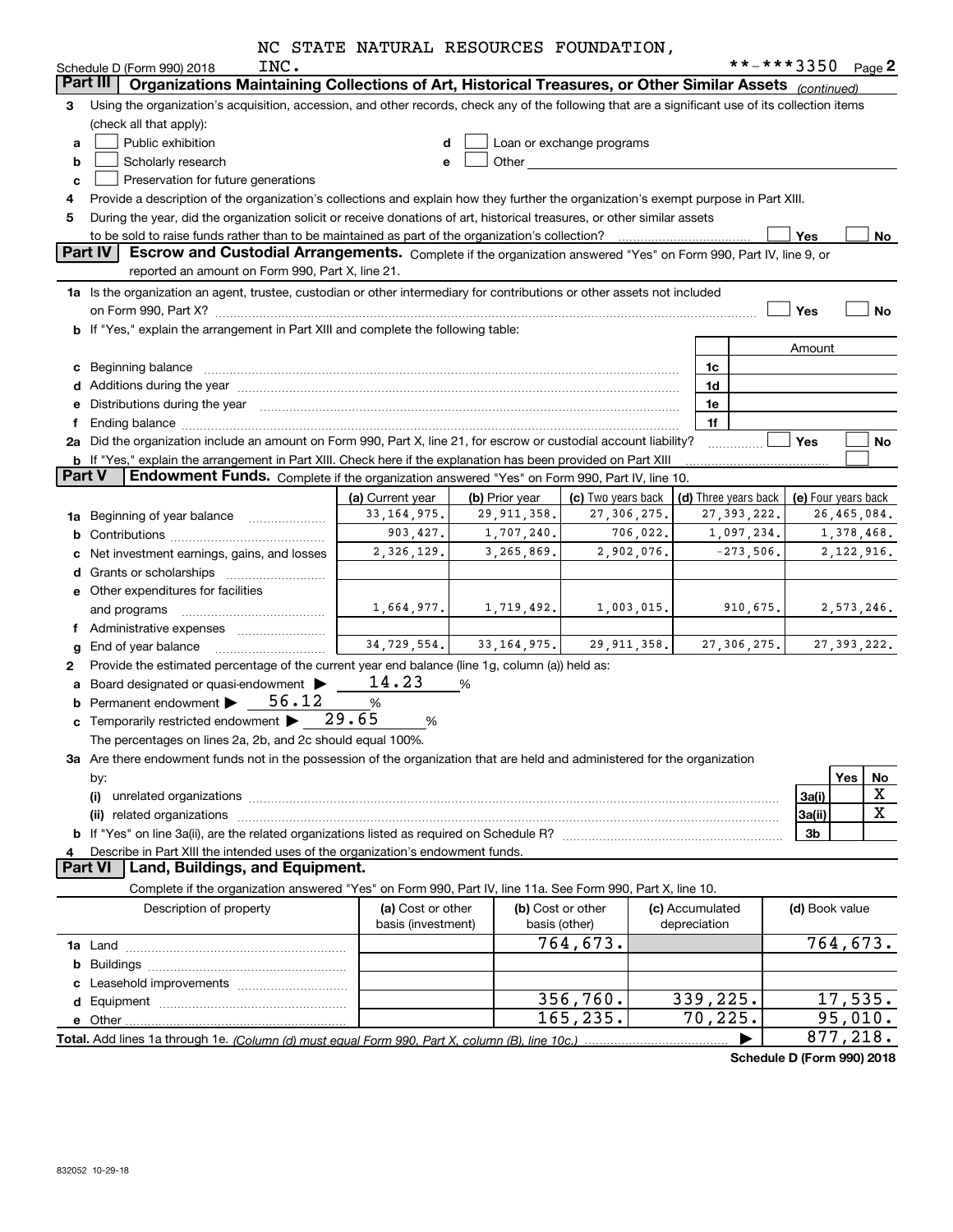|  |  |  |  | NC STATE NATURAL RESOURCES FOUNDATION, |
|--|--|--|--|----------------------------------------|
|--|--|--|--|----------------------------------------|

|               |                                                                                                                                                                                                                                | NC STATE NATURAL RESOURCES FOUNDATION, |                |                           |            |                      |              |                |                     |
|---------------|--------------------------------------------------------------------------------------------------------------------------------------------------------------------------------------------------------------------------------|----------------------------------------|----------------|---------------------------|------------|----------------------|--------------|----------------|---------------------|
|               | INC.<br>Schedule D (Form 990) 2018                                                                                                                                                                                             |                                        |                |                           |            |                      |              | **-***3350     | Page 2              |
|               | Part III<br>Organizations Maintaining Collections of Art, Historical Treasures, or Other Similar Assets (continued)                                                                                                            |                                        |                |                           |            |                      |              |                |                     |
| 3             | Using the organization's acquisition, accession, and other records, check any of the following that are a significant use of its collection items                                                                              |                                        |                |                           |            |                      |              |                |                     |
|               | (check all that apply):                                                                                                                                                                                                        |                                        |                |                           |            |                      |              |                |                     |
| a             | Public exhibition                                                                                                                                                                                                              | d                                      |                | Loan or exchange programs |            |                      |              |                |                     |
| b             | Scholarly research                                                                                                                                                                                                             | e                                      | Other          |                           |            |                      |              |                |                     |
| c             | Preservation for future generations                                                                                                                                                                                            |                                        |                |                           |            |                      |              |                |                     |
| 4             | Provide a description of the organization's collections and explain how they further the organization's exempt purpose in Part XIII.                                                                                           |                                        |                |                           |            |                      |              |                |                     |
| 5             | During the year, did the organization solicit or receive donations of art, historical treasures, or other similar assets                                                                                                       |                                        |                |                           |            |                      |              |                |                     |
|               | to be sold to raise funds rather than to be maintained as part of the organization's collection?                                                                                                                               |                                        |                |                           |            |                      |              | Yes            | No                  |
|               | Part IV<br>Escrow and Custodial Arrangements. Complete if the organization answered "Yes" on Form 990, Part IV, line 9, or                                                                                                     |                                        |                |                           |            |                      |              |                |                     |
|               | reported an amount on Form 990, Part X, line 21.                                                                                                                                                                               |                                        |                |                           |            |                      |              |                |                     |
|               | 1a Is the organization an agent, trustee, custodian or other intermediary for contributions or other assets not included                                                                                                       |                                        |                |                           |            |                      |              |                |                     |
|               |                                                                                                                                                                                                                                |                                        |                |                           |            |                      |              | Yes            | No                  |
|               | b If "Yes," explain the arrangement in Part XIII and complete the following table:                                                                                                                                             |                                        |                |                           |            |                      |              |                |                     |
|               |                                                                                                                                                                                                                                |                                        |                |                           |            |                      |              | Amount         |                     |
|               | c Beginning balance                                                                                                                                                                                                            |                                        |                |                           |            | 1c                   |              |                |                     |
|               |                                                                                                                                                                                                                                |                                        |                |                           |            | 1d                   |              |                |                     |
|               |                                                                                                                                                                                                                                |                                        |                |                           |            |                      |              |                |                     |
| е             | Distributions during the year manufactured and continuum control of the year manufactured and control of the year manufactured and control of the state of the state of the state of the state of the state of the state of th |                                        |                |                           |            | 1e                   |              |                |                     |
| Ť             |                                                                                                                                                                                                                                |                                        |                |                           |            | 1f                   |              |                |                     |
|               | 2a Did the organization include an amount on Form 990, Part X, line 21, for escrow or custodial account liability?                                                                                                             |                                        |                |                           |            |                      |              | Yes            | No                  |
| <b>Part V</b> | <b>b</b> If "Yes," explain the arrangement in Part XIII. Check here if the explanation has been provided on Part XIII<br>Endowment Funds. Complete if the organization answered "Yes" on Form 990, Part IV, line 10.           |                                        |                |                           |            |                      |              |                |                     |
|               |                                                                                                                                                                                                                                |                                        |                |                           |            |                      |              |                |                     |
|               |                                                                                                                                                                                                                                | (a) Current year                       | (b) Prior year | (c) Two years back        |            | (d) Three years back |              |                | (e) Four years back |
|               | 1a Beginning of year balance                                                                                                                                                                                                   | 33, 164, 975.                          | 29, 911, 358.  | 27,306,275.               |            | 27,393,222.          |              |                | 26,465,084.         |
|               |                                                                                                                                                                                                                                | 903, 427.                              | 1,707,240.     |                           | 706,022.   |                      | 1,097,234.   |                | 1,378,468.          |
| c             | Net investment earnings, gains, and losses                                                                                                                                                                                     | 2,326,129.                             | 3,265,869.     |                           | 2,902,076. |                      | $-273,506$ . |                | 2, 122, 916.        |
|               |                                                                                                                                                                                                                                |                                        |                |                           |            |                      |              |                |                     |
|               | e Other expenditures for facilities                                                                                                                                                                                            |                                        |                |                           |            |                      |              |                |                     |
|               | and programs                                                                                                                                                                                                                   | 1,664,977.                             | 1,719,492.     |                           | 1,003,015. |                      | 910,675.     |                | 2,573,246.          |
|               |                                                                                                                                                                                                                                |                                        |                |                           |            |                      |              |                |                     |
| g             | End of year balance                                                                                                                                                                                                            | 34,729,554.                            | 33, 164, 975.  | 29, 911, 358.             |            | 27, 306, 275.        |              |                | 27, 393, 222.       |
| 2             | Provide the estimated percentage of the current year end balance (line 1g, column (a)) held as:                                                                                                                                |                                        |                |                           |            |                      |              |                |                     |
|               | a Board designated or quasi-endowment >                                                                                                                                                                                        | 14.23                                  | %              |                           |            |                      |              |                |                     |
|               | 56.12<br><b>b</b> Permanent endowment $\blacktriangleright$                                                                                                                                                                    | %                                      |                |                           |            |                      |              |                |                     |
|               | <b>c</b> Temporarily restricted endowment $\blacktriangleright$                                                                                                                                                                | 29.65<br>%                             |                |                           |            |                      |              |                |                     |
|               | The percentages on lines 2a, 2b, and 2c should equal 100%.                                                                                                                                                                     |                                        |                |                           |            |                      |              |                |                     |
|               | 3a Are there endowment funds not in the possession of the organization that are held and administered for the organization                                                                                                     |                                        |                |                           |            |                      |              |                |                     |
|               | by:                                                                                                                                                                                                                            |                                        |                |                           |            |                      |              |                | Yes<br>No           |
|               | (i)                                                                                                                                                                                                                            |                                        |                |                           |            |                      |              | 3a(i)          | х                   |
|               | related organizations www.communications.communications.communications.communications.communications.communications.com<br>(ii)                                                                                                |                                        |                |                           |            |                      |              | 3a(ii)         | X                   |
|               |                                                                                                                                                                                                                                |                                        |                |                           |            |                      |              | 3b             |                     |
| 4             | Describe in Part XIII the intended uses of the organization's endowment funds.                                                                                                                                                 |                                        |                |                           |            |                      |              |                |                     |
|               | <b>Part VI</b><br>Land, Buildings, and Equipment.                                                                                                                                                                              |                                        |                |                           |            |                      |              |                |                     |
|               | Complete if the organization answered "Yes" on Form 990, Part IV, line 11a. See Form 990, Part X, line 10.                                                                                                                     |                                        |                |                           |            |                      |              |                |                     |
|               | Description of property                                                                                                                                                                                                        | (a) Cost or other                      |                | (b) Cost or other         |            | (c) Accumulated      |              | (d) Book value |                     |
|               |                                                                                                                                                                                                                                | basis (investment)                     |                | basis (other)             |            | depreciation         |              |                |                     |
|               |                                                                                                                                                                                                                                |                                        |                | 764,673.                  |            |                      |              |                | 764,673.            |
|               |                                                                                                                                                                                                                                |                                        |                |                           |            |                      |              |                |                     |
|               |                                                                                                                                                                                                                                |                                        |                |                           |            |                      |              |                |                     |
|               |                                                                                                                                                                                                                                |                                        |                |                           |            |                      |              |                |                     |
|               |                                                                                                                                                                                                                                |                                        |                | 356,760.                  |            | 339,225.             |              |                | 17,535.             |
|               | e Other                                                                                                                                                                                                                        |                                        |                | $\overline{165}$ , 235.   |            | 70,225.              |              |                | 95,010.             |
|               |                                                                                                                                                                                                                                |                                        |                |                           |            |                      | ▶            |                | 877, 218.           |

**Schedule D (Form 990) 2018**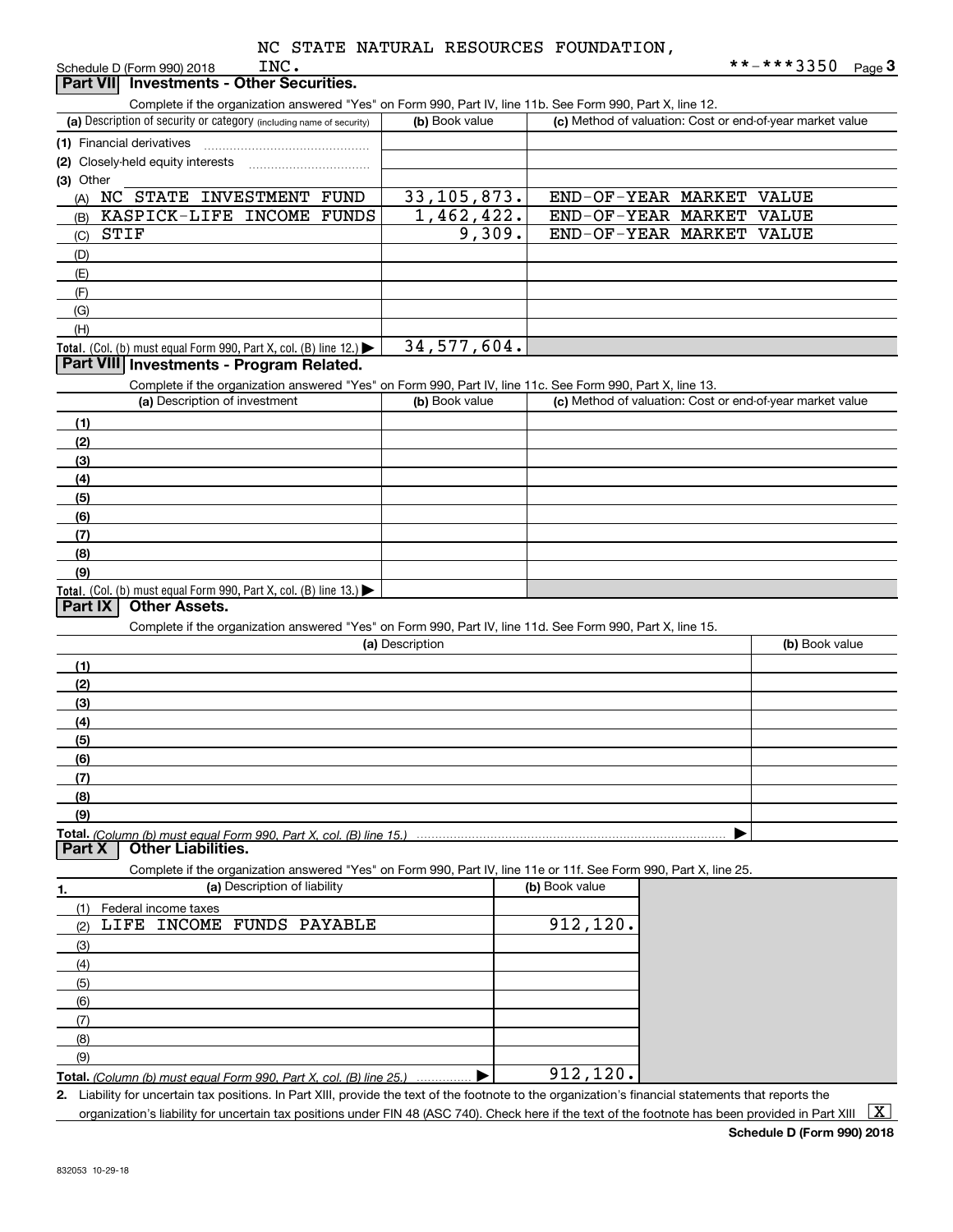| INC.<br>Schedule D (Form 990) 2018                                                                                |                 |                |                    | **-***3350<br>$Page$ <sup>3</sup>                         |
|-------------------------------------------------------------------------------------------------------------------|-----------------|----------------|--------------------|-----------------------------------------------------------|
| <b>Part VII</b> Investments - Other Securities.                                                                   |                 |                |                    |                                                           |
| Complete if the organization answered "Yes" on Form 990, Part IV, line 11b. See Form 990, Part X, line 12.        |                 |                |                    |                                                           |
| (a) Description of security or category (including name of security)                                              | (b) Book value  |                |                    | (c) Method of valuation: Cost or end-of-year market value |
| (1) Financial derivatives                                                                                         |                 |                |                    |                                                           |
| (2) Closely-held equity interests                                                                                 |                 |                |                    |                                                           |
| (3) Other                                                                                                         |                 |                |                    |                                                           |
| NC STATE INVESTMENT FUND<br>(A)                                                                                   | 33, 105, 873.   |                | END-OF-YEAR MARKET | <b>VALUE</b>                                              |
| KASPICK-LIFE INCOME FUNDS<br>(B)                                                                                  | 1,462,422.      |                | END-OF-YEAR MARKET | VALUE                                                     |
| STIF<br>(C)                                                                                                       | 9,309.          |                | END-OF-YEAR MARKET | <b>VALUE</b>                                              |
| (D)                                                                                                               |                 |                |                    |                                                           |
| (E)                                                                                                               |                 |                |                    |                                                           |
| (F)                                                                                                               |                 |                |                    |                                                           |
| (G)                                                                                                               |                 |                |                    |                                                           |
| (H)                                                                                                               |                 |                |                    |                                                           |
| Total. (Col. (b) must equal Form 990, Part X, col. (B) line 12.) $\blacktriangleright$                            | 34,577,604.     |                |                    |                                                           |
| Part VIII Investments - Program Related.                                                                          |                 |                |                    |                                                           |
| Complete if the organization answered "Yes" on Form 990, Part IV, line 11c. See Form 990, Part X, line 13.        |                 |                |                    |                                                           |
| (a) Description of investment                                                                                     | (b) Book value  |                |                    | (c) Method of valuation: Cost or end-of-year market value |
| (1)                                                                                                               |                 |                |                    |                                                           |
| (2)                                                                                                               |                 |                |                    |                                                           |
| (3)                                                                                                               |                 |                |                    |                                                           |
| (4)                                                                                                               |                 |                |                    |                                                           |
| (5)                                                                                                               |                 |                |                    |                                                           |
| (6)                                                                                                               |                 |                |                    |                                                           |
| (7)                                                                                                               |                 |                |                    |                                                           |
| (8)                                                                                                               |                 |                |                    |                                                           |
| (9)                                                                                                               |                 |                |                    |                                                           |
| Total. (Col. (b) must equal Form 990, Part X, col. (B) line 13.)                                                  |                 |                |                    |                                                           |
| <b>Part IX</b><br><b>Other Assets.</b>                                                                            |                 |                |                    |                                                           |
| Complete if the organization answered "Yes" on Form 990, Part IV, line 11d. See Form 990, Part X, line 15.        |                 |                |                    |                                                           |
|                                                                                                                   | (a) Description |                |                    | (b) Book value                                            |
| (1)                                                                                                               |                 |                |                    |                                                           |
| (2)                                                                                                               |                 |                |                    |                                                           |
| (3)                                                                                                               |                 |                |                    |                                                           |
| (4)                                                                                                               |                 |                |                    |                                                           |
| (5)                                                                                                               |                 |                |                    |                                                           |
| (6)                                                                                                               |                 |                |                    |                                                           |
| (7)                                                                                                               |                 |                |                    |                                                           |
| (8)                                                                                                               |                 |                |                    |                                                           |
| (9)                                                                                                               |                 |                |                    |                                                           |
| Total. (Column (b) must equal Form 990, Part X, col. (B) line 15.)                                                |                 |                |                    |                                                           |
| <b>Part X</b><br><b>Other Liabilities.</b>                                                                        |                 |                |                    |                                                           |
| Complete if the organization answered "Yes" on Form 990, Part IV, line 11e or 11f. See Form 990, Part X, line 25. |                 |                |                    |                                                           |
| (a) Description of liability<br>1.                                                                                |                 | (b) Book value |                    |                                                           |
| (1)<br>Federal income taxes                                                                                       |                 |                |                    |                                                           |
| LIFE INCOME FUNDS PAYABLE<br>(2)                                                                                  |                 | 912,120.       |                    |                                                           |
| (3)                                                                                                               |                 |                |                    |                                                           |
| (4)                                                                                                               |                 |                |                    |                                                           |
| (5)                                                                                                               |                 |                |                    |                                                           |
|                                                                                                                   |                 |                |                    |                                                           |
| (6)                                                                                                               |                 |                |                    |                                                           |
| (7)                                                                                                               |                 |                |                    |                                                           |
| (8)                                                                                                               |                 |                |                    |                                                           |
| (9)                                                                                                               |                 |                |                    |                                                           |
| Total. (Column (b) must equal Form 990, Part X, col. (B) line 25.)                                                |                 | 912, 120.      |                    |                                                           |

**2.** Liability for uncertain tax positions. In Part XIII, provide the text of the footnote to the organization's financial statements that reports the organization's liability for uncertain tax positions under FIN 48 (ASC 740). Check here if the text of the footnote has been provided in Part XIII  $~\boxed{\rm X}$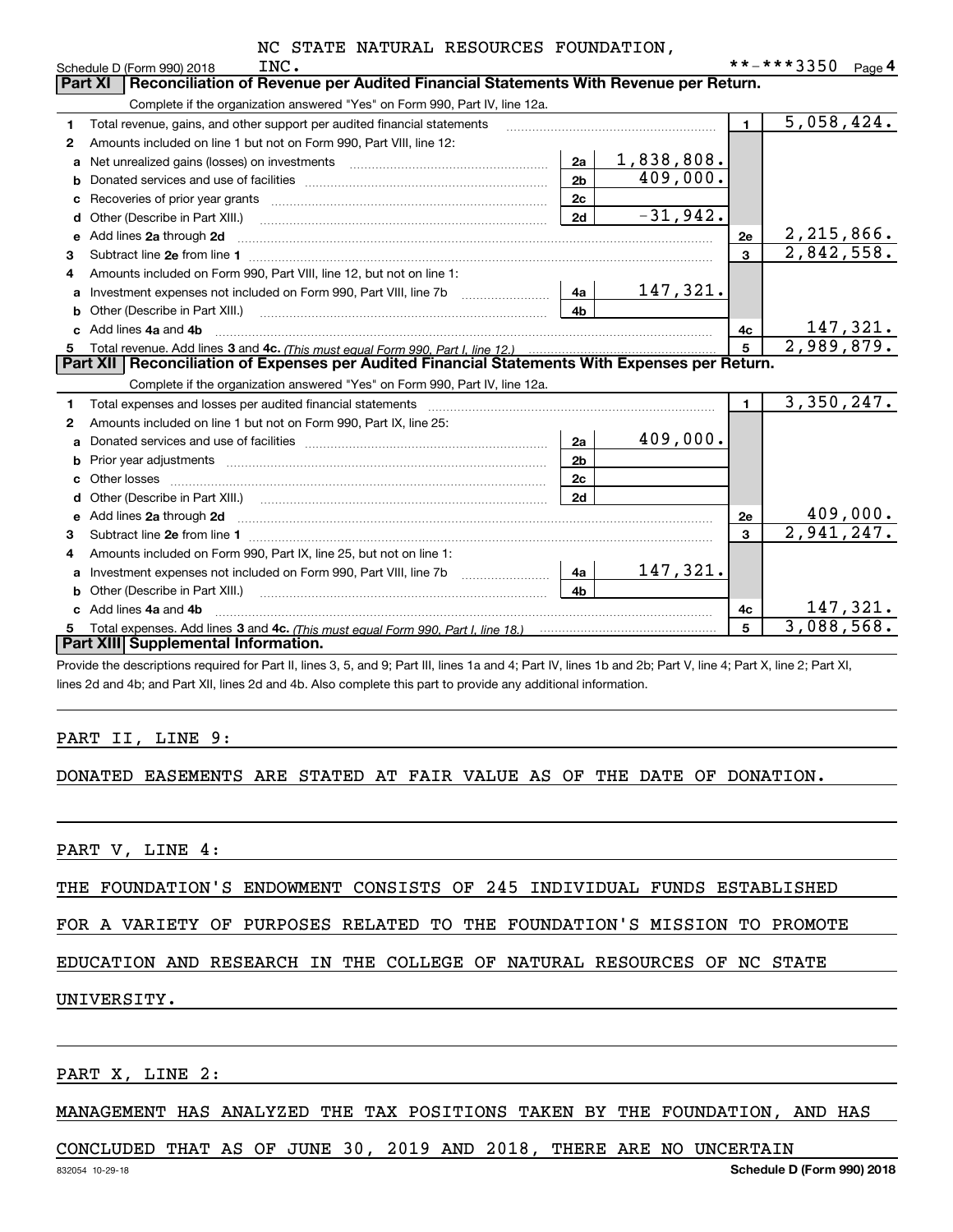|    | INC.<br>Schedule D (Form 990) 2018                                                                                                                                                                                                   |                | **-***3350 | Page $4$ |
|----|--------------------------------------------------------------------------------------------------------------------------------------------------------------------------------------------------------------------------------------|----------------|------------|----------|
|    | <b>Part XI</b><br>Reconciliation of Revenue per Audited Financial Statements With Revenue per Return.                                                                                                                                |                |            |          |
|    | Complete if the organization answered "Yes" on Form 990, Part IV, line 12a.                                                                                                                                                          |                |            |          |
| 1  | Total revenue, gains, and other support per audited financial statements                                                                                                                                                             | $\blacksquare$ | 5,058,424. |          |
| 2  | Amounts included on line 1 but not on Form 990, Part VIII, line 12:                                                                                                                                                                  |                |            |          |
| a  | 1,838,808.<br>2a                                                                                                                                                                                                                     |                |            |          |
| b  | 409,000.<br>2 <sub>b</sub>                                                                                                                                                                                                           |                |            |          |
| C  | 2c<br>Recoveries of prior year grants [11] matter contracts and prior year grants [11] matter contracts and all the contracts and all the contracts and all the contracts and all the contracts and all the contracts and all the co |                |            |          |
| d  | $-31,942.$<br>2d                                                                                                                                                                                                                     |                |            |          |
| e  | Add lines 2a through 2d                                                                                                                                                                                                              | 2e             | 2,215,866. |          |
| 3  |                                                                                                                                                                                                                                      | $\mathbf{a}$   | 2,842,558. |          |
| 4  | Amounts included on Form 990, Part VIII, line 12, but not on line 1:                                                                                                                                                                 |                |            |          |
|    | 147,321.<br>- 4a l                                                                                                                                                                                                                   |                |            |          |
| b  | 4 <sub>b</sub>                                                                                                                                                                                                                       |                |            |          |
| C. | Add lines 4a and 4b                                                                                                                                                                                                                  | 4c             |            | 147,321. |
| 5  |                                                                                                                                                                                                                                      | $5\phantom{a}$ | 2,989,879. |          |
|    | Part XII Reconciliation of Expenses per Audited Financial Statements With Expenses per Return.                                                                                                                                       |                |            |          |
|    | Complete if the organization answered "Yes" on Form 990, Part IV, line 12a.                                                                                                                                                          |                |            |          |
| 1  | Total expenses and losses per audited financial statements [11, 11] manuscription control expenses and losses per audited financial statements [11] manuscription of the statements [11] manuscription of the statements [11]        | $\mathbf{1}$   | 3,350,247. |          |
| 2  | Amounts included on line 1 but not on Form 990, Part IX, line 25:                                                                                                                                                                    |                |            |          |
| a  | 409,000.<br>2a                                                                                                                                                                                                                       |                |            |          |
| b  | 2 <sub>b</sub>                                                                                                                                                                                                                       |                |            |          |
| c  | 2c                                                                                                                                                                                                                                   |                |            |          |
|    | 2d                                                                                                                                                                                                                                   |                |            |          |
| e  | Add lines 2a through 2d <b>contained a contained a contained a contained a</b> contained a contained a contained a contained a contained a contained a contained a contained a contained a contained a contained a contained a cont  | <b>2e</b>      |            | 409,000. |
| 3  |                                                                                                                                                                                                                                      | 3              | 2,941,247. |          |
| 4  | Amounts included on Form 990, Part IX, line 25, but not on line 1:                                                                                                                                                                   |                |            |          |
| a  | 147,321.<br>4a                                                                                                                                                                                                                       |                |            |          |
| b  | 4 <sub>b</sub><br>Other (Describe in Part XIII.) <b>Construction Contract Construction</b> Chern Construction Construction Construction                                                                                              |                |            |          |
|    | Add lines 4a and 4b                                                                                                                                                                                                                  | 4c             |            | 147,321. |
| 5  |                                                                                                                                                                                                                                      | 5              | 3,088,568. |          |
|    | <b>Part XIII Supplemental Information.</b>                                                                                                                                                                                           |                |            |          |

Provide the descriptions required for Part II, lines 3, 5, and 9; Part III, lines 1a and 4; Part IV, lines 1b and 2b; Part V, line 4; Part X, line 2; Part XI, lines 2d and 4b; and Part XII, lines 2d and 4b. Also complete this part to provide any additional information.

### PART II, LINE 9:

### DONATED EASEMENTS ARE STATED AT FAIR VALUE AS OF THE DATE OF DONATION.

PART V, LINE 4:

THE FOUNDATION'S ENDOWMENT CONSISTS OF 245 INDIVIDUAL FUNDS ESTABLISHED

FOR A VARIETY OF PURPOSES RELATED TO THE FOUNDATION'S MISSION TO PROMOTE

EDUCATION AND RESEARCH IN THE COLLEGE OF NATURAL RESOURCES OF NC STATE

### UNIVERSITY.

PART X, LINE 2:

MANAGEMENT HAS ANALYZED THE TAX POSITIONS TAKEN BY THE FOUNDATION, AND HAS

### CONCLUDED THAT AS OF JUNE 30, 2019 AND 2018, THERE ARE NO UNCERTAIN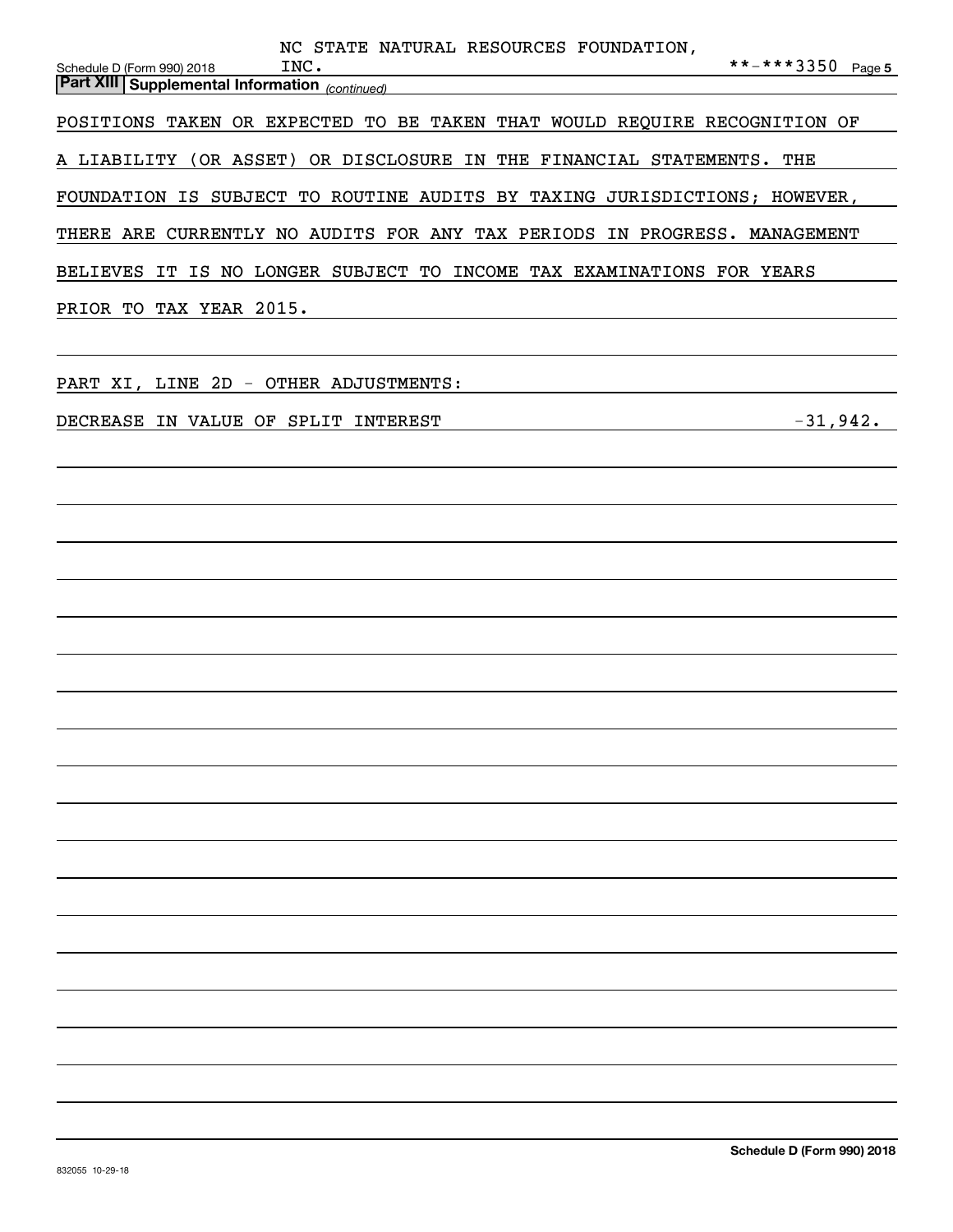| NC STATE NATURAL RESOURCES FOUNDATION,                                                                                                                                                                                                   |
|------------------------------------------------------------------------------------------------------------------------------------------------------------------------------------------------------------------------------------------|
| **-***3350 Page 5<br>INC.<br>Schedule D (Form 990) 2018<br><u> 1989 - Johann Barn, amerikan besteman besteman besteman besteman besteman besteman besteman besteman bestema</u><br><b>Part XIII Supplemental Information</b> (continued) |
| POSITIONS TAKEN OR EXPECTED TO BE TAKEN THAT WOULD REQUIRE RECOGNITION OF                                                                                                                                                                |
| A LIABILITY (OR ASSET) OR DISCLOSURE IN THE FINANCIAL STATEMENTS. THE                                                                                                                                                                    |
|                                                                                                                                                                                                                                          |
| FOUNDATION IS SUBJECT TO ROUTINE AUDITS BY TAXING JURISDICTIONS; HOWEVER,                                                                                                                                                                |
| THERE ARE CURRENTLY NO AUDITS FOR ANY TAX PERIODS IN PROGRESS. MANAGEMENT                                                                                                                                                                |
| BELIEVES IT IS NO LONGER SUBJECT TO INCOME TAX EXAMINATIONS FOR YEARS                                                                                                                                                                    |
| PRIOR TO TAX YEAR 2015.                                                                                                                                                                                                                  |
|                                                                                                                                                                                                                                          |
| PART XI, LINE 2D - OTHER ADJUSTMENTS:                                                                                                                                                                                                    |
| $-31,942.$<br>DECREASE IN VALUE OF SPLIT INTEREST                                                                                                                                                                                        |
|                                                                                                                                                                                                                                          |
|                                                                                                                                                                                                                                          |
|                                                                                                                                                                                                                                          |
|                                                                                                                                                                                                                                          |
|                                                                                                                                                                                                                                          |
|                                                                                                                                                                                                                                          |
|                                                                                                                                                                                                                                          |
|                                                                                                                                                                                                                                          |
|                                                                                                                                                                                                                                          |
|                                                                                                                                                                                                                                          |
|                                                                                                                                                                                                                                          |
|                                                                                                                                                                                                                                          |
|                                                                                                                                                                                                                                          |
|                                                                                                                                                                                                                                          |
|                                                                                                                                                                                                                                          |
|                                                                                                                                                                                                                                          |
|                                                                                                                                                                                                                                          |
|                                                                                                                                                                                                                                          |
|                                                                                                                                                                                                                                          |
|                                                                                                                                                                                                                                          |
|                                                                                                                                                                                                                                          |
|                                                                                                                                                                                                                                          |
|                                                                                                                                                                                                                                          |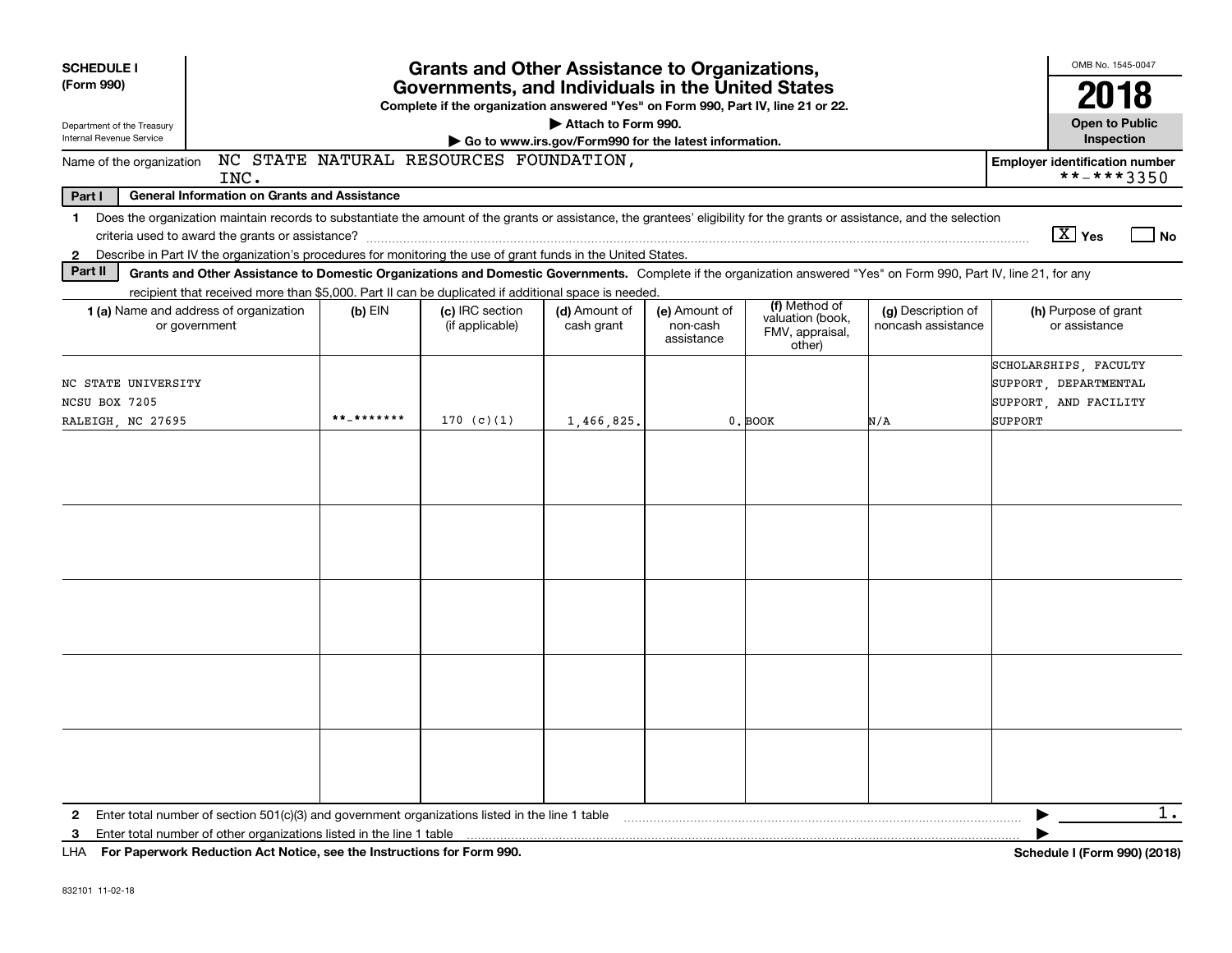| <b>SCHEDULE I</b><br>(Form 990)<br>Department of the Treasury<br>Internal Revenue Service | <b>Grants and Other Assistance to Organizations,</b><br>Governments, and Individuals in the United States<br>Complete if the organization answered "Yes" on Form 990, Part IV, line 21 or 22.<br>Attach to Form 990.<br>Go to www.irs.gov/Form990 for the latest information. |            |                                        |                             |                                         |                                                                |                                          |                                                                                    |
|-------------------------------------------------------------------------------------------|-------------------------------------------------------------------------------------------------------------------------------------------------------------------------------------------------------------------------------------------------------------------------------|------------|----------------------------------------|-----------------------------|-----------------------------------------|----------------------------------------------------------------|------------------------------------------|------------------------------------------------------------------------------------|
| Name of the organization                                                                  |                                                                                                                                                                                                                                                                               |            | NC STATE NATURAL RESOURCES FOUNDATION, |                             |                                         |                                                                |                                          | Inspection<br><b>Employer identification number</b>                                |
| Part I                                                                                    | INC.<br><b>General Information on Grants and Assistance</b>                                                                                                                                                                                                                   |            |                                        |                             |                                         |                                                                |                                          | **-***3350                                                                         |
| $\mathbf{1}$                                                                              | Does the organization maintain records to substantiate the amount of the grants or assistance, the grantees' eligibility for the grants or assistance, and the selection                                                                                                      |            |                                        |                             |                                         |                                                                |                                          |                                                                                    |
|                                                                                           |                                                                                                                                                                                                                                                                               |            |                                        |                             |                                         |                                                                |                                          | $\boxed{\text{X}}$ Yes<br><b>No</b>                                                |
| $\mathbf{2}$                                                                              | Describe in Part IV the organization's procedures for monitoring the use of grant funds in the United States.                                                                                                                                                                 |            |                                        |                             |                                         |                                                                |                                          |                                                                                    |
| Part II                                                                                   | Grants and Other Assistance to Domestic Organizations and Domestic Governments. Complete if the organization answered "Yes" on Form 990, Part IV, line 21, for any                                                                                                            |            |                                        |                             |                                         |                                                                |                                          |                                                                                    |
|                                                                                           | recipient that received more than \$5,000. Part II can be duplicated if additional space is needed.                                                                                                                                                                           |            |                                        |                             |                                         |                                                                |                                          |                                                                                    |
|                                                                                           | 1 (a) Name and address of organization<br>or government                                                                                                                                                                                                                       | $(b)$ EIN  | (c) IRC section<br>(if applicable)     | (d) Amount of<br>cash grant | (e) Amount of<br>non-cash<br>assistance | (f) Method of<br>valuation (book,<br>FMV, appraisal,<br>other) | (g) Description of<br>noncash assistance | (h) Purpose of grant<br>or assistance                                              |
| NC STATE UNIVERSITY<br>NCSU BOX 7205<br>RALEIGH, NC 27695                                 |                                                                                                                                                                                                                                                                               | **_******* | 170 (c)(1)                             | 1,466,825.                  |                                         | 0. BOOK                                                        | N/A                                      | SCHOLARSHIPS, FACULTY<br>SUPPORT, DEPARTMENTAL<br>SUPPORT, AND FACILITY<br>SUPPORT |
|                                                                                           |                                                                                                                                                                                                                                                                               |            |                                        |                             |                                         |                                                                |                                          |                                                                                    |
|                                                                                           |                                                                                                                                                                                                                                                                               |            |                                        |                             |                                         |                                                                |                                          |                                                                                    |
|                                                                                           |                                                                                                                                                                                                                                                                               |            |                                        |                             |                                         |                                                                |                                          |                                                                                    |
| $\mathbf{2}$<br>3                                                                         | Enter total number of section 501(c)(3) and government organizations listed in the line 1 table<br>Enter total number of other organizations listed in the line 1 table<br>LHA For Paperwork Reduction Act Notice, see the Instructions for Form 990.                         |            |                                        |                             |                                         |                                                                |                                          | $1$ .<br>Schedule I (Form 990) (2018)                                              |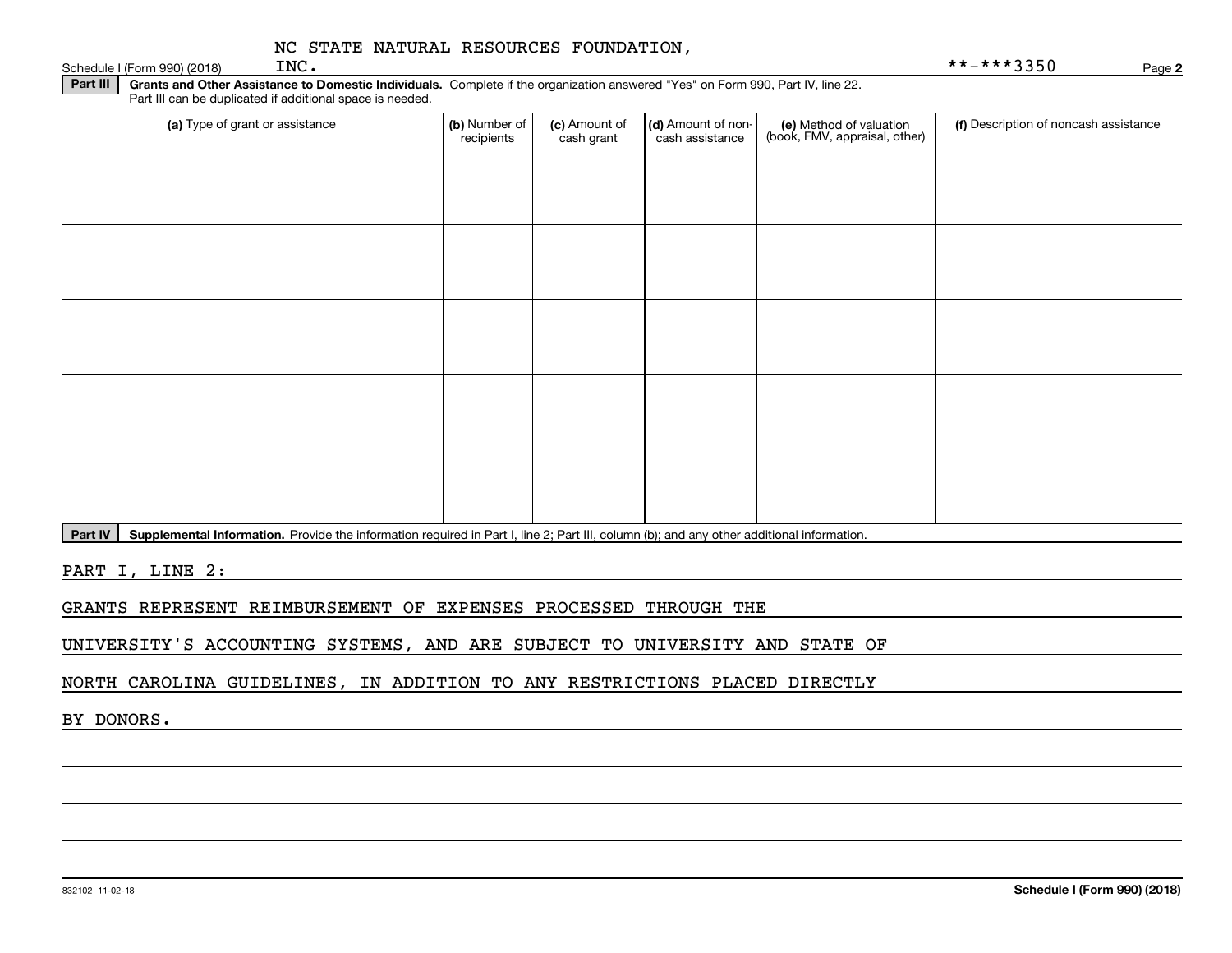### Schedule I (Form 990) (2018)  $INC$ . NC STATE NATURAL RESOURCES FOUNDATION,

 $***-**3350$ 

**2**

**Part III | Grants and Other Assistance to Domestic Individuals. Complete if the organization answered "Yes" on Form 990, Part IV, line 22.** Part III can be duplicated if additional space is needed.

| (a) Type of grant or assistance | (b) Number of<br>recipients | (c) Amount of<br>cash grant | (d) Amount of non-<br>cash assistance | (e) Method of valuation<br>(book, FMV, appraisal, other) | (f) Description of noncash assistance |
|---------------------------------|-----------------------------|-----------------------------|---------------------------------------|----------------------------------------------------------|---------------------------------------|
|                                 |                             |                             |                                       |                                                          |                                       |
|                                 |                             |                             |                                       |                                                          |                                       |
|                                 |                             |                             |                                       |                                                          |                                       |
|                                 |                             |                             |                                       |                                                          |                                       |
|                                 |                             |                             |                                       |                                                          |                                       |
|                                 |                             |                             |                                       |                                                          |                                       |
|                                 |                             |                             |                                       |                                                          |                                       |
|                                 |                             |                             |                                       |                                                          |                                       |
|                                 |                             |                             |                                       |                                                          |                                       |
|                                 |                             |                             |                                       |                                                          |                                       |

Part IV | Supplemental Information. Provide the information required in Part I, line 2; Part III, column (b); and any other additional information.

PART I, LINE 2:

GRANTS REPRESENT REIMBURSEMENT OF EXPENSES PROCESSED THROUGH THE

UNIVERSITY'S ACCOUNTING SYSTEMS, AND ARE SUBJECT TO UNIVERSITY AND STATE OF

NORTH CAROLINA GUIDELINES, IN ADDITION TO ANY RESTRICTIONS PLACED DIRECTLY

BY DONORS.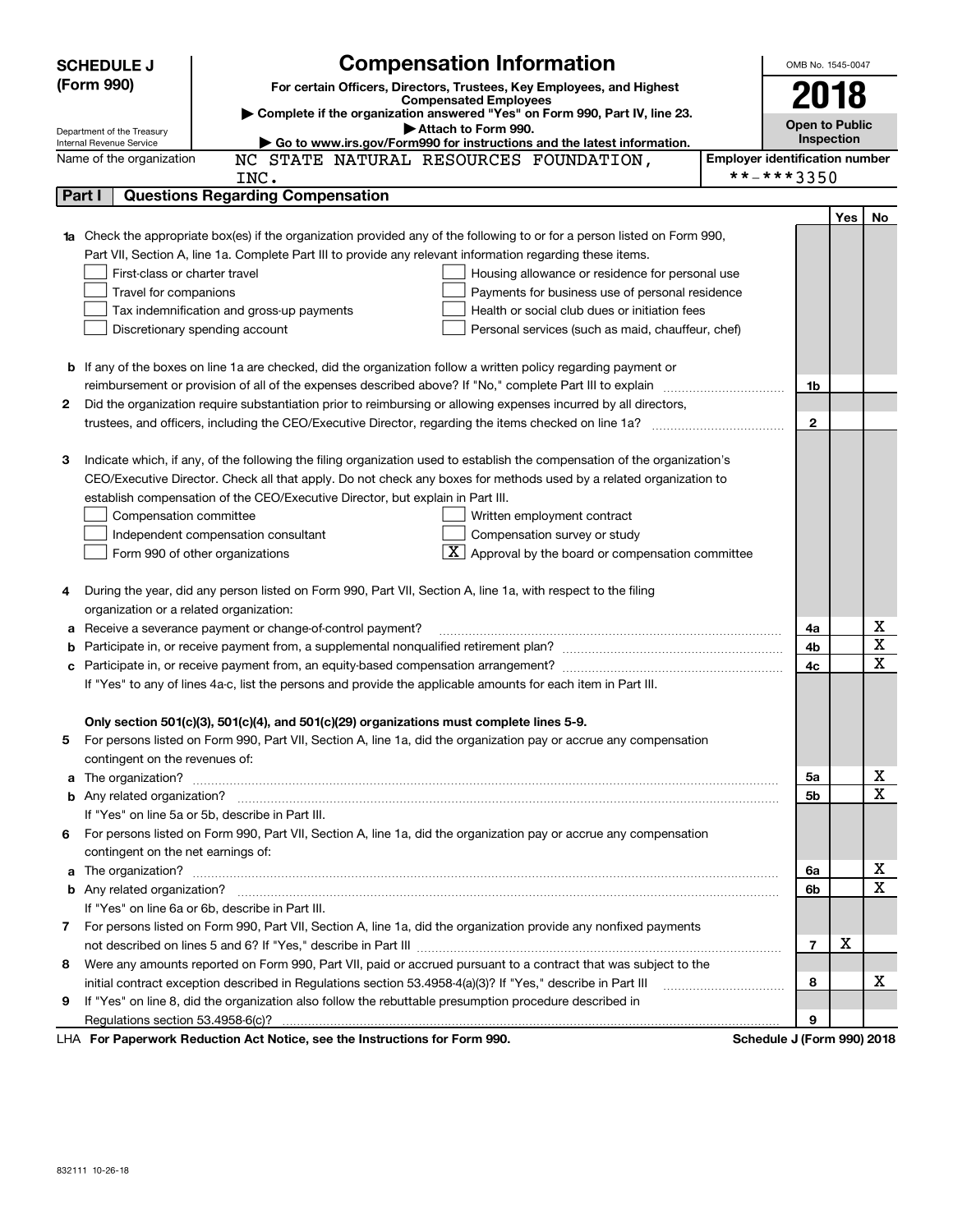|        | <b>SCHEDULE J</b>                                                                                             | <b>Compensation Information</b>                                                                                                  |                                       | OMB No. 1545-0047          |     |             |  |
|--------|---------------------------------------------------------------------------------------------------------------|----------------------------------------------------------------------------------------------------------------------------------|---------------------------------------|----------------------------|-----|-------------|--|
|        | (Form 990)                                                                                                    | For certain Officers, Directors, Trustees, Key Employees, and Highest                                                            |                                       |                            |     |             |  |
|        |                                                                                                               | <b>Compensated Employees</b><br>Complete if the organization answered "Yes" on Form 990, Part IV, line 23.                       |                                       | 2018                       |     |             |  |
|        | Department of the Treasury                                                                                    | Attach to Form 990.                                                                                                              |                                       | <b>Open to Public</b>      |     |             |  |
|        | Internal Revenue Service                                                                                      | Go to www.irs.gov/Form990 for instructions and the latest information.                                                           |                                       | Inspection                 |     |             |  |
|        | Name of the organization                                                                                      | NC STATE NATURAL RESOURCES FOUNDATION,                                                                                           | <b>Employer identification number</b> |                            |     |             |  |
|        |                                                                                                               | INC.                                                                                                                             |                                       | **-***3350                 |     |             |  |
| Part I |                                                                                                               | <b>Questions Regarding Compensation</b>                                                                                          |                                       |                            |     |             |  |
|        |                                                                                                               |                                                                                                                                  |                                       |                            | Yes | No          |  |
|        |                                                                                                               | <b>1a</b> Check the appropriate box(es) if the organization provided any of the following to or for a person listed on Form 990, |                                       |                            |     |             |  |
|        |                                                                                                               | Part VII, Section A, line 1a. Complete Part III to provide any relevant information regarding these items.                       |                                       |                            |     |             |  |
|        | First-class or charter travel                                                                                 | Housing allowance or residence for personal use                                                                                  |                                       |                            |     |             |  |
|        | Travel for companions                                                                                         | Payments for business use of personal residence                                                                                  |                                       |                            |     |             |  |
|        |                                                                                                               | Tax indemnification and gross-up payments<br>Health or social club dues or initiation fees                                       |                                       |                            |     |             |  |
|        |                                                                                                               | Discretionary spending account<br>Personal services (such as maid, chauffeur, chef)                                              |                                       |                            |     |             |  |
|        |                                                                                                               |                                                                                                                                  |                                       |                            |     |             |  |
|        |                                                                                                               | <b>b</b> If any of the boxes on line 1a are checked, did the organization follow a written policy regarding payment or           |                                       |                            |     |             |  |
|        |                                                                                                               | reimbursement or provision of all of the expenses described above? If "No," complete Part III to explain                         |                                       | 1b                         |     |             |  |
| 2      |                                                                                                               | Did the organization require substantiation prior to reimbursing or allowing expenses incurred by all directors,                 |                                       | $\mathbf{2}$               |     |             |  |
|        |                                                                                                               |                                                                                                                                  |                                       |                            |     |             |  |
| З      |                                                                                                               | Indicate which, if any, of the following the filing organization used to establish the compensation of the organization's        |                                       |                            |     |             |  |
|        |                                                                                                               | CEO/Executive Director. Check all that apply. Do not check any boxes for methods used by a related organization to               |                                       |                            |     |             |  |
|        |                                                                                                               | establish compensation of the CEO/Executive Director, but explain in Part III.                                                   |                                       |                            |     |             |  |
|        | Compensation committee                                                                                        | Written employment contract                                                                                                      |                                       |                            |     |             |  |
|        |                                                                                                               | Compensation survey or study<br>Independent compensation consultant                                                              |                                       |                            |     |             |  |
|        |                                                                                                               | $\lfloor \underline{X} \rfloor$ Approval by the board or compensation committee<br>Form 990 of other organizations               |                                       |                            |     |             |  |
|        |                                                                                                               |                                                                                                                                  |                                       |                            |     |             |  |
| 4      |                                                                                                               | During the year, did any person listed on Form 990, Part VII, Section A, line 1a, with respect to the filing                     |                                       |                            |     |             |  |
|        | organization or a related organization:                                                                       |                                                                                                                                  |                                       |                            |     |             |  |
| а      |                                                                                                               | Receive a severance payment or change-of-control payment?                                                                        |                                       | 4a                         |     | X           |  |
| b      |                                                                                                               |                                                                                                                                  |                                       | 4b                         |     | X           |  |
| c      |                                                                                                               |                                                                                                                                  |                                       | 4c                         |     | X           |  |
|        | If "Yes" to any of lines 4a-c, list the persons and provide the applicable amounts for each item in Part III. |                                                                                                                                  |                                       |                            |     |             |  |
|        |                                                                                                               |                                                                                                                                  |                                       |                            |     |             |  |
|        |                                                                                                               | Only section 501(c)(3), 501(c)(4), and 501(c)(29) organizations must complete lines 5-9.                                         |                                       |                            |     |             |  |
|        |                                                                                                               | For persons listed on Form 990, Part VII, Section A, line 1a, did the organization pay or accrue any compensation                |                                       |                            |     |             |  |
|        | contingent on the revenues of:                                                                                |                                                                                                                                  |                                       |                            |     |             |  |
|        |                                                                                                               | a The organization? <b>Constitution</b> and the organization?                                                                    |                                       | 5а                         |     | х           |  |
|        |                                                                                                               |                                                                                                                                  |                                       | 5b                         |     | $\mathbf X$ |  |
|        |                                                                                                               | If "Yes" on line 5a or 5b, describe in Part III.                                                                                 |                                       |                            |     |             |  |
|        |                                                                                                               | 6 For persons listed on Form 990, Part VII, Section A, line 1a, did the organization pay or accrue any compensation              |                                       |                            |     |             |  |
|        | contingent on the net earnings of:                                                                            |                                                                                                                                  |                                       |                            |     |             |  |
|        |                                                                                                               | a The organization? <b>With the Constitution of the Constitution</b> of the Constant of The organization?                        |                                       | 6a                         |     | х           |  |
|        |                                                                                                               |                                                                                                                                  |                                       | 6b                         |     | $\mathbf X$ |  |
|        |                                                                                                               | If "Yes" on line 6a or 6b, describe in Part III.                                                                                 |                                       |                            |     |             |  |
|        |                                                                                                               | 7 For persons listed on Form 990, Part VII, Section A, line 1a, did the organization provide any nonfixed payments               |                                       |                            |     |             |  |
|        |                                                                                                               |                                                                                                                                  |                                       | $\overline{7}$             | X   |             |  |
| 8.     |                                                                                                               | Were any amounts reported on Form 990, Part VII, paid or accrued pursuant to a contract that was subject to the                  |                                       |                            |     |             |  |
|        |                                                                                                               | initial contract exception described in Regulations section 53.4958-4(a)(3)? If "Yes," describe in Part III                      |                                       | 8                          |     | x           |  |
| 9      |                                                                                                               | If "Yes" on line 8, did the organization also follow the rebuttable presumption procedure described in                           |                                       |                            |     |             |  |
|        |                                                                                                               |                                                                                                                                  |                                       | 9                          |     |             |  |
|        |                                                                                                               | LHA For Paperwork Reduction Act Notice, see the Instructions for Form 990.                                                       |                                       | Schedule J (Form 990) 2018 |     |             |  |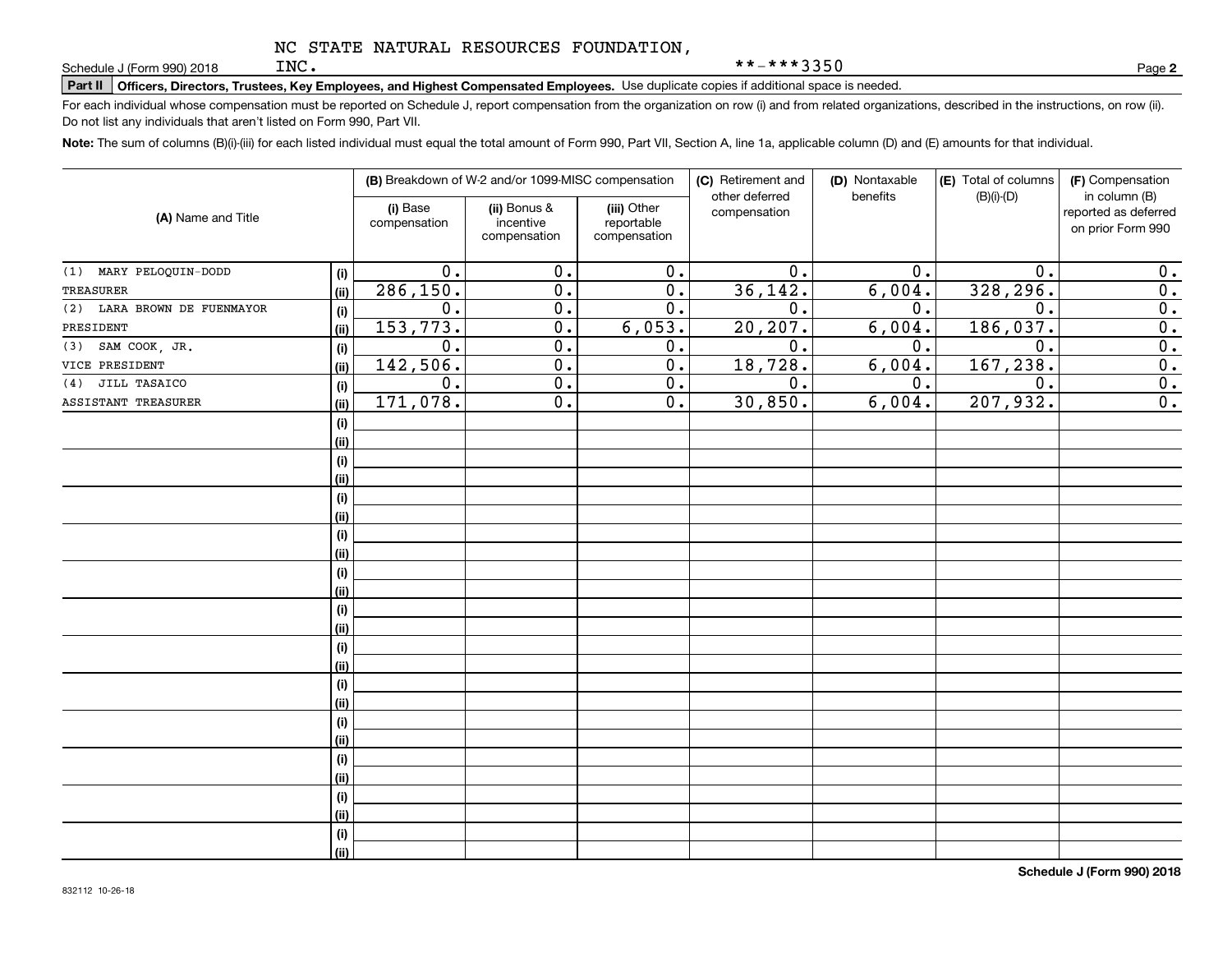**Part II Officers, Directors, Trustees, Key Employees, and Highest Compensated Employees.**  Schedule J (Form 990) 2018 Page Use duplicate copies if additional space is needed.

For each individual whose compensation must be reported on Schedule J, report compensation from the organization on row (i) and from related organizations, described in the instructions, on row (ii). Do not list any individuals that aren't listed on Form 990, Part VII.

**Note:**  The sum of columns (B)(i)-(iii) for each listed individual must equal the total amount of Form 990, Part VII, Section A, line 1a, applicable column (D) and (E) amounts for that individual.

| (A) Name and Title             |             |                          | (B) Breakdown of W-2 and/or 1099-MISC compensation |                                           | (C) Retirement and<br>other deferred | (D) Nontaxable<br>benefits | (E) Total of columns<br>$(B)(i)-(D)$ | (F) Compensation<br>in column (B)         |
|--------------------------------|-------------|--------------------------|----------------------------------------------------|-------------------------------------------|--------------------------------------|----------------------------|--------------------------------------|-------------------------------------------|
|                                |             | (i) Base<br>compensation | (ii) Bonus &<br>incentive<br>compensation          | (iii) Other<br>reportable<br>compensation | compensation                         |                            |                                      | reported as deferred<br>on prior Form 990 |
| MARY PELOQUIN-DODD<br>(1)      | (i)         | $\overline{0}$ .         | $\overline{0}$ .                                   | $\overline{0}$ .                          | $\overline{0}$ .                     | 0.                         | $\mathbf 0$ .                        | 0.                                        |
| <b>TREASURER</b>               | (ii)        | 286, 150.                | $\overline{0}$ .                                   | $\overline{0}$ .                          | 36, 142.                             | 6,004.                     | 328, 296.                            | $\overline{0}$ .                          |
| LARA BROWN DE FUENMAYOR<br>(2) | (i)         | $\overline{0}$ .         | $\overline{0}$ .                                   | $\overline{0}$ .                          | $\overline{0}$ .                     | 0.                         | 0.                                   | $\overline{0}$ .                          |
| PRESIDENT                      | (ii)        | 153, 773.                | $\overline{0}$ .                                   | 6,053.                                    | 20, 207.                             | 6,004.                     | 186,037.                             | $\overline{0}$ .                          |
| SAM COOK, JR.<br>(3)           | (i)         | $\overline{0}$ .         | $\overline{0}$ .                                   | 0.                                        | $\overline{0}$ .                     | 0.                         | 0.                                   | $\overline{0}$ .                          |
| VICE PRESIDENT                 | (ii)        | 142,506.                 | $\overline{0}$ .                                   | $\overline{0}$ .                          | 18,728.                              | 6,004.                     | 167, 238.                            | $\overline{0}$ .                          |
| JILL TASAICO<br>(4)            | (i)         | 0.                       | $\overline{0}$ .                                   | $\overline{0}$ .                          | $\overline{0}$ .                     | 0.                         | 0.                                   | $\overline{0}$ .                          |
| ASSISTANT TREASURER            | (ii)        | 171,078.                 | $\overline{0}$ .                                   | $\overline{0}$ .                          | 30,850.                              | 6,004.                     | 207,932.                             | $\overline{0}$ .                          |
|                                | (i)         |                          |                                                    |                                           |                                      |                            |                                      |                                           |
|                                | (ii)        |                          |                                                    |                                           |                                      |                            |                                      |                                           |
|                                | (i)         |                          |                                                    |                                           |                                      |                            |                                      |                                           |
|                                | (ii)        |                          |                                                    |                                           |                                      |                            |                                      |                                           |
|                                | (i)         |                          |                                                    |                                           |                                      |                            |                                      |                                           |
|                                | (ii)        |                          |                                                    |                                           |                                      |                            |                                      |                                           |
|                                | (i)         |                          |                                                    |                                           |                                      |                            |                                      |                                           |
|                                | (ii)        |                          |                                                    |                                           |                                      |                            |                                      |                                           |
|                                | (i)         |                          |                                                    |                                           |                                      |                            |                                      |                                           |
|                                | (ii)        |                          |                                                    |                                           |                                      |                            |                                      |                                           |
|                                | (i)         |                          |                                                    |                                           |                                      |                            |                                      |                                           |
|                                | (ii)        |                          |                                                    |                                           |                                      |                            |                                      |                                           |
|                                | (i)         |                          |                                                    |                                           |                                      |                            |                                      |                                           |
|                                | (ii)        |                          |                                                    |                                           |                                      |                            |                                      |                                           |
|                                | (i)         |                          |                                                    |                                           |                                      |                            |                                      |                                           |
|                                | (ii)        |                          |                                                    |                                           |                                      |                            |                                      |                                           |
|                                | (i)         |                          |                                                    |                                           |                                      |                            |                                      |                                           |
|                                | (ii)        |                          |                                                    |                                           |                                      |                            |                                      |                                           |
|                                | (i)         |                          |                                                    |                                           |                                      |                            |                                      |                                           |
|                                | (ii)        |                          |                                                    |                                           |                                      |                            |                                      |                                           |
|                                | (i)         |                          |                                                    |                                           |                                      |                            |                                      |                                           |
|                                | (ii)        |                          |                                                    |                                           |                                      |                            |                                      |                                           |
|                                | (i)<br>(ii) |                          |                                                    |                                           |                                      |                            |                                      |                                           |
|                                |             |                          |                                                    |                                           |                                      |                            |                                      |                                           |

**2**

\*\*-\*\*\*3350

INC.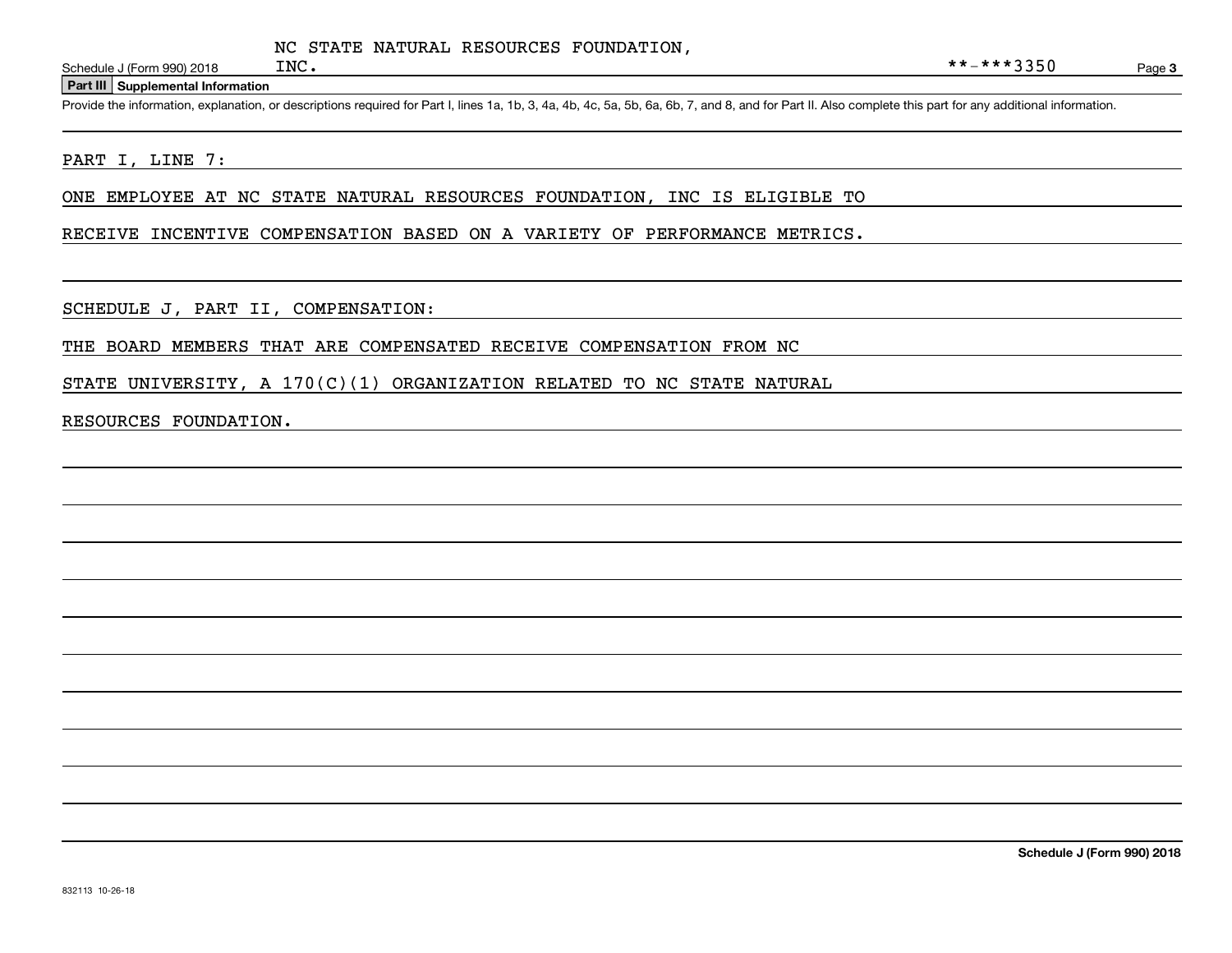**Part III Supplemental Information**

Schedule J (Form 990) 2018 INC.<br>Part III Supplemental Information<br>Provide the information, explanation, or descriptions required for Part I, lines 1a, 1b, 3, 4a, 4b, 4c, 5a, 5b, 6a, 6b, 7, and 8, and for Part II. Also comp

PART I, LINE 7:

ONE EMPLOYEE AT NC STATE NATURAL RESOURCES FOUNDATION, INC IS ELIGIBLE TO

RECEIVE INCENTIVE COMPENSATION BASED ON A VARIETY OF PERFORMANCE METRICS.

SCHEDULE J, PART II, COMPENSATION:

THE BOARD MEMBERS THAT ARE COMPENSATED RECEIVE COMPENSATION FROM NC

STATE UNIVERSITY, A  $170(C)(1)$  ORGANIZATION RELATED TO NC STATE NATURAL

### RESOURCES FOUNDATION.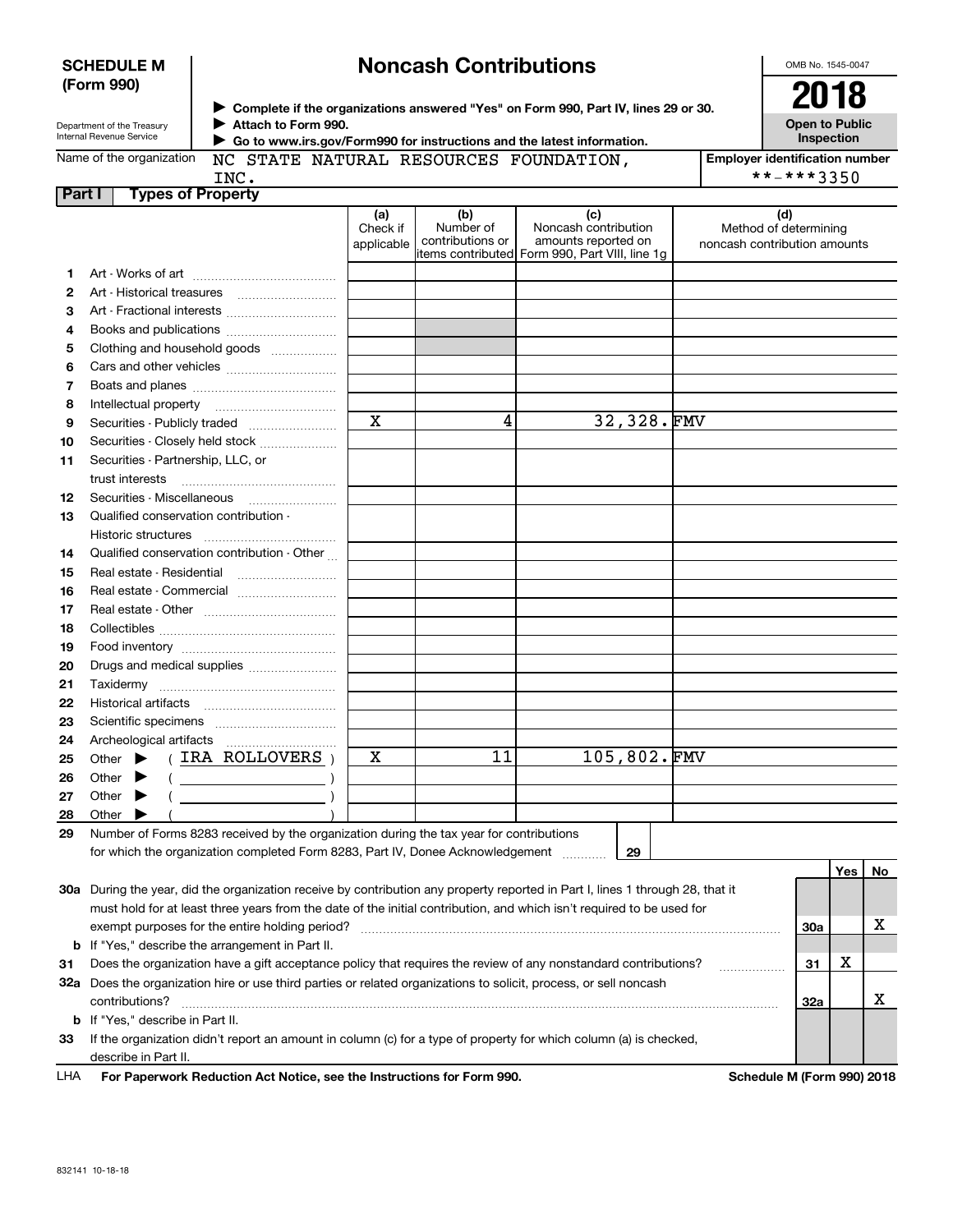|               | (Form 990)                                                                                                                                              |                               |                                      | > Complete if the organizations answered "Yes" on Form 990, Part IV, lines 29 or 30.                 | 2018                                                         |
|---------------|---------------------------------------------------------------------------------------------------------------------------------------------------------|-------------------------------|--------------------------------------|------------------------------------------------------------------------------------------------------|--------------------------------------------------------------|
|               | Attach to Form 990.<br>Department of the Treasury<br>Internal Revenue Service<br>Go to www.irs.gov/Form990 for instructions and the latest information. |                               |                                      |                                                                                                      | <b>Open to Public</b><br><b>Inspection</b>                   |
|               | Name of the organization<br>NC STATE NATURAL RESOURCES FOUNDATION,<br>INC.                                                                              |                               |                                      |                                                                                                      | <b>Employer identification number</b><br>**-***3350          |
| <b>Part I</b> | <b>Types of Property</b>                                                                                                                                |                               |                                      |                                                                                                      |                                                              |
|               |                                                                                                                                                         | (a)<br>Check if<br>applicable | (b)<br>Number of<br>contributions or | (c)<br>Noncash contribution<br>amounts reported on<br>items contributed Form 990, Part VIII, line 1g | (d)<br>Method of determining<br>noncash contribution amounts |
| 1             |                                                                                                                                                         |                               |                                      |                                                                                                      |                                                              |
| 2             |                                                                                                                                                         |                               |                                      |                                                                                                      |                                                              |
| З             | Art - Fractional interests                                                                                                                              |                               |                                      |                                                                                                      |                                                              |
| 4             | Books and publications                                                                                                                                  |                               |                                      |                                                                                                      |                                                              |
| 5             | Clothing and household goods                                                                                                                            |                               |                                      |                                                                                                      |                                                              |
| 6             |                                                                                                                                                         |                               |                                      |                                                                                                      |                                                              |
| 7             |                                                                                                                                                         |                               |                                      |                                                                                                      |                                                              |
| 8             |                                                                                                                                                         |                               |                                      |                                                                                                      |                                                              |
| 9             |                                                                                                                                                         | $\mathbf x$                   | 4                                    | 32,328.FMV                                                                                           |                                                              |
| 10            | Securities - Closely held stock                                                                                                                         |                               |                                      |                                                                                                      |                                                              |
| 11            | Securities - Partnership, LLC, or                                                                                                                       |                               |                                      |                                                                                                      |                                                              |
|               | trust interests                                                                                                                                         |                               |                                      |                                                                                                      |                                                              |
| 12            | Securities - Miscellaneous                                                                                                                              |                               |                                      |                                                                                                      |                                                              |
| 13            | Qualified conservation contribution -                                                                                                                   |                               |                                      |                                                                                                      |                                                              |
|               | Historic structures                                                                                                                                     |                               |                                      |                                                                                                      |                                                              |
| 14            | Qualified conservation contribution - Other                                                                                                             |                               |                                      |                                                                                                      |                                                              |
| 15            | Real estate - Residential                                                                                                                               |                               |                                      |                                                                                                      |                                                              |
| 16            | Real estate - Commercial                                                                                                                                |                               |                                      |                                                                                                      |                                                              |
| 17            |                                                                                                                                                         |                               |                                      |                                                                                                      |                                                              |
| 18            |                                                                                                                                                         |                               |                                      |                                                                                                      |                                                              |
| 19            |                                                                                                                                                         |                               |                                      |                                                                                                      |                                                              |
| 20            | Drugs and medical supplies                                                                                                                              |                               |                                      |                                                                                                      |                                                              |
| 21            |                                                                                                                                                         |                               |                                      |                                                                                                      |                                                              |
| 22            |                                                                                                                                                         |                               |                                      |                                                                                                      |                                                              |
| 23            |                                                                                                                                                         |                               |                                      |                                                                                                      |                                                              |
| 24            |                                                                                                                                                         |                               |                                      |                                                                                                      |                                                              |
| 25            | Other $\blacktriangleright$ (IRA ROLLOVERS)                                                                                                             | х                             | 11                                   | 105,802.FMV                                                                                          |                                                              |
| 26            | Other                                                                                                                                                   |                               |                                      |                                                                                                      |                                                              |
| 27            | Other                                                                                                                                                   |                               |                                      |                                                                                                      |                                                              |
| 28            | Other                                                                                                                                                   |                               |                                      |                                                                                                      |                                                              |
| 29            | Number of Forms 8283 received by the organization during the tax year for contributions                                                                 |                               |                                      |                                                                                                      |                                                              |
|               | for which the organization completed Form 8283, Part IV, Donee Acknowledgement                                                                          |                               |                                      | 29                                                                                                   |                                                              |
|               |                                                                                                                                                         |                               |                                      |                                                                                                      | Yes<br>No                                                    |
|               | 30a During the year, did the organization receive by contribution any property reported in Part I, lines 1 through 28, that it                          |                               |                                      |                                                                                                      |                                                              |
|               | must hold for at least three years from the date of the initial contribution, and which isn't required to be used for                                   |                               |                                      |                                                                                                      |                                                              |
|               |                                                                                                                                                         |                               |                                      |                                                                                                      | x<br>30a                                                     |
| b             | If "Yes," describe the arrangement in Part II.                                                                                                          |                               |                                      |                                                                                                      |                                                              |
| 31            | Does the organization have a gift acceptance policy that requires the review of any nonstandard contributions?                                          |                               |                                      |                                                                                                      | x<br>31                                                      |

# **Noncash Contributions**

**32a**

X

OMB No. 1545-0047

 $\overline{\phantom{0}}$  $\overline{\phantom{0}}$  $\overline{\phantom{0}}$  $\overline{\phantom{0}}$ 

**For Paperwork Reduction Act Notice, see the Instructions for Form 990. Schedule M (Form 990) 2018** LHA

**32a** Does the organization hire or use third parties or related organizations to solicit, process, or sell noncash

**33**If the organization didn't report an amount in column (c) for a type of property for which column (a) is checked,

contributions? ~~~~~~~~~~~~~~~~~~~~~~~~~~~~~~~~~~~~~~~~~~~~~~~~~~~~~~

**b** If "Yes," describe in Part II.

describe in Part II.

**SCHEDULE M**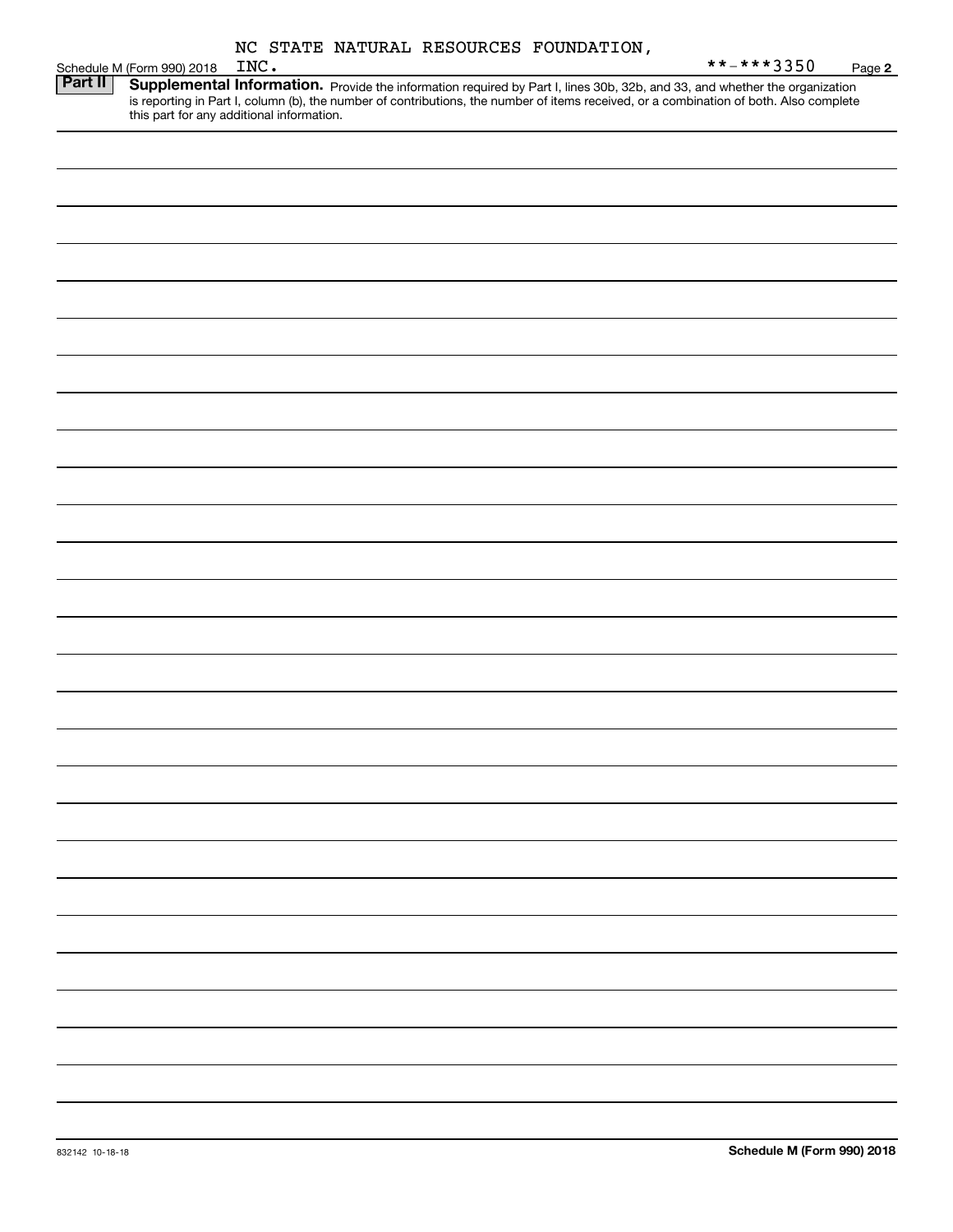|  |  | NC STATE NATURAL RESOURCES FOUNDATION, |
|--|--|----------------------------------------|
|  |  |                                        |

|                | Schedule M (Form 990) 2018 | NC DIAID NAIGHAD RODOORCOD IOONDAIION,<br>INC.                                                                                                                                                                                      | **-***3350 |
|----------------|----------------------------|-------------------------------------------------------------------------------------------------------------------------------------------------------------------------------------------------------------------------------------|------------|
| <b>Part II</b> |                            |                                                                                                                                                                                                                                     | Page 2     |
|                |                            | <b>Supplemental Information.</b> Provide the information required by Part I, lines 30b, 32b, and 33, and whether the organization is reporting in Part I, column (b), the number of contributions, the number of items received, or |            |
|                |                            |                                                                                                                                                                                                                                     |            |
|                |                            |                                                                                                                                                                                                                                     |            |
|                |                            |                                                                                                                                                                                                                                     |            |
|                |                            |                                                                                                                                                                                                                                     |            |
|                |                            |                                                                                                                                                                                                                                     |            |
|                |                            |                                                                                                                                                                                                                                     |            |
|                |                            |                                                                                                                                                                                                                                     |            |
|                |                            |                                                                                                                                                                                                                                     |            |
|                |                            |                                                                                                                                                                                                                                     |            |
|                |                            |                                                                                                                                                                                                                                     |            |
|                |                            |                                                                                                                                                                                                                                     |            |
|                |                            |                                                                                                                                                                                                                                     |            |
|                |                            |                                                                                                                                                                                                                                     |            |
|                |                            |                                                                                                                                                                                                                                     |            |
|                |                            |                                                                                                                                                                                                                                     |            |
|                |                            |                                                                                                                                                                                                                                     |            |
|                |                            |                                                                                                                                                                                                                                     |            |
|                |                            |                                                                                                                                                                                                                                     |            |
|                |                            |                                                                                                                                                                                                                                     |            |
|                |                            |                                                                                                                                                                                                                                     |            |
|                |                            |                                                                                                                                                                                                                                     |            |
|                |                            |                                                                                                                                                                                                                                     |            |
|                |                            |                                                                                                                                                                                                                                     |            |
|                |                            |                                                                                                                                                                                                                                     |            |
|                |                            |                                                                                                                                                                                                                                     |            |
|                |                            |                                                                                                                                                                                                                                     |            |
|                |                            |                                                                                                                                                                                                                                     |            |
|                |                            |                                                                                                                                                                                                                                     |            |
|                |                            |                                                                                                                                                                                                                                     |            |
|                |                            |                                                                                                                                                                                                                                     |            |
|                |                            |                                                                                                                                                                                                                                     |            |
|                |                            |                                                                                                                                                                                                                                     |            |
|                |                            |                                                                                                                                                                                                                                     |            |
|                |                            |                                                                                                                                                                                                                                     |            |
|                |                            |                                                                                                                                                                                                                                     |            |
|                |                            |                                                                                                                                                                                                                                     |            |
|                |                            |                                                                                                                                                                                                                                     |            |
|                |                            |                                                                                                                                                                                                                                     |            |
|                |                            |                                                                                                                                                                                                                                     |            |
|                |                            |                                                                                                                                                                                                                                     |            |
|                |                            |                                                                                                                                                                                                                                     |            |
|                |                            |                                                                                                                                                                                                                                     |            |
|                |                            |                                                                                                                                                                                                                                     |            |
|                |                            |                                                                                                                                                                                                                                     |            |
|                |                            |                                                                                                                                                                                                                                     |            |
|                |                            |                                                                                                                                                                                                                                     |            |
|                |                            |                                                                                                                                                                                                                                     |            |
|                |                            |                                                                                                                                                                                                                                     |            |
|                |                            |                                                                                                                                                                                                                                     |            |
|                |                            |                                                                                                                                                                                                                                     |            |
|                |                            |                                                                                                                                                                                                                                     |            |
|                |                            |                                                                                                                                                                                                                                     |            |
|                |                            |                                                                                                                                                                                                                                     |            |
|                |                            |                                                                                                                                                                                                                                     |            |
|                |                            |                                                                                                                                                                                                                                     |            |
|                |                            |                                                                                                                                                                                                                                     |            |
|                |                            |                                                                                                                                                                                                                                     |            |
|                |                            |                                                                                                                                                                                                                                     |            |
|                |                            |                                                                                                                                                                                                                                     |            |
|                |                            |                                                                                                                                                                                                                                     |            |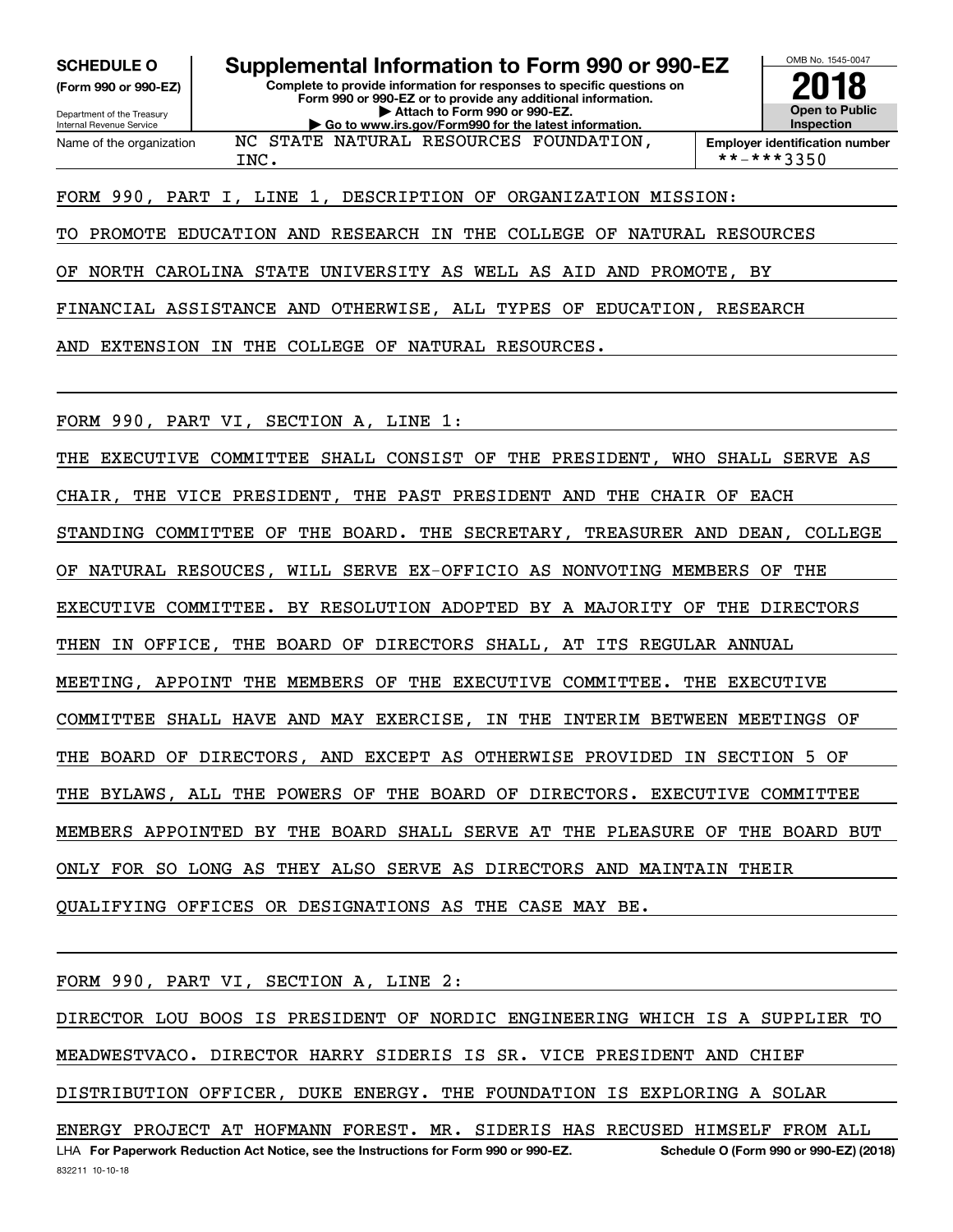**(Form 990 or 990-EZ)**

Department of the Treasury Internal Revenue Service Name of the organization

**SCHEDULE O Supplemental Information to Form 990 or 990-EZ**

**Complete to provide information for responses to specific questions on Form 990 or 990-EZ or to provide any additional information. | Attach to Form 990 or 990-EZ. | Go to www.irs.gov/Form990 for the latest information.** NC STATE NATURAL RESOURCES FOUNDATION,



 $INC.$   $| * - * * * 3350$ 

### FORM 990, PART I, LINE 1, DESCRIPTION OF ORGANIZATION MISSION:

TO PROMOTE EDUCATION AND RESEARCH IN THE COLLEGE OF NATURAL RESOURCES

OF NORTH CAROLINA STATE UNIVERSITY AS WELL AS AID AND PROMOTE, BY

FINANCIAL ASSISTANCE AND OTHERWISE, ALL TYPES OF EDUCATION, RESEARCH

AND EXTENSION IN THE COLLEGE OF NATURAL RESOURCES.

FORM 990, PART VI, SECTION A, LINE 1:

THE EXECUTIVE COMMITTEE SHALL CONSIST OF THE PRESIDENT, WHO SHALL SERVE AS CHAIR, THE VICE PRESIDENT, THE PAST PRESIDENT AND THE CHAIR OF EACH STANDING COMMITTEE OF THE BOARD. THE SECRETARY, TREASURER AND DEAN, COLLEGE OF NATURAL RESOUCES, WILL SERVE EX-OFFICIO AS NONVOTING MEMBERS OF THE EXECUTIVE COMMITTEE. BY RESOLUTION ADOPTED BY A MAJORITY OF THE DIRECTORS THEN IN OFFICE, THE BOARD OF DIRECTORS SHALL, AT ITS REGULAR ANNUAL MEETING, APPOINT THE MEMBERS OF THE EXECUTIVE COMMITTEE. THE EXECUTIVE COMMITTEE SHALL HAVE AND MAY EXERCISE, IN THE INTERIM BETWEEN MEETINGS OF THE BOARD OF DIRECTORS, AND EXCEPT AS OTHERWISE PROVIDED IN SECTION 5 OF THE BYLAWS, ALL THE POWERS OF THE BOARD OF DIRECTORS. EXECUTIVE COMMITTEE MEMBERS APPOINTED BY THE BOARD SHALL SERVE AT THE PLEASURE OF THE BOARD BUT ONLY FOR SO LONG AS THEY ALSO SERVE AS DIRECTORS AND MAINTAIN THEIR QUALIFYING OFFICES OR DESIGNATIONS AS THE CASE MAY BE.

FORM 990, PART VI, SECTION A, LINE 2:

832211 10-10-18 LHA For Paperwork Reduction Act Notice, see the Instructions for Form 990 or 990-EZ. Schedule O (Form 990 or 990-EZ) (2018) DIRECTOR LOU BOOS IS PRESIDENT OF NORDIC ENGINEERING WHICH IS A SUPPLIER TO MEADWESTVACO. DIRECTOR HARRY SIDERIS IS SR. VICE PRESIDENT AND CHIEF DISTRIBUTION OFFICER, DUKE ENERGY. THE FOUNDATION IS EXPLORING A SOLAR ENERGY PROJECT AT HOFMANN FOREST. MR. SIDERIS HAS RECUSED HIMSELF FROM ALL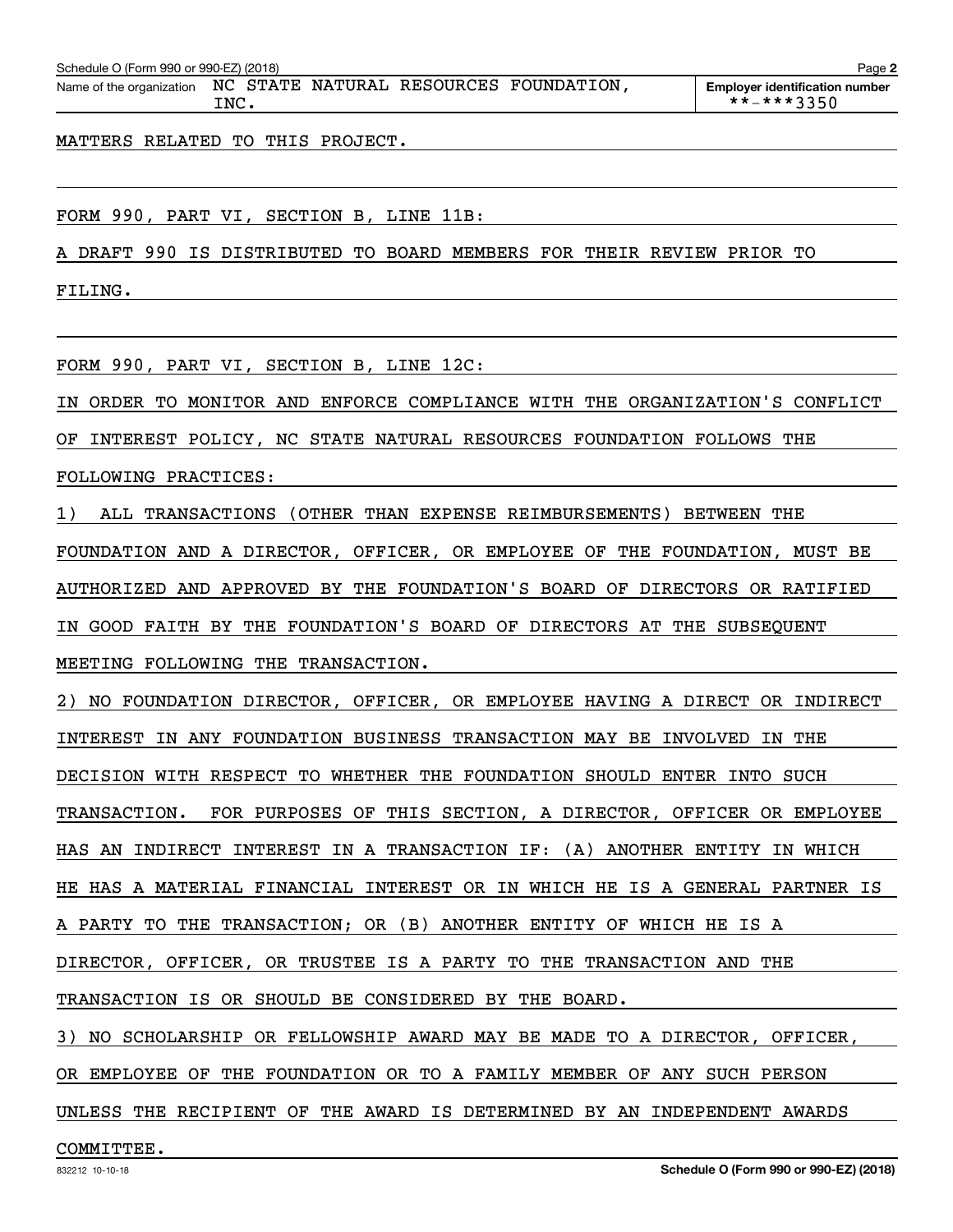| Schedule O (Form 990 or 990-EZ) (2018) |  |  |  |  |
|----------------------------------------|--|--|--|--|
|                                        |  |  |  |  |

Schedule O (Form 990 or 990-EZ) (2018)<br>Name of the organization NC STATE NATURAL RESOURCES FOUNDATION , Employer identification number INC. \*\*-\*\*\*3350

**2**

MATTERS RELATED TO THIS PROJECT.

FORM 990, PART VI, SECTION B, LINE 11B:

A DRAFT 990 IS DISTRIBUTED TO BOARD MEMBERS FOR THEIR REVIEW PRIOR TO

FILING.

FORM 990, PART VI, SECTION B, LINE 12C:

IN ORDER TO MONITOR AND ENFORCE COMPLIANCE WITH THE ORGANIZATION'S CONFLICT

OF INTEREST POLICY, NC STATE NATURAL RESOURCES FOUNDATION FOLLOWS THE

FOLLOWING PRACTICES:

1) ALL TRANSACTIONS (OTHER THAN EXPENSE REIMBURSEMENTS) BETWEEN THE

FOUNDATION AND A DIRECTOR, OFFICER, OR EMPLOYEE OF THE FOUNDATION, MUST BE

AUTHORIZED AND APPROVED BY THE FOUNDATION'S BOARD OF DIRECTORS OR RATIFIED

IN GOOD FAITH BY THE FOUNDATION'S BOARD OF DIRECTORS AT THE SUBSEQUENT

MEETING FOLLOWING THE TRANSACTION.

2) NO FOUNDATION DIRECTOR, OFFICER, OR EMPLOYEE HAVING A DIRECT OR INDIRECT INTEREST IN ANY FOUNDATION BUSINESS TRANSACTION MAY BE INVOLVED IN THE DECISION WITH RESPECT TO WHETHER THE FOUNDATION SHOULD ENTER INTO SUCH TRANSACTION. FOR PURPOSES OF THIS SECTION, A DIRECTOR, OFFICER OR EMPLOYEE HAS AN INDIRECT INTEREST IN A TRANSACTION IF: (A) ANOTHER ENTITY IN WHICH HE HAS A MATERIAL FINANCIAL INTEREST OR IN WHICH HE IS A GENERAL PARTNER IS A PARTY TO THE TRANSACTION; OR (B) ANOTHER ENTITY OF WHICH HE IS A DIRECTOR, OFFICER, OR TRUSTEE IS A PARTY TO THE TRANSACTION AND THE TRANSACTION IS OR SHOULD BE CONSIDERED BY THE BOARD.

3) NO SCHOLARSHIP OR FELLOWSHIP AWARD MAY BE MADE TO A DIRECTOR, OFFICER,

OR EMPLOYEE OF THE FOUNDATION OR TO A FAMILY MEMBER OF ANY SUCH PERSON

UNLESS THE RECIPIENT OF THE AWARD IS DETERMINED BY AN INDEPENDENT AWARDS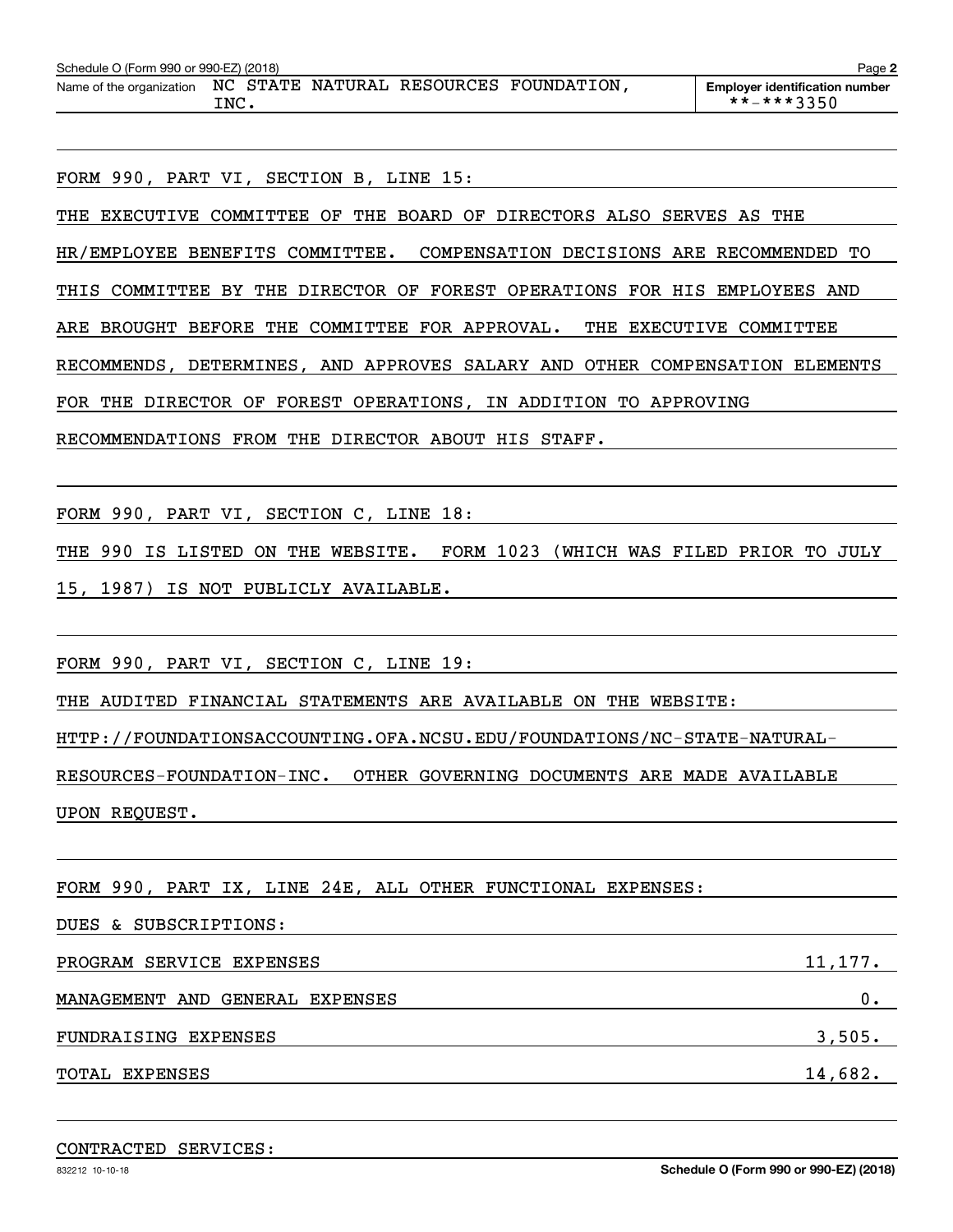FORM 990, PART VI, SECTION B, LINE 15:

THE EXECUTIVE COMMITTEE OF THE BOARD OF DIRECTORS ALSO SERVES AS THE HR/EMPLOYEE BENEFITS COMMITTEE. COMPENSATION DECISIONS ARE RECOMMENDED TO THIS COMMITTEE BY THE DIRECTOR OF FOREST OPERATIONS FOR HIS EMPLOYEES AND ARE BROUGHT BEFORE THE COMMITTEE FOR APPROVAL. THE EXECUTIVE COMMITTEE RECOMMENDS, DETERMINES, AND APPROVES SALARY AND OTHER COMPENSATION ELEMENTS FOR THE DIRECTOR OF FOREST OPERATIONS, IN ADDITION TO APPROVING RECOMMENDATIONS FROM THE DIRECTOR ABOUT HIS STAFF.

FORM 990, PART VI, SECTION C, LINE 18:

THE 990 IS LISTED ON THE WEBSITE. FORM 1023 (WHICH WAS FILED PRIOR TO JULY

15, 1987) IS NOT PUBLICLY AVAILABLE.

FORM 990, PART VI, SECTION C, LINE 19:

THE AUDITED FINANCIAL STATEMENTS ARE AVAILABLE ON THE WEBSITE:

HTTP://FOUNDATIONSACCOUNTING.OFA.NCSU.EDU/FOUNDATIONS/NC-STATE-NATURAL-

RESOURCES-FOUNDATION-INC. OTHER GOVERNING DOCUMENTS ARE MADE AVAILABLE UPON REQUEST.

FORM 990, PART IX, LINE 24E, ALL OTHER FUNCTIONAL EXPENSES:

DUES & SUBSCRIPTIONS:

PROGRAM SERVICE EXPENSES 11,177. MANAGEMENT AND GENERAL EXPENSES 0. FUNDRAISING EXPENSES 3,505. TOTAL EXPENSES 14,682.

### CONTRACTED SERVICES: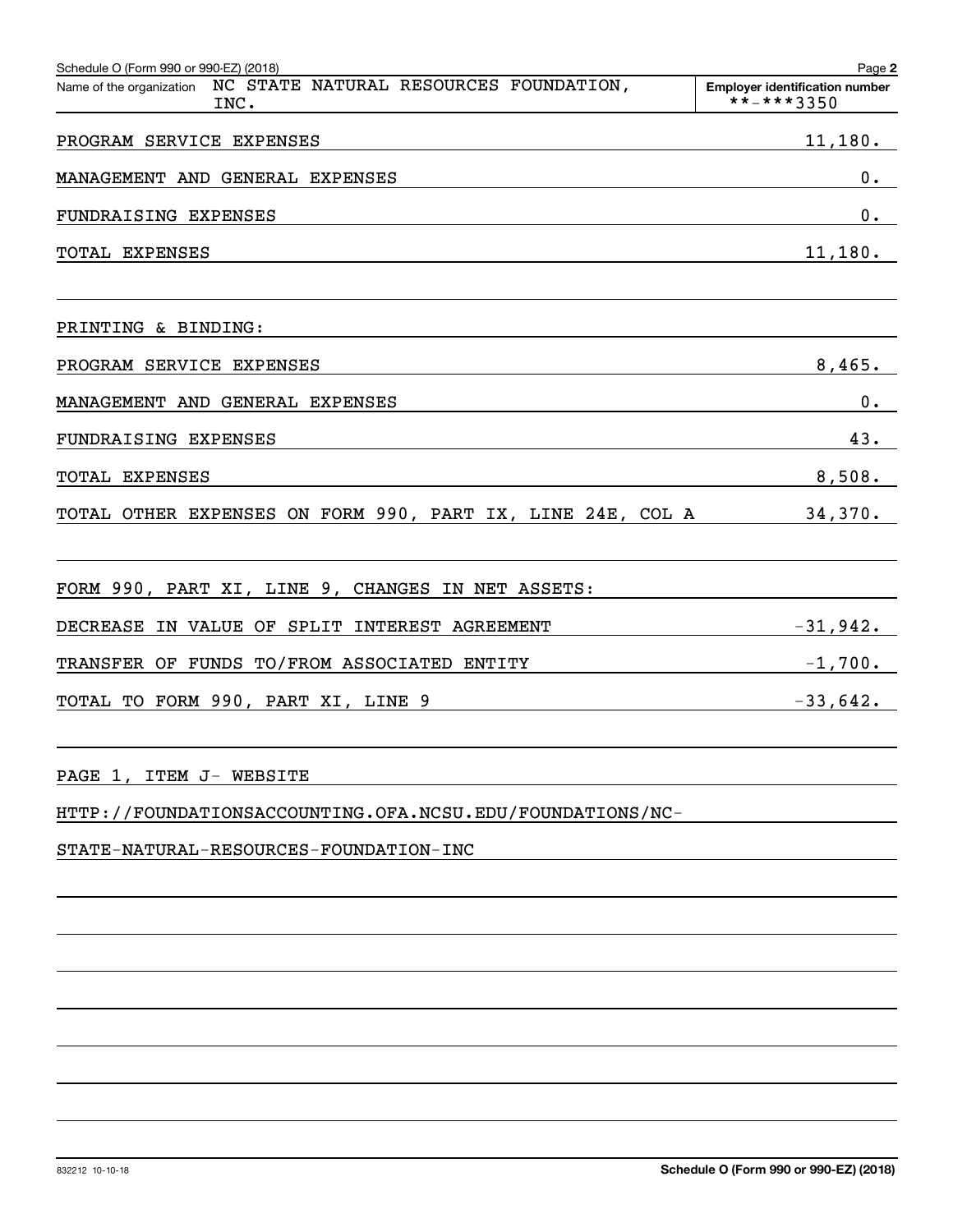| Schedule O (Form 990 or 990-EZ) (2018)                                     | Page 2                                              |
|----------------------------------------------------------------------------|-----------------------------------------------------|
| NC STATE NATURAL RESOURCES FOUNDATION,<br>Name of the organization<br>INC. | <b>Employer identification number</b><br>**-***3350 |
| PROGRAM SERVICE EXPENSES                                                   | 11,180.                                             |
| MANAGEMENT AND GENERAL EXPENSES                                            | 0.                                                  |
| FUNDRAISING EXPENSES                                                       | 0.                                                  |
| TOTAL EXPENSES                                                             | 11,180.                                             |
| PRINTING & BINDING:                                                        |                                                     |
| PROGRAM SERVICE EXPENSES                                                   | 8,465.                                              |
| MANAGEMENT AND GENERAL EXPENSES                                            | 0.                                                  |
| FUNDRAISING EXPENSES                                                       | 43.                                                 |
| TOTAL EXPENSES                                                             | 8,508.                                              |
| TOTAL OTHER EXPENSES ON FORM 990, PART IX, LINE 24E, COL A                 | 34,370.                                             |
| FORM 990, PART XI, LINE 9, CHANGES IN NET ASSETS:                          |                                                     |
| DECREASE IN VALUE OF SPLIT INTEREST AGREEMENT                              | $-31,942.$                                          |
| TRANSFER OF FUNDS TO/FROM ASSOCIATED ENTITY                                | $-1,700$ .                                          |
| TOTAL TO FORM 990, PART XI, LINE 9                                         | $-33,642.$                                          |

PAGE 1, ITEM J- WEBSITE

HTTP://FOUNDATIONSACCOUNTING.OFA.NCSU.EDU/FOUNDATIONS/NC-

STATE-NATURAL-RESOURCES-FOUNDATION-INC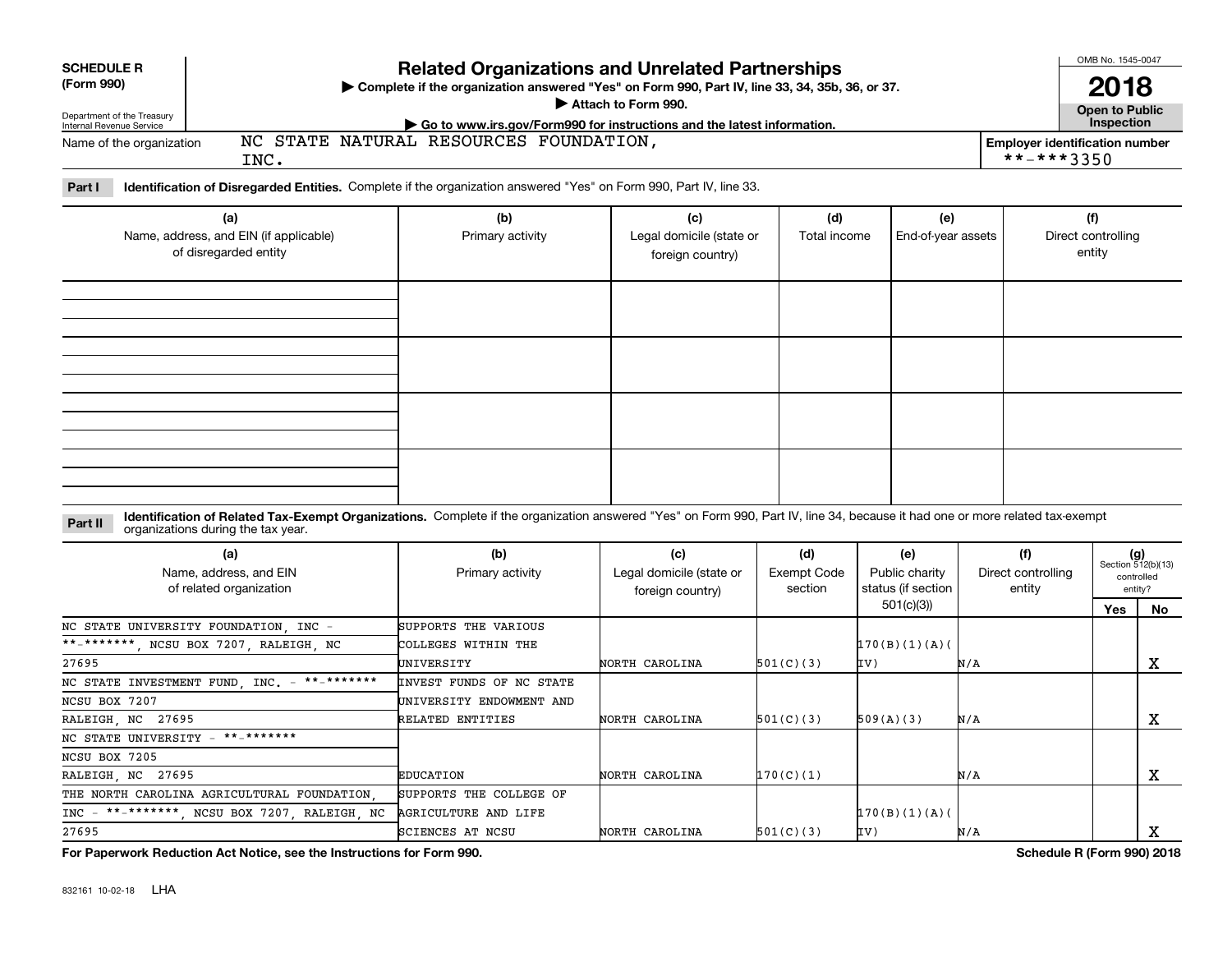| <b>SCHEDULE R</b>          | <b>Related Organizations and Unrelated Partnerships</b>                                          |                                                           |  |  |  |
|----------------------------|--------------------------------------------------------------------------------------------------|-----------------------------------------------------------|--|--|--|
| (Form 990)                 | ▶ Complete if the organization answered "Yes" on Form 990, Part IV, line 33, 34, 35b, 36, or 37. |                                                           |  |  |  |
| Department of the Treasury | Attach to Form 990.                                                                              | <b>Open to Public</b>                                     |  |  |  |
| Internal Revenue Service   | Go to www.irs.gov/Form990 for instructions and the latest information.                           | <b>Inspection</b>                                         |  |  |  |
| Name of the organization   | NC STATE NATURAL RESOURCES FOUNDATION,<br>INC.                                                   | <b>Employer identification number</b><br>$***$ $***$ 3350 |  |  |  |

**Part I Identification of Disregarded Entities.**  Complete if the organization answered "Yes" on Form 990, Part IV, line 33.

| (a)<br>Name, address, and EIN (if applicable)<br>of disregarded entity | (b)<br>Primary activity | (c)<br>Legal domicile (state or<br>foreign country) | (d)<br>Total income | (e)<br>End-of-year assets | (f)<br>Direct controlling<br>entity |
|------------------------------------------------------------------------|-------------------------|-----------------------------------------------------|---------------------|---------------------------|-------------------------------------|
|                                                                        |                         |                                                     |                     |                           |                                     |
|                                                                        |                         |                                                     |                     |                           |                                     |
|                                                                        |                         |                                                     |                     |                           |                                     |
|                                                                        |                         |                                                     |                     |                           |                                     |

**Identification of Related Tax-Exempt Organizations.** Complete if the organization answered "Yes" on Form 990, Part IV, line 34, because it had one or more related tax-exempt **Part II** organizations during the tax year.

| (a)<br>Name, address, and EIN<br>of related organization | (b)<br>Primary activity  | (c)<br>Legal domicile (state or<br>foreign country) | (d)<br>Exempt Code<br>section | (e)<br>Public charity<br>status (if section | (f)<br>Direct controlling<br>entity | $(g)$<br>Section 512(b)(13) | controlled<br>entity? |
|----------------------------------------------------------|--------------------------|-----------------------------------------------------|-------------------------------|---------------------------------------------|-------------------------------------|-----------------------------|-----------------------|
|                                                          |                          |                                                     |                               | 501(c)(3)                                   |                                     | Yes                         | No                    |
| NC STATE UNIVERSITY FOUNDATION, INC -                    | SUPPORTS THE VARIOUS     |                                                     |                               |                                             |                                     |                             |                       |
| **-*******, NCSU BOX 7207, RALEIGH, NC                   | COLLEGES WITHIN THE      |                                                     |                               | 170(B)(1)(A)                                |                                     |                             |                       |
| 27695                                                    | UNIVERSITY               | NORTH CAROLINA                                      | 501(C)(3)                     | IV)                                         | N/A                                 |                             | х                     |
| NC STATE INVESTMENT FUND, INC. - **-*******              | INVEST FUNDS OF NC STATE |                                                     |                               |                                             |                                     |                             |                       |
| NCSU BOX 7207                                            | UNIVERSITY ENDOWMENT AND |                                                     |                               |                                             |                                     |                             |                       |
| RALEIGH, NC 27695                                        | RELATED ENTITIES         | NORTH CAROLINA                                      | 501(C)(3)                     | 509(A)(3)                                   | N/A                                 |                             | x                     |
| NC STATE UNIVERSITY - **-*******                         |                          |                                                     |                               |                                             |                                     |                             |                       |
| NCSU BOX 7205                                            |                          |                                                     |                               |                                             |                                     |                             |                       |
| RALEIGH, NC 27695                                        | <b>EDUCATION</b>         | NORTH CAROLINA                                      | 170(C)(1)                     |                                             | N/A                                 |                             | х                     |
| THE NORTH CAROLINA AGRICULTURAL FOUNDATION.              | SUPPORTS THE COLLEGE OF  |                                                     |                               |                                             |                                     |                             |                       |
| INC - **-*******, NCSU BOX 7207, RALEIGH, NC             | AGRICULTURE AND LIFE     |                                                     |                               | 170(B)(1)(A)                                |                                     |                             |                       |
| 27695                                                    | SCIENCES AT NCSU         | NORTH CAROLINA                                      | 501(C)(3)                     | IV)                                         | N/A                                 |                             |                       |

**For Paperwork Reduction Act Notice, see the Instructions for Form 990. Schedule R (Form 990) 2018**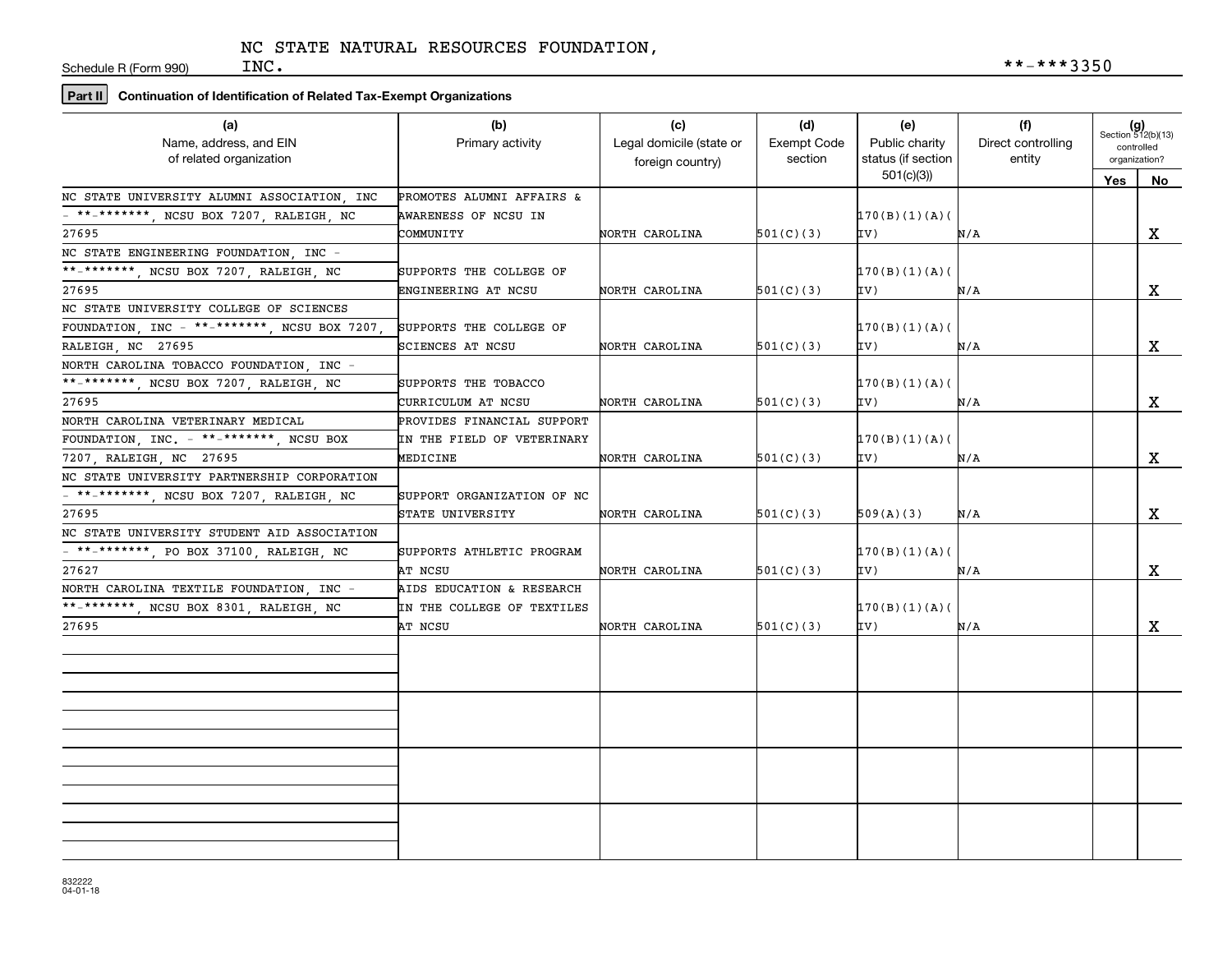Schedule R (Form 990)

## **Part II Continuation of Identification of Related Tax-Exempt Organizations**

| (a)<br>Name, address, and EIN                | (b)<br>Primary activity     | (c)<br>Legal domicile (state or | (d)<br>Exempt Code | (e)<br>Public charity | (f)<br>Direct controlling | $(g)$<br>Section 512(b)(13)<br>controlled<br>organization? |    |
|----------------------------------------------|-----------------------------|---------------------------------|--------------------|-----------------------|---------------------------|------------------------------------------------------------|----|
| of related organization                      |                             | foreign country)                | section            | status (if section    | entity                    |                                                            |    |
|                                              |                             |                                 |                    | 501(c)(3)             |                           | Yes                                                        | No |
| NC STATE UNIVERSITY ALUMNI ASSOCIATION, INC  | PROMOTES ALUMNI AFFAIRS &   |                                 |                    |                       |                           |                                                            |    |
| - **-*******, NCSU BOX 7207, RALEIGH, NC     | <b>AWARENESS OF NCSU IN</b> |                                 |                    | 170(B)(1)(A)(         |                           |                                                            |    |
| 27695                                        | COMMUNITY                   | NORTH CAROLINA                  | 501(C)(3)          | IV)                   | N/A                       |                                                            | x  |
| NC STATE ENGINEERING FOUNDATION. INC -       |                             |                                 |                    |                       |                           |                                                            |    |
| **_*******, NCSU BOX 7207, RALEIGH, NC       | SUPPORTS THE COLLEGE OF     |                                 |                    | 170(B)(1)(A)(         |                           |                                                            |    |
| 27695                                        | ENGINEERING AT NCSU         | NORTH CAROLINA                  | 501(C)(3)          | IV)                   | N/A                       |                                                            | X  |
| NC STATE UNIVERSITY COLLEGE OF SCIENCES      |                             |                                 |                    |                       |                           |                                                            |    |
| FOUNDATION, INC - **-*******, NCSU BOX 7207, | SUPPORTS THE COLLEGE OF     |                                 |                    | 170(B)(1)(A)(         |                           |                                                            |    |
| RALEIGH, NC 27695                            | SCIENCES AT NCSU            | NORTH CAROLINA                  | 501(C)(3)          | IV)                   | N/A                       |                                                            | X  |
| NORTH CAROLINA TOBACCO FOUNDATION, INC -     |                             |                                 |                    |                       |                           |                                                            |    |
| **_*******, NCSU BOX 7207, RALEIGH, NC       | SUPPORTS THE TOBACCO        |                                 |                    | 170(B)(1)(A)(         |                           |                                                            |    |
| 27695                                        | CURRICULUM AT NCSU          | NORTH CAROLINA                  | 501(C)(3)          | IV)                   | N/A                       |                                                            | X  |
| NORTH CAROLINA VETERINARY MEDICAL            | PROVIDES FINANCIAL SUPPORT  |                                 |                    |                       |                           |                                                            |    |
| FOUNDATION, INC. $-$ **-*******, NCSU BOX    | IN THE FIELD OF VETERINARY  |                                 |                    | 170(B)(1)(A)(         |                           |                                                            |    |
| 7207, RALEIGH, NC 27695                      | MEDICINE                    | NORTH CAROLINA                  | 501(C)(3)          | IV)                   | N/A                       |                                                            | X  |
| NC STATE UNIVERSITY PARTNERSHIP CORPORATION  |                             |                                 |                    |                       |                           |                                                            |    |
| - **-*******, NCSU BOX 7207, RALEIGH, NC     | SUPPORT ORGANIZATION OF NC  |                                 |                    |                       |                           |                                                            |    |
| 27695                                        | STATE UNIVERSITY            | NORTH CAROLINA                  | 501(C)(3)          | 509(A)(3)             | N/A                       |                                                            | X  |
| NC STATE UNIVERSITY STUDENT AID ASSOCIATION  |                             |                                 |                    |                       |                           |                                                            |    |
| - **-*******, PO BOX 37100, RALEIGH, NC      | SUPPORTS ATHLETIC PROGRAM   |                                 |                    | 170(B)(1)(A)(         |                           |                                                            |    |
| 27627                                        | AT NCSU                     | NORTH CAROLINA                  | 501(C)(3)          | IV)                   | N/A                       |                                                            | x  |
| NORTH CAROLINA TEXTILE FOUNDATION . INC -    | AIDS EDUCATION & RESEARCH   |                                 |                    |                       |                           |                                                            |    |
| **-*******, NCSU BOX 8301, RALEIGH, NC       | IN THE COLLEGE OF TEXTILES  |                                 |                    | 170(B)(1)(A)(         |                           |                                                            |    |
| 27695                                        | AT NCSU                     | NORTH CAROLINA                  | 501(C)(3)          | IV)                   | N/A                       |                                                            | X  |
|                                              |                             |                                 |                    |                       |                           |                                                            |    |
|                                              |                             |                                 |                    |                       |                           |                                                            |    |
|                                              |                             |                                 |                    |                       |                           |                                                            |    |
|                                              |                             |                                 |                    |                       |                           |                                                            |    |
|                                              |                             |                                 |                    |                       |                           |                                                            |    |
|                                              |                             |                                 |                    |                       |                           |                                                            |    |
|                                              |                             |                                 |                    |                       |                           |                                                            |    |
|                                              |                             |                                 |                    |                       |                           |                                                            |    |
|                                              |                             |                                 |                    |                       |                           |                                                            |    |
|                                              |                             |                                 |                    |                       |                           |                                                            |    |
|                                              |                             |                                 |                    |                       |                           |                                                            |    |
|                                              |                             |                                 |                    |                       |                           |                                                            |    |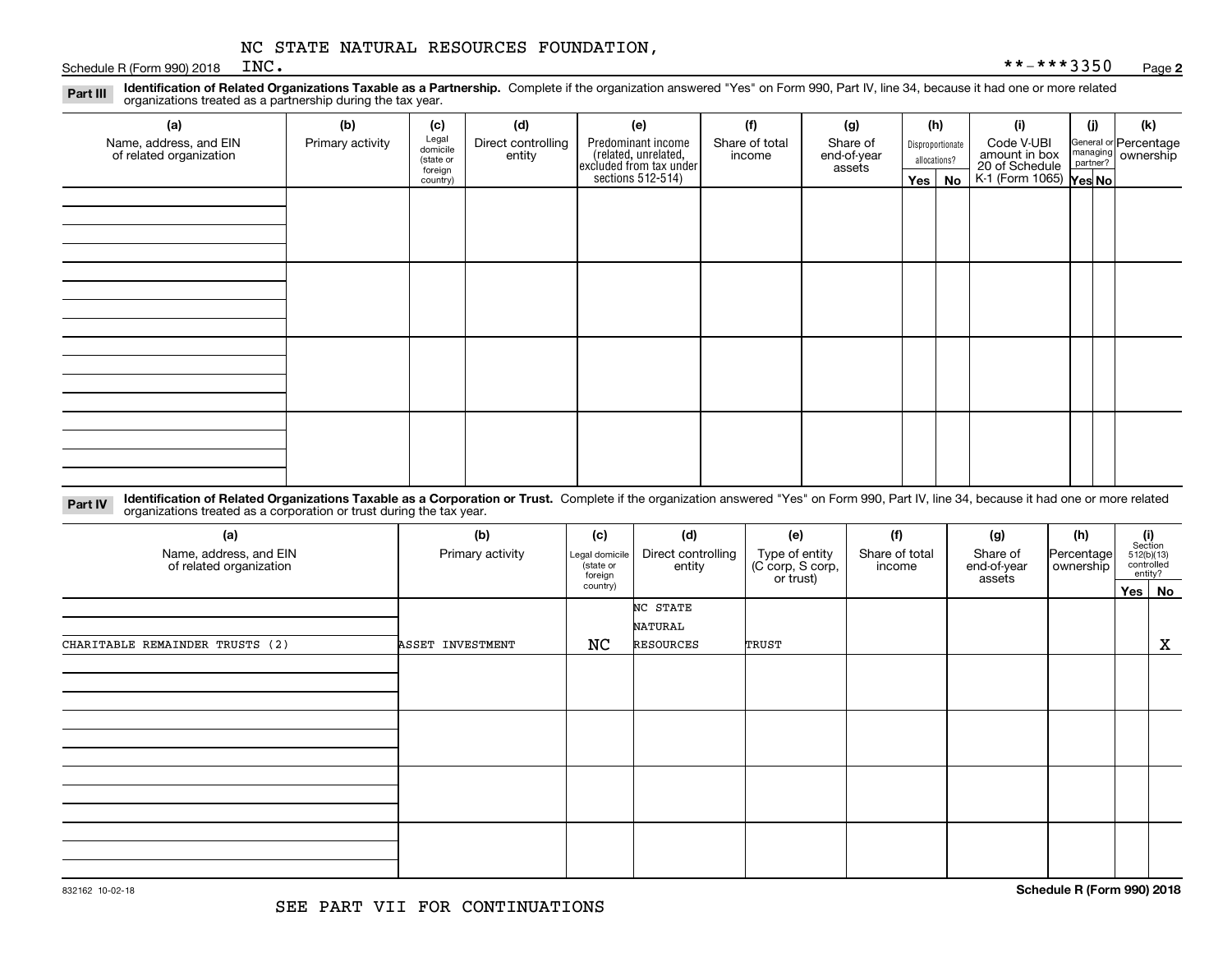Schedule R (Form 990) 2018  $INC$ .

**Identification of Related Organizations Taxable as a Partnership.** Complete if the organization answered "Yes" on Form 990, Part IV, line 34, because it had one or more related **Part III** organizations treated as a partnership during the tax year.

| (a)                                               | (b)              | (c)                  | (d)                          | (e)                                                                                        | (f)                      | (g)                     |              | (h)              | (i)                                                              | (i) |  | (k)                                                     |
|---------------------------------------------------|------------------|----------------------|------------------------------|--------------------------------------------------------------------------------------------|--------------------------|-------------------------|--------------|------------------|------------------------------------------------------------------|-----|--|---------------------------------------------------------|
| Name, address, and EIN<br>of related organization | Primary activity | Legal<br>domicile    | Direct controlling<br>entity | Predominant income<br>(related, unrelated,<br>excluded from tax under<br>sections 512-514) | Share of total<br>income | Share of<br>end-of-year |              | Disproportionate | Code V-UBI                                                       |     |  | General or Percentage<br>managing ownership<br>partner? |
|                                                   |                  | (state or<br>foreign |                              |                                                                                            |                          | assets                  | allocations? |                  |                                                                  |     |  |                                                         |
|                                                   |                  | country)             |                              |                                                                                            |                          |                         | $Yes \mid$   | No               | amount in box<br>20 of Schedule<br>K-1 (Form 1065) <b>Yes No</b> |     |  |                                                         |
|                                                   |                  |                      |                              |                                                                                            |                          |                         |              |                  |                                                                  |     |  |                                                         |
|                                                   |                  |                      |                              |                                                                                            |                          |                         |              |                  |                                                                  |     |  |                                                         |
|                                                   |                  |                      |                              |                                                                                            |                          |                         |              |                  |                                                                  |     |  |                                                         |
|                                                   |                  |                      |                              |                                                                                            |                          |                         |              |                  |                                                                  |     |  |                                                         |
|                                                   |                  |                      |                              |                                                                                            |                          |                         |              |                  |                                                                  |     |  |                                                         |
|                                                   |                  |                      |                              |                                                                                            |                          |                         |              |                  |                                                                  |     |  |                                                         |
|                                                   |                  |                      |                              |                                                                                            |                          |                         |              |                  |                                                                  |     |  |                                                         |
|                                                   |                  |                      |                              |                                                                                            |                          |                         |              |                  |                                                                  |     |  |                                                         |
|                                                   |                  |                      |                              |                                                                                            |                          |                         |              |                  |                                                                  |     |  |                                                         |
|                                                   |                  |                      |                              |                                                                                            |                          |                         |              |                  |                                                                  |     |  |                                                         |
|                                                   |                  |                      |                              |                                                                                            |                          |                         |              |                  |                                                                  |     |  |                                                         |
|                                                   |                  |                      |                              |                                                                                            |                          |                         |              |                  |                                                                  |     |  |                                                         |
|                                                   |                  |                      |                              |                                                                                            |                          |                         |              |                  |                                                                  |     |  |                                                         |
|                                                   |                  |                      |                              |                                                                                            |                          |                         |              |                  |                                                                  |     |  |                                                         |
|                                                   |                  |                      |                              |                                                                                            |                          |                         |              |                  |                                                                  |     |  |                                                         |
|                                                   |                  |                      |                              |                                                                                            |                          |                         |              |                  |                                                                  |     |  |                                                         |
|                                                   |                  |                      |                              |                                                                                            |                          |                         |              |                  |                                                                  |     |  |                                                         |

**Identification of Related Organizations Taxable as a Corporation or Trust.** Complete if the organization answered "Yes" on Form 990, Part IV, line 34, because it had one or more related **Part IV** organizations treated as a corporation or trust during the tax year.

| (a)<br>Name, address, and EIN<br>of related organization | (b)<br>Primary activity | (c)<br>Legal domicile<br>(state or<br>foreign | (d)<br>Direct controlling<br>entity | (e)<br>Type of entity<br>(C corp, S corp,<br>or trust) | (f)<br>Share of total<br>income | (g)<br>Share of<br>end-of-year<br>assets | (h)<br> Percentage <br>ownership | (i)<br>Section<br>512(b)(13)<br>controlled<br>entity? |
|----------------------------------------------------------|-------------------------|-----------------------------------------------|-------------------------------------|--------------------------------------------------------|---------------------------------|------------------------------------------|----------------------------------|-------------------------------------------------------|
|                                                          |                         | country)                                      |                                     |                                                        |                                 |                                          |                                  | Yes No                                                |
|                                                          |                         |                                               | NC STATE                            |                                                        |                                 |                                          |                                  |                                                       |
|                                                          |                         |                                               | NATURAL                             |                                                        |                                 |                                          |                                  |                                                       |
| CHARITABLE REMAINDER TRUSTS (2)                          | ASSET INVESTMENT        | NC                                            | RESOURCES                           | TRUST                                                  |                                 |                                          |                                  | $\mathbf X$                                           |
|                                                          |                         |                                               |                                     |                                                        |                                 |                                          |                                  |                                                       |
|                                                          |                         |                                               |                                     |                                                        |                                 |                                          |                                  |                                                       |
|                                                          |                         |                                               |                                     |                                                        |                                 |                                          |                                  |                                                       |
|                                                          |                         |                                               |                                     |                                                        |                                 |                                          |                                  |                                                       |
|                                                          |                         |                                               |                                     |                                                        |                                 |                                          |                                  |                                                       |
|                                                          |                         |                                               |                                     |                                                        |                                 |                                          |                                  |                                                       |
|                                                          |                         |                                               |                                     |                                                        |                                 |                                          |                                  |                                                       |
|                                                          |                         |                                               |                                     |                                                        |                                 |                                          |                                  |                                                       |
|                                                          |                         |                                               |                                     |                                                        |                                 |                                          |                                  |                                                       |
|                                                          |                         |                                               |                                     |                                                        |                                 |                                          |                                  |                                                       |
|                                                          |                         |                                               |                                     |                                                        |                                 |                                          |                                  |                                                       |
|                                                          |                         |                                               |                                     |                                                        |                                 |                                          |                                  |                                                       |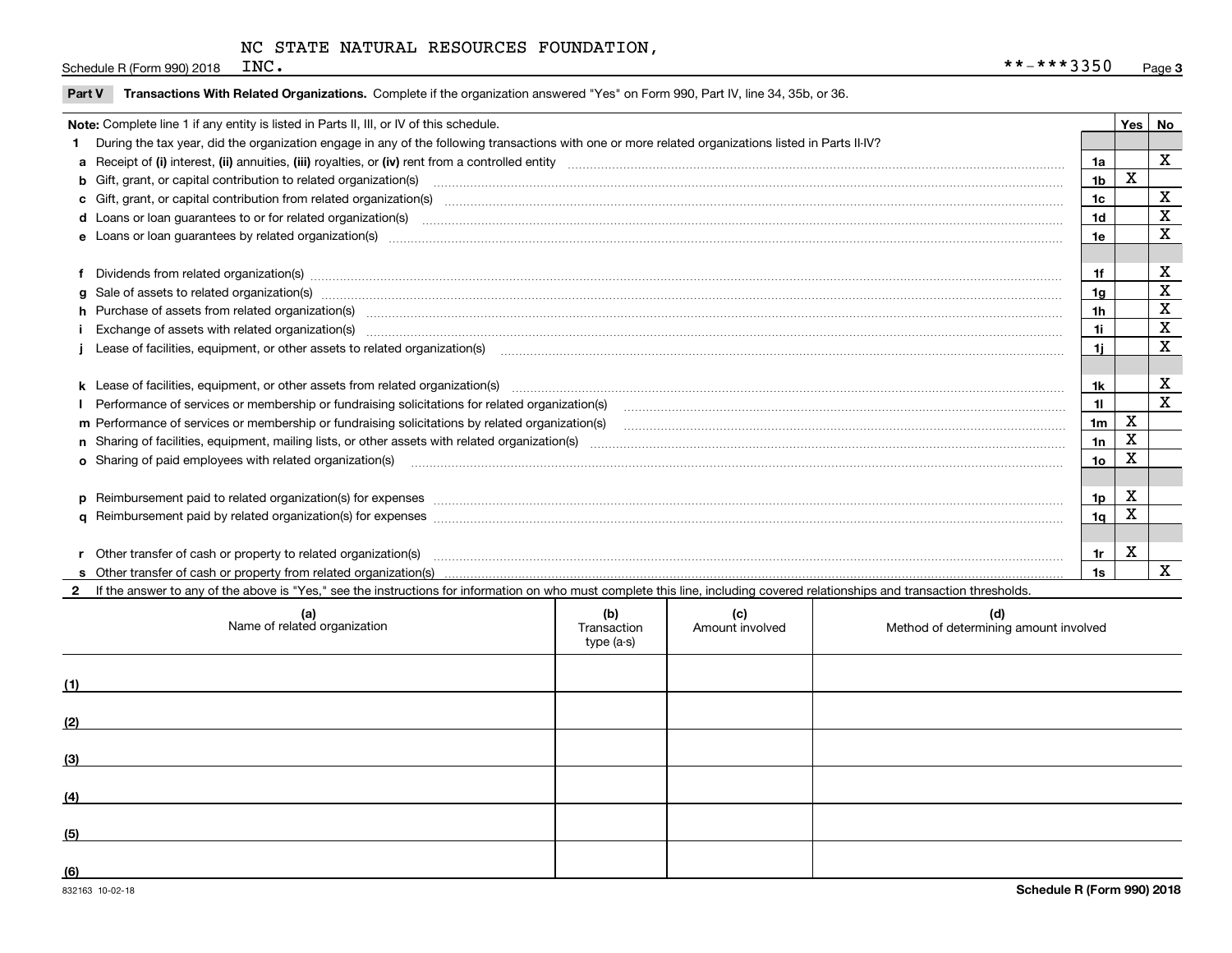Schedule R (Form 990) 2018  $INC$ .

| Note: Complete line 1 if any entity is listed in Parts II, III, or IV of this schedule. |                                                                                                                                                                                                                                |                |   |             |  |  |
|-----------------------------------------------------------------------------------------|--------------------------------------------------------------------------------------------------------------------------------------------------------------------------------------------------------------------------------|----------------|---|-------------|--|--|
|                                                                                         | During the tax year, did the organization engage in any of the following transactions with one or more related organizations listed in Parts II-IV?                                                                            |                |   |             |  |  |
|                                                                                         |                                                                                                                                                                                                                                | 1a             |   | X           |  |  |
|                                                                                         | <b>b</b> Gift, grant, or capital contribution to related organization(s)                                                                                                                                                       | 1b             | X |             |  |  |
|                                                                                         | c Gift, grant, or capital contribution from related organization(s) manufaction contribution from related organization(s) manufaction contribution from related organization(s) manufaction contribution from related organiza | 1c             |   | $\mathbf X$ |  |  |
|                                                                                         | <b>d</b> Loans or loan quarantees to or for related organization(s)                                                                                                                                                            | 1d             |   | X           |  |  |
|                                                                                         | e Loans or loan guarantees by related organization(s) encontraction contains and contain a substantial contains and contained a substantial contains and contained a substantial contains and contains a substantial contains  | 1e             |   | $\mathbf X$ |  |  |
|                                                                                         |                                                                                                                                                                                                                                |                |   |             |  |  |
|                                                                                         |                                                                                                                                                                                                                                | 1f             |   | X           |  |  |
|                                                                                         | g Sale of assets to related organization(s) www.assettion.com/www.assettion.com/www.assettion.com/www.assettion.com/www.assettion.com/www.assettion.com/www.assettion.com/www.assettion.com/www.assettion.com/www.assettion.co | 1a             |   | X           |  |  |
|                                                                                         | h Purchase of assets from related organization(s) manufactured and content to content the content of assets from related organization(s)                                                                                       | 1h             |   | X           |  |  |
|                                                                                         |                                                                                                                                                                                                                                | 1i.            |   | $\mathbf X$ |  |  |
|                                                                                         | Lease of facilities, equipment, or other assets to related organization(s) [11] manufactured manufactured manufactured manufactured manufactured manufactured manufactured manufactured manufactured manufactured manufactured | 1i.            |   | X           |  |  |
|                                                                                         |                                                                                                                                                                                                                                |                |   |             |  |  |
|                                                                                         |                                                                                                                                                                                                                                | 1k             |   | X           |  |  |
|                                                                                         |                                                                                                                                                                                                                                | 11             |   | X           |  |  |
|                                                                                         | m Performance of services or membership or fundraising solicitations by related organization(s)                                                                                                                                | 1 <sub>m</sub> | X |             |  |  |
|                                                                                         |                                                                                                                                                                                                                                | 1n             | X |             |  |  |
|                                                                                         | <b>o</b> Sharing of paid employees with related organization(s)                                                                                                                                                                | 10             | Χ |             |  |  |
|                                                                                         |                                                                                                                                                                                                                                |                |   |             |  |  |
|                                                                                         | p Reimbursement paid to related organization(s) for expenses [11111] [12] reasonal content of the separation (s) for expenses [11111] [12] reasonal content in the separation (s) for expenses [1111] [12] reasonal content in | 1p             | X |             |  |  |
|                                                                                         |                                                                                                                                                                                                                                | 1 <sub>q</sub> | X |             |  |  |
|                                                                                         |                                                                                                                                                                                                                                |                |   |             |  |  |
|                                                                                         | r Other transfer of cash or property to related organization(s)                                                                                                                                                                | 1r             | X |             |  |  |
|                                                                                         |                                                                                                                                                                                                                                | 1s             |   | X           |  |  |
|                                                                                         | 2 If the answer to any of the above is "Yes," see the instructions for information on who must complete this line, including covered relationships and transaction thresholds.                                                 |                |   |             |  |  |

| (a)<br>Name of related organization | (b)<br>Transaction<br>type (a-s) | (c)<br>Amount involved | (d)<br>Method of determining amount involved |
|-------------------------------------|----------------------------------|------------------------|----------------------------------------------|
| (1)                                 |                                  |                        |                                              |
| (2)                                 |                                  |                        |                                              |
| (3)                                 |                                  |                        |                                              |
| (4)                                 |                                  |                        |                                              |
| (5)                                 |                                  |                        |                                              |
| (6)                                 |                                  |                        |                                              |

 $\overline{\phantom{a}}$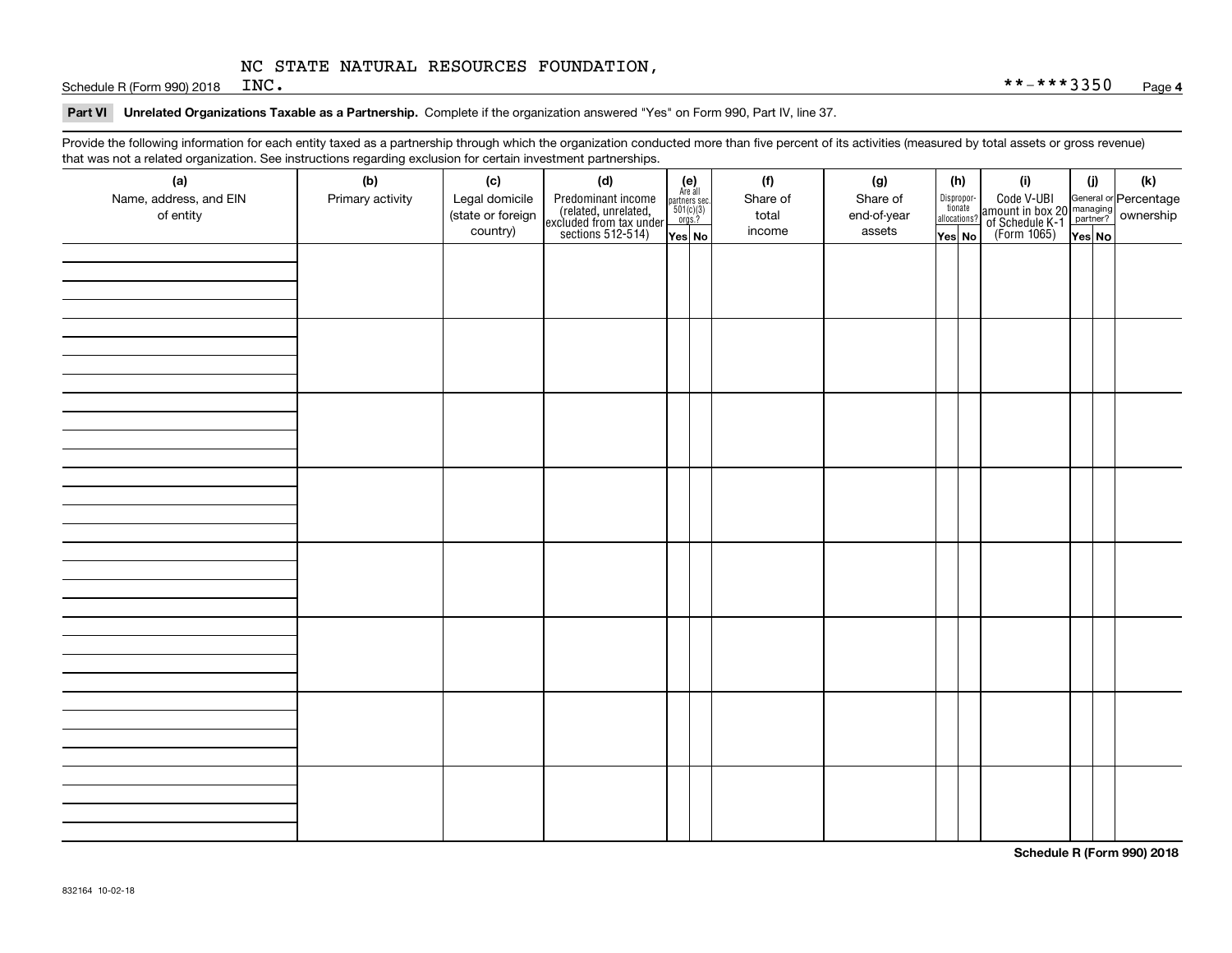Schedule R (Form 990) 2018  $INC$ .

### **Part VI Unrelated Organizations Taxable as a Partnership. Complete if the organization answered "Yes" on Form 990, Part IV, line 37.**

Provide the following information for each entity taxed as a partnership through which the organization conducted more than five percent of its activities (measured by total assets or gross revenue) that was not a related organization. See instructions regarding exclusion for certain investment partnerships.

| that was not a related erganization. See includitions regarding excludion for contain invectment partnerompe.<br>(a) | (b)              | (c)               | (d)                                                                                        |                                                                                                                  |  | (f)      | (g)         | (h)                              | (i)                                                                                          | (i)    | (k) |
|----------------------------------------------------------------------------------------------------------------------|------------------|-------------------|--------------------------------------------------------------------------------------------|------------------------------------------------------------------------------------------------------------------|--|----------|-------------|----------------------------------|----------------------------------------------------------------------------------------------|--------|-----|
| Name, address, and EIN                                                                                               | Primary activity | Legal domicile    |                                                                                            | $\begin{array}{c} \textbf{(e)}\\ \text{Are all} \\ \text{partners sec.}\\ 501(c)(3)\\ \text{orgs.?} \end{array}$ |  | Share of | Share of    |                                  |                                                                                              |        |     |
| of entity                                                                                                            |                  | (state or foreign |                                                                                            |                                                                                                                  |  | total    | end-of-year | Disproportionate<br>allocations? |                                                                                              |        |     |
|                                                                                                                      |                  | country)          | Predominant income<br>(related, unrelated,<br>excluded from tax under<br>sections 512-514) | Yes No                                                                                                           |  | income   | assets      | Yes No                           | Code V-UBI<br>amount in box 20 managing<br>of Schedule K-1 partner?<br>(Form 1065)<br>ves No | Yes No |     |
|                                                                                                                      |                  |                   |                                                                                            |                                                                                                                  |  |          |             |                                  |                                                                                              |        |     |
|                                                                                                                      |                  |                   |                                                                                            |                                                                                                                  |  |          |             |                                  |                                                                                              |        |     |
|                                                                                                                      |                  |                   |                                                                                            |                                                                                                                  |  |          |             |                                  |                                                                                              |        |     |
|                                                                                                                      |                  |                   |                                                                                            |                                                                                                                  |  |          |             |                                  |                                                                                              |        |     |
|                                                                                                                      |                  |                   |                                                                                            |                                                                                                                  |  |          |             |                                  |                                                                                              |        |     |
|                                                                                                                      |                  |                   |                                                                                            |                                                                                                                  |  |          |             |                                  |                                                                                              |        |     |
|                                                                                                                      |                  |                   |                                                                                            |                                                                                                                  |  |          |             |                                  |                                                                                              |        |     |
|                                                                                                                      |                  |                   |                                                                                            |                                                                                                                  |  |          |             |                                  |                                                                                              |        |     |
|                                                                                                                      |                  |                   |                                                                                            |                                                                                                                  |  |          |             |                                  |                                                                                              |        |     |
|                                                                                                                      |                  |                   |                                                                                            |                                                                                                                  |  |          |             |                                  |                                                                                              |        |     |
|                                                                                                                      |                  |                   |                                                                                            |                                                                                                                  |  |          |             |                                  |                                                                                              |        |     |
|                                                                                                                      |                  |                   |                                                                                            |                                                                                                                  |  |          |             |                                  |                                                                                              |        |     |
|                                                                                                                      |                  |                   |                                                                                            |                                                                                                                  |  |          |             |                                  |                                                                                              |        |     |
|                                                                                                                      |                  |                   |                                                                                            |                                                                                                                  |  |          |             |                                  |                                                                                              |        |     |
|                                                                                                                      |                  |                   |                                                                                            |                                                                                                                  |  |          |             |                                  |                                                                                              |        |     |
|                                                                                                                      |                  |                   |                                                                                            |                                                                                                                  |  |          |             |                                  |                                                                                              |        |     |
|                                                                                                                      |                  |                   |                                                                                            |                                                                                                                  |  |          |             |                                  |                                                                                              |        |     |
|                                                                                                                      |                  |                   |                                                                                            |                                                                                                                  |  |          |             |                                  |                                                                                              |        |     |
|                                                                                                                      |                  |                   |                                                                                            |                                                                                                                  |  |          |             |                                  |                                                                                              |        |     |
|                                                                                                                      |                  |                   |                                                                                            |                                                                                                                  |  |          |             |                                  |                                                                                              |        |     |
|                                                                                                                      |                  |                   |                                                                                            |                                                                                                                  |  |          |             |                                  |                                                                                              |        |     |
|                                                                                                                      |                  |                   |                                                                                            |                                                                                                                  |  |          |             |                                  |                                                                                              |        |     |
|                                                                                                                      |                  |                   |                                                                                            |                                                                                                                  |  |          |             |                                  |                                                                                              |        |     |
|                                                                                                                      |                  |                   |                                                                                            |                                                                                                                  |  |          |             |                                  |                                                                                              |        |     |
|                                                                                                                      |                  |                   |                                                                                            |                                                                                                                  |  |          |             |                                  |                                                                                              |        |     |
|                                                                                                                      |                  |                   |                                                                                            |                                                                                                                  |  |          |             |                                  |                                                                                              |        |     |
|                                                                                                                      |                  |                   |                                                                                            |                                                                                                                  |  |          |             |                                  |                                                                                              |        |     |
|                                                                                                                      |                  |                   |                                                                                            |                                                                                                                  |  |          |             |                                  |                                                                                              |        |     |
|                                                                                                                      |                  |                   |                                                                                            |                                                                                                                  |  |          |             |                                  |                                                                                              |        |     |
|                                                                                                                      |                  |                   |                                                                                            |                                                                                                                  |  |          |             |                                  |                                                                                              |        |     |
|                                                                                                                      |                  |                   |                                                                                            |                                                                                                                  |  |          |             |                                  |                                                                                              |        |     |
|                                                                                                                      |                  |                   |                                                                                            |                                                                                                                  |  |          |             |                                  |                                                                                              |        |     |
|                                                                                                                      |                  |                   |                                                                                            |                                                                                                                  |  |          |             |                                  |                                                                                              |        |     |

**Schedule R (Form 990) 2018**